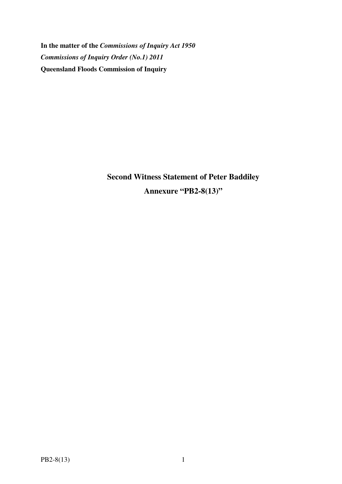**In the matter of the** *Commissions of Inquiry Act 1950 Commissions of Inquiry Order (No.1) 2011* **Queensland Floods Commission of Inquiry** 

> **Second Witness Statement of Peter Baddiley Annexure "PB2-8(13)"**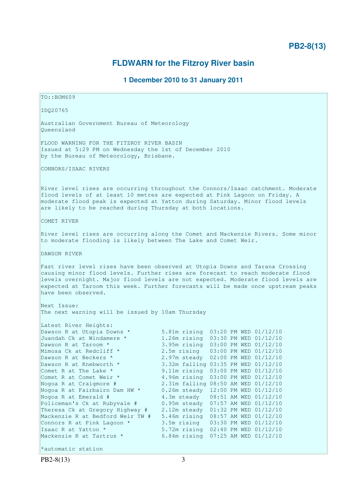# **PB2-8(13)**

# **FLDWARN for the Fitzroy River basin**

# **1 December 2010 to 31 January 2011**

TO::BOM609 IDQ20765 Australian Government Bureau of Meteorology Queensland FLOOD WARNING FOR THE FITZROY RIVER BASIN Issued at 5:29 PM on Wednesday the 1st of December 2010 by the Bureau of Meteorology, Brisbane. CONNORS/ISAAC RIVERS River level rises are occurring throughout the Connors/Isaac catchment. Moderate flood levels of at least 10 metres are expected at Pink Lagoon on Friday. A moderate flood peak is expected at Yatton during Saturday. Minor flood levels are likely to be reached during Thursday at both locations. COMET RIVER River level rises are occurring along the Comet and Mackenzie Rivers. Some minor to moderate flooding is likely between The Lake and Comet Weir. DAWSON RIVER Fast river level rises have been observed at Utopia Downs and Tarana Crossing causing minor flood levels. Further rises are forecast to reach moderate flood levels overnight. Major flood levels are not expected. Moderate flood levels are expected at Taroom this week. Further forecasts will be made once upstream peaks have been observed. Next Issue: The next warning will be issued by 10am Thursday Latest River Heights: Dawson R at Utopia Downs \* 5.81m rising 03:20 PM WED 01/12/10 Juandah Ck at Windamere \* 1.26m rising 03:30 PM WED 01/12/10 Dawson R at Taroom \* 3.95m rising 03:00 PM WED 01/12/10<br>Mimosa Ck at Redcliff \* 2.5m rising 03:00 PM WED 01/12/10 Mimosa Ck at Redcliff \* 2.5m rising 03:00 PM WED 01/12/10 Dawson R at Beckers \* 2.97m steady 02:00 PM WED 01/12/10 Dawson R at Knebworth \*  $\begin{array}{l} 3.32 \text{m} \text{ falling } 03:35 \text{ PM WED } 01/12/10 \\ \text{Comet R at The Lake * } 9.11 \text{m} \text{ rising } 03:00 \text{ PM WED } 01/12/10 \end{array}$ 9.11m rising 03:00 PM WED 01/12/10<br>4.96m rising 03:00 PM WED 01/12/10 Comet R at Comet Weir \* 4.96m rising 03:00 PM WED 01/12/10 Nogoa R at Craigmore # 2.31m falling 08:50 AM WED 01/12/10 Nogoa R at Fairbairn Dam HW \* 0.26m steady 12:00 PM WED 01/12/10 Nogoa R at Emerald # 4.3m steady 08:51 AM WED 01/12/10 Policeman's Ck at Rubyvale # 0.95m steady 07:57 AM WED 01/12/10 Theresa Ck at Gregory Highway # 2.12m steady 01:32 PM WED 01/12/10 Mackenzie R at Bedford Weir TW # 5.46m rising 08:57 AM WED 01/12/10 Connors R at Pink Lagoon \* 3.5m rising 03:30 PM WED 01/12/10 Isaac R at Yatton \* 5.72m rising 02:40 PM WED 01/12/10 Mackenzie R at Tartrus \* 6.84m rising 07:25 AM WED 01/12/10 \*automatic station

PB2-8(13) 3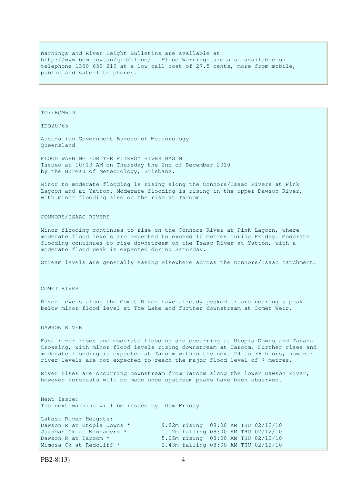Warnings and River Height Bulletins are available at http://www.bom.gov.au/qld/flood/ . Flood Warnings are also available on telephone 1300 659 219 at a low call cost of 27.5 cents, more from mobile, public and satellite phones.

TO::BOM609

IDQ20765

Australian Government Bureau of Meteorology Queensland

FLOOD WARNING FOR THE FITZROY RIVER BASIN Issued at 10:13 AM on Thursday the 2nd of December 2010 by the Bureau of Meteorology, Brisbane.

Minor to moderate flooding is rising along the Connors/Isaac Rivers at Pink Lagoon and at Yatton. Moderate flooding is rising in the upper Dawson River, with minor flooding also on the rise at Taroom.

CONNORS/ISAAC RIVERS

Minor flooding continues to rise on the Connors River at Pink Lagoon, where moderate flood levels are expected to exceed 10 metres during Friday. Moderate flooding continues to rise downstream on the Isaac River at Yatton, with a moderate flood peak is expected during Saturday.

Stream levels are generally easing elsewhere across the Connors/Isaac catchment.

COMET RIVER

River levels along the Comet River have already peaked or are nearing a peak below minor flood level at The Lake and further downstream at Comet Weir.

DAWSON RIVER

Fast river rises and moderate flooding are occurring at Utopia Downs and Tarana Crossing, with minor flood levels rising downstream at Taroom. Further rises and moderate flooding is expected at Taroom within the next 24 to 36 hours, however river levels are not expected to reach the major flood level of 7 metres.

River rises are occurring downstream from Taroom along the lower Dawson River, however forecasts will be made once upstream peaks have been observed.

Next Issue: The next warning will be issued by 10am Friday.

| Latest River Heights:      |  |  |                                     |
|----------------------------|--|--|-------------------------------------|
| Dawson R at Utopia Downs * |  |  | 9.82m rising 08:00 AM THU 02/12/10  |
| Juandah Ck at Windamere *  |  |  | 1.12m falling 08:00 AM THU 02/12/10 |
| Dawson R at Taroom *       |  |  | 5.05m rising 08:00 AM THU 02/12/10  |
| Mimosa Ck at Redcliff *    |  |  | 2.43m falling 08:00 AM THU 02/12/10 |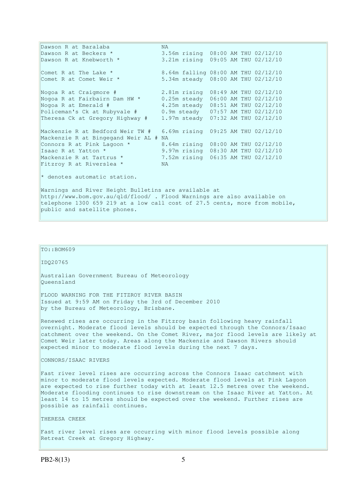Dawson R at Baralaba MA<br>Dawson R at Beckers \* 3. Dawson R at Beckers \* 3.56m rising 08:00 AM THU 02/12/10<br>Dawson R at Knebworth \* 3.21m rising 09:05 AM THU 02/12/10 3.21m rising 09:05 AM THU 02/12/10 Comet R at The Lake \* 8.64m falling 08:00 AM THU 02/12/10<br>Comet R at Comet Weir \* 5.34m steady 08:00 AM THU 02/12/10 5.34m steady 08:00 AM THU 02/12/10 Nogoa R at Craigmore # 2.81m rising 08:49 AM THU 02/12/10 Nogoa R at Fairbairn Dam HW \* 0.25m steady 06:00 AM THU 02/12/10 Nogoa R at Emerald # 4.25m steady 08:51 AM THU 02/12/10 Policeman's Ck at Rubyvale # 0.9m steady 07:57 AM THU 02/12/10 Theresa Ck at Gregory Highway # 1.97m steady 07:32 AM THU 02/12/10 Mackenzie R at Bedford Weir TW # 6.69m rising 09:25 AM THU 02/12/10 Mackenzie R at Bingegand Weir AL # NA Connors R at Pink Lagoon \* 8.64m rising 08:00 AM THU 02/12/10 Isaac R at Yatton \* 9.97m rising 08:30 AM THU 02/12/10 18aac K at Tartrus \* 1.52m rising 06:35 AM THU 02/12/10<br>Mackenzie R at Tartrus \* 7.52m rising 06:35 AM THU 02/12/10 Fitzroy R at Riverslea  $*$ \* denotes automatic station. Warnings and River Height Bulletins are available at http://www.bom.gov.au/qld/flood/ . Flood Warnings are also available on telephone 1300 659 219 at a low call cost of 27.5 cents, more from mobile,

# TO::BOM609

public and satellite phones.

IDQ20765

Australian Government Bureau of Meteorology Queensland

FLOOD WARNING FOR THE FITZROY RIVER BASIN Issued at 9:59 AM on Friday the 3rd of December 2010 by the Bureau of Meteorology, Brisbane.

Renewed rises are occurring in the Fitzroy basin following heavy rainfall  $\alpha$  overnight. Moderate flood levels should be expected through the Connors/Isaac catchment over the weekend. On the Comet River, major flood levels are likely at Comet Weir later today. Areas along the Mackenzie and Dawson Rivers should expected minor to moderate flood levels during the next 7 days.

CONNORS/ISAAC RIVERS

Fast river level rises are occurring across the Connors Isaac catchment with minor to moderate flood levels expected. Moderate flood levels at Pink Lagoon are expected to rise further today with at least 12.5 metres over the weekend. Moderate flooding continues to rise downstream on the Isaac River at Yatton. At least 14 to 15 metres should be expected over the weekend. Further rises are possible as rainfall continues.

THERESA CREEK

Fast river level rises are occurring with minor flood levels possible along Retreat Creek at Gregory Highway.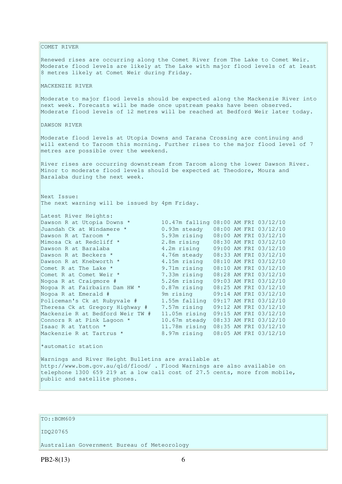COMET RIVER Renewed rises are occurring along the Comet River from The Lake to Comet Weir. Moderate flood levels are likely at The Lake with major flood levels of at least 8 metres likely at Comet Weir during Friday. MACKENZIE RIVER Moderate to major flood levels should be expected along the Mackenzie River into next week. Forecasts will be made once upstream peaks have been observed. Moderate flood levels of 12 metres will be reached at Bedford Weir later today. DAWSON RIVER Moderate flood levels at Utopia Downs and Tarana Crossing are continuing and will extend to Taroom this morning. Further rises to the major flood level of 7 metres are possible over the weekend. River rises are occurring downstream from Taroom along the lower Dawson River. Minor to moderate flood levels should be expected at Theodore, Moura and Baralaba during the next week. Next Issue: The next warning will be issued by 4pm Friday. Latest River Heights: Dawson R at Utopia Downs \* 10.47m falling 08:00 AM FRI 03/12/10 Juandah Ck at Windamere \* 0.93m steady 08:00 AM FRI 03/12/10 Dawson R at Taroom \* 5.93m rising 08:00 AM FRI 03/12/10 Mimosa Ck at Redcliff \* 2.8m rising 08:30 AM FRI 03/12/10 Dawson R at Baralaba 4.2m rising 09:00 AM FRI 03/12/10 Dawson R at Beckers \* 4.76m steady 08:33 AM FRI 03/12/10 Dawson R at Knebworth \* 4.15m rising 08:10 AM FRI 03/12/10 Comet R at The Lake \* 9.71m rising 08:10 AM FRI 03/12/10 Comet R at Comet Weir \* 7.33m rising 08:28 AM FRI 03/12/10 Nogoa R at Craigmore # 5.26m rising 09:03 AM FRI 03/12/10 Nogoa R at Fairbairn Dam HW \* 0.87m rising 08:25 AM FRI 03/12/10 Nogoa R at Emerald # 9m rising 09:14 AM FRI 03/12/10 Policeman's Ck at Rubyvale # 1.55m falling 09:17 AM FRI 03/12/10 Theresa Ck at Gregory Highway # 7.57m rising 09:12 AM FRI 03/12/10 Mackenzie R at Bedford Weir TW # 11.05m rising 09:15 AM FRI 03/12/10 Connors R at Pink Lagoon  $*$  10.67m steady  $08:33$  AM FRI 03/12/10 Isaac R at Yatton \* 11.78m rising 08:35 AM FRI 03/12/10 Mackenzie R at Tartrus \* 8.97m rising 08:05 AM FRI 03/12/10 \*automatic station Warnings and River Height Bulletins are available at http://www.bom.gov.au/qld/flood/ . Flood Warnings are also available on telephone 1300 659 219 at a low call cost of 27.5 cents, more from mobile, public and satellite phones.

# TO::BOM609

### IDQ20765

Australian Government Bureau of Meteorology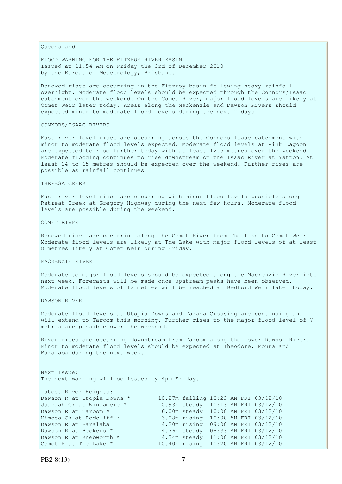Queensland

FLOOD WARNING FOR THE FITZROY RIVER BASIN Issued at 11:54 AM on Friday the 3rd of December 2010 by the Bureau of Meteorology, Brisbane.

Renewed rises are occurring in the Fitzroy basin following heavy rainfall overnight. Moderate flood levels should be expected through the Connors/Isaac catchment over the weekend. On the Comet River, major flood levels are likely at Comet Weir later today. Areas along the Mackenzie and Dawson Rivers should expected minor to moderate flood levels during the next 7 days.

### CONNORS/ISAAC RIVERS

Fast river level rises are occurring across the Connors Isaac catchment with minor to moderate flood levels expected. Moderate flood levels at Pink Lagoon are expected to rise further today with at least 12.5 metres over the weekend. Moderate flooding continues to rise downstream on the Isaac River at Yatton. At least 14 to 15 metres should be expected over the weekend. Further rises are possible as rainfall continues.

### THERESA CREEK

Fast river level rises are occurring with minor flood levels possible along Retreat Creek at Gregory Highway during the next few hours. Moderate flood levels are possible during the weekend.

### COMET RIVER

Renewed rises are occurring along the Comet River from The Lake to Comet Weir. Moderate flood levels are likely at The Lake with major flood levels of at least 8 metres likely at Comet Weir during Friday.

### MACKENZIE RIVER

Moderate to major flood levels should be expected along the Mackenzie River into next week. Forecasts will be made once upstream peaks have been observed. Moderate flood levels of 12 metres will be reached at Bedford Weir later today.

DAWSON RIVER

Moderate flood levels at Utopia Downs and Tarana Crossing are continuing and will extend to Taroom this morning. Further rises to the major flood level of 7 metres are possible over the weekend.

River rises are occurring downstream from Taroom along the lower Dawson River. Minor to moderate flood levels should be expected at Theodore, Moura and Baralaba during the next week.

Next Issue: The next warning will be issued by 4pm Friday.

| Latest River Heights:      |  |  |                                      |
|----------------------------|--|--|--------------------------------------|
| Dawson R at Utopia Downs * |  |  | 10.27m falling 10:23 AM FRI 03/12/10 |
| Juandah Ck at Windamere *  |  |  | 0.93m steady 10:13 AM FRI 03/12/10   |
| Dawson R at Taroom *       |  |  | 6.00m steady 10:00 AM FRI 03/12/10   |
| Mimosa Ck at Redcliff *    |  |  | 3.08m rising 10:00 AM FRI 03/12/10   |
| Dawson R at Baralaba       |  |  | 4.20m rising 09:00 AM FRI 03/12/10   |
| Dawson R at Beckers *      |  |  | 4.76m steady 08:33 AM FRI 03/12/10   |
| Dawson R at Knebworth *    |  |  | 4.34m steady 11:00 AM FRI 03/12/10   |
| Comet R at The Lake *      |  |  | 10.40m rising 10:20 AM FRI 03/12/10  |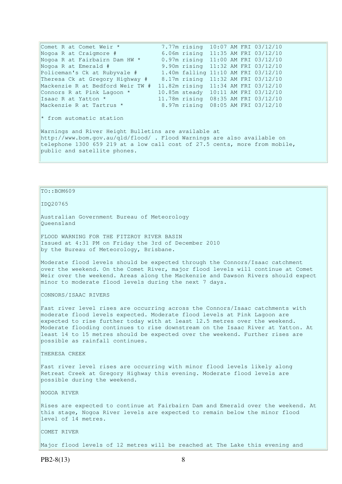Comet R at Comet Weir \* 7.77m rising 10:07 AM FRI 03/12/10<br>Nogoa R at Craigmore # 6.06m rising 11:35 AM FRI 03/12/10 6.06m rising 11:35 AM FRI 03/12/10 Nogoa R at Fairbairn Dam HW \* 0.97m rising 11:00 AM FRI 03/12/10<br>Nogoa R at Emerald # 9.90m rising 11:32 AM FRI 03/12/10 9.90m rising 11:32 AM FRI 03/12/10 Policeman's Ck at Rubyvale # 1.40m falling 11:10 AM FRI 03/12/10 Theresa Ck at Gregory Highway # 8.17m rising 11:32 AM FRI 03/12/10 Mackenzie R at Bedford Weir TW # 11.82m rising 11:34 AM FRI 03/12/10 Connors R at Pink Lagoon \* 10.85m steady 10:11 AM FRI 03/12/10 Isaac R at Yatton \* 11.78m rising 08:35 AM FRI 03/12/10 Mackenzie R at Tartrus \* 8.97m rising 08:05 AM FRI 03/12/10 \* from automatic station Warnings and River Height Bulletins are available at http://www.bom.gov.au/qld/flood/ . Flood Warnings are also available on telephone 1300 659 219 at a low call cost of 27.5 cents, more from mobile,

# TO::BOM609

public and satellite phones.

IDQ20765

Australian Government Bureau of Meteorology Queensland

FLOOD WARNING FOR THE FITZROY RIVER BASIN Issued at 4:31 PM on Friday the 3rd of December 2010 by the Bureau of Meteorology, Brisbane.

Moderate flood levels should be expected through the Connors/Isaac catchment over the weekend. On the Comet River, major flood levels will continue at Comet Weir over the weekend. Areas along the Mackenzie and Dawson Rivers should expect minor to moderate flood levels during the next 7 days.

CONNORS/ISAAC RIVERS

Fast river level rises are occurring across the Connors/Isaac catchments with moderate flood levels expected. Moderate flood levels at Pink Lagoon are expected to rise further today with at least 12.5 metres over the weekend. Moderate flooding continues to rise downstream on the Isaac River at Yatton. At least 14 to 15 metres should be expected over the weekend. Further rises are possible as rainfall continues.

THERESA CREEK

Fast river level rises are occurring with minor flood levels likely along Retreat Creek at Gregory Highway this evening. Moderate flood levels are possible during the weekend.

NOGOA RIVER

Rises are expected to continue at Fairbairn Dam and Emerald over the weekend. At this stage, Nogoa River levels are expected to remain below the minor flood level of 14 metres.

COMET RIVER

Major flood levels of 12 metres will be reached at The Lake this evening and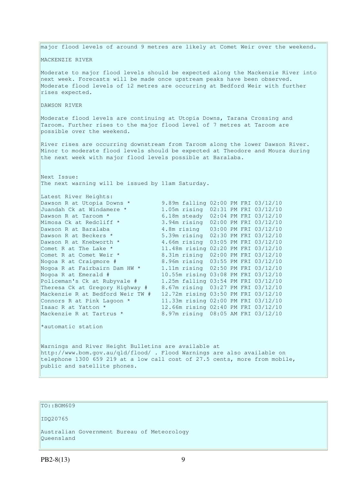major flood levels of around 9 metres are likely at Comet Weir over the weekend. MACKENZIE RIVER Moderate to major flood levels should be expected along the Mackenzie River into next week. Forecasts will be made once upstream peaks have been observed. Moderate flood levels of 12 metres are occurring at Bedford Weir with further rises expected. DAWSON RIVER Moderate flood levels are continuing at Utopia Downs, Tarana Crossing and Taroom. Further rises to the major flood level of 7 metres at Taroom are possible over the weekend. River rises are occurring downstream from Taroom along the lower Dawson River. Minor to moderate flood levels should be expected at Theodore and Moura during the next week with major flood levels possible at Baralaba. Next Issue: The next warning will be issued by 11am Saturday. Latest River Heights: Dawson R at Utopia Downs \* 9.89m falling 02:00 PM FRI 03/12/10 Juandah Ck at Windamere \* 1.05m rising 02:31 PM FRI 03/12/10 Dawson R at Taroom \* 6.18m steady 02:04 PM FRI 03/12/10 Mimosa Ck at Redcliff \* 3.94m rising 02:00 PM FRI 03/12/10 Dawson R at Baralaba 4.8m rising 03:00 PM FRI 03/12/10 Dawson R at Beckers \* 5.39m rising 02:30 PM FRI 03/12/10 Dawson R at Knebworth \* 4.66m rising 03:05 PM FRI 03/12/10 Comet R at The Lake \* 11.48m rising 02:20 PM FRI 03/12/10 Comet R at Comet Weir \* 8.31m rising 02:00 PM FRI 03/12/10 Nogoa R at Craigmore # 8.96m rising 03:55 PM FRI 03/12/10 Nogoa R at Fairbairn Dam HW \* 1.11m rising 02:50 PM FRI 03/12/10 Nogoa R at Emerald # 10.55m rising 03:08 PM FRI 03/12/10 Policeman's Ck at Rubyvale # 1.25m falling 03:54 PM FRI 03/12/10 Theresa Ck at Gregory Highway # 8.67m rising 03:27 PM FRI 03/12/10 Mackenzie R at Bedford Weir TW # 12.72m rising 03:50 PM FRI 03/12/10 Connors R at Pink Lagoon \* 11.33m rising 02:00 PM FRI 03/12/10 Isaac R at Yatton \* 12.66m rising 02:40 PM FRI 03/12/10 Mackenzie R at Tartrus \* 8.97m rising 08:05 AM FRI 03/12/10 \*automatic station

Warnings and River Height Bulletins are available at http://www.bom.gov.au/qld/flood/ . Flood Warnings are also available on telephone 1300 659 219 at a low call cost of 27.5 cents, more from mobile, public and satellite phones.

# TO::BOM609

IDQ20765

Australian Government Bureau of Meteorology Queensland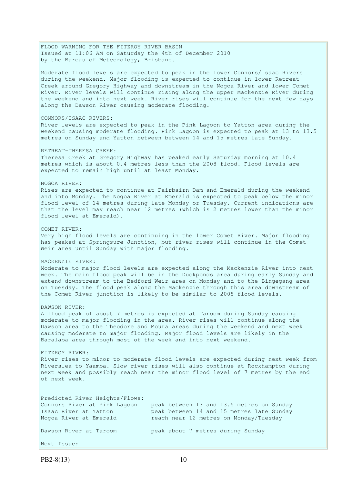FLOOD WARNING FOR THE FITZROY RIVER BASIN Issued at 11:06 AM on Saturday the 4th of December 2010 by the Bureau of Meteorology, Brisbane. Moderate flood levels are expected to peak in the lower Connors/Isaac Rivers during the weekend. Major flooding is expected to continue in lower Retreat Creek around Gregory Highway and downstream in the Nogoa River and lower Comet River. River levels will continue rising along the upper Mackenzie River during the weekend and into next week. River rises will continue for the next few days along the Dawson River causing moderate flooding. CONNORS/ISAAC RIVERS: River levels are expected to peak in the Pink Lagoon to Yatton area during the weekend causing moderate flooding. Pink Lagoon is expected to peak at 13 to 13.5 metres on Sunday and Yatton between between 14 and 15 metres late Sunday. RETREAT-THERESA CREEK: Theresa Creek at Gregory Highway has peaked early Saturday morning at 10.4 metres which is about 0.4 metres less than the 2008 flood. Flood levels are expected to remain high until at least Monday. NOGOA RIVER: Rises are expected to continue at Fairbairn Dam and Emerald during the weekend and into Monday. The Nogoa River at Emerald is expected to peak below the minor flood level of 14 metres during late Monday or Tuesday. Current indications are that the level may reach near 12 metres (which is 2 metres lower than the minor flood level at Emerald). COMET RIVER: Very high flood levels are continuing in the lower Comet River. Major flooding has peaked at Springsure Junction, but river rises will continue in the Comet Weir area until Sunday with major flooding. MACKENZIE RIVER: Moderate to major flood levels are expected along the Mackenzie River into next week. The main flood peak will be in the Duckponds area during early Sunday and extend downstream to the Bedford Weir area on Monday and to the Bingegang area on Tuesday. The flood peak along the Mackenzie through this area downstream of the Comet River junction is likely to be similar to 2008 flood levels. DAWSON RIVER: A flood peak of about 7 metres is expected at Taroom during Sunday causing moderate to major flooding in the area. River rises will continue along the Dawson area to the Theodore and Moura areas during the weekend and next week causing moderate to major flooding. Major flood levels are likely in the Baralaba area through most of the week and into next weekend. FITZROY RIVER: River rises to minor to moderate flood levels are expected during next week from Riverslea to Yaamba. Slow river rises will also continue at Rockhampton during next week and possibly reach near the minor flood level of 7 metres by the end of next week. Predicted River Heights/Flows: Connors River at Pink Lagoon peak between 13 and 13.5 metres on Sunday Isaac River at Yatton peak between 14 and 15 metres late Sunday Nogoa River at Emerald reach near 12 metres on Monday/Tuesday Dawson River at Taroom peak about 7 metres during Sunday Next Issue: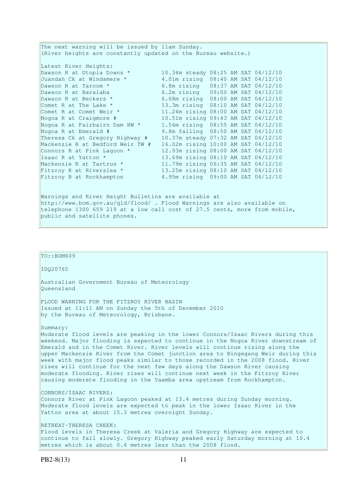The next warning will be issued by 11am Sunday. (River heights are constantly updated on the Bureau website.) Latest River Heights: Dawson R at Utopia Downs \* 10.34m steady 08:25 AM SAT 04/12/10 Juandah Ck at Windamere \* 4.01m rising 08:40 AM SAT 04/12/10 Dawson R at Taroom \* 6.8m rising 08:37 AM SAT 04/12/10 Dawson R at Baralaba 6.2m rising 09:00 AM SAT 04/12/10<br>Dawson R at Beckers \* 6.68m rising 08:00 AM SAT 04/12/10 Dawson R at Beckers \* 6.68m rising 08:00 AM SAT 04/12/10 Comet R at The Lake \* 13.3m rising 08:10 AM SAT 04/12/10 Comet R at Comet Weir \* 11.24m rising 08:00 AM SAT 04/12/10 Nogoa R at Craigmore # 10.51m rising 09:43 AM SAT 04/12/10 Nogoa R at Fairbairn Dam HW \* 1.54m rising 08:55 AM SAT 04/12/10 Nogoa R at Emerald # 9.8m falling 08:50 AM SAT 04/12/10 Theresa Ck at Gregory Highway # 10.37m steady 07:32 AM SAT 04/12/10 Mackenzie R at Bedford Weir TW # 16.02m rising 10:00 AM SAT 04/12/10 Connors R at Pink Lagoon \* 12.93m rising 08:00 AM SAT 04/12/10<br>
Isaac R at Yatton \* 13.69m rising 08:10 AM SAT 04/12/10 Isaac R at Yatton \* 13.69m rising 08:10 AM SAT 04/12/10 Mackenzie R at Tartrus \* 11.79m rising 06:35 AM SAT 04/12/10 Fitzroy R at Riverslea \* 13.25m rising 08:10 AM SAT 04/12/10 Fitzroy R at Rockhampton 4.95m rising 09:00 AM SAT 04/12/10 Warnings and River Height Bulletins are available at http://www.bom.gov.au/qld/flood/ . Flood Warnings are also available on telephone 1300 659 219 at a low call cost of 27.5 cents, more from mobile, public and satellite phones.

# TO::BOM609 IDQ20765 Australian Government Bureau of Meteorology Queensland FLOOD WARNING FOR THE FITZROY RIVER BASIN Issued at 11:11 AM on Sunday the 5th of December 2010 by the Bureau of Meteorology, Brisbane. Summary: Moderate flood levels are peaking in the lower Connors/Isaac Rivers during this weekend. Major flooding is expected to continue in the Nogoa River downstream of Emerald and in the Comet River. River levels will continue rising along the upper Mackenzie River from the Comet junction area to Bingegang Weir during this week with major flood peaks similar to those recorded in the 2008 flood. River rises will continue for the next few days along the Dawson River causing moderate flooding. River rises will continue next week in the Fitzroy River causing moderate flooding in the Yaamba area upstream from Rockhampton. CONNORS/ISAAC RIVERS: Connors River at Pink Lagoon peaked at 13.4 metres during Sunday morning. Moderate flood levels are expected to peak in the lower Isaac River in the Yatton area at about 15.3 metres overnight Sunday. RETREAT-THERESA CREEK: Flood levels in Theresa Creek at Valeria and Gregory Highway are expected to continue to fall slowly. Gregory Highway peaked early Saturday morning at 10.4 metres which is about 0.4 metres less than the 2008 flood.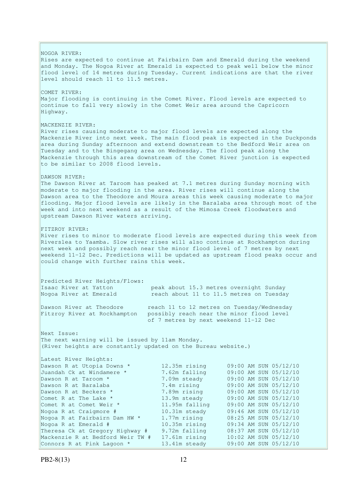NOGOA RIVER: Rises are expected to continue at Fairbairn Dam and Emerald during the weekend and Monday. The Nogoa River at Emerald is expected to peak well below the minor flood level of 14 metres during Tuesday. Current indications are that the river level should reach 11 to 11.5 metres. COMET RIVER: Major flooding is continuing in the Comet River. Flood levels are expected to continue to fall very slowly in the Comet Weir area around the Capricorn Highway. MACKENZIE RIVER: River rises causing moderate to major flood levels are expected along the Mackenzie River into next week. The main flood peak is expected in the Duckponds area during Sunday afternoon and extend downstream to the Bedford Weir area on Tuesday and to the Bingegang area on Wednesday. The flood peak along the Mackenzie through this area downstream of the Comet River junction is expected to be similar to 2008 flood levels. DAWSON RIVER: The Dawson River at Taroom has peaked at 7.1 metres during Sunday morning with moderate to major flooding in the area. River rises will continue along the Dawson area to the Theodore and Moura areas this week causing moderate to major flooding. Major flood levels are likely in the Baralaba area through most of the week and into next weekend as a result of the Mimosa Creek floodwaters and upstream Dawson River waters arriving. FITZROY RIVER: River rises to minor to moderate flood levels are expected during this week from Riverslea to Yaamba. Slow river rises will also continue at Rockhampton during next week and possibly reach near the minor flood level of 7 metres by next weekend 11-12 Dec. Predictions will be updated as upstream flood peaks occur and could change with further rains this week. Predicted River Heights/Flows: Isaac River at Yatton peak about 15.3 metres overnight Sunday Nogoa River at Emerald reach about 11 to 11.5 metres on Tuesday Dawson River at Theodore reach 11 to 12 metres on Tuesday/Wednesday Fitzroy River at Rockhampton possibly reach near the minor flood level of 7 metres by next weekend 11-12 Dec Next Issue: The next warning will be issued by 11am Monday. (River heights are constantly updated on the Bureau website.) Latest River Heights: Dawson R at Utopia Downs \* 12.35m rising 09:00 AM SUN 05/12/10 Juandah Ck at Windamere \* 7.62m falling 09:00 AM SUN 05/12/10 Dawson R at Taroom \* 7.09m steady 09:00 AM SUN 05/12/10 Dawson R at Baralaba 7.4m rising 09:00 AM SUN 05/12/10 Dawson R at Beckers \* 7.89m rising 09:00 AM SUN 05/12/10 Comet R at The Lake \* 13.9m steady 09:00 AM SUN 05/12/10 Comet R at Comet Weir \* 11.95m falling 09:00 AM SUN 05/12/10 Nogoa R at Craigmore # 10.31m steady 09:46 AM SUN 05/12/10 Nogoa R at Fairbairn Dam HW \* 1.77m rising 08:25 AM SUN 05/12/10 Nogoa R at Emerald # 10.35m rising 09:34 AM SUN 05/12/10 Theresa Ck at Gregory Highway # 9.72m falling 08:37 AM SUN 05/12/10 Mackenzie R at Bedford Weir TW # 17.61m rising 10:02 AM SUN 05/12/10 Connors R at Pink Lagoon \* 13.41m steady 09:00 AM SUN 05/12/10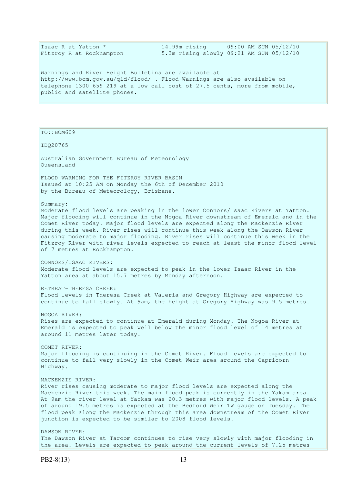Isaac R at Yatton \* 14.99m rising 09:00 AM SUN 05/12/10<br>Fitzroy R at Rockhampton 5.3m rising slowly 09:21 AM SUN 05/12/10 5.3m rising slowly 09:21 AM SUN 05/12/10

Warnings and River Height Bulletins are available at http://www.bom.gov.au/qld/flood/ . Flood Warnings are also available on telephone 1300 659 219 at a low call cost of 27.5 cents, more from mobile, public and satellite phones.

TO::BOM609

IDQ20765

Australian Government Bureau of Meteorology Queensland

FLOOD WARNING FOR THE FITZROY RIVER BASIN Issued at 10:25 AM on Monday the 6th of December 2010 by the Bureau of Meteorology, Brisbane.

Summary:

Moderate flood levels are peaking in the lower Connors/Isaac Rivers at Yatton. Major flooding will continue in the Nogoa River downstream of Emerald and in the Comet River today. Major flood levels are expected along the Mackenzie River during this week. River rises will continue this week along the Dawson River causing moderate to major flooding. River rises will continue this week in the Fitzroy River with river levels expected to reach at least the minor flood level of 7 metres at Rockhampton.

CONNORS/ISAAC RIVERS: Moderate flood levels are expected to peak in the lower Isaac River in the Yatton area at about 15.7 metres by Monday afternoon.

RETREAT-THERESA CREEK:

Flood levels in Theresa Creek at Valeria and Gregory Highway are expected to continue to fall slowly. At 9am, the height at Gregory Highway was 9.5 metres.

NOGOA RIVER: Rises are expected to continue at Emerald during Monday. The Nogoa River at Emerald is expected to peak well below the minor flood level of 14 metres at around 11 metres later today.

COMET RIVER: Major flooding is continuing in the Comet River. Flood levels are expected to continue to fall very slowly in the Comet Weir area around the Capricorn Highway.

MACKENZIE RIVER:

River rises causing moderate to major flood levels are expected along the Mackenzie River this week. The main flood peak is currently in the Yakam area. At 9am the river level at Yackam was 20.3 metres with major flood levels. A peak of around 19.5 metres is expected at the Bedford Weir TW gauge on Tuesday. The flood peak along the Mackenzie through this area downstream of the Comet River junction is expected to be similar to 2008 flood levels.

DAWSON RIVER: The Dawson River at Taroom continues to rise very slowly with major flooding in the area. Levels are expected to peak around the current levels of 7.25 metres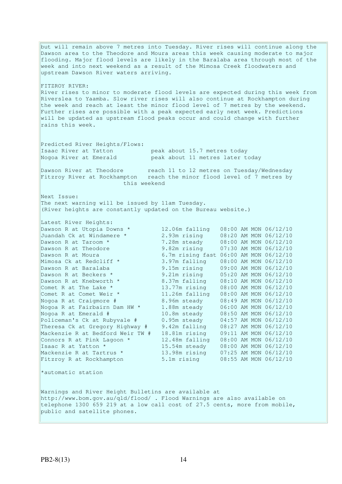but will remain above 7 metres into Tuesday. River rises will continue along the Dawson area to the Theodore and Moura areas this week causing moderate to major flooding. Major flood levels are likely in the Baralaba area through most of the week and into next weekend as a result of the Mimosa Creek floodwaters and upstream Dawson River waters arriving. FITZROY RIVER: River rises to minor to moderate flood levels are expected during this week from Riverslea to Yaamba. Slow river rises will also continue at Rockhampton during the week and reach at least the minor flood level of 7 metres by the weekend. Further rises are possible with a peak expected early next week. Predictions will be updated as upstream flood peaks occur and could change with further rains this week. Predicted River Heights/Flows: Isaac River at Yatton peak about 15.7 metres today Nogoa River at Emerald peak about 11 metres later today Dawson River at Theodore reach 11 to 12 metres on Tuesday/Wednesday Fitzroy River at Rockhampton reach the minor flood level of 7 metres by this weekend Next Issue: The next warning will be issued by 11am Tuesday. (River heights are constantly updated on the Bureau website.) Latest River Heights: Dawson R at Utopia Downs \* 12.06m falling 08:00 AM MON 06/12/10 Juandah Ck at Windamere \* 2.93m rising 08:20 AM MON 06/12/10 Dawson R at Taroom \* 7.28m steady 08:00 AM MON 06/12/10 Dawson R at Theodore 9.82m rising 07:30 AM MON 06/12/10 Dawson R at Moura 6.7m rising fast 06:00 AM MON 06/12/10 Mimosa Ck at Redcliff \* 3.97m falling 08:00 AM MON 06/12/10 Dawson R at Baralaba 9.15m rising 09:00 AM MON 06/12/10 Dawson R at Beckers \* 9.21m rising 05:20 AM MON 06/12/10 Dawson R at Knebworth \* 8.37m falling 08:10 AM MON 06/12/10 Comet R at The Lake \* 13.77m rising 08:00 AM MON 06/12/10 Comet R at Comet Weir \* 11.26m falling 08:00 AM MON 06/12/10 Nogoa R at Craigmore # 8.96m steady 08:49 AM MON 06/12/10 Nogoa R at Fairbairn Dam HW \* 1.88m steady 06:00 AM MON 06/12/10 Nogoa R at Emerald # 10.8m steady 08:50 AM MON 06/12/10 Policeman's Ck at Rubyvale # 0.95m steady 04:57 AM MON 06/12/10 Theresa Ck at Gregory Highway # 9.42m falling 08:27 AM MON 06/12/10 Mackenzie R at Bedford Weir TW # 18.81m rising 09:11 AM MON 06/12/10 Connors R at Pink Lagoon  $*$  12.48m falling  $08:00$  AM MON  $06/12/10$ Isaac R at Yatton \* 15.54m steady 08:00 AM MON 06/12/10 Mackenzie R at Tartrus \* 13.98m rising 07:25 AM MON 06/12/10 Fitzroy R at Rockhampton 5.1m rising 08:55 AM MON 06/12/10 \*automatic station Warnings and River Height Bulletins are available at http://www.bom.gov.au/qld/flood/ . Flood Warnings are also available on telephone 1300 659 219 at a low call cost of 27.5 cents, more from mobile, public and satellite phones.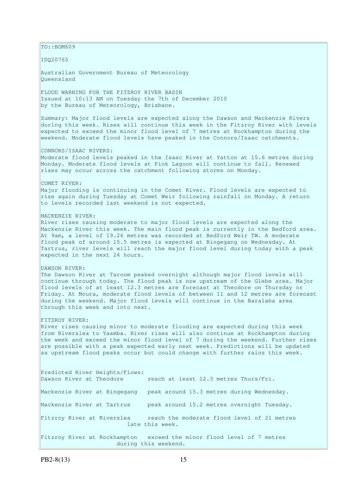$TO:$ : BOM609 IDQ20765 Australian Government Bureau of Meteorology Queensland FLOOD WARNING FOR THE FITZROY RIVER BASIN Issued at 10:13 AM on Tuesday the 7th of December 2010 by the Bureau of Meteorology, Brisbane. Summary: Major flood levels are expected along the Dawson and Mackenzie Rivers during this week. Rises will continue this week in the Fitzroy River with levels expected to exceed the minor flood level of 7 metres at Rockhampton during the weekend. Moderate flood levels have peaked in the Connors/Isaac catchments. CONNORS/ISAAC RIVERS: Moderate flood levels peaked in the Isaac River at Yatton at 15.6 metres during Monday. Moderate flood levels at Pink Lagoon will continue to fall. Renewed rises may occur across the catchment following storms on Monday. COMET RIVER: Major flooding is continuing in the Comet River. Flood levels are expected to rise again during Tuesday at Comet Weir following rainfall on Monday. A return to levels recorded last weekend is not expected. MACKENZIE RIVER: River rises causing moderate to major flood levels are expected along the Mackenzie River this week. The main flood peak is currently in the Bedford area. At 9am, a level of 19.26 metres was recorded at Bedford Weir TW. A moderate flood peak of around 15.5 metres is expected at Bingegang on Wednesday. At Tartrus, river levels will reach the major flood level during today with a peak expected in the next 24 hours. DAWSON RIVER: The Dawson River at Taroom peaked overnight although major flood levels will continue through today. The flood peak is now upstream of the Glebe area. Major flood levels of at least 12.3 metres are forecast at Theodore on Thursday or Friday. At Moura, moderate flood levels of between 11 and 12 metres are forecast during the weekend. Major flood levels will continue in the Baralaba area through this week and into next. FITZROY RIVER: River rises causing minor to moderate flooding are expected during this week from Riverslea to Yaamba. River rises will also continue at Rockhampton during the week and exceed the minor flood level of 7 during the weekend. Further rises are possible with a peak expected early next week. Predictions will be updated as upstream flood peaks occur but could change with further rains this week. Predicted River Heights/Flows: Dawson River at Theodore reach at least 12.3 metres Thurs/Fri. Mackenzie River at Bingegang peak around 15.3 metres during Wednesday. Mackenzie River at Tartrus peak around 15.2 metres overnight Tuesday. Fitzroy River at Riverslea reach the moderate flood level of 21 metres late this week. Fitzroy River at Rockhampton exceed the minor flood level of 7 metres during this weekend.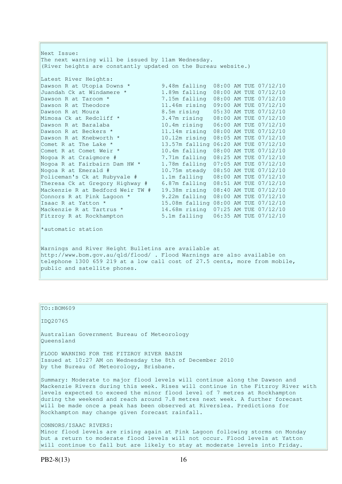Next Issue: The next warning will be issued by 11am Wednesday. (River heights are constantly updated on the Bureau website.) Latest River Heights: Dawson R at Utopia Downs \* 9.48m falling 08:00 AM TUE 07/12/10 Juandah Ck at Windamere \* 1.89m falling 08:00 AM TUE 07/12/10 Dawson R at Taroom \* 7.15m falling 08:00 AM TUE 07/12/10 Dawson R at Theodore 11.46m rising 09:00 AM TUE 07/12/10<br>Dawson R at Moura 8.5m rising 05:30 AM TUE 07/12/10 Dawson R at Moura 8.5m rising 05:30 AM TUE 07/12/10 Mimosa Ck at Redcliff \* 3.47m rising 08:00 AM TUE 07/12/10 Dawson R at Baralaba 10.4m rising 06:00 AM TUE 07/12/10 Dawson R at Beckers \* 11.14m rising 08:00 AM TUE 07/12/10 Dawson R at Knebworth \* 10.12m rising 08:05 AM TUE 07/12/10 Comet R at The Lake  $*$  13.57m falling 06:20 AM TUE 07/12/10 Comet R at Comet Weir \* 10.4m falling 08:00 AM TUE 07/12/10 Nogoa R at Craigmore # 7.71m falling 08:25 AM TUE 07/12/10 Nogoa R at Fairbairn Dam HW \* 1.78m falling 07:05 AM TUE 07/12/10 Nogoa R at Emerald # 10.75m steady 08:50 AM TUE 07/12/10 Policeman's Ck at Rubyvale # 1.1m falling 08:00 AM TUE 07/12/10 Theresa Ck at Gregory Highway # 6.87m falling 08:51 AM TUE 07/12/10 Mackenzie R at Bedford Weir TW # 19.38m rising 08:40 AM TUE 07/12/10 Connors R at Pink Lagoon \* 9.22m falling 08:00 AM TUE 07/12/10 Isaac R at Yatton \* 15.08m falling 08:00 AM TUE 07/12/10 Mackenzie R at Tartrus \* 14.68m rising 07:25 AM TUE 07/12/10 Fitzroy R at Rockhampton 5.1m falling 06:35 AM TUE 07/12/10 \*automatic station Warnings and River Height Bulletins are available at http://www.bom.gov.au/qld/flood/ . Flood Warnings are also available on telephone 1300 659 219 at a low call cost of 27.5 cents, more from mobile,

public and satellite phones.

TO::BOM609

IDQ20765

Australian Government Bureau of Meteorology Queensland

FLOOD WARNING FOR THE FITZROY RIVER BASIN Issued at 10:27 AM on Wednesday the 8th of December 2010 by the Bureau of Meteorology, Brisbane.

Summary: Moderate to major flood levels will continue along the Dawson and Mackenzie Rivers during this week. Rises will continue in the Fitzroy River with levels expected to exceed the minor flood level of 7 metres at Rockhampton during the weekend and reach around 7.8 metres next week. A further forecast will be made once a peak has been observed at Riverslea. Predictions for Rockhampton may change given forecast rainfall.

CONNORS/ISAAC RIVERS:

Minor flood levels are rising again at Pink Lagoon following storms on Monday but a return to moderate flood levels will not occur. Flood levels at Yatton will continue to fall but are likely to stay at moderate levels into Friday.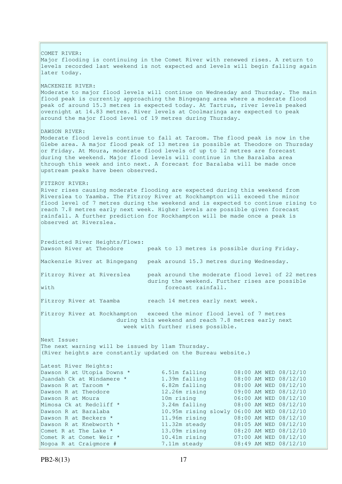COMET RIVER: Major flooding is continuing in the Comet River with renewed rises. A return to levels recorded last weekend is not expected and levels will begin falling again later today. MACKENZIE RIVER: Moderate to major flood levels will continue on Wednesday and Thursday. The main flood peak is currently approaching the Bingegang area where a moderate flood peak of around 15.3 metres is expected today. At Tartrus, river levels peaked  $\overline{\circ}$  overnight at 14.83 metres. River levels at Coolmaringa are expected to peak around the major flood level of 19 metres during Thursday. DAWSON RIVER: Moderate flood levels continue to fall at Taroom. The flood peak is now in the Glebe area. A major flood peak of 13 metres is possible at Theodore on Thursday or Friday. At Moura, moderate flood levels of up to 12 metres are forecast during the weekend. Major flood levels will continue in the Baralaba area through this week and into next. A forecast for Baralaba will be made once upstream peaks have been observed. FITZROY RIVER: River rises causing moderate flooding are expected during this weekend from Riverslea to Yaamba. The Fitzroy River at Rockhampton will exceed the minor flood level of 7 metres during the weekend and is expected to continue rising to reach 7.8 metres early next week. Higher levels are possible given forecast rainfall. A further prediction for Rockhampton will be made once a peak is observed at Riverslea. Predicted River Heights/Flows: Dawson River at Theodore peak to 13 metres is possible during Friday. Mackenzie River at Bingegang peak around 15.3 metres during Wednesday. Fitzroy River at Riverslea peak around the moderate flood level of 22 metres during the weekend. Further rises are possible with  $\Box$ Fitzroy River at Yaamba reach 14 metres early next week. Fitzroy River at Rockhampton exceed the minor flood level of 7 metres during this weekend and reach 7.8 metres early next week with further rises possible. Next Issue: The next warning will be issued by 11am Thursday. (River heights are constantly updated on the Bureau website.) Latest River Heights: Dawson R at Utopia Downs \* 6.51m falling 08:00 AM WED 08/12/10 Juandah Ck at Windamere \* 1.39m falling 08:00 AM WED 08/12/10 Dawson R at Taroom \* 6.82m falling 08:00 AM WED 08/12/10 Dawson R at Theodore 12.26m rising 09:00 AM WED 08/12/10 Dawson R at Moura 10m rising 06:00 AM WED 08/12/10 Mimosa Ck at Redcliff \* 3.24m falling 08:00 AM WED 08/12/10 Dawson R at Baralaba 10.95m rising slowly 06:00 AM WED 08/12/10 Dawson R at Beckers \* 11.96m rising 08:00 AM WED 08/12/10 Dawson R at Knebworth \* 11.32m steady 08:05 AM WED 08/12/10 Comet R at The Lake \* 13.09m rising 08:20 AM WED 08/12/10 Comet R at Comet Weir \* 10.41m rising 07:00 AM WED 08/12/10 Nogoa R at Craigmore # 7.11m steady 08:49 AM WED 08/12/10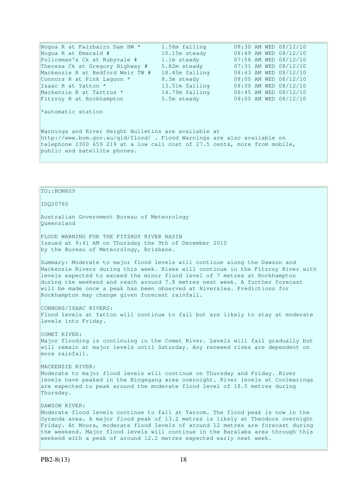| Nogoa R at Fairbairn Dam HW *                                                                                                                                                                                                                 | 1.58m falling  | 08:30 AM WED 08/12/10 |  |  |  |
|-----------------------------------------------------------------------------------------------------------------------------------------------------------------------------------------------------------------------------------------------|----------------|-----------------------|--|--|--|
| Nogoa R at Emerald #                                                                                                                                                                                                                          | 10.15m steady  | 08:49 AM WED 08/12/10 |  |  |  |
| Policeman's Ck at Rubyvale #                                                                                                                                                                                                                  | 1.1m steady    | 07:56 AM WED 08/12/10 |  |  |  |
| Theresa Ck at Gregory Highway #                                                                                                                                                                                                               | 5.82m steady   | 07:31 AM WED 08/12/10 |  |  |  |
| Mackenzie R at Bedford Weir TW #                                                                                                                                                                                                              | 18.45m falling | 08:43 AM WED 08/12/10 |  |  |  |
| Connors R at Pink Lagoon *                                                                                                                                                                                                                    | 8.3m steady    | 08:00 AM WED 08/12/10 |  |  |  |
| Isaac R at Yatton *                                                                                                                                                                                                                           | 13.51m falling | 08:30 AM WED 08/12/10 |  |  |  |
| Mackenzie R at Tartrus *                                                                                                                                                                                                                      | 14.79m falling | 06:45 AM WED 08/12/10 |  |  |  |
| Fitzroy R at Rockhampton                                                                                                                                                                                                                      | 5.5m steady    | 08:00 AM WED 08/12/10 |  |  |  |
| *automatic station                                                                                                                                                                                                                            |                |                       |  |  |  |
| Warnings and River Height Bulletins are available at<br>http://www.bom.gov.au/qld/flood/ . Flood Warnings are also available on<br>telephone 1300 659 219 at a low call cost of 27.5 cents, more from mobile,<br>public and satellite phones. |                |                       |  |  |  |

## TO::BOM609

IDQ20765

Australian Government Bureau of Meteorology Queensland

FLOOD WARNING FOR THE FITZROY RIVER BASIN Issued at 9:41 AM on Thursday the 9th of December 2010 by the Bureau of Meteorology, Brisbane.

Summary: Moderate to major flood levels will continue along the Dawson and Mackenzie Rivers during this week. Rises will continue in the Fitzroy River with levels expected to exceed the minor flood level of 7 metres at Rockhampton during the weekend and reach around 7.8 metres next week. A further forecast will be made once a peak has been observed at Riverslea. Predictions for Rockhampton may change given forecast rainfall.

CONNORS/ISAAC RIVERS: Flood levels at Yatton will continue to fall but are likely to stay at moderate levels into Friday.

COMET RIVER: Major flooding is continuing in the Comet River. Levels will fall gradually but will remain at major levels until Saturday. Any renewed rises are dependent on more rainfall.

MACKENZIE RIVER: Moderate to major flood levels will continue on Thursday and Friday. River levels have peaked in the Bingegang area overnight. River levels at Coolmaringa are expected to peak around the moderate flood level of 18.5 metres during Thursday.

DAWSON RIVER: Moderate flood levels continue to fall at Taroom. The flood peak is now in the Gyranda area. A major flood peak of 13.2 metres is likely at Theodore overnight Friday. At Moura, moderate flood levels of around 12 metres are forecast during the weekend. Major flood levels will continue in the Baralaba area through this weekend with a peak of around 12.2 metres expected early next week.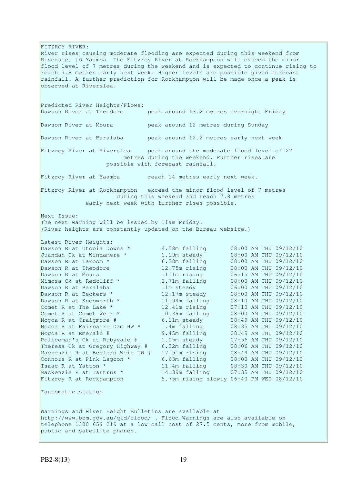FITZROY RIVER: River rises causing moderate flooding are expected during this weekend from Riverslea to Yaamba. The Fitzroy River at Rockhampton will exceed the minor flood level of 7 metres during the weekend and is expected to continue rising to reach 7.8 metres early next week. Higher levels are possible given forecast rainfall. A further prediction for Rockhampton will be made once a peak is observed at Riverslea. Predicted River Heights/Flows:<br>Dawson River at Theodore peak around 13.2 metres overnight Friday Dawson River at Moura peak around 12 metres during Sunday Dawson River at Baralaba peak around 12.2 metres early next week Fitzroy River at Riverslea peak around the moderate flood level of 22 metres during the weekend. Further rises are possible with forecast rainfall. Fitzroy River at Yaamba reach 14 metres early next week. Fitzroy River at Rockhampton exceed the minor flood level of 7 metres during this weekend and reach 7.8 metres early next week with further rises possible. Next Issue: The next warning will be issued by 11am Friday. (River heights are constantly updated on the Bureau website.) Latest River Heights: Dawson R at Utopia Downs  $*$  4.58m falling  $08:00$  AM THU 09/12/10 Juandah Ck at Windamere \* 1.19m steady 08:00 AM THU 09/12/10 Dawson R at Taroom \* 6.38m falling 08:00 AM THU 09/12/10 Dawson R at Theodore 12.75m rising 08:00 AM THU 09/12/10 Dawson R at Moura 11.1m rising 06:15 AM THU 09/12/10 Mimosa Ck at Redcliff \* 2.71m falling 08:00 AM THU 09/12/10 Dawson R at Baralaba 11m steady 06:00 AM THU 09/12/10 Dawson R at Beckers \* 12.17m steady 08:00 AM THU 09/12/10 Dawson R at Knebworth \* 11.94m falling 08:10 AM THU 09/12/10 Comet R at The Lake  $*$  12.41m rising 07:10 AM THU 09/12/10 Comet R at Comet Weir \* 10.39m falling 08:00 AM THU 09/12/10 Nogoa R at Craigmore # 6.11m steady 08:49 AM THU 09/12/10 Nogoa R at Fairbairn Dam HW \* 1.4m falling 08:35 AM THU 09/12/10 Nogoa R at Emerald # 9.45m falling 08:49 AM THU 09/12/10 Policeman's Ck at Rubyvale # 1.05m steady 07:56 AM THU 09/12/10 Theresa Ck at Gregory Highway # 6.32m falling 08:06 AM THU 09/12/10 Mackenzie R at Bedford Weir TW # 17.51m rising 08:44 AM THU 09/12/10 Connors R at Pink Lagoon  $*$  6.63m falling 08:00 AM THU 09/12/10 Isaac R at Yatton \* 11.4m falling 08:30 AM THU 09/12/10 Mackenzie R at Tartrus \* 14.39m falling 07:35 AM THU 09/12/10 Fitzroy R at Rockhampton 5.75m rising slowly 06:40 PM WED 08/12/10 \*automatic station Warnings and River Height Bulletins are available at http://www.bom.gov.au/qld/flood/ . Flood Warnings are also available on telephone 1300 659 219 at a low call cost of 27.5 cents, more from mobile, public and satellite phones.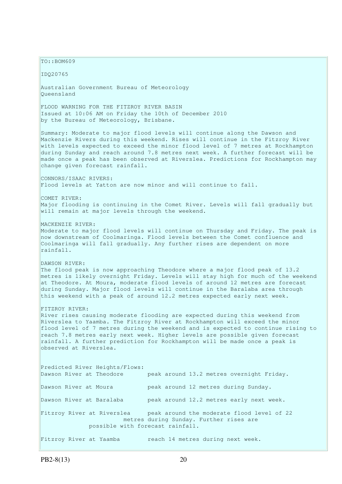TO::BOM609

IDQ20765

Australian Government Bureau of Meteorology Queensland

FLOOD WARNING FOR THE FITZROY RIVER BASIN Issued at 10:06 AM on Friday the 10th of December 2010 by the Bureau of Meteorology, Brisbane.

Summary: Moderate to major flood levels will continue along the Dawson and Mackenzie Rivers during this weekend. Rises will continue in the Fitzroy River with levels expected to exceed the minor flood level of 7 metres at Rockhampton during Sunday and reach around 7.8 metres next week. A further forecast will be made once a peak has been observed at Riverslea. Predictions for Rockhampton may change given forecast rainfall.

CONNORS/ISAAC RIVERS: Flood levels at Yatton are now minor and will continue to fall.

COMET RIVER: Major flooding is continuing in the Comet River. Levels will fall gradually but will remain at major levels through the weekend.

MACKENZIE RIVER:

Moderate to major flood levels will continue on Thursday and Friday. The peak is now downstream of Coolmaringa. Flood levels between the Comet confluence and Coolmaringa will fall gradually. Any further rises are dependent on more rainfall.

DAWSON RIVER:

The flood peak is now approaching Theodore where a major flood peak of 13.2 metres is likely overnight Friday. Levels will stay high for much of the weekend at Theodore. At Moura, moderate flood levels of around 12 metres are forecast during Sunday. Major flood levels will continue in the Baralaba area through this weekend with a peak of around 12.2 metres expected early next week.

#### FITZROY RIVER:

River rises causing moderate flooding are expected during this weekend from Riverslea to Yaamba. The Fitzroy River at Rockhampton will exceed the minor flood level of 7 metres during the weekend and is expected to continue rising to reach 7.8 metres early next week. Higher levels are possible given forecast rainfall. A further prediction for Rockhampton will be made once a peak is observed at Riverslea.

Predicted River Heights/Flows: Dawson River at Theodore peak around 13.2 metres overnight Friday. Dawson River at Moura peak around 12 metres during Sunday. Dawson River at Baralaba peak around 12.2 metres early next week. Fitzroy River at Riverslea peak around the moderate flood level of 22 metres during Sunday. Further rises are possible with forecast rainfall. Fitzroy River at Yaamba reach 14 metres during next week.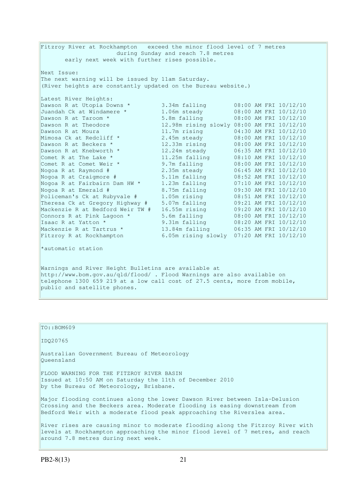Fitzroy River at Rockhampton exceed the minor flood level of 7 metres during Sunday and reach 7.8 metres early next week with further rises possible. Next Issue: The next warning will be issued by 11am Saturday. (River heights are constantly updated on the Bureau website.) Latest River Heights: Dawson R at Utopia Downs \* 3.34m falling 08:00 AM FRI 10/12/10 Juandah Ck at Windamere \* 1.06m steady 08:00 AM FRI 10/12/10 Dawson R at Taroom \* 5.8m falling 08:00 AM FRI 10/12/10 Dawson R at Theodore 12.98m rising slowly 08:00 AM FRI 10/12/10 Dawson R at Moura 11.7m rising 04:30 AM FRI 10/12/10 Mimosa Ck at Redcliff  $\star$  2.45m steady 08:00 AM FRI 10/12/10 Dawson R at Beckers \* 12.33m rising 08:00 AM FRI 10/12/10 Dawson R at Knebworth \* 12.24m steady 06:35 AM FRI 10/12/10 Comet R at The Lake  $*$  11.25m falling 08:10 AM FRI 10/12/10 Comet R at Comet Weir  $*$  9.7m falling 08:00 AM FRI 10/12/10 Nogoa R at Raymond # 2.35m steady 06:45 AM FRI 10/12/10 Nogoa R at Craigmore # 5.11m falling 08:52 AM FRI 10/12/10 Nogoa R at Fairbairn Dam HW \* 1.23m falling 07:10 AM FRI 10/12/10 Nogoa R at Emerald # 8.75m falling 09:30 AM FRI 10/12/10 Policeman's Ck at Rubyvale # 1.05m rising 08:51 AM FRI 10/12/10 Theresa Ck at Gregory Highway # 5.07m falling 09:21 AM FRI 10/12/10 Mackenzie R at Bedford Weir TW # 16.55m rising 09:20 AM FRI 10/12/10 Connors R at Pink Lagoon  $*$  5.6m falling  $08:00$  AM FRI  $10/12/10$ Isaac R at Yatton \* 9.31m falling 08:20 AM FRI 10/12/10 Mackenzie R at Tartrus \* 13.84m falling 06:35 AM FRI 10/12/10 Fitzroy R at Rockhampton 6.05m rising slowly 07:20 AM FRI 10/12/10

\*automatic station

Warnings and River Height Bulletins are available at http://www.bom.gov.au/qld/flood/ . Flood Warnings are also available on telephone 1300 659 219 at a low call cost of 27.5 cents, more from mobile, public and satellite phones.

| LLU::BUM6UY                                                                                                                                                                                                                          |
|--------------------------------------------------------------------------------------------------------------------------------------------------------------------------------------------------------------------------------------|
| ID020765                                                                                                                                                                                                                             |
| Australian Government Bureau of Meteorology<br>Oueensland                                                                                                                                                                            |
| FLOOD WARNING FOR THE FITZROY RIVER BASIN<br>Issued at 10:50 AM on Saturday the 11th of December 2010<br>by the Bureau of Meteorology, Brisbane.                                                                                     |
| Major flooding continues along the lower Dawson River between Isla-Delusion<br>Crossing and the Beckers area. Moderate flooding is easing downstream from<br>Bedford Weir with a moderate flood peak approaching the Riverslea area. |
| River rises are causing minor to moderate flooding along the Fitzroy River with<br>levels at Rockhampton approaching the minor flood level of 7 metres, and reach<br>around 7.8 metres during next week.                             |

 $T$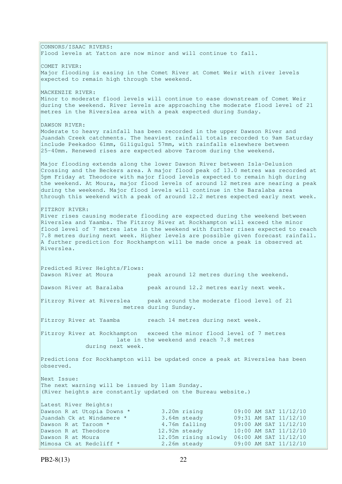CONNORS/ISAAC RIVERS: Flood levels at Yatton are now minor and will continue to fall. COMET RIVER: Major flooding is easing in the Comet River at Comet Weir with river levels expected to remain high through the weekend. MACKENZIE RIVER: Minor to moderate flood levels will continue to ease downstream of Comet Weir during the weekend. River levels are approaching the moderate flood level of 21 metres in the Riverslea area with a peak expected during Sunday. DAWSON RIVER: Moderate to heavy rainfall has been recorded in the upper Dawson River and Juandah Creek catchments. The heaviest rainfall totals recorded to 9am Saturday include Peekadoo 61mm, Giligulgul 57mm, with rainfalls elsewhere between 25-40mm. Renewed rises are expected above Taroom during the weekend. Major flooding extends along the lower Dawson River between Isla-Delusion Crossing and the Beckers area. A major flood peak of 13.0 metres was recorded at 5pm Friday at Theodore with major flood levels expected to remain high during the weekend. At Moura, major flood levels of around 12 metres are nearing a peak during the weekend. Major flood levels will continue in the Baralaba area through this weekend with a peak of around 12.2 metres expected early next week. FITZROY RIVER: River rises causing moderate flooding are expected during the weekend between Riverslea and Yaamba. The Fitzroy River at Rockhampton will exceed the minor flood level of 7 metres late in the weekend with further rises expected to reach 7.8 metres during next week. Higher levels are possible given forecast rainfall. A further prediction for Rockhampton will be made once a peak is observed at Riverslea. Predicted River Heights/Flows: Dawson River at Moura peak around 12 metres during the weekend. Dawson River at Baralaba beak around 12.2 metres early next week. Fitzroy River at Riverslea peak around the moderate flood level of 21 metres during Sunday. Fitzroy River at Yaamba reach 14 metres during next week. Fitzroy River at Rockhampton exceed the minor flood level of 7 metres late in the weekend and reach 7.8 metres during next week. Predictions for Rockhampton will be updated once a peak at Riverslea has been observed. Next Issue: The next warning will be issued by 11am Sunday. (River heights are constantly updated on the Bureau website.) Latest River Heights: Dawson R at Utopia Downs \* 3.20m rising 09:00 AM SAT 11/12/10 Juandah Ck at Windamere \* 3.64m steady 09:31 AM SAT 11/12/10<br>Dawson R at Taroom \* 4.76m falling 09:00 AM SAT 11/12/10 Dawson R at Taroom \*  $4.76$ m falling 09:00 AM SAT 11/12/10<br>Dawson R at Theodore 12.92m steady 10:00 AM SAT 11/12/10 Dawson R at Theodore 12.92m steady 10:00 AM SAT 11/12/10 Dawson R at Moura 12.05m rising slowly 06:00 AM SAT 11/12/10 Mimosa Ck at Redcliff \* 2.26m steady 09:00 AM SAT 11/12/10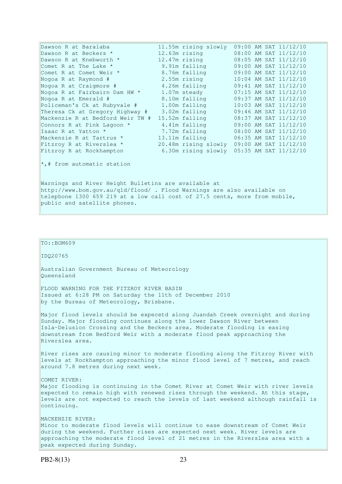| Dawson R at Baralaba                                 |  | 11.55m rising slowly                       |  |  | 09:00 AM SAT 11/12/10 |
|------------------------------------------------------|--|--------------------------------------------|--|--|-----------------------|
| Dawson R at Beckers *                                |  | 12.63m rising                              |  |  | 08:00 AM SAT 11/12/10 |
| Dawson R at Knebworth *                              |  | 12.47m rising                              |  |  | 08:05 AM SAT 11/12/10 |
| Comet R at The Lake *                                |  | 9.91m falling                              |  |  | 09:00 AM SAT 11/12/10 |
| Comet R at Comet Weir *                              |  | 8.76m falling                              |  |  | 09:00 AM SAT 11/12/10 |
| Nogoa R at Raymond #                                 |  | 2.55m rising                               |  |  | 10:04 AM SAT 11/12/10 |
| Nogoa R at Craigmore #                               |  | 4.26m falling                              |  |  | 09:41 AM SAT 11/12/10 |
| Nogoa R at Fairbairn Dam HW *                        |  | 1.07m steady                               |  |  | 07:15 AM SAT 11/12/10 |
| Nogoa R at Emerald #                                 |  | 8.10m falling                              |  |  | 09:37 AM SAT 11/12/10 |
| Policeman's Ck at Rubyvale #                         |  | 1.00m falling                              |  |  | 10:03 AM SAT 11/12/10 |
| Theresa Ck at Gregory Highway #                      |  | 3.02m falling                              |  |  | 09:46 AM SAT 11/12/10 |
| Mackenzie R at Bedford Weir TW #                     |  | 15.52m falling                             |  |  | 08:37 AM SAT 11/12/10 |
| Connors R at Pink Lagoon *                           |  | 4.41m falling                              |  |  | 09:00 AM SAT 11/12/10 |
| Isaac R at Yatton *                                  |  | 7.72m falling                              |  |  | 08:00 AM SAT 11/12/10 |
| Mackenzie R at Tartrus *                             |  | 13.11m falling                             |  |  | 06:35 AM SAT 11/12/10 |
| Fitzroy R at Riverslea *                             |  | 20.48m rising slowly 09:00 AM SAT 11/12/10 |  |  |                       |
| Fitzroy R at Rockhampton                             |  | 6.30m rising slowly 05:35 AM SAT 11/12/10  |  |  |                       |
| $\star$ ,# from automatic station                    |  |                                            |  |  |                       |
| Warnings and River Height Bulletins are available at |  |                                            |  |  |                       |

http://www.bom.gov.au/qld/flood/ . Flood Warnings are also available on telephone 1300 659 219 at a low call cost of 27.5 cents, more from mobile, public and satellite phones.

## $TO:$ : BOM609

IDQ20765

Australian Government Bureau of Meteorology Queensland

FLOOD WARNING FOR THE FITZROY RIVER BASIN Issued at 6:28 PM on Saturday the 11th of December 2010 by the Bureau of Meteorology, Brisbane.

Major flood levels should be expecetd along Juandah Creek overnight and during Sunday. Major flooding continues along the lower Dawson River between Isla-Delusion Crossing and the Beckers area. Moderate flooding is easing downstream from Bedford Weir with a moderate flood peak approaching the Riverslea area.

River rises are causing minor to moderate flooding along the Fitzroy River with levels at Rockhampton approaching the minor flood level of 7 metres, and reach around 7.8 metres during next week.

### COMET RIVER:

Major flooding is continuing in the Comet River at Comet Weir with river levels expected to remain high with renewed rises through the weekend. At this stage, levels are not expected to reach the levels of last weekend although rainfall is continuing.

# MACKENZIE RIVER: Minor to moderate flood levels will continue to ease downstream of Comet Weir during the weekend. Further rises are expected next week. River levels are approaching the moderate flood level of 21 metres in the Riverslea area with a

PB2-8(13) 23

peak expected during Sunday.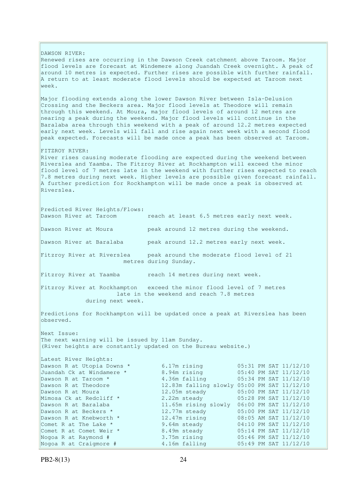DAWSON RIVER: Renewed rises are occurring in the Dawson Creek catchment above Taroom. Major flood levels are forecast at Windemere along Juandah Creek overnight. A peak of around 10 metres is expected. Further rises are possible with further rainfall. A return to at least moderate flood levels should be expected at Taroom next week. Major flooding extends along the lower Dawson River between Isla-Delusion Crossing and the Beckers area. Major flood levels at Theodore will remain through this weekend. At Moura, major flood levels of around 12 metres are nearing a peak during the weekend. Major flood levels will continue in the Baralaba area through this weekend with a peak of around 12.2 metres expected early next week. Levels will fall and rise again next week with a second flood peak expected. Forecasts will be made once a peak has been observed at Taroom. FITZROY RIVER: River rises causing moderate flooding are expected during the weekend between Riverslea and Yaamba. The Fitzroy River at Rockhampton will exceed the minor flood level of 7 metres late in the weekend with further rises expected to reach 7.8 metres during next week. Higher levels are possible given forecast rainfall. A further prediction for Rockhampton will be made once a peak is observed at Riverslea. Predicted River Heights/Flows: Dawson River at Taroom reach at least 6.5 metres early next week. Dawson River at Moura peak around 12 metres during the weekend. Dawson River at Baralaba peak around 12.2 metres early next week. Fitzroy River at Riverslea beak around the moderate flood level of 21 metres during Sunday. Fitzroy River at Yaamba reach 14 metres during next week. Fitzroy River at Rockhampton exceed the minor flood level of 7 metres late in the weekend and reach 7.8 metres during next week. Predictions for Rockhampton will be updated once a peak at Riverslea has been observed. Next Issue: The next warning will be issued by 11am Sunday. (River heights are constantly updated on the Bureau website.) Latest River Heights: Dawson R at Utopia Downs \* 6.17m rising 05:31 PM SAT 11/12/10<br>Juandah Ck at Windamere \* 8.94m rising 05:40 PM SAT 11/12/10 Juandah Ck at Windamere \* 8.94m rising 05:40 PM SAT 11/12/10 Dawson R at Taroom \* 4.36m falling 05:34 PM SAT 11/12/10 Dawson R at Theodore 12.83m falling slowly 05:00 PM SAT 11/12/10 Dawson R at Moura 12.05m steady 05:00 PM SAT 11/12/10<br>Mimosa Ck at Redcliff \* 2.22m steady 05:28 PM SAT 11/12/10 Mimosa Ck at Redcliff  $\star$  2.22m steady 05:28 PM SAT 11/12/10 Dawson R at Baralaba 11.65m rising slowly 06:00 PM SAT 11/12/10 Dawson R at Beckers  $\star$  12.77m steady 05:00 PM SAT 11/12/10 Dawson R at Knebworth \* 12.47m rising 08:05 AM SAT 11/12/10 Comet R at The Lake  $\star$  9.64m steady 04:10 PM SAT 11/12/10 Comet R at Comet Weir \* 8.49m steady 05:14 PM SAT 11/12/10 Nogoa R at Raymond # 3.75m rising 05:46 PM SAT 11/12/10 Nogoa R at Craigmore # 4.16m falling 05:49 PM SAT 11/12/10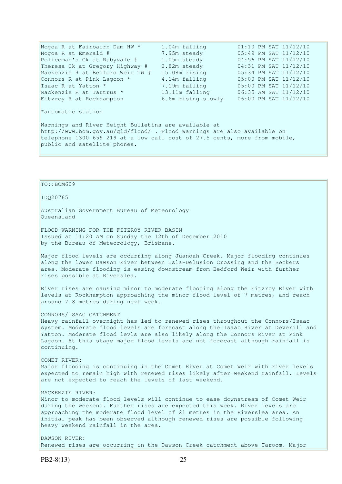| Nogoa R at Fairbairn Dam HW *    | 1.04m falling      |  | 01:10 PM SAT 11/12/10 |
|----------------------------------|--------------------|--|-----------------------|
| Nogoa R at Emerald #             | 7.95m steady       |  | 05:49 PM SAT 11/12/10 |
| Policeman's Ck at Rubyvale #     | 1.05m steady       |  | 04:56 PM SAT 11/12/10 |
| Theresa Ck at Gregory Highway #  | 2.82m steady       |  | 04:31 PM SAT 11/12/10 |
| Mackenzie R at Bedford Weir TW # | 15.08m rising      |  | 05:34 PM SAT 11/12/10 |
| Connors R at Pink Lagoon *       | 4.14m falling      |  | 05:00 PM SAT 11/12/10 |
| Isaac R at Yatton *              | 7.19m falling      |  | 05:00 PM SAT 11/12/10 |
| Mackenzie R at Tartrus *         | 13.11m falling     |  | 06:35 AM SAT 11/12/10 |
| Fitzroy R at Rockhampton         | 6.6m rising slowly |  | 06:00 PM SAT 11/12/10 |
| *automatic station               |                    |  |                       |

Warnings and River Height Bulletins are available at http://www.bom.gov.au/qld/flood/ . Flood Warnings are also available on telephone 1300 659 219 at a low call cost of 27.5 cents, more from mobile, public and satellite phones.

TO::BOM609

### IDQ20765

Australian Government Bureau of Meteorology Queensland

FLOOD WARNING FOR THE FITZROY RIVER BASIN Issued at 11:20 AM on Sunday the 12th of December 2010 by the Bureau of Meteorology, Brisbane.

Major flood levels are occurring along Juandah Creek. Major flooding continues along the lower Dawson River between Isla-Delusion Crossing and the Beckers area. Moderate flooding is easing downstream from Bedford Weir with further rises possible at Riverslea.

River rises are causing minor to moderate flooding along the Fitzroy River with levels at Rockhampton approaching the minor flood level of 7 metres, and reach around 7.8 metres during next week.

CONNORS/ISAAC CATCHMENT

Heavy rainfall overnight has led to renewed rises throughout the Connors/Isaac system. Moderate flood levels are forecast along the Isaac River at Deverill and Yatton. Moderate flood levls are also likely along the Connors River at Pink Lagoon. At this stage major flood levels are not forecast although rainfall is continuing.

# COMET RIVER: Major flooding is continuing in the Comet River at Comet Weir with river levels expected to remain high with renewed rises likely after weekend rainfall. Levels are not expected to reach the levels of last weekend.

## MACKENZIE RIVER:

Minor to moderate flood levels will continue to ease downstream of Comet Weir during the weekend. Further rises are expected this week. River levels are approaching the moderate flood level of 21 metres in the Riverslea area. An initial peak has been observed although renewed rises are possible following heavy weekend rainfall in the area.

DAWSON RIVER: Renewed rises are occurring in the Dawson Creek catchment above Taroom. Major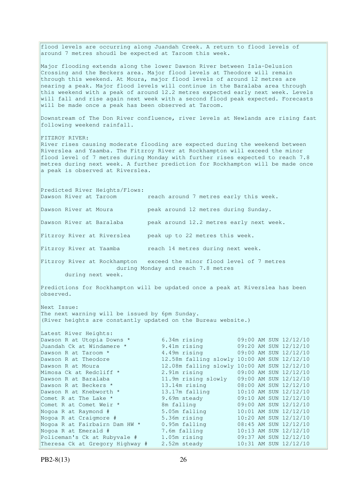flood levels are occurring along Juandah Creek. A return to flood levels of around 7 metres shoudl be expected at Taroom this week. Major flooding extends along the lower Dawson River between Isla-Delusion Crossing and the Beckers area. Major flood levels at Theodore will remain through this weekend. At Moura, major flood levels of around 12 metres are nearing a peak. Major flood levels will continue in the Baralaba area through this weekend with a peak of around 12.2 metres expected early next week. Levels will fall and rise again next week with a second flood peak expected. Forecasts will be made once a peak has been observed at Taroom. Downstream of The Don River confluence, river levels at Newlands are rising fast following weekend rainfall. FITZROY RIVER: River rises causing moderate flooding are expected during the weekend between Riverslea and Yaamba. The Fitzroy River at Rockhampton will exceed the minor flood level of 7 metres during Monday with further rises expected to reach 7.8 metres during next week. A further prediction for Rockhampton will be made once a peak is observed at Riverslea. Predicted River Heights/Flows: Dawson River at Taroom reach around 7 metres early this week. Dawson River at Moura peak around 12 metres during Sunday. Dawson River at Baralaba peak around 12.2 metres early next week. Fitzroy River at Riverslea peak up to 22 metres this week. Fitzroy River at Yaamba reach 14 metres during next week. Fitzroy River at Rockhampton exceed the minor flood level of 7 metres during Monday and reach 7.8 metres during next week. Predictions for Rockhampton will be updated once a peak at Riverslea has been observed. Next Issue: The next warning will be issued by 6pm Sunday. (River heights are constantly updated on the Bureau website.) Latest River Heights: Dawson R at Utopia Downs \* 6.34m rising 09:00 AM SUN 12/12/10 Juandah Ck at Windamere \* 9.41m rising 09:20 AM SUN 12/12/10 Dawson R at Taroom \* 4.49m rising 09:00 AM SUN 12/12/10 Dawson R at Theodore 12.58m falling slowly 10:00 AM SUN 12/12/10 Dawson R at Moura 12.08m falling slowly 10:00 AM SUN 12/12/10<br>Mimosa Ck at Redcliff \* 2.91m rising 09:00 AM SUN 12/12/10 Mimosa Ck at Redcliff \* 2.91m rising 09:00 AM SUN 12/12/10 Dawson R at Baralaba 11.9m rising slowly 09:00 AM SUN 12/12/10 Dawson R at Beckers \* 13.14m rising 08:00 AM SUN 12/12/10 Dawson R at Knebworth \* 13.17m falling 10:10 AM SUN 12/12/10 Comet R at The Lake  $\star$  9.69m steady 09:10 AM SUN 12/12/10 Comet R at Comet Weir \* 8m falling 09:00 AM SUN 12/12/10 Nogoa R at Raymond # 5.05m falling 10:01 AM SUN 12/12/10 Nogoa R at Craigmore # 5.36m rising 10:20 AM SUN 12/12/10 Nogoa R at Fairbairn Dam HW \* 0.95m falling 08:45 AM SUN 12/12/10 Nogoa R at Emerald # 7.6m falling 10:13 AM SUN 12/12/10 Policeman's Ck at Rubyvale # 1.05m rising 09:37 AM SUN 12/12/10 Theresa Ck at Gregory Highway # 2.52m steady 10:31 AM SUN 12/12/10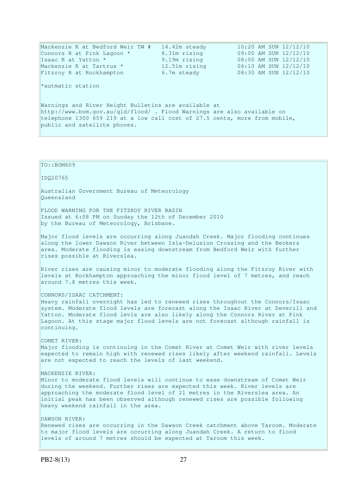| Mackenzie R at Bedford Weir TW #                                           | 14.42m steady | 10:20 AM SUN 12/12/10 |  |  |  |
|----------------------------------------------------------------------------|---------------|-----------------------|--|--|--|
| Connors R at Pink Lagoon *                                                 | 8.31m rising  | 09:00 AM SUN 12/12/10 |  |  |  |
| Isaac R at Yatton *                                                        | 9.19m rising  | 08:00 AM SUN 12/12/10 |  |  |  |
| Mackenzie R at Tartrus *                                                   | 12.51m rising | 06:10 AM SUN 12/12/10 |  |  |  |
| Fitzroy R at Rockhampton                                                   | 6.7m steady   | 08:30 AM SUN 12/12/10 |  |  |  |
|                                                                            |               |                       |  |  |  |
| *autmatic station                                                          |               |                       |  |  |  |
|                                                                            |               |                       |  |  |  |
|                                                                            |               |                       |  |  |  |
| Warnings and River Height Bulletins are available at                       |               |                       |  |  |  |
| http://www.bom.gov.au/gld/flood/. Flood Warnings are also available on     |               |                       |  |  |  |
| telephone 1300 659 219 at a low call cost of 27.5 cents, more from mobile, |               |                       |  |  |  |
| public and satellite phones.                                               |               |                       |  |  |  |
|                                                                            |               |                       |  |  |  |
|                                                                            |               |                       |  |  |  |

TO::BOM609 IDQ20765 Australian Government Bureau of Meteorology Queensland FLOOD WARNING FOR THE FITZROY RIVER BASIN Issued at 6:08 PM on Sunday the 12th of December 2010 by the Bureau of Meteorology, Brisbane. Major flood levels are occurring along Juandah Creek. Major flooding continues along the lower Dawson River between Isla-Delusion Crossing and the Beckers area. Moderate flooding is easing downstream from Bedford Weir with further rises possible at Riverslea. River rises are causing minor to moderate flooding along the Fitzroy River with levels at Rockhampton approaching the minor flood level of 7 metres, and reach around 7.8 metres this week. CONNORS/ISAAC CATCHMENT: Heavy rainfall overnight has led to renewed rises throughout the Connors/Isaac system. Moderate flood levels are forecast along the Isaac River at Deverill and Yatton. Moderate flood levls are also likely along the Connors River at Pink Lagoon. At this stage major flood levels are not forecast although rainfall is continuing. COMET RIVER: Major flooding is continuing in the Comet River at Comet Weir with river levels expected to remain high with renewed rises likely after weekend rainfall. Levels are not expected to reach the levels of last weekend. MACKENZIE RIVER: Minor to moderate flood levels will continue to ease downstream of Comet Weir during the weekend. Further rises are expected this week. River levels are approaching the moderate flood level of 21 metres in the Riverslea area. An initial peak has been observed although renewed rises are possible following heavy weekend rainfall in the area. DAWSON RIVER: Renewed rises are occurring in the Dawson Creek catchment above Taroom. Moderate to major flood levels are occurring along Juandah Creek. A return to flood levels of around 7 metres should be expected at Taroom this week.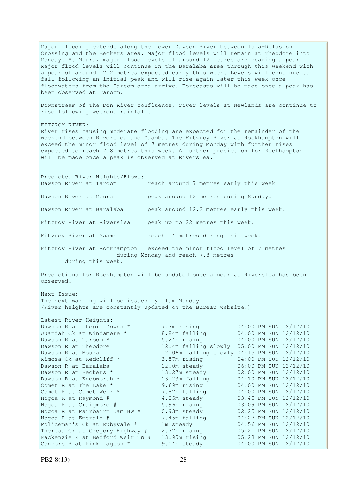Major flooding extends along the lower Dawson River between Isla-Delusion Crossing and the Beckers area. Major flood levels will remain at Theodore into Monday. At Moura, major flood levels of around 12 metres are nearing a peak. Major flood levels will continue in the Baralaba area through this weekend with a peak of around 12.2 metres expected early this week. Levels will continue to fall following an initial peak and will rise again later this week once floodwaters from the Taroom area arrive. Forecasts will be made once a peak has been observed at Taroom. Downstream of The Don River confluence, river levels at Newlands are continue to rise following weekend rainfall. FITZROY RIVER: River rises causing moderate flooding are expected for the remainder of the weekend between Riverslea and Yaamba. The Fitzroy River at Rockhampton will exceed the minor flood level of 7 metres during Monday with further rises expected to reach 7.8 metres this week. A further prediction for Rockhampton will be made once a peak is observed at Riverslea. Predicted River Heights/Flows: Dawson River at Taroom reach around 7 metres early this week. Dawson River at Moura peak around 12 metres during Sunday. Dawson River at Baralaba peak around 12.2 metres early this week. Fitzroy River at Riverslea peak up to 22 metres this week. Fitzroy River at Yaamba reach 14 metres during this week. Fitzroy River at Rockhampton exceed the minor flood level of 7 metres during Monday and reach 7.8 metres during this week. Predictions for Rockhampton will be updated once a peak at Riverslea has been observed. Next Issue: The next warning will be issued by 11am Monday. (River heights are constantly updated on the Bureau website.) Latest River Heights: Dawson R at Utopia Downs \* 7.7m rising 04:00 PM SUN 12/12/10 Juandah Ck at Windamere \* 8.84m falling 04:00 PM SUN 12/12/10 7.7m rising<br>8.84m falling<br>5.24m rising Dawson R at Theodore 12.4m falling slowly 05:00 PM SUN 12/12/10<br>Dawson R at Moura 12.06m falling slowly 04:15 PM SUN 12/12/10 12.06m falling slowly 04:15 PM SUN 12/12/10 Mimosa Ck at Redcliff \* 3.57m rising 04:00 PM SUN 12/12/10 Dawson R at Baralaba 12.0m steady 06:00 PM SUN 12/12/10 Dawson R at Beckers  $\star$  13.27m steady 02:00 PM SUN 12/12/10 Dawson R at Bararaba<br>
Dawson R at Beckers \* 13.27m steady 02:00 PM SUN 12/12/10<br>
Dawson R at Knebworth \* 13.23m falling 04:10 PM SUN 12/12/10 Comet R at The Lake  $*$  9.69m rising 04:00 PM SUN 12/12/10 Comet R at Comet Weir \* 7.82m falling 04:00 PM SUN 12/12/10 Nogoa R at Raymond # 4.85m steady 03:45 PM SUN 12/12/10 Nogoa R at Craigmore # 5.96m rising 03:09 PM SUN 12/12/10 Nogoa R at Fairbairn Dam HW \* 0.93m steady 02:25 PM SUN 12/12/10 Nogoa R at Emerald # 7.45m falling 04:27 PM SUN 12/12/10 Policeman's Ck at Rubyvale # 1m steady 04:56 PM SUN 12/12/10 Theresa Ck at Gregory Highway # 2.72m rising 05:21 PM SUN 12/12/10 Mackenzie R at Bedford Weir TW  $#$  13.95m rising Theresa Ck at Gregory Highway # 2.72m issues of the contract of Mackenzie R at Bedford Weir TW # 13.95m rising 05:23 PM SUN 12/12/10<br>Connors R at Pink Lagoon \* 9.04m steady 04:00 PM SUN 12/12/10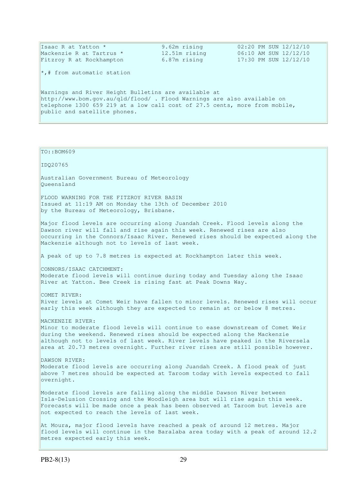| Isaac R at Yatton *                                                        | 9.62m rising  | 02:20 PM SUN 12/12/10 |  |  |  |
|----------------------------------------------------------------------------|---------------|-----------------------|--|--|--|
| Mackenzie R at Tartrus *                                                   | 12.51m rising | 06:10 AM SUN 12/12/10 |  |  |  |
| Fitzroy R at Rockhampton                                                   | 6.87m rising  | 17:30 PM SUN 12/12/10 |  |  |  |
| $\vert \cdot \vert$ from automatic station                                 |               |                       |  |  |  |
| Warnings and River Height Bulletins are available at                       |               |                       |  |  |  |
| http://www.bom.gov.au/gld/flood/. Flood Warnings are also available on     |               |                       |  |  |  |
| telephone 1300 659 219 at a low call cost of 27.5 cents, more from mobile, |               |                       |  |  |  |
| public and satellite phones.                                               |               |                       |  |  |  |
|                                                                            |               |                       |  |  |  |

#### TO::BOM609

IDQ20765

Australian Government Bureau of Meteorology Queensland

FLOOD WARNING FOR THE FITZROY RIVER BASIN Issued at 11:19 AM on Monday the 13th of December 2010 by the Bureau of Meteorology, Brisbane.

Major flood levels are occurring along Juandah Creek. Flood levels along the Dawson river will fall and rise again this week. Renewed rises are also occurring in the Connors/Isaac River. Renewed rises should be expected along the Mackenzie although not to levels of last week.

A peak of up to 7.8 metres is expected at Rockhampton later this week.

CONNORS/ISAAC CATCHMENT: Moderate flood levels will continue during today and Tuesday along the Isaac River at Yatton. Bee Creek is rising fast at Peak Downs Way.

COMET RIVER: River levels at Comet Weir have fallen to minor levels. Renewed rises will occur early this week although they are expected to remain at or below 8 metres.

MACKENZIE RIVER:

Minor to moderate flood levels will continue to ease downstream of Comet Weir during the weekend. Renewed rises should be expected along the Mackenzie although not to levels of last week. River levels have peaked in the Riversela area at 20.73 metres overnight. Further river rises are still possible however.

### DAWSON RIVER:

Moderate flood levels are occurring along Juandah Creek. A flood peak of just above 7 metres should be expected at Taroom today with levels expected to fall overnight.

Moderate flood levels are falling along the middle Dawson River between Isla-Delusion Crossing and the Woodleigh area but will rise again this week. Forecasts will be made once a peak has been observed at Taroom but levels are not expected to reach the levels of last week.

At Moura, major flood levels have reached a peak of around 12 metres. Major flood levels will continue in the Baralaba area today with a peak of around 12.2 metres expected early this week.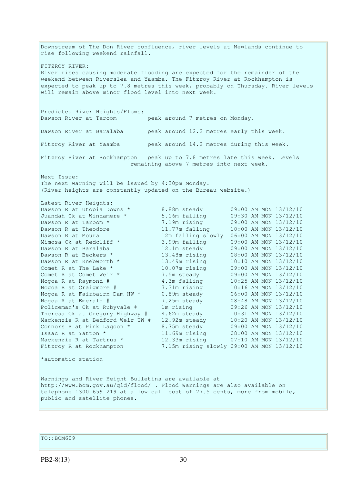Downstream of The Don River confluence, river levels at Newlands continue to rise following weekend rainfall. FITZROY RIVER: River rises causing moderate flooding are expected for the remainder of the weekend between Riverslea and Yaamba. The Fitzroy River at Rockhampton is expected to peak up to 7.8 metres this week, probably on Thursday. River levels will remain above minor flood level into next week. Predicted River Heights/Flows: Dawson River at Taroom peak around 7 metres on Monday. Dawson River at Baralaba peak around 12.2 metres early this week. Fitzroy River at Yaamba peak around 14.2 metres during this week. Fitzroy River at Rockhampton peak up to 7.8 metres late this week. Levels remaining above 7 metres into next week. Next Issue: The next warning will be issued by 4:30pm Monday. (River heights are constantly updated on the Bureau website.) Latest River Heights: Dawson R at Utopia Downs \* 8.88m steady 09:00 AM MON 13/12/10 Juandah Ck at Windamere \* 5.16m falling 09:30 AM MON 13/12/10 Dawson R at Taroom \* 7.19m rising 09:00 AM MON 13/12/10 Dawson R at Theodore 11.77m falling 10:00 AM MON 13/12/10 Dawson R at Moura 12m falling slowly 06:00 AM MON 13/12/10 Mimosa Ck at Redcliff \* 3.99m falling 09:00 AM MON 13/12/10 Dawson R at Baralaba 12.1m steady 09:00 AM MON 13/12/10 Dawson R at Beckers \* 13.48m rising 08:00 AM MON 13/12/10 Dawson R at Knebworth \* 13.49m rising 10:10 AM MON 13/12/10 Comet R at The Lake \* 10.07m rising 09:00 AM MON 13/12/10 Comet R at Comet Weir \* 7.5m steady 09:00 AM MON 13/12/10 Nogoa R at Raymond # 4.3m falling 10:25 AM MON 13/12/10 Nogoa R at Craigmore # 7.31m rising 10:16 AM MON 13/12/10 Nogoa R at Fairbairn Dam HW \* 0.89m steady 06:00 AM MON 13/12/10 Nogoa R at Emerald # 7.25m steady 08:48 AM MON 13/12/10 Policeman's Ck at Rubyvale # 1m rising 09:26 AM MON 13/12/10 Theresa Ck at Gregory Highway # 4.62m steady 10:31 AM MON 13/12/10 Mackenzie R at Bedford Weir TW # 12.92m steady 10:20 AM MON 13/12/10 Connors R at Pink Lagoon  $*$  8.75m steady 09:00 AM MON 13/12/10 Isaac R at Yatton \* 11.69m rising 08:00 AM MON 13/12/10 Mackenzie R at Tartrus \* 12.33m rising 07:10 AM MON 13/12/10 Fitzroy R at Rockhampton 7.15m rising slowly 09:00 AM MON 13/12/10 \*automatic station Warnings and River Height Bulletins are available at http://www.bom.gov.au/qld/flood/ . Flood Warnings are also available on telephone 1300 659 219 at a low call cost of 27.5 cents, more from mobile, public and satellite phones.

TO::BOM609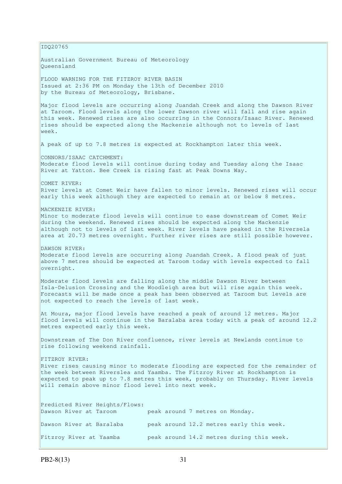IDQ20765 Australian Government Bureau of Meteorology Queensland FLOOD WARNING FOR THE FITZROY RIVER BASIN Issued at 2:36 PM on Monday the 13th of December 2010 by the Bureau of Meteorology, Brisbane. Major flood levels are occurring along Juandah Creek and along the Dawson River at Taroom. Flood levels along the lower Dawson river will fall and rise again this week. Renewed rises are also occurring in the Connors/Isaac River. Renewed rises should be expected along the Mackenzie although not to levels of last week. A peak of up to 7.8 metres is expected at Rockhampton later this week. CONNORS/ISAAC CATCHMENT: Moderate flood levels will continue during today and Tuesday along the Isaac River at Yatton. Bee Creek is rising fast at Peak Downs Way. COMET RIVER: River levels at Comet Weir have fallen to minor levels. Renewed rises will occur early this week although they are expected to remain at or below 8 metres. MACKENZIE RIVER: Minor to moderate flood levels will continue to ease downstream of Comet Weir during the weekend. Renewed rises should be expected along the Mackenzie although not to levels of last week. River levels have peaked in the Riversela area at 20.73 metres overnight. Further river rises are still possible however. DAWSON RIVER: Moderate flood levels are occurring along Juandah Creek. A flood peak of just above 7 metres should be expected at Taroom today with levels expected to fall overnight. Moderate flood levels are falling along the middle Dawson River between Isla-Delusion Crossing and the Woodleigh area but will rise again this week. Forecasts will be made once a peak has been observed at Taroom but levels are not expected to reach the levels of last week. At Moura, major flood levels have reached a peak of around 12 metres. Major flood levels will continue in the Baralaba area today with a peak of around 12.2 metres expected early this week. Downstream of The Don River confluence, river levels at Newlands continue to rise following weekend rainfall. FITZROY RIVER: River rises causing minor to moderate flooding are expected for the remainder of the week between Riverslea and Yaamba. The Fitzroy River at Rockhampton is expected to peak up to 7.8 metres this week, probably on Thursday. River levels will remain above minor flood level into next week. Predicted River Heights/Flows: Dawson River at Taroom peak around 7 metres on Monday. Dawson River at Baralaba peak around 12.2 metres early this week. Fitzroy River at Yaamba peak around 14.2 metres during this week.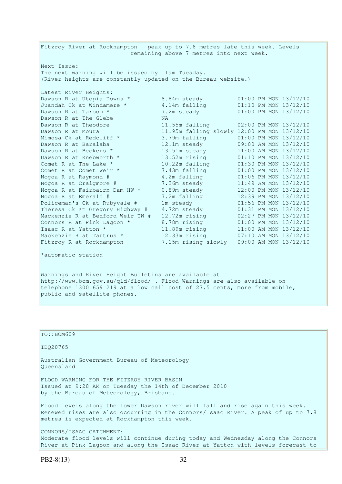Fitzroy River at Rockhampton peak up to 7.8 metres late this week. Levels remaining above 7 metres into next week. Next Issue: The next warning will be issued by 11am Tuesday. (River heights are constantly updated on the Bureau website.) Latest River Heights: Dawson R at Utopia Downs  $*$  8.84m steady 601:00 PM MON 13/12/10 Juandah Ck at Windamere \* 4.14m falling 01:10 PM MON 13/12/10 Dawson R at Taroom \* 7.2m steady 01:00 PM MON 13/12/10 Dawson R at The Glebe NA Dawson R at Theodore 11.55m falling 02:00 PM MON 13/12/10 Dawson R at Moura 11.95m falling slowly 12:00 PM MON 13/12/10 Mimosa Ck at Redcliff \* 3.79m falling 01:00 PM MON 13/12/10 Dawson R at Baralaba 12.1m steady 09:00 AM MON 13/12/10 Dawson R at Beckers  $\star$  13.51m steady 11:00 AM MON 13/12/10 Dawson R at Knebworth \* 13.52m rising 01:10 PM MON 13/12/10 Comet R at The Lake  $*$  10.22m falling 01:30 PM MON 13/12/10 Comet R at Comet Weir \* 7.43m falling 01:00 PM MON 13/12/10 Nogoa R at Raymond # 4.2m falling 01:06 PM MON 13/12/10 Nogoa R at Craigmore # 7.36m steady 11:49 AM MON 13/12/10 Nogoa R at Fairbairn Dam HW \* 0.89m steady 12:00 PM MON 13/12/10 Nogoa R at Emerald # 7.2m falling 12:39 PM MON 13/12/10 Policeman's Ck at Rubyvale # 1m steady 01:56 PM MON 13/12/10 Theresa Ck at Gregory Highway # 4.72m steady 01:31 PM MON 13/12/10 Mackenzie R at Bedford Weir TW # 12.72m rising 02:27 PM MON 13/12/10 Connors R at Pink Lagoon  $*$  8.78m rising  $01:00$  PM MON  $13/12/10$ Isaac R at Yatton \* 11.89m rising 11:00 AM MON 13/12/10 Mackenzie R at Tartrus \* 12.33m rising 07:10 AM MON 13/12/10 Fitzroy R at Rockhampton 7.15m rising slowly 09:00 AM MON 13/12/10

\*automatic station

Warnings and River Height Bulletins are available at http://www.bom.gov.au/qld/flood/ . Flood Warnings are also available on telephone 1300 659 219 at a low call cost of 27.5 cents, more from mobile, public and satellite phones.

```
TO::BOM609
IDQ20765 
Australian Government Bureau of Meteorology 
Queensland 
FLOOD WARNING FOR THE FITZROY RIVER BASIN 
Issued at 9:28 AM on Tuesday the 14th of December 2010 
by the Bureau of Meteorology, Brisbane.
Flood levels along the lower Dawson river will fall and rise again this week. 
Renewed rises are also occurring in the Connors/Isaac River. A peak of up to 7.8 
metres is expected at Rockhampton this week. 
CONNORS/ISAAC CATCHMENT: 
Moderate flood levels will continue during today and Wednesday along the Connors
```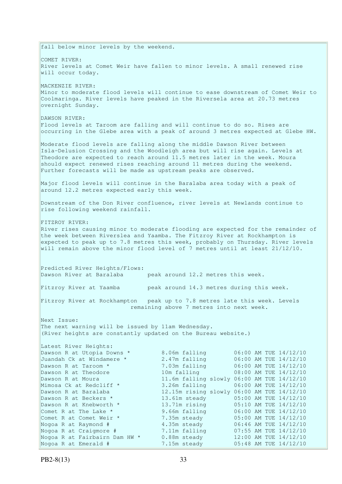fall below minor levels by the weekend. COMET RIVER: River levels at Comet Weir have fallen to minor levels. A small renewed rise will occur today. MACKENZIE RIVER: Minor to moderate flood levels will continue to ease downstream of Comet Weir to Coolmaringa. River levels have peaked in the Riversela area at 20.73 metres overnight Sunday. DAWSON RIVER: Flood levels at Taroom are falling and will continue to do so. Rises are occurring in the Glebe area with a peak of around 3 metres expected at Glebe HW. Moderate flood levels are falling along the middle Dawson River between Isla-Delusion Crossing and the Woodleigh area but will rise again. Levels at Theodore are expected to reach around 11.5 metres later in the week. Moura should expect renewed rises reaching around 11 metres during the weekend. Further forecasts will be made as upstream peaks are observed. Major flood levels will continue in the Baralaba area today with a peak of around 12.2 metres expected early this week. Downstream of the Don River confluence, river levels at Newlands continue to rise following weekend rainfall. FITZROY RIVER: River rises causing minor to moderate flooding are expected for the remainder of the week between Riverslea and Yaamba. The Fitzroy River at Rockhampton is expected to peak up to 7.8 metres this week, probably on Thursday. River levels will remain above the minor flood level of 7 metres until at least 21/12/10. Predicted River Heights/Flows: Dawson River at Baralaba peak around 12.2 metres this week. Fitzroy River at Yaamba peak around 14.3 metres during this week. Fitzroy River at Rockhampton peak up to 7.8 metres late this week. Levels remaining above 7 metres into next week. Next Issue: The next warning will be issued by 11am Wednesday. (River heights are constantly updated on the Bureau website.) Latest River Heights: Dawson R at Utopia Downs \* 8.06m falling 06:00 AM TUE 14/12/10 Juandah Ck at Windamere \* 2.47m falling 06:00 AM TUE 14/12/10<br>
Dawson R at Taroom \* 7.03m falling 06:00 AM TUE 14/12/10<br>
Dawson R at Theodore 10m falling 08:00 AM TUE 14/12/10 Dawson R at Taroom \* 7.03m falling 06:00 AM TUE 14/12/10 Dawson R at Theodore 10m falling 08:00 AM TUE 14/12/10 Dawson R at Moura 11.6m falling slowly 06:00 AM TUE 14/12/10<br>Mimosa Ck at Redcliff \* 3.26m falling 06:00 AM TUE 14/12/10 11.0 Latting slowly 06:00 AM TUE 14/12/10<br>3.26m falling 06:00 AM TUE 14/12/10 Dawson R at Baralaba 12.15m rising slowly 06:00 AM TUE 14/12/10 Dawson R at Beckers \* 13.61m steady 05:00 AM TUE 14/12/10<br>Dawson R at Knebworth \* 13.71m rising 05:10 AM TUE 14/12/10 Dawson R at Knebworth \* 13.71m rising 05:10 AM TUE 14/12/10 Comet R at The Lake  $*$  9.66m falling 06:00 AM TUE 14/12/10 Comet R at Comet Weir \* 7.35m steady 05:00 AM TUE 14/12/10 Nogoa R at Raymond # 4.35m steady 06:46 AM TUE 14/12/10 Nogoa R at Craigmore # 7.11m falling 07:55 AM TUE 14/12/10 Nogoa R at Fairbairn Dam HW \* 0.88m steady 12:00 AM TUE 14/12/10 Nogoa R at Emerald # 7.15m steady 05:48 AM TUE 14/12/10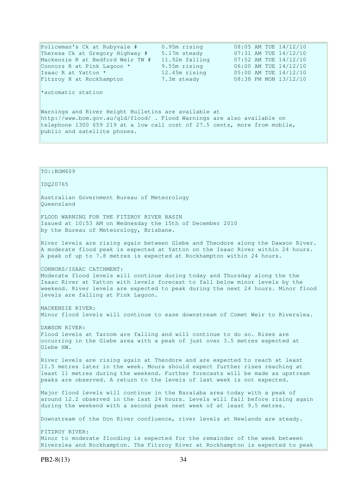Policeman's Ck at Rubyvale # 0.95m rising 08:05 AM TUE 14/12/10 Theresa Ck at Gregory Highway # 5.17m steady 07:31 AM TUE 14/12/10 Mackenzie R at Bedford Weir TW # 11.92m falling 07:52 AM TUE 14/12/10<br>
Connors R at Pink Lagoon \* 9.55m rising 06:00 AM TUE 14/12/10<br>
Tsaac R at Yatton \* 12.45m rising 05:00 AM TUE 14/12/10<br>
Fitzroy R at Rockhampton 7.3m s Connors R at Pink Lagoon  $*$  9.55m rising 06:00 AM TUE 14/12/10 Isaac R at Yatton \* 12.45m rising 05:00 AM TUE 14/12/10 Fitzroy R at Rockhampton 7.3m steady \*automatic station Warnings and River Height Bulletins are available at http://www.bom.gov.au/qld/flood/ . Flood Warnings are also available on telephone 1300 659 219 at a low call cost of 27.5 cents, more from mobile, public and satellite phones. TO::BOM609 IDQ20765 Australian Government Bureau of Meteorology Queensland FLOOD WARNING FOR THE FITZROY RIVER BASIN Issued at 10:53 AM on Wednesday the 15th of December 2010 by the Bureau of Meteorology, Brisbane. River levels are rising again between Glebe and Theodore along the Dawson River. A moderate flood peak is expected at Yatton on the Isaac River within 24 hours. A peak of up to 7.8 metres is expected at Rockhampton within 24 hours. CONNORS/ISAAC CATCHMENT: Moderate flood levels will continue during today and Thursday along the the Isaac River at Yatton with levels forecast to fall below minor levels by the weekend. River levels are expected to peak during the next 24 hours. Minor flood

MACKENZIE RIVER: Minor flood levels will continue to ease downstream of Comet Weir to Riverslea.

DAWSON RIVER: Flood levels at Taroom are falling and will continue to do so. Rises are occurring in the Glebe area with a peak of just over 3.5 metres expected at Glebe HW.

River levels are rising again at Theodore and are expected to reach at least 11.5 metres later in the week. Moura should expect further rises reaching at least 11 metres during the weekend. Further forecasts will be made as upstream peaks are observed. A return to the levels of last week is not expected.

Major flood levels will continue in the Baralaba area today with a peak of around 12.2 observed in the last 24 hours. Levels will fall before rising again during the weekend with a second peak next week of at least 9.5 metres.

Downstream of the Don River confluence, river levels at Newlands are steady.

FITZROY RIVER: Minor to moderate flooding is expected for the remainder of the week between Riverslea and Rockhampton. The Fitzroy River at Rockhampton is expected to peak

levels are falling at Pink Lagoon.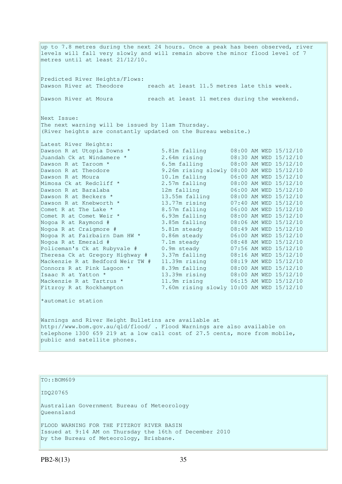up to 7.8 metres during the next 24 hours. Once a peak has been observed, river levels will fall very slowly and will remain above the minor flood level of 7 metres until at least 21/12/10. Predicted River Heights/Flows: Dawson River at Theodore reach at least 11.5 metres late this week. Dawson River at Moura reach at least 11 metres during the weekend. Next Issue: The next warning will be issued by 11am Thursday. (River heights are constantly updated on the Bureau website.) Latest River Heights: Dawson R at Utopia Downs \* 5.81m falling 08:00 AM WED 15/12/10 Juandah Ck at Windamere \* 2.64m rising 08:30 AM WED 15/12/10 Dawson R at Taroom \* 6.5m falling 08:00 AM WED 15/12/10 Dawson R at Theodore 9.26m rising slowly 08:00 AM WED 15/12/10 Dawson R at Moura 10.1m falling 06:00 AM WED 15/12/10 Mimosa Ck at Redcliff \* 2.57m falling 08:00 AM WED 15/12/10 Dawson R at Baralaba 12m falling 06:00 AM WED 15/12/10 Dawson R at Beckers \* 13.55m falling 08:00 AM WED 15/12/10 Dawson R at Knebworth \* 13.77m rising 07:40 AM WED 15/12/10 Comet R at The Lake  $*$  8.57m falling 06:00 AM WED 15/12/10 Comet R at Comet Weir \* 6.93m falling 08:00 AM WED 15/12/10 Nogoa R at Raymond # 3.85m falling 08:06 AM WED 15/12/10 Nogoa R at Craigmore # 5.81m steady 08:49 AM WED 15/12/10 Nogoa R at Fairbairn Dam HW \* 0.86m steady 06:00 AM WED 15/12/10 Nogoa R at Emerald # 7.1m steady 08:48 AM WED 15/12/10 Policeman's Ck at Rubyvale # 0.9m steady 07:56 AM WED 15/12/10 Theresa Ck at Gregory Highway # 3.37m falling 08:16 AM WED 15/12/10 Mackenzie R at Bedford Weir TW # 11.39m rising 08:19 AM WED 15/12/10 Connors R at Pink Lagoon  $*$  8.39m falling  $08:00$  AM WED  $15/12/10$ Isaac R at Yatton \* 13.39m rising 08:00 AM WED 15/12/10 Mackenzie R at Tartrus \* 11.9m rising 06:15 AM WED 15/12/10 Fitzroy R at Rockhampton 7.60m rising slowly 10:00 AM WED 15/12/10 \*automatic station Warnings and River Height Bulletins are available at http://www.bom.gov.au/qld/flood/ . Flood Warnings are also available on telephone 1300 659 219 at a low call cost of 27.5 cents, more from mobile, public and satellite phones.

TO::BOM609 IDQ20765 Australian Government Bureau of Meteorology Queensland FLOOD WARNING FOR THE FITZROY RIVER BASIN Issued at 9:14 AM on Thursday the 16th of December 2010 by the Bureau of Meteorology, Brisbane.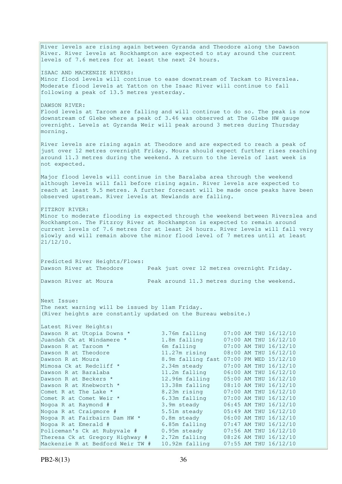River levels are rising again between Gyranda and Theodore along the Dawson River. River levels at Rockhampton are expected to stay around the current levels of 7.6 metres for at least the next 24 hours. ISAAC AND MACKENZIE RIVERS: Minor flood levels will continue to ease downstream of Yackam to Riverslea. Moderate flood levels at Yatton on the Isaac River will continue to fall following a peak of 13.5 metres yesterday. DAWSON RIVER: Flood levels at Taroom are falling and will continue to do so. The peak is now downstream of Glebe where a peak of 3.46 was observed at The Glebe HW gauge overnight. Levels at Gyranda Weir will peak around 3 metres during Thursday morning. River levels are rising again at Theodore and are expected to reach a peak of just over 12 metres overnight Friday. Moura should expect further rises reaching around 11.3 metres during the weekend. A return to the levels of last week is not expected. Major flood levels will continue in the Baralaba area through the weekend although levels will fall before rising again. River levels are expected to reach at least 9.5 metres. A further forecast will be made once peaks have been observed upstream. River levels at Newlands are falling. FITZROY RIVER: Minor to moderate flooding is expected through the weekend between Riverslea and Rockhampton. The Fitzroy River at Rockhampton is expected to remain around current levels of 7.6 metres for at least 24 hours. River levels will fall very slowly and will remain above the minor flood level of 7 metres until at least  $21/12/10$ . Predicted River Heights/Flows: Dawson River at Theodore Peak just over 12 metres overnight Friday. Dawson River at Moura Peak around 11.3 metres during the weekend. Next Issue: The next warning will be issued by 11am Friday. (River heights are constantly updated on the Bureau website.) Latest River Heights: Dawson R at Utopia Downs \* 3.76m falling 07:00 AM THU 16/12/10 Juandah Ck at Windamere \* 1.8m falling 07:00 AM THU 16/12/10 Dawson R at Taroom \* 6m falling 07:00 AM THU 16/12/10 Dawson R at Theodore 11.27m rising 08:00 AM THU 16/12/10 Dawson R at Moura 8.9m falling fast 07:00 PM WED 15/12/10 Mimosa Ck at Redcliff  $\star$  2.34m steady 07:00 AM THU 16/12/10 Dawson R at Baralaba 11.2m falling 06:00 AM THU 16/12/10 Dawson R at Beckers \* 12.96m falling 05:00 AM THU 16/12/10 Dawson R at Knebworth \* 13.38m falling 08:10 AM THU 16/12/10 Comet R at The Lake  $*$  8.23m rising 07:00 AM THU 16/12/10 Comet R at Comet Weir \* 6.33m falling 07:00 AM THU 16/12/10 Nogoa R at Raymond # 3.9m steady 06:45 AM THU 16/12/10 Nogoa R at Craigmore # 5.51m steady 05:49 AM THU 16/12/10 Nogoa R at Fairbairn Dam HW \* 0.8m steady 06:00 AM THU 16/12/10 Nogoa R at Emerald # 6.85m falling 07:47 AM THU 16/12/10 Policeman's Ck at Rubyvale # 0.95m steady 07:56 AM THU 16/12/10 Theresa Ck at Gregory Highway # 2.72m falling 08:26 AM THU 16/12/10 Mackenzie R at Bedford Weir TW # 10.92m falling 07:55 AM THU 16/12/10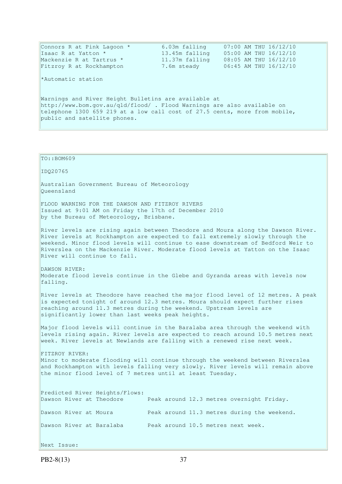| Connors R at Pink Lagoon *                                                 | 6.03m falling  | 07:00 AM THU 16/12/10 |
|----------------------------------------------------------------------------|----------------|-----------------------|
| Isaac R at Yatton *                                                        | 13.45m falling | 05:00 AM THU 16/12/10 |
| Mackenzie R at Tartrus *                                                   | 11.37m falling | 08:05 AM THU 16/12/10 |
| Fitzroy R at Rockhampton                                                   | 7.6m steady    | 06:45 AM THU 16/12/10 |
| *Automatic station                                                         |                |                       |
| Warnings and River Height Bulletins are available at                       |                |                       |
| http://www.bom.gov.au/qld/flood/ . Flood Warnings are also available on    |                |                       |
| telephone 1300 659 219 at a low call cost of 27.5 cents, more from mobile, |                |                       |
| public and satellite phones.                                               |                |                       |

TO::BOM609 IDQ20765 Australian Government Bureau of Meteorology Queensland FLOOD WARNING FOR THE DAWSON AND FITZROY RIVERS Issued at 9:01 AM on Friday the 17th of December 2010 by the Bureau of Meteorology, Brisbane. River levels are rising again between Theodore and Moura along the Dawson River. River levels at Rockhampton are expected to fall extremely slowly through the weekend. Minor flood levels will continue to ease downstream of Bedford Weir to Riverslea on the Mackenzie River. Moderate flood levels at Yatton on the Isaac River will continue to fall. DAWSON RIVER: Moderate flood levels continue in the Glebe and Gyranda areas with levels now falling. River levels at Theodore have reached the major flood level of 12 metres. A peak is expected tonight of around 12.3 metres. Moura should expect further rises reaching around 11.3 metres during the weekend. Upstream levels are significantly lower than last weeks peak heights. Major flood levels will continue in the Baralaba area through the weekend with levels rising again. River levels are expected to reach around 10.5 metres next week. River levels at Newlands are falling with a renewed rise next week. FITZROY RIVER: Minor to moderate flooding will continue through the weekend between Riverslea and Rockhampton with levels falling very slowly. River levels will remain above the minor flood level of 7 metres until at least Tuesday. Predicted River Heights/Flows: Dawson River at Theodore Peak around 12.3 metres overnight Friday. Dawson River at Moura Peak around 11.3 metres during the weekend. Dawson River at Baralaba Peak around 10.5 metres next week. Next Issue: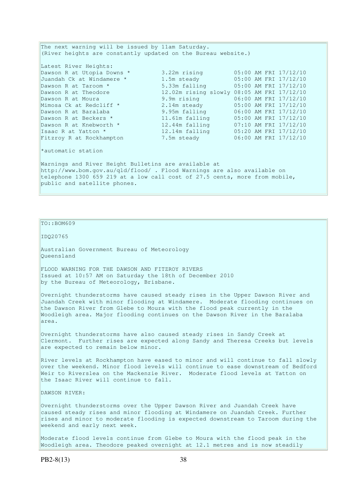| The next warning will be issued by 11am Saturday.                          |                                            |  |  |                       |  |
|----------------------------------------------------------------------------|--------------------------------------------|--|--|-----------------------|--|
| (River heights are constantly updated on the Bureau website.)              |                                            |  |  |                       |  |
|                                                                            |                                            |  |  |                       |  |
| Latest River Heights:                                                      |                                            |  |  |                       |  |
| Dawson R at Utopia Downs *                                                 | 3.22m rising 05:00 AM FRI 17/12/10         |  |  |                       |  |
| Juandah Ck at Windamere *                                                  | 1.5m steady 05:00 AM FRI 17/12/10          |  |  |                       |  |
| Dawson R at Taroom *                                                       | 5.33m falling 05:00 AM FRI 17/12/10        |  |  |                       |  |
| Dawson R at Theodore                                                       | 12.02m rising slowly 08:05 AM FRI 17/12/10 |  |  |                       |  |
| Dawson R at Moura                                                          | 9.9m rising                                |  |  | 06:00 AM FRI 17/12/10 |  |
| Mimosa Ck at Redcliff *                                                    | 2.14m steady 05:00 AM FRI 17/12/10         |  |  |                       |  |
| Dawson R at Baralaba                                                       | 9.95m falling                              |  |  | 06:00 AM FRI 17/12/10 |  |
| Dawson R at Beckers *                                                      | 11.61m falling                             |  |  | 05:00 AM FRI 17/12/10 |  |
| Dawson R at Knebworth *                                                    | 12.44m falling 07:10 AM FRI 17/12/10       |  |  |                       |  |
| Isaac R at Yatton *                                                        | 12.14m falling 05:20 AM FRI 17/12/10       |  |  |                       |  |
| Fitzroy R at Rockhampton                                                   | 7.5m steady                                |  |  | 06:00 AM FRI 17/12/10 |  |
| *automatic station                                                         |                                            |  |  |                       |  |
| Warnings and River Height Bulletins are available at                       |                                            |  |  |                       |  |
| http://www.bom.gov.au/qld/flood/ . Flood Warnings are also available on    |                                            |  |  |                       |  |
| telephone 1300 659 219 at a low call cost of 27.5 cents, more from mobile, |                                            |  |  |                       |  |
| public and satellite phones.                                               |                                            |  |  |                       |  |

# TO::BOM609

IDQ20765

Australian Government Bureau of Meteorology Queensland

FLOOD WARNING FOR THE DAWSON AND FITZROY RIVERS Issued at 10:57 AM on Saturday the 18th of December 2010 by the Bureau of Meteorology, Brisbane.

Overnight thunderstorms have caused steady rises in the Upper Dawson River and Juandah Creek with minor flooding at Windamere. Moderate flooding continues on the Dawson River from Glebe to Moura with the flood peak currently in the Woodleigh area. Major flooding continues on the Dawson River in the Baralaba area.

Overnight thunderstorms have also caused steady rises in Sandy Creek at Clermont. Further rises are expected along Sandy and Theresa Creeks but levels are expected to remain below minor.

River levels at Rockhampton have eased to minor and will continue to fall slowly over the weekend. Minor flood levels will continue to ease downstream of Bedford Weir to Riverslea on the Mackenzie River. Moderate flood levels at Yatton on the Isaac River will continue to fall.

DAWSON RIVER:

Overnight thunderstorms over the Upper Dawson River and Juandah Creek have caused steady rises and minor flooding at Windamere on Juandah Creek. Further rises and minor to moderate flooding is expected downstream to Taroom during the weekend and early next week.

Moderate flood levels continue from Glebe to Moura with the flood peak in the Woodleigh area. Theodore peaked overnight at 12.1 metres and is now steadily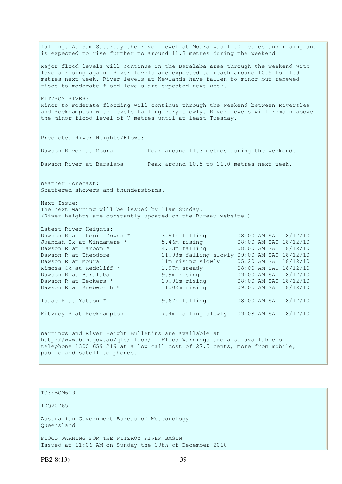falling. At 5am Saturday the river level at Moura was 11.0 metres and rising and is expected to rise further to around 11.3 metres during the weekend. Major flood levels will continue in the Baralaba area through the weekend with levels rising again. River levels are expected to reach around 10.5 to 11.0 metres next week. River levels at Newlands have fallen to minor but renewed rises to moderate flood levels are expected next week. FITZROY RIVER: Minor to moderate flooding will continue through the weekend between Riverslea and Rockhampton with levels falling very slowly. River levels will remain above the minor flood level of 7 metres until at least Tuesday. Predicted River Heights/Flows: Dawson River at Moura Peak around 11.3 metres during the weekend. Dawson River at Baralaba Peak around 10.5 to 11.0 metres next week. Weather Forecast: Scattered showers and thunderstorms. Next Issue: The next warning will be issued by 11am Sunday. (River heights are constantly updated on the Bureau website.) Latest River Heights: Dawson R at Utopia Downs \* 3.91m falling 08:00 AM SAT 18/12/10 Juandah Ck at Windamere \* 5.46m rising 08:00 AM SAT 18/12/10 Dawson R at Taroom \* 4.23m falling 08:00 AM SAT 18/12/10 Dawson R at Theodore 11.98m falling slowly 09:00 AM SAT 18/12/10 Dawson R at Moura 11m rising slowly 05:20 AM SAT 18/12/10 Mimosa Ck at Redcliff \* 1.97m steady 08:00 AM SAT 18/12/10 Dawson R at Baralaba 9.9m rising 09:00 AM SAT 18/12/10 Dawson R at Beckers \* 10.91m rising 08:00 AM SAT 18/12/10 Dawson R at Knebworth \* 11.02m rising 09:05 AM SAT 18/12/10 Isaac R at Yatton \* 9.67m falling 08:00 AM SAT 18/12/10 Fitzroy R at Rockhampton 7.4m falling slowly 09:08 AM SAT 18/12/10 Warnings and River Height Bulletins are available at http://www.bom.gov.au/qld/flood/ . Flood Warnings are also available on telephone 1300 659 219 at a low call cost of 27.5 cents, more from mobile, public and satellite phones.

## TO::BOM609

IDQ20765

Australian Government Bureau of Meteorology Queensland

FLOOD WARNING FOR THE FITZROY RIVER BASIN Issued at 11:06 AM on Sunday the 19th of December 2010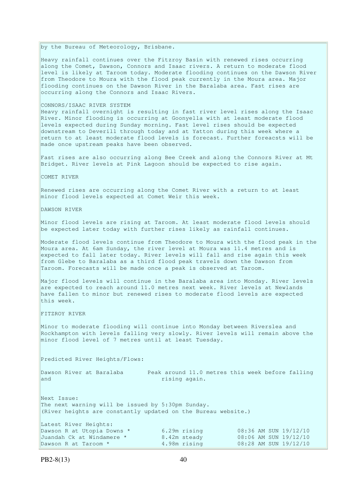by the Bureau of Meteorology, Brisbane.

Heavy rainfall continues over the Fitzroy Basin with renewed rises occurring along the Comet, Dawson, Connors and Isaac rivers. A return to moderate flood level is likely at Taroom today. Moderate flooding continues on the Dawson River from Theodore to Moura with the flood peak currently in the Moura area. Major flooding continues on the Dawson River in the Baralaba area. Fast rises are occurring along the Connors and Isaac Rivers.

### CONNORS/ISAAC RIVER SYSTEM

Heavy rainfall overnight is resulting in fast river level rises along the Isaac River. Minor flooding is occurring at Goonyella with at least moderate flood levels expected during Sunday morning. Fast level rises should be expected downstream to Deverill through today and at Yatton during this week where a return to at least moderate flood levels is forecast. Further foreacsts will be made once upstream peaks have been observed.

Fast rises are also occurring along Bee Creek and along the Connors River at Mt Bridget. River levels at Pink Lagoon should be expected to rise again.

COMET RIVER

Renewed rises are occurring along the Comet River with a return to at least minor flood levels expected at Comet Weir this week.

DAWSON RIVER

Minor flood levels are rising at Taroom. At least moderate flood levels should be expected later today with further rises likely as rainfall continues.

Moderate flood levels continue from Theodore to Moura with the flood peak in the Moura area. At 6am Sunday, the river level at Moura was 11.4 metres and is expected to fall later today. River levels will fall and rise again this week from Glebe to Baralaba as a third flood peak travels down the Dawson from Taroom. Forecasts will be made once a peak is observed at Taroom.

Major flood levels will continue in the Baralaba area into Monday. River levels are expected to reach around 11.0 metres next week. River levels at Newlands have fallen to minor but renewed rises to moderate flood levels are expected this week.

FITZROY RIVER

Minor to moderate flooding will continue into Monday between Riverslea and Rockhampton with levels falling very slowly. River levels will remain above the minor flood level of 7 metres until at least Tuesday.

Predicted River Heights/Flows:

and rising again.

Dawson River at Baralaba Peak around 11.0 metres this week before falling

Next Issue: The next warning will be issued by 5:30pm Sunday. (River heights are constantly updated on the Bureau website.) Latest River Heights: Dawson R at Utopia Downs \*  $\begin{array}{ccc} 6.29m & \text{rising} & 08:36 & \text{AM } \text{SUM } 19/12/10 \\ \text{Juandah Ck at Windamere *} & 8.42m & \text{steady} & 08:06 & \text{AM } \text{SUM } 19/12/10 \\ \text{Dawson R at Taroom *} & 4.98m & \text{rising} & 08:28 & \text{AM } \text{SUM } 19/12/10 \end{array}$ Juandah Ck at Windamere \* 8.42m steady 08:06 AM SUN 19/12/10

Dawson R at Taroom \* 4.98m rising 08:28 AM SUN 19/12/10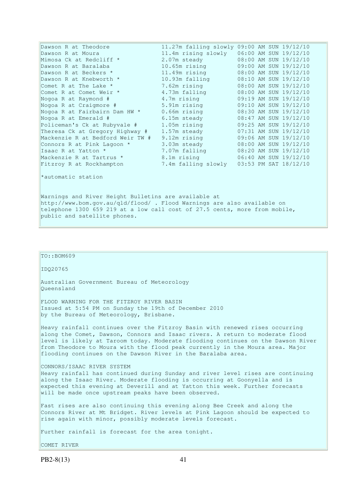| Dawson R at Theodore                                      | 11.27m falling slowly 09:00 AM SUN 19/12/10 |  |                       |
|-----------------------------------------------------------|---------------------------------------------|--|-----------------------|
| Dawson R at Moura                                         | 11.4m rising slowly                         |  | 06:00 AM SUN 19/12/10 |
| Mimosa Ck at Redcliff *                                   | 2.07m steady                                |  | 08:00 AM SUN 19/12/10 |
| Dawson R at Baralaba                                      | 10.65m rising                               |  | 09:00 AM SUN 19/12/10 |
| <u> 1999 - Johann Barnett, f</u><br>Dawson R at Beckers * | 11.49m rising                               |  | 08:00 AM SUN 19/12/10 |
| Dawson R at Knebworth *                                   | 10.93m falling                              |  | 08:10 AM SUN 19/12/10 |
| Comet R at The Lake *                                     | 7.62m rising                                |  | 08:00 AM SUN 19/12/10 |
| Comet R at Comet Weir *                                   | 4.73m falling                               |  | 08:00 AM SUN 19/12/10 |
| Nogoa R at Raymond #                                      | 4.7m rising                                 |  | 09:19 AM SUN 19/12/10 |
| Nogoa R at Craigmore #                                    | 5.91m rising                                |  | 09:10 AM SUN 19/12/10 |
| Nogoa R at Fairbairn Dam HW *                             | $0.66m$ rising                              |  | 08:30 AM SUN 19/12/10 |
| Nogoa R at Emerald #                                      | 6.15m steady                                |  | 08:47 AM SUN 19/12/10 |
| Policeman's Ck at Rubyvale #                              | 1.05m rising                                |  | 09:25 AM SUN 19/12/10 |
| Theresa Ck at Gregory Highway #                           | 1.57m steady                                |  | 07:31 AM SUN 19/12/10 |
| Mackenzie R at Bedford Weir TW #                          | 9.12m rising                                |  | 09:06 AM SUN 19/12/10 |
| Connors R at Pink Lagoon *                                | 3.03m steady                                |  | 08:00 AM SUN 19/12/10 |
| Isaac R at Yatton *                                       | 7.07m falling                               |  | 08:20 AM SUN 19/12/10 |
| Mackenzie R at Tartrus *                                  | 8.1m rising                                 |  | 06:40 AM SUN 19/12/10 |
| Fitzroy R at Rockhampton                                  | 7.4m falling slowly                         |  | 03:53 PM SAT 18/12/10 |
| *automatic station                                        |                                             |  |                       |

Warnings and River Height Bulletins are available at http://www.bom.gov.au/qld/flood/ . Flood Warnings are also available on telephone 1300 659 219 at a low call cost of 27.5 cents, more from mobile, public and satellite phones.

# TO::BOM609

### IDQ20765

Australian Government Bureau of Meteorology Queensland

FLOOD WARNING FOR THE FITZROY RIVER BASIN Issued at 5:54 PM on Sunday the 19th of December 2010 by the Bureau of Meteorology, Brisbane.

Heavy rainfall continues over the Fitzroy Basin with renewed rises occurring along the Comet, Dawson, Connors and Isaac rivers. A return to moderate flood level is likely at Taroom today. Moderate flooding continues on the Dawson River from Theodore to Moura with the flood peak currently in the Moura area. Major flooding continues on the Dawson River in the Baralaba area.

#### CONNORS/ISAAC RIVER SYSTEM

Heavy rainfall has continued during Sunday and river level rises are continuing along the Isaac River. Moderate flooding is occurring at Goonyella and is expected this evening at Deverill and at Yatton this week. Further forecasts will be made once upstream peaks have been observed.

Fast rises are also continuing this evening along Bee Creek and along the Connors River at Mt Bridget. River levels at Pink Lagoon should be expected to rise again with minor, possibly moderate levels forecast.

Further rainfall is forecast for the area tonight.

COMET RIVER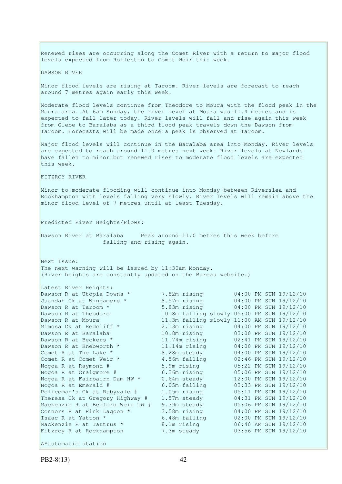Renewed rises are occurring along the Comet River with a return to major flood levels expected from Rolleston to Comet Weir this week. DAWSON RIVER Minor flood levels are rising at Taroom. River levels are forecast to reach around 7 metres again early this week. Moderate flood levels continue from Theodore to Moura with the flood peak in the Moura area. At 6am Sunday, the river level at Moura was 11.4 metres and is expected to fall later today. River levels will fall and rise again this week from Glebe to Baralaba as a third flood peak travels down the Dawson from Taroom. Forecasts will be made once a peak is observed at Taroom. Major flood levels will continue in the Baralaba area into Monday. River levels are expected to reach around 11.0 metres next week. River levels at Newlands have fallen to minor but renewed rises to moderate flood levels are expected this week. FITZROY RIVER Minor to moderate flooding will continue into Monday between Riverslea and Rockhampton with levels falling very slowly. River levels will remain above the minor flood level of 7 metres until at least Tuesday. Predicted River Heights/Flows: Dawson River at Baralaba Peak around 11.0 metres this week before falling and rising again. Next Issue: The next warning will be issued by 11:30am Monday. (River heights are constantly updated on the Bureau website.) Latest River Heights:<br>Dawson R at Utopia Downs \* Dawson R at Utopia Downs \* 7.82m rising 04:00 PM SUN 19/12/10 Juandah Ck at Windamere \* 8.57m rising 04:00 PM SUN 19/12/10 Dawson R at Taroom \* 5.83m rising 04:00 PM SUN 19/12/10 Dawson R at Theodore 10.8m falling slowly 05:00 PM SUN 19/12/10 Dawson R at Moura 11.3m falling slowly 11:00 AM SUN 19/12/10 Pawson R at Moura<br>
Mimosa Ck at Redcliff \* 2.13m rising 04:00 PM SUN 19/12/10<br>
Dawson R at Baralaba 10.8m rising 03:00 PM SUN 19/12/10 Dawson R at Baralaba 10.8m rising 03:00 PM SUN 19/12/10 Dawson R at Beckers \* 11.74m rising 02:41 PM SUN 19/12/10 Dawson R at Knebworth \* 11.14m rising 04:00 PM SUN 19/12/10 Comet R at The Lake \* 8.28m steady 04:00 PM SUN 19/12/10<br>
Comet R at Comet Weir \* 4.56m falling 02:46 PM SUN 19/12/10<br>
Nogoa R at Raymond # 5.9m rising 05:22 PM SUN 19/12/10 Comet R at Comet Weir \* 4.56m falling 02:46 PM SUN 19/12/10 Nogoa R at Raymond # 5.9m rising 05:22 PM SUN 19/12/10 Nogoa R at Craigmore # 6.36m rising 05:06 PM SUN 19/12/10 Nogoa R at Fairbairn Dam HW \* 0.64m steady 12:00 PM SUN 19/12/10 Nogoa R at Emerald # 6.05m falling 03:33 PM SUN 19/12/10 Policeman's Ck at Rubyvale # 1.05m rising 05:11 PM SUN 19/12/10 Theresa Ck at Gregory Highway # 1.57m steady 04:31 PM SUN 19/12/10 Theresa Ck at Gregory Highway # 1.57m steady 04:31 PM SUN 19/12/10<br>Mackenzie R at Bedford Weir TW # 9.39m steady 05:06 PM SUN 19/12/10 Connors R at Pink Lagoon  $*$  3.58m rising 04:00 PM SUN 19/12/10 Isaac R at Yatton \* 6.48m falling 02:00 PM SUN 19/12/10 Mackenzie R at Tartrus \* 8.1m rising 06:40 AM SUN 19/12/10 Fitzroy R at Rockhampton 7.3m steady 03:56 PM SUN 19/12/10 A\*automatic station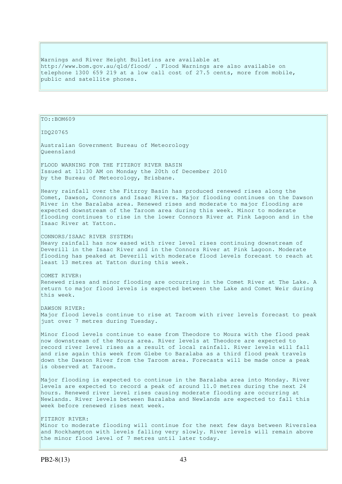Warnings and River Height Bulletins are available at http://www.bom.gov.au/qld/flood/ . Flood Warnings are also available on telephone 1300 659 219 at a low call cost of 27.5 cents, more from mobile, public and satellite phones.

TO::BOM609

IDQ20765

Australian Government Bureau of Meteorology Queensland

FLOOD WARNING FOR THE FITZROY RIVER BASIN Issued at 11:30 AM on Monday the 20th of December 2010 by the Bureau of Meteorology, Brisbane.

Heavy rainfall over the Fitzroy Basin has produced renewed rises along the Comet, Dawson, Connors and Isaac Rivers. Major flooding continues on the Dawson River in the Baralaba area. Renewed rises and moderate to major flooding are expected downstream of the Taroom area during this week. Minor to moderate flooding continues to rise in the lower Connors River at Pink Lagoon and in the Isaac River at Yatton.

CONNORS/ISAAC RIVER SYSTEM: Heavy rainfall has now eased with river level rises continuing downstream of Deverill in the Isaac River and in the Connors River at Pink Lagoon. Moderate flooding has peaked at Deverill with moderate flood levels forecast to reach at least 13 metres at Yatton during this week.

COMET RIVER: Renewed rises and minor flooding are occurring in the Comet River at The Lake. A return to major flood levels is expected between the Lake and Comet Weir during this week.

DAWSON RIVER: Major flood levels continue to rise at Taroom with river levels forecast to peak just over 7 metres during Tuesday.

Minor flood levels continue to ease from Theodore to Moura with the flood peak now downstream of the Moura area. River levels at Theodore are expected to record river level rises as a result of local rainfall. River levels will fall and rise again this week from Glebe to Baralaba as a third flood peak travels down the Dawson River from the Taroom area. Forecasts will be made once a peak is observed at Taroom.

Major flooding is expected to continue in the Baralaba area into Monday. River levels are expected to record a peak of around 11.0 metres during the next 24 hours. Renewed river level rises causing moderate flooding are occurring at Newlands. River levels between Baralaba and Newlands are expected to fall this week before renewed rises next week.

### FITZROY RIVER:

Minor to moderate flooding will continue for the next few days between Riverslea and Rockhampton with levels falling very slowly. River levels will remain above the minor flood level of 7 metres until later today.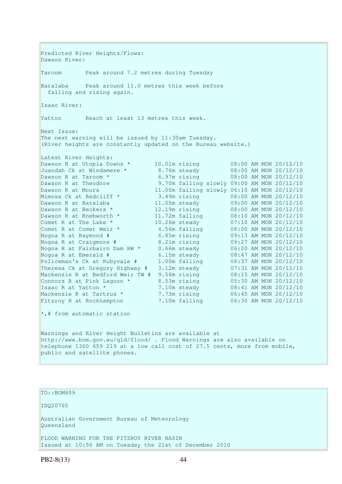Predicted River Heights/Flows: Dawson River: Taroom Peak around 7.2 metres during Tuesday Baralaba Peak around 11.0 metres this week before falling and rising again. Isaac River: Yatton Reach at least 13 metres this week. Next Issue: The next warning will be issued by 11:30am Tuesday. (River heights are constantly updated on the Bureau website.) Latest River Heights: Dawson R at Utopia Downs \* 10.01m rising 08:00 AM MON 20/12/10<br>Juandah Ck at Windamere \* 8.76m steady 08:00 AM MON 20/12/10 8.76m steady 08:00 AM MON 20/12/10<br>6.97m rising 08:00 AM MON 20/12/10 Dawson R at Taroom \* 6.97m rising 08:00 AM MON 20/12/10 Dawson R at Theodore 9.70m falling slowly 09:00 AM MON 20/12/10 Dawson R at Moura 11.00m falling slowly 06:10 AM MON 20/12/10 Mimosa Ck at Redcliff \* 3.49m rising 08:00 AM MON 20/12/10 Dawson R at Baralaba 11.05m steady 09:00 AM MON 20/12/10 Dawson R at Beckers \* 12.19m rising 08:00 AM MON 20/12/10 Dawson R at Knebworth \* 11.72m falling 08:10 AM MON 20/12/10 Comet R at The Lake  $*$  10.26m steady 07:10 AM MON 20/12/10 Comet R at Comet Weir \* 4.56m falling 08:00 AM MON 20/12/10 Nogoa R at Raymond # 6.85m rising 09:13 AM MON 20/12/10 Nogoa R at Craigmore # 8.21m rising 09:27 AM MON 20/12/10 Nogoa R at Fairbairn Dam HW \* 0.66m steady 06:00 AM MON 20/12/10 Nogoa R at Emerald # 6.15m steady 08:47 AM MON 20/12/10 Policeman's Ck at Rubyvale # 1.00m falling 08:37 AM MON 20/12/10 Theresa Ck at Gregory Highway # 3.12m steady 07:31 AM MON 20/12/10 Mackenzie R at Bedford Weir TW # 9.56m rising 08:15 AM MON 20/12/10 Connors R at Pink Lagoon  $*$  8.53m rising  $05:30$  AM MON 20/12/10 Isaac R at Yatton \* 7.10m steady 08:41 AM MON 20/12/10 Mackenzie R at Tartrus \* 7.73m rising 06:45 AM MON 20/12/10 Fitzroy R at Rockhampton 7.10m falling 06:30 AM MON 20/12/10 \*,# from automatic station Warnings and River Height Bulletins are available at http://www.bom.gov.au/qld/flood/ . Flood Warnings are also available on telephone 1300 659 219 at a low call cost of 27.5 cents, more from mobile, public and satellite phones.

TO::BOM609

IDQ20765

Australian Government Bureau of Meteorology Queensland

FLOOD WARNING FOR THE FITZROY RIVER BASIN Issued at 10:56 AM on Tuesday the 21st of December 2010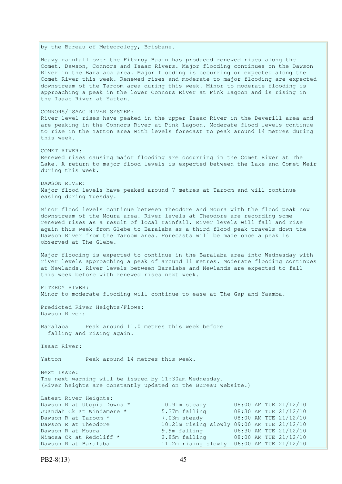by the Bureau of Meteorology, Brisbane. Heavy rainfall over the Fitzroy Basin has produced renewed rises along the Comet, Dawson, Connors and Isaac Rivers. Major flooding continues on the Dawson River in the Baralaba area. Major flooding is occurring or expected along the Comet River this week. Renewed rises and moderate to major flooding are expected downstream of the Taroom area during this week. Minor to moderate flooding is approaching a peak in the lower Connors River at Pink Lagoon and is rising in the Isaac River at Yatton. CONNORS/ISAAC RIVER SYSTEM: River level rises have peaked in the upper Isaac River in the Deverill area and are peaking in the Connors River at Pink Lagoon. Moderate flood levels continue to rise in the Yatton area with levels forecast to peak around 14 metres during this week. COMET RIVER: Renewed rises causing major flooding are occurring in the Comet River at The Lake. A return to major flood levels is expected between the Lake and Comet Weir during this week. DAWSON RIVER: Major flood levels have peaked around 7 metres at Taroom and will continue easing during Tuesday. Minor flood levels continue between Theodore and Moura with the flood peak now downstream of the Moura area. River levels at Theodore are recording some renewed rises as a result of local rainfall. River levels will fall and rise again this week from Glebe to Baralaba as a third flood peak travels down the Dawson River from the Taroom area. Forecasts will be made once a peak is observed at The Glebe. Major flooding is expected to continue in the Baralaba area into Wednesday with river levels approaching a peak of around 11 metres. Moderate flooding continues at Newlands. River levels between Baralaba and Newlands are expected to fall this week before with renewed rises next week. FITZROY RIVER: Minor to moderate flooding will continue to ease at The Gap and Yaamba. Predicted River Heights/Flows: Dawson River: Baralaba Peak around 11.0 metres this week before falling and rising again. Isaac River: Yatton Peak around 14 metres this week. Next Issue: The next warning will be issued by 11:30am Wednesday. (River heights are constantly updated on the Bureau website.) Latest River Heights: Dawson R at Utopia Downs \* 10.91m steady 08:00 AM TUE 21/12/10<br>Juandah Ck at Windamere \* 5.37m falling 08:30 AM TUE 21/12/10 Juandah Ck at Windamere \* 5.37m falling 08:30 AM TUE 21/12/10 Dawson R at Taroom \* 7.03m steady 08:00 AM TUE 21/12/10 Dawson R at Theodore 10.21m rising slowly 09:00 AM TUE 21/12/10 Dawson R at Moura 9.9m falling 06:30 AM TUE 21/12/10 Mimosa Ck at Redcliff  $\star$  2.85m falling 08:00 AM TUE 21/12/10 Dawson R at Baralaba 11.2m rising slowly 06:00 AM TUE 21/12/10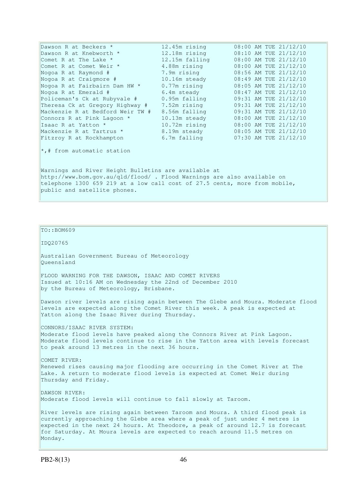| Dawson R at Beckers *                                                                                      | 12.45m rising  |  | 08:00 AM TUE 21/12/10 |
|------------------------------------------------------------------------------------------------------------|----------------|--|-----------------------|
| Dawson R at Knebworth *                                                                                    | 12.18m rising  |  | 08:10 AM TUE 21/12/10 |
| Comet R at The Lake *                                                                                      | 12.15m falling |  | 08:00 AM TUE 21/12/10 |
| Comet R at Comet Weir *                                                                                    | 4.88m rising   |  | 08:00 AM TUE 21/12/10 |
| Nogoa R at Raymond #                                                                                       | 7.9m rising    |  | 08:56 AM TUE 21/12/10 |
| Nogoa R at Craigmore #                                                                                     | 10.16m steady  |  | 08:49 AM TUE 21/12/10 |
| Nogoa R at Fairbairn Dam HW *                                                                              | $0.77m$ rising |  | 08:05 AM TUE 21/12/10 |
| Nogoa R at Emerald #                                                                                       | 6.4m steady    |  | 08:47 AM TUE 21/12/10 |
| Policeman's Ck at Rubyvale #                                                                               | 0.95m falling  |  | 09:31 AM TUE 21/12/10 |
| Theresa Ck at Gregory Highway #                                                                            | 7.52m rising   |  | 09:31 AM TUE 21/12/10 |
| Mackenzie R at Bedford Weir TW #                                                                           | 8.56m falling  |  | 09:31 AM TUE 21/12/10 |
| Connors R at Pink Lagoon *                                                                                 | 10.13m steady  |  | 08:00 AM TUE 21/12/10 |
| Isaac R at Yatton *                                                                                        | 10.72m rising  |  | 08:00 AM TUE 21/12/10 |
| Mackenzie R at Tartrus *                                                                                   | 8.19m steady   |  | 08:05 AM TUE 21/12/10 |
| Fitzroy R at Rockhampton                                                                                   | 6.7m falling   |  | 07:30 AM TUE 21/12/10 |
| $\star$ ,# from automatic station                                                                          |                |  |                       |
| Warnings and River Height Bulletins are available at                                                       |                |  |                       |
| http://www.bom.gov.au/qld/flood/ . Flood Warnings are also available on                                    |                |  |                       |
| telephone 1300 659 219 at a low call cost of 27.5 cents, more from mobile,<br>public and satellite phones. |                |  |                       |

TO::BOM609 IDQ20765 Australian Government Bureau of Meteorology Queensland FLOOD WARNING FOR THE DAWSON, ISAAC AND COMET RIVERS Issued at 10:16 AM on Wednesday the 22nd of December 2010 by the Bureau of Meteorology, Brisbane. Dawson river levels are rising again between The Glebe and Moura. Moderate flood levels are expected along the Comet River this week. A peak is expected at Yatton along the Isaac River during Thursday. CONNORS/ISAAC RIVER SYSTEM: Moderate flood levels have peaked along the Connors River at Pink Lagoon. Moderate flood levels continue to rise in the Yatton area with levels forecast to peak around 13 metres in the next 36 hours. COMET RIVER: Renewed rises causing major flooding are occurring in the Comet River at The Lake. A return to moderate flood levels is expected at Comet Weir during Thursday and Friday. DAWSON RIVER: Moderate flood levels will continue to fall slowly at Taroom. River levels are rising again between Taroom and Moura. A third flood peak is currently approaching the Glebe area where a peak of just under 4 metres is expected in the next 24 hours. At Theodore, a peak of around 12.7 is forecast for Saturday. At Moura levels are expected to reach around 11.5 metres on

Monday.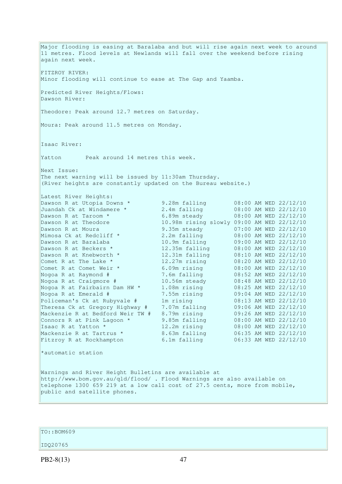Major flooding is easing at Baralaba and but will rise again next week to around 11 metres. Flood levels at Newlands will fall over the weekend before rising again next week. FITZROY RIVER: Minor flooding will continue to ease at The Gap and Yaamba. Predicted River Heights/Flows: Dawson River: Theodore: Peak around 12.7 metres on Saturday. Moura: Peak around 11.5 metres on Monday. Isaac River: Yatton Peak around 14 metres this week. Next Issue: The next warning will be issued by 11:30am Thursday. (River heights are constantly updated on the Bureau website.) Latest River Heights: Dawson R at Utopia Downs \* 9.28m falling 08:00 AM WED 22/12/10 Juandah Ck at Windamere \* 2.4m falling 08:00 AM WED 22/12/10 Dawson R at Taroom \* 6.89m steady 08:00 AM WED 22/12/10 Dawson R at Theodore 10.98m rising slowly 09:00 AM WED 22/12/10 Dawson R at Moura<br>
Mimosa Ck at Redcliff \* 3.2m falling 08:00 AM WED 22/12/10 Mimosa Ck at Redcliff \* 2.2m falling 08:00 AM WED 22/12/10 Dawson R at Baralaba 10.9m falling 09:00 AM WED 22/12/10 Dawson R at Beckers \* 12.35m falling 08:00 AM WED 22/12/10 Dawson R at Knebworth \* 12.31m falling 08:10 AM WED 22/12/10 Comet R at The Lake \* 12.27m rising 08:20 AM WED 22/12/10 Comet R at Comet Weir \* 6.09m rising 08:00 AM WED 22/12/10 Nogoa R at Raymond # 7.6m falling 08:52 AM WED 22/12/10 Nogoa R at Craigmore # 10.56m steady 08:48 AM WED 22/12/10 Nogoa R at Fairbairn Dam HW \* 1.08m rising 08:25 AM WED 22/12/10 Nogoa R at Emerald # 7.55m rising 09:04 AM WED 22/12/10 Policeman's Ck at Rubyvale # 1m rising 08:13 AM WED 22/12/10 Theresa Ck at Gregory Highway # 7.07m falling 09:06 AM WED 22/12/10 Mackenzie R at Bedford Weir TW # 8.79m rising 09:26 AM WED 22/12/10 Connors R at Pink Lagoon \* 9.85m falling 08:00 AM WED 22/12/10 Isaac R at Yatton \* 12.2m rising 08:00 AM WED 22/12/10 Mackenzie R at Tartrus \* 8.63m falling 06:35 AM WED 22/12/10 Fitzroy R at Rockhampton 6.1m falling 06:33 AM WED 22/12/10 \*automatic station Warnings and River Height Bulletins are available at http://www.bom.gov.au/qld/flood/ . Flood Warnings are also available on telephone 1300 659 219 at a low call cost of 27.5 cents, more from mobile, public and satellite phones.

TO::BOM609

IDQ20765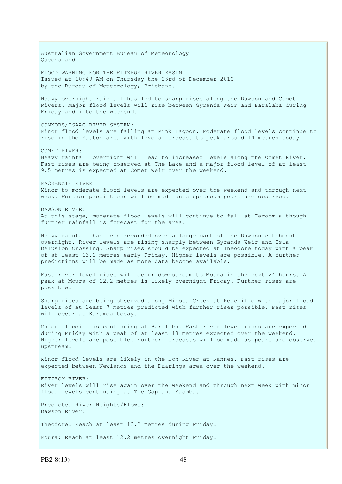Australian Government Bureau of Meteorology Queensland FLOOD WARNING FOR THE FITZROY RIVER BASIN Issued at 10:49 AM on Thursday the 23rd of December 2010 by the Bureau of Meteorology, Brisbane. Heavy overnight rainfall has led to sharp rises along the Dawson and Comet Rivers. Major flood levels will rise between Gyranda Weir and Baralaba during Friday and into the weekend. CONNORS/ISAAC RIVER SYSTEM: Minor flood levels are falling at Pink Lagoon. Moderate flood levels continue to rise in the Yatton area with levels forecast to peak around 14 metres today. COMET RIVER: Heavy rainfall overnight will lead to increased levels along the Comet River. Fast rises are being observed at The Lake and a major flood level of at least 9.5 metres is expected at Comet Weir over the weekend. MACKENZIE RIVER Minor to moderate flood levels are expected over the weekend and through next week. Further predictions will be made once upstream peaks are observed. DAWSON RIVER: At this stage, moderate flood levels will continue to fall at Taroom although further rainfall is forecast for the area. Heavy rainfall has been recorded over a large part of the Dawson catchment overnight. River levels are rising sharply between Gyranda Weir and Isla Delusion Crossing. Sharp rises should be expected at Theodore today with a peak of at least 13.2 metres early Friday. Higher levels are possible. A further predictions will be made as more data become available. Fast river level rises will occur downstream to Moura in the next 24 hours. A peak at Moura of 12.2 metres is likely overnight Friday. Further rises are possible. Sharp rises are being observed along Mimosa Creek at Redcliffe with major flood levels of at least 7 metres predicted with further rises possible. Fast rises will occur at Karamea today. Major flooding is continuing at Baralaba. Fast river level rises are expected during Friday with a peak of at least 13 metres expected over the weekend. Higher levels are possible. Further forecasts will be made as peaks are observed upstream. Minor flood levels are likely in the Don River at Rannes. Fast rises are expected between Newlands and the Duaringa area over the weekend. FITZROY RIVER: River levels will rise again over the weekend and through next week with minor flood levels continuing at The Gap and Yaamba. Predicted River Heights/Flows: Dawson River: Theodore: Reach at least 13.2 metres during Friday. Moura: Reach at least 12.2 metres overnight Friday.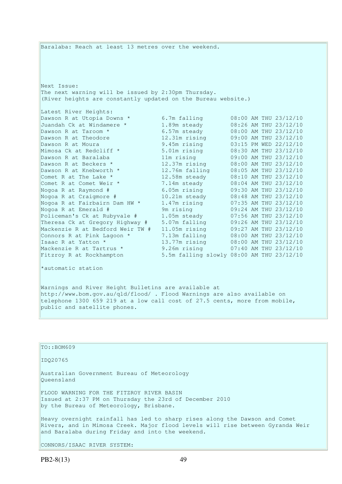Baralaba: Reach at least 13 metres over the weekend. Next Issue: The next warning will be issued by 2:30pm Thursday. (River heights are constantly updated on the Bureau website.) Latest River Heights: Dawson R at Utopia Downs \* 6.7m falling 08:00 AM THU 23/12/10 Juandah Ck at Windamere \* 1.89m steady 08:26 AM THU 23/12/10 Dawson R at Taroom \* 6.57m steady 08:00 AM THU 23/12/10 Dawson R at Theodore 12.31m rising 09:00 AM THU 23/12/10 Dawson R at Moura 9.45m rising 03:15 PM WED 22/12/10 Mimosa Ck at Redcliff \* 5.01m rising 08:30 AM THU 23/12/10 Dawson R at Baralaba 11m rising 09:00 AM THU 23/12/10 Dawson R at Beckers \* 12.37m rising 08:00 AM THU 23/12/10 Dawson R at Knebworth \* 12.76m falling 08:05 AM THU 23/12/10 Comet R at The Lake  $*$  12.58m steady 08:10 AM THU 23/12/10 Comet R at Comet Weir \* 7.14m steady 08:04 AM THU 23/12/10 Nogoa R at Raymond # 6.05m rising 09:30 AM THU 23/12/10 Nogoa R at Craigmore # 10.21m steady 08:48 AM THU 23/12/10 Nogoa R at Fairbairn Dam HW \* 1.47m rising 07:35 AM THU 23/12/10 Nogoa R at Emerald # 9m rising 09:24 AM THU 23/12/10 Policeman's Ck at Rubyvale # 1.05m steady 07:56 AM THU 23/12/10 Theresa Ck at Gregory Highway # 5.07m falling 09:26 AM THU 23/12/10 Mackenzie R at Bedford Weir TW # 11.05m rising 09:27 AM THU 23/12/10 Connors R at Pink Lagoon  $*$  7.13m falling  $08:00$  AM THU 23/12/10 Isaac R at Yatton \* 13.77m rising 08:00 AM THU 23/12/10 Mackenzie R at Tartrus \* 9.26m rising 07:40 AM THU 23/12/10 Fitzroy R at Rockhampton 5.5m falling slowly 08:00 AM THU 23/12/10 \*automatic station Warnings and River Height Bulletins are available at http://www.bom.gov.au/qld/flood/ . Flood Warnings are also available on telephone 1300 659 219 at a low call cost of 27.5 cents, more from mobile, public and satellite phones. TO::BOM609 IDQ20765 Australian Government Bureau of Meteorology Queensland

FLOOD WARNING FOR THE FITZROY RIVER BASIN Issued at 2:37 PM on Thursday the 23rd of December 2010 by the Bureau of Meteorology, Brisbane.

Heavy overnight rainfall has led to sharp rises along the Dawson and Comet Rivers, and in Mimosa Creek. Major flood levels will rise between Gyranda Weir and Baralaba during Friday and into the weekend.

CONNORS/ISAAC RIVER SYSTEM: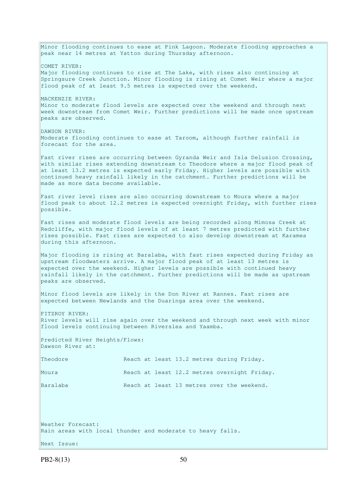Minor flooding continues to ease at Pink Lagoon. Moderate flooding approaches a peak near 14 metres at Yatton during Thursday afternoon. COMET RIVER: Major flooding continues to rise at The Lake, with rises also continuing at Springsure Creek Junction. Minor flooding is rising at Comet Weir where a major flood peak of at least 9.5 metres is expected over the weekend. MACKENZIE RIVER: Minor to moderate flood levels are expected over the weekend and through next week downstream from Comet Weir. Further predictions will be made once upstream peaks are observed. DAWSON RIVER: Moderate flooding continues to ease at Taroom, although further rainfall is forecast for the area. Fast river rises are occurring between Gyranda Weir and Isla Delusion Crossing, with similar rises extending downstream to Theodore where a major flood peak of at least 13.2 metres is expected early Friday. Higher levels are possible with continued heavy rainfall likely in the catchment. Further predictions will be made as more data become available. Fast river level rises are also occurring downstream to Moura where a major flood peak to about 12.2 metres is expected overnight Friday, with further rises possible. Fast rises and moderate flood levels are being recorded along Mimosa Creek at Redcliffe, with major flood levels of at least 7 metres predicted with further rises possible. Fast rises are expected to also develop downstream at Karamea during this afternoon. Major flooding is rising at Baralaba, with fast rises expected during Friday as upstream floodwaters arrive. A major flood peak of at least 13 metres is expected over the weekend. Higher levels are possible with continued heavy rainfall likely in the catchment. Further predictions will be made as upstream peaks are observed. Minor flood levels are likely in the Don River at Rannes. Fast rises are expected between Newlands and the Duaringa area over the weekend. FITZROY RIVER: River levels will rise again over the weekend and through next week with minor flood levels continuing between Riverslea and Yaamba. Predicted River Heights/Flows: Dawson River at: Theodore **Reach at least 13.2 metres during Friday.** Moura Reach at least 12.2 metres overnight Friday. Baralaba Reach at least 13 metres over the weekend. Weather Forecast: Rain areas with local thunder and moderate to heavy falls. Next Issue:

 $PB2-8(13)$  50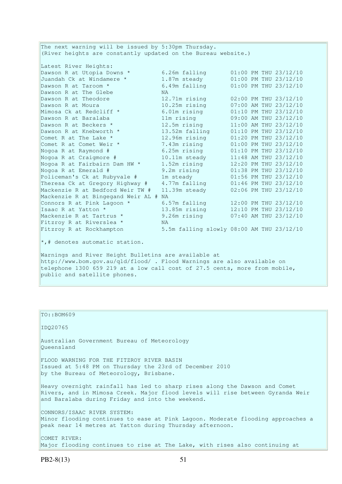The next warning will be issued by 5:30pm Thursday. (River heights are constantly updated on the Bureau website.) Latest River Heights:<br>Dawson R at Utopia Downs \*<br>Juandah Ck at Windamere \*<br>Dawson R at Taroom \* Dawson R at Utopia Downs  $*$  6.26m falling  $01:00$  PM THU 23/12/10 Juandah Ck at Windamere \* 1.87m steady 01:00 PM THU 23/12/10 Dawson R at Taroom \* 6.49m falling 01:00 PM THU 23/12/10 Dawson R at The Glebe NA Dawson R at Theodore 12.71m rising 02:00 PM THU 23/12/10 Dawson R at Moura 10.25m rising 07:00 AM THU 23/12/10 Mimosa Ck at Redcliff \* 6.01m rising 01:10 PM THU 23/12/10 Dawson R at Baralaba 11m rising 09:00 AM THU 23/12/10 Dawson R at Beckers \* 12.5m rising 11:00 AM THU 23/12/10 Dawson R at Knebworth \* 13.52m falling 01:10 PM THU 23/12/10 Comet R at The Lake \* 12.96m rising 01:20 PM THU 23/12/10 Comet R at Comet Weir \* 7.43m rising 01:00 PM THU 23/12/10 Nogoa R at Raymond # 6.25m rising 01:10 PM THU 23/12/10 Nogoa R at Craigmore # 10.11m steady 11:48 AM THU 23/12/10 Nogoa R at Fairbairn Dam HW \* 1.52m rising 12:20 PM THU 23/12/10 Nogoa R at Emerald # 9.2m rising 01:38 PM THU 23/12/10 Policeman's Ck at Rubyvale # 1m steady 01:56 PM THU 23/12/10 Theresa Ck at Gregory Highway # 4.77m falling 01:46 PM THU 23/12/10 Mackenzie R at Bedford Weir TW # 11.39m steady 02:06 PM THU 23/12/10 Mackenzie R at Bingegand Weir AL # NA Connors R at Pink Lagoon  $*$  6.57m falling 12:00 PM THU 23/12/10 Isaac R at Yatton \* 13.85m rising 12:10 PM THU 23/12/10 Mackenzie R at Tartrus \* 9.26m rising 07:40 AM THU 23/12/10 Fitzroy R at Riverslea \* NA Fitzroy R at Rockhampton 5.5m falling slowly 08:00 AM THU 23/12/10  $\star$ ,# denotes automatic station. Warnings and River Height Bulletins are available at http://www.bom.gov.au/qld/flood/ . Flood Warnings are also available on

telephone 1300 659 219 at a low call cost of 27.5 cents, more from mobile, public and satellite phones.

| TO::BOM609                                                                                                                                                                                                       |
|------------------------------------------------------------------------------------------------------------------------------------------------------------------------------------------------------------------|
| ID020765                                                                                                                                                                                                         |
| Australian Government Bureau of Meteorology<br>Oueensland                                                                                                                                                        |
| FLOOD WARNING FOR THE FITZROY RIVER BASIN<br>Issued at 5:48 PM on Thursday the 23rd of December 2010<br>by the Bureau of Meteorology, Brisbane.                                                                  |
| Heavy overnight rainfall has led to sharp rises along the Dawson and Comet<br>Rivers, and in Mimosa Creek. Major flood levels will rise between Gyranda Weir<br>and Baralaba during Friday and into the weekend. |
| CONNORS/ISAAC RIVER SYSTEM:<br>Minor flooding continues to ease at Pink Lagoon. Moderate flooding approaches a<br>peak near 14 metres at Yatton during Thursday afternoon.                                       |
| COMET RIVER:<br>Major flooding continues to rise at The Lake, with rises also continuing at                                                                                                                      |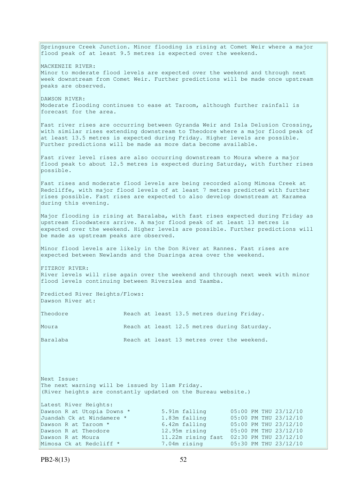Springsure Creek Junction. Minor flooding is rising at Comet Weir where a major flood peak of at least 9.5 metres is expected over the weekend. MACKENZIE RIVER: Minor to moderate flood levels are expected over the weekend and through next week downstream from Comet Weir. Further predictions will be made once upstream peaks are observed. DAWSON RIVER: Moderate flooding continues to ease at Taroom, although further rainfall is forecast for the area. Fast river rises are occurring between Gyranda Weir and Isla Delusion Crossing, with similar rises extending downstream to Theodore where a major flood peak of at least 13.5 metres is expected during Friday. Higher levels are possible. Further predictions will be made as more data become available. Fast river level rises are also occurring downstream to Moura where a major flood peak to about 12.5 metres is expected during Saturday, with further rises possible. Fast rises and moderate flood levels are being recorded along Mimosa Creek at Redcliffe, with major flood levels of at least 7 metres predicted with further rises possible. Fast rises are expected to also develop downstream at Karamea during this evening. Major flooding is rising at Baralaba, with fast rises expected during Friday as upstream floodwaters arrive. A major flood peak of at least 13 metres is expected over the weekend. Higher levels are possible. Further predictions will be made as upstream peaks are observed. Minor flood levels are likely in the Don River at Rannes. Fast rises are expected between Newlands and the Duaringa area over the weekend. FITZROY RIVER: River levels will rise again over the weekend and through next week with minor flood levels continuing between Riverslea and Yaamba. Predicted River Heights/Flows: Dawson River at: Theodore **Reach at least 13.5 metres during Friday.** Moura Reach at least 12.5 metres during Saturday. Baralaba Reach at least 13 metres over the weekend. Next Issue: The next warning will be issued by 11am Friday. (River heights are constantly updated on the Bureau website.) Latest River Heights: Dawson R at Utopia Downs \* 5.91m falling 05:00 PM THU 23/12/10 Juandah Ck at Windamere \* 1.83m falling 05:00 PM THU 23/12/10 Dawson R at Taroom \* 6.42m falling 05:00 PM THU 23/12/10 Dawson R at Theodore 12.95m rising 05:00 PM THU 23/12/10 Dawson R at Moura 11.22m rising fast 02:30 PM THU 23/12/10 Mimosa Ck at Redcliff \* 7.04m rising 05:30 PM THU 23/12/10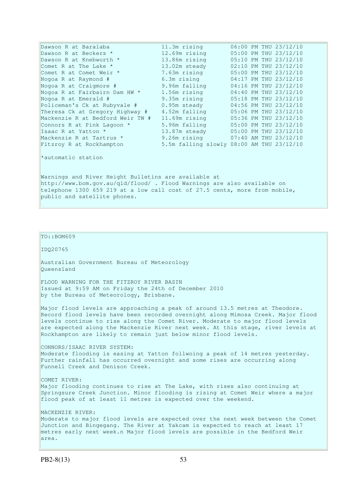| Dawson R at Baralaba                                 | 11.3m rising                                                            |                                                                            |  |  | 06:00 PM THU 23/12/10 |  |  |
|------------------------------------------------------|-------------------------------------------------------------------------|----------------------------------------------------------------------------|--|--|-----------------------|--|--|
| Dawson R at Beckers *                                | 12.69m rising                                                           |                                                                            |  |  | 05:00 PM THU 23/12/10 |  |  |
| Dawson R at Knebworth *                              | 13.86m rising                                                           |                                                                            |  |  | 05:10 PM THU 23/12/10 |  |  |
| Comet R at The Lake *                                | 13.02m steady                                                           |                                                                            |  |  | 02:10 PM THU 23/12/10 |  |  |
| Comet R at Comet Weir *                              | 7.63m rising                                                            |                                                                            |  |  | 05:00 PM THU 23/12/10 |  |  |
| Nogoa R at Raymond #                                 | 6.3m rising                                                             |                                                                            |  |  | 04:17 PM THU 23/12/10 |  |  |
| Nogoa R at Craigmore #                               | 9.96m falling                                                           |                                                                            |  |  | 04:16 PM THU 23/12/10 |  |  |
| Nogoa R at Fairbairn Dam HW *                        | 1.56m rising                                                            |                                                                            |  |  | 04:40 PM THU 23/12/10 |  |  |
| Nogoa R at Emerald #                                 | 9.35m rising                                                            |                                                                            |  |  | 05:18 PM THU 23/12/10 |  |  |
| Policeman's Ck at Rubyvale #                         | 0.95m steady                                                            |                                                                            |  |  | 04:56 PM THU 23/12/10 |  |  |
| Theresa Ck at Gregory Highway #                      | 4.52m falling                                                           |                                                                            |  |  | 05:06 PM THU 23/12/10 |  |  |
| Mackenzie R at Bedford Weir TW #                     | 11.69m rising                                                           |                                                                            |  |  | 05:36 PM THU 23/12/10 |  |  |
| Connors R at Pink Lagoon *                           | 5.96m falling                                                           |                                                                            |  |  | 05:00 PM THU 23/12/10 |  |  |
| Isaac R at Yatton *                                  | 13.87m steady                                                           |                                                                            |  |  | 05:00 PM THU 23/12/10 |  |  |
| Mackenzie R at Tartrus *                             | 9.26m rising                                                            |                                                                            |  |  | 07:40 AM THU 23/12/10 |  |  |
| Fitzroy R at Rockhampton                             | 5.5m falling slowly 08:00 AM THU 23/12/10                               |                                                                            |  |  |                       |  |  |
| *automatic station                                   |                                                                         |                                                                            |  |  |                       |  |  |
| Warnings and River Height Bulletins are available at |                                                                         |                                                                            |  |  |                       |  |  |
|                                                      | http://www.bom.gov.au/qld/flood/ . Flood Warnings are also available on |                                                                            |  |  |                       |  |  |
|                                                      |                                                                         | telephone 1300 659 219 at a low call cost of 27.5 cents, more from mobile, |  |  |                       |  |  |

public and satellite phones.

 $\vert$ TO::BOM609

IDQ20765

Australian Government Bureau of Meteorology Queensland

FLOOD WARNING FOR THE FITZROY RIVER BASIN Issued at 9:59 AM on Friday the 24th of December 2010 by the Bureau of Meteorology, Brisbane.

Major flood levels are approaching a peak of around 13.5 metres at Theodore. Record flood levels have been recorded overnight along Mimosa Creek. Major flood levels continue to rise along the Comet River. Moderate to major flood levels are expected along the Mackenzie River next week. At this stage, river levels at Rockhampton are likely to remain just below minor flood levels.

CONNORS/ISAAC RIVER SYSTEM: Moderate flooding is easing at Yatton follwoing a peak of 14 metres yesterday. Further rainfall has occurred overnight and some rises are occurring along Funnell Creek and Denison Creek.

COMET RIVER: Major flooding continues to rise at The Lake, with rises also continuing at Springsure Creek Junction. Minor flooding is rising at Comet Weir where a major flood peak of at least 11 metres is expected over the weekend.

MACKENZIE RIVER: Moderate to major flood levels are expected over the next week between the Comet Junction and Bingegang. The River at Yakcam is expected to reach at least 17 metres early next week.n Major flood levels are possible in the Bedford Weir area.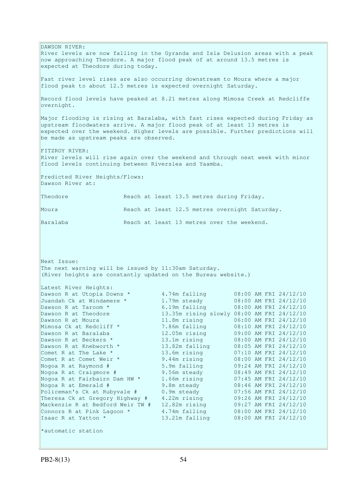DAWSON RIVER: River levels are now falling in the Gyranda and Isla Delusion areas with a peak now approaching Theodore. A major flood peak of at around 13.5 metres is expected at Theodore during today. Fast river level rises are also occurring downstream to Moura where a major flood peak to about 12.5 metres is expected overnight Saturday. Record flood levels have peaked at 8.21 metres along Mimosa Creek at Redcliffe overnight. Major flooding is rising at Baralaba, with fast rises expected during Friday as upstream floodwaters arrive. A major flood peak of at least 13 metres is expected over the weekend. Higher levels are possible. Further predictions will be made as upstream peaks are observed. FITZROY RIVER: River levels will rise again over the weekend and through next week with minor flood levels continuing between Riverslea and Yaamba. Predicted River Heights/Flows: Dawson River at: Theodore Reach at least 13.5 metres during Friday. Moura Reach at least 12.5 metres overnight Saturday. Baralaba Reach at least 13 metres over the weekend. Next Issue: The next warning will be issued by 11:30am Saturday. (River heights are constantly updated on the Bureau website.) Latest River Heights: Dawson R at Utopia Downs \* 4.74m falling 08:00 AM FRI 24/12/10 Juandah Ck at Windamere \* 1.79m steady 08:00 AM FRI 24/12/10 Dawson R at Taroom \* 6.19m falling 08:00 AM FRI 24/12/10 Dawson R at Theodore 13.35m rising slowly 08:00 AM FRI 24/12/10 Dawson R at Moura 11.8m rising 06:00 AM FRI 24/12/10 Mimosa Ck at Redcliff \* 7.86m falling 08:10 AM FRI 24/12/10 Dawson R at Baralaba 12.05m rising 09:00 AM FRI 24/12/10 Dawson R at Beckers \* 13.1m rising 08:00 AM FRI 24/12/10 Dawson R at Knebworth \* 13.82m falling 08:05 AM FRI 24/12/10 Comet R at The Lake  $*$  13.6m rising 07:10 AM FRI 24/12/10 Comet R at Comet Weir \* 9.44m rising 08:00 AM FRI 24/12/10 Nogoa R at Raymond # 5.9m falling<br>Nogoa R at Craigmore # 9.56m steady<br>Nogoa R at Fairbairn Dam HW \* 1.66m rising Nogoa R at Craigmore # 9.56m steady 08:49 AM FRI 24/12/10 Nogoa R at Fairbairn Dam HW \* 1.66m rising 07:45 AM FRI 24/12/10 Nogoa R at Emerald # 9.8m steady 08:46 AM FRI 24/12/10 Policeman's Ck at Rubyvale # 0.9m steady 07:56 AM FRI 24/12/10 Theresa Ck at Gregory Highway # 4.22m rising 09:26 AM FRI 24/12/10 Mackenzie R at Bedford Weir TW # 12.82m rising 09:27 AM FRI 24/12/10 Connors R at Pink Lagoon  $*$  4.74m falling  $08:00$  AM FRI 24/12/10 Isaac R at Yatton \* 13.21m falling 08:00 AM FRI 24/12/10 \*automatic station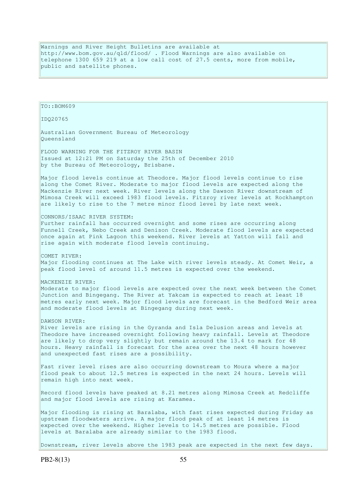Warnings and River Height Bulletins are available at http://www.bom.gov.au/qld/flood/ . Flood Warnings are also available on telephone 1300 659 219 at a low call cost of 27.5 cents, more from mobile, public and satellite phones.

TO::BOM609 IDQ20765 Australian Government Bureau of Meteorology Queensland FLOOD WARNING FOR THE FITZROY RIVER BASIN Issued at 12:21 PM on Saturday the 25th of December 2010 by the Bureau of Meteorology, Brisbane. Major flood levels continue at Theodore. Major flood levels continue to rise along the Comet River. Moderate to major flood levels are expected along the Mackenzie River next week. River levels along the Dawson River downstream of Mimosa Creek will exceed 1983 flood levels. Fitzroy river levels at Rockhampton are likely to rise to the 7 metre minor flood level by late next week. CONNORS/ISAAC RIVER SYSTEM: Further rainfall has occurred overnight and some rises are occurring along Funnell Creek, Nebo Creek and Denison Creek. Moderate flood levels are expected once again at Pink Lagoon this weekend. River levels at Yatton will fall and rise again with moderate flood levels continuing. COMET RIVER: Major flooding continues at The Lake with river levels steady. At Comet Weir, a peak flood level of around 11.5 metres is expected over the weekend. MACKENZIE RIVER: Moderate to major flood levels are expected over the next week between the Comet Junction and Bingegang. The River at Yakcam is expected to reach at least 18 metres early next week. Major flood levels are forecast in the Bedford Weir area and moderate flood levels at Bingegang during next week. DAWSON RIVER: River levels are rising in the Gyranda and Isla Delusion areas and levels at Theodore have increased overnight following heavy rainfall. Levels at Theodore are likely to drop very slightly but remain around the 13.4 to mark for 48 hours. Heavy rainfall is forecast for the area over the next 48 hours however and unexpected fast rises are a possibility. Fast river level rises are also occurring downstream to Moura where a major flood peak to about 12.5 metres is expected in the next 24 hours. Levels will remain high into next week. Record flood levels have peaked at 8.21 metres along Mimosa Creek at Redcliffe and major flood levels are rising at Karamea. Major flooding is rising at Baralaba, with fast rises expected during Friday as upstream floodwaters arrive. A major flood peak of at least 14 metres is expected over the weekend. Higher levels to 14.5 metres are possible. Flood levels at Baralaba are already similar to the 1983 flood. Downstream, river levels above the 1983 peak are expected in the next few days.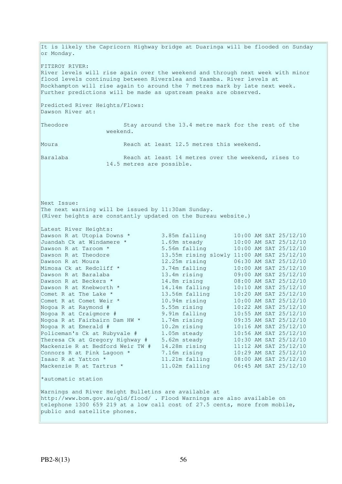It is likely the Capricorn Highway bridge at Duaringa will be flooded on Sunday or Monday. FITZROY RIVER: River levels will rise again over the weekend and through next week with minor flood levels continuing between Riverslea and Yaamba. River levels at Rockhampton will rise again to around the 7 metres mark by late next week. Further predictions will be made as upstream peaks are observed. Predicted River Heights/Flows: Dawson River at: Theodore Stay around the 13.4 metre mark for the rest of the weekend. Moura Reach at least 12.5 metres this weekend. Baralaba Reach at least 14 metres over the weekend, rises to 14.5 metres are possible. Next Issue: The next warning will be issued by 11:30am Sunday. (River heights are constantly updated on the Bureau website.) Latest River Heights: Dawson R at Utopia Downs \* 3.85m falling 10:00 AM SAT 25/12/10 Juandah Ck at Windamere \* 1.69m steady 10:00 AM SAT 25/12/10 Dawson R at Taroom \* 5.56m falling 10:00 AM SAT 25/12/10 Dawson R at Theodore 13.55m rising slowly 11:00 AM SAT 25/12/10 Dawson R at Moura 12.25m rising 06:30 AM SAT 25/12/10 Mimosa Ck at Redcliff \* 3.74m falling 10:00 AM SAT 25/12/10 Dawson R at Baralaba 13.4m rising 09:00 AM SAT 25/12/10 Dawson R at Beckers \* 14.8m rising 08:00 AM SAT 25/12/10 Dawson R at Knebworth \* 14.14m falling 10:10 AM SAT 25/12/10 Comet R at The Lake \* 13.56m falling 10:20 AM SAT 25/12/10 Comet R at Comet Weir \* 10.94m rising 10:00 AM SAT 25/12/10 Nogoa R at Raymond # 5.55m rising 10:22 AM SAT 25/12/10 Nogoa R at Craigmore # 9.91m falling 10:55 AM SAT 25/12/10 Nogoa R at Fairbairn Dam HW \* 1.74m rising 09:35 AM SAT 25/12/10 Nogoa R at Emerald # 10.2m rising 10:16 AM SAT 25/12/10 Policeman's Ck at Rubyvale # 1.05m steady 10:56 AM SAT 25/12/10 Theresa Ck at Gregory Highway # 5.62m steady 10:30 AM SAT 25/12/10 Mackenzie R at Bedford Weir TW # 14.28m rising 11:12 AM SAT 25/12/10 Connors R at Pink Lagoon  $*$  7.16m rising 10:29 AM SAT 25/12/10 Isaac R at Yatton \* 11.21m falling 08:00 AM SAT 25/12/10 Mackenzie R at Tartrus \* 11.02m falling 06:45 AM SAT 25/12/10 \*automatic station Warnings and River Height Bulletins are available at http://www.bom.gov.au/qld/flood/ . Flood Warnings are also available on telephone 1300 659 219 at a low call cost of 27.5 cents, more from mobile, public and satellite phones.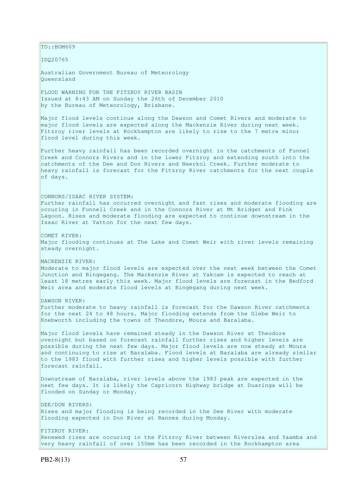$TO:$ : BOM609 IDQ20765 Australian Government Bureau of Meteorology Queensland FLOOD WARNING FOR THE FITZROY RIVER BASIN Issued at 8:43 AM on Sunday the 26th of December 2010 by the Bureau of Meteorology, Brisbane. Major flood levels continue along the Dawson and Comet Rivers and moderate to major flood levels are expected along the Mackenzie River during next week. Fitzroy river levels at Rockhampton are likely to rise to the 7 metre minor flood level during this week. Further heavy rainfall has been recorded overnight in the catchments of Funnel Creek and Connors Rivers and in the lower Fitzroy and extending south into the catchments of the Dee and Don Rivers and Neerkol Creek. Further moderate to heavy rainfall is forecast for the Fitzroy River catchments for the next couple of days. CONNORS/ISAAC RIVER SYSTEM: Further rainfall has occurred overnight and fast rises and moderate flooding are occuring in Funnell Creek and in the Connors River at Mt Bridget and Pink Lagoon. Rises and moderate flooding are expected to continue downstream in the Issac River at Yatton for the next few days. COMET RIVER: Major flooding continues at The Lake and Comet Weir with river levels remaining steady overnight. MACKENZIE RIVER: Moderate to major flood levels are expected over the next week between the Comet Junction and Bingegang. The Mackenzie River at Yakcam is expected to reach at least 18 metres early this week. Major flood levels are forecast in the Bedford Weir area and moderate flood levels at Bingegang during next week. DAWSON RIVER: Further moderate to heavy rainfall is forecast for the Dawson River catchments for the next 24 to 48 hours. Major flooding extends from the Glebe Weir to Knebworth including the towns of Theodore, Moura and Baralaba. Major flood levels have remained steady in the Dawson River at Theodore overnight but based on forecast rainfall further rises and higher levels are possible during the next few days. Major flood levels are now steady at Moura and continuing to rise at Baralaba. Flood levels at Baralaba are already similar to the 1983 flood with further rises and higher levels possible with further forecast rainfall. Downstream of Baralaba, river levels above the 1983 peak are expected in the next few days. It is likely the Capricorn Highway bridge at Duaringa will be flooded on Sunday or Monday. DEE/DON RIVERS: Rises and major flooding is being recorded in the Dee River with moderate flooding expected in Don River at Rannes during Monday. FITZROY RIVER: Renewed rises are occuring in the Fitzroy River between Riverslea and Yaamba and very heavy rainfall of over 150mm has been recorded in the Rockhampton area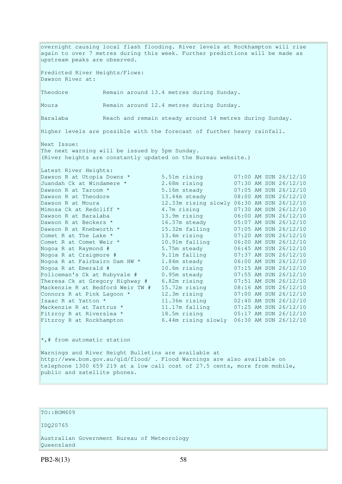overnight causing local flash flooding. River levels at Rockhampton will rise again to over 7 metres during this week. Further predictions will be made as upstream peaks are observed. Predicted River Heights/Flows: Dawson River at: Theodore Remain around 13.4 metres during Sunday. Moura Remain around 12.4 metres during Sunday. Baralaba Reach and remain steady around 14 metres during Sunday. Higher levels are possible with the forecast of further heavy rainfall. Next Issue: The next warning will be issued by 5pm Sunday. (River heights are constantly updated on the Bureau website.) Latest River Heights: Dawson R at Utopia Downs \* 5.51m rising 07:00 AM SUN 26/12/10<br>Juandah Ck at Windamere \* 2.68m rising 07:30 AM SUN 26/12/10 Juandah Ck at Windamere \* 2.68m rising 07:30 AM SUN 26/12/10 Dawson R at Taroom \* 5.16m steady 07:05 AM SUN 26/12/10 Dawson R at Theodore 13.44m steady 08:00 AM SUN 26/12/10 Dawson R at Moura 12.33m rising slowly 06:30 AM SUN 26/12/10 Mimosa Ck at Redcliff \* 4.7m rising 07:30 AM SUN 26/12/10 Dawson R at Baralaba 13.9m rising 06:00 AM SUN 26/12/10 Dawson R at Beckers \* 16.37m steady 05:07 AM SUN 26/12/10 Dawson R at Knebworth  $\star$  15.32m falling 07:05 AM SUN 26/12/10 Comet R at The Lake \* 13.4m rising 07:20 AM SUN 26/12/10 Comet R at Comet Weir \* 10.91m falling 06:00 AM SUN 26/12/10 Nogoa R at Raymond # 5.75m steady 06:45 AM SUN 26/12/10 Nogoa R at Craigmore # 9.11m falling 07:37 AM SUN 26/12/10 Nogoa R at Fairbairn Dam HW \* 1.84m steady 06:00 AM SUN 26/12/10 Nogoa R at Emerald # 10.6m rising 07:15 AM SUN 26/12/10 Policeman's Ck at Rubyvale # 0.95m steady 07:55 AM SUN 26/12/10 Theresa Ck at Gregory Highway # 6.82m rising 07:51 AM SUN 26/12/10 Mackenzie R at Bedford Weir TW # 15.72m rising 08:16 AM SUN 26/12/10 Connors R at Pink Lagoon  $*$  12.3m rising  $07:00$  AM SUN 26/12/10 Isaac R at Yatton \* 11.36m rising 02:40 AM SUN 26/12/10 Mackenzie R at Tartrus \* 11.17m falling 07:25 AM SUN 26/12/10 Fitzroy R at Riverslea \* 18.5m rising 05:17 AM SUN 26/12/10 Fitzroy R at Rockhampton 6.44m rising slowly 06:30 AM SUN 26/12/10

 $\star$ ,# from automatic station

Warnings and River Height Bulletins are available at http://www.bom.gov.au/qld/flood/ . Flood Warnings are also available on telephone 1300 659 219 at a low call cost of 27.5 cents, more from mobile, public and satellite phones.

# TO::BOM609

IDQ20765

Australian Government Bureau of Meteorology Queensland

PB2-8(13) 58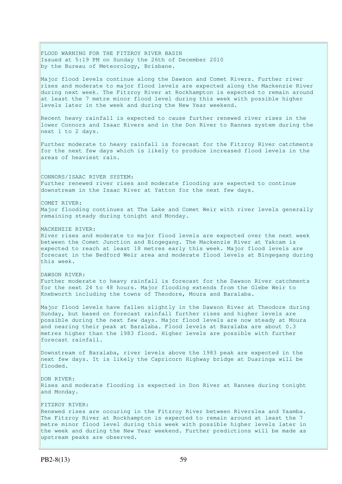FLOOD WARNING FOR THE FITZROY RIVER BASIN Issued at 5:19 PM on Sunday the 26th of December 2010 by the Bureau of Meteorology, Brisbane. Major flood levels continue along the Dawson and Comet Rivers. Further river rises and moderate to major flood levels are expected along the Mackenzie River during next week. The Fitzroy River at Rockhampton is expected to remain around at least the 7 metre minor flood level during this week with possible higher levels later in the week and during the New Year weekend. Recent heavy rainfall is expected to cause further renewed river rises in the lower Connors and Isaac Rivers and in the Don River to Rannes system during the next 1 to 2 days. Further moderate to heavy rainfall is forecast for the Fitzroy River catchments for the next few days which is likely to produce increased flood levels in the areas of heaviest rain. CONNORS/ISAAC RIVER SYSTEM: Further renewed river rises and moderate flooding are expected to continue downstream in the Isaac River at Yatton for the next few days. COMET RIVER: Major flooding continues at The Lake and Comet Weir with river levels generally remaining steady during tonight and Monday. MACKENZIE RIVER: River rises and moderate to major flood levels are expected over the next week between the Comet Junction and Bingegang. The Mackenzie River at Yakcam is expected to reach at least 18 metres early this week. Major flood levels are forecast in the Bedford Weir area and moderate flood levels at Bingegang during this week. DAWSON RIVER: Further moderate to heavy rainfall is forecast for the Dawson River catchments for the next 24 to 48 hours. Major flooding extends from the Glebe Weir to Knebworth including the towns of Theodore, Moura and Baralaba. Major flood levels have fallen slightly in the Dawson River at Theodore during Sunday, but based on forecast rainfall further rises and higher levels are possible during the next few days. Major flood levels are now steady at Moura and nearing their peak at Baralaba. Flood levels at Baralaba are about 0.3 metres higher than the 1983 flood. Higher levels are possible with further forecast rainfall. Downstream of Baralaba, river levels above the 1983 peak are expected in the next few days. It is likely the Capricorn Highway bridge at Duaringa will be flooded. DON RIVER: Rises and moderate flooding is expected in Don River at Rannes during tonight and Monday. FITZROY RIVER: Renewed rises are occuring in the Fitzroy River between Riverslea and Yaamba. The Fitzroy River at Rockhampton is expected to remain around at least the 7 metre minor flood level during this week with possible higher levels later in the week and during the New Year weekend. Further predictions will be made as upstream peaks are observed.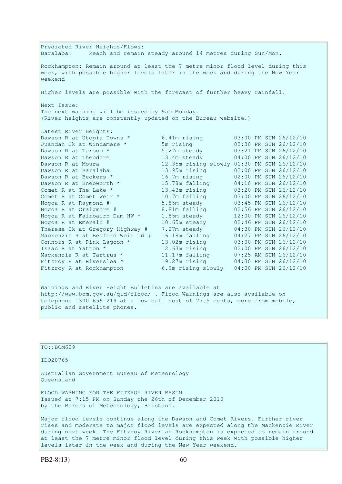Predicted River Heights/Flows: Baralaba: Reach and remain steady around 14 metres during Sun/Mon. Rockhampton: Remain around at least the 7 metre minor flood level during this week, with possible higher levels later in the week and during the New Year weekend Higher levels are possible with the forecast of further heavy rainfall. Next Issue: The next warning will be issued by 9am Monday. (River heights are constantly updated on the Bureau website.) Latest River Heights: Dawson R at Utopia Downs \* 6.41m rising 03:00 PM SUN 26/12/10<br>
Juandah Ck at Windamere \* 5m rising 03:30 PM SUN 26/12/10<br>
Dawson R at Taroom \* 5.27m steady 03:21 PM SUN 26/12/10 Juandah Ck at Windamere \* 5m rising 03:30 PM SUN 26/12/10 Dawson R at Taroom \* 5.27m steady 03:21 PM SUN 26/12/10 Dawson R at Theodore 13.4m steady 04:00 PM SUN 26/12/10 Dawson R at Moura 12.35m rising slowly 01:30 PM SUN 26/12/10 Dawson R at Baralaba 13.95m rising 03:00 PM SUN 26/12/10 Dawson R at Beckers \* 16.7m rising 02:00 PM SUN 26/12/10 Dawson R at Knebworth \* 15.78m falling 04:10 PM SUN 26/12/10 Comet R at The Lake \* 13.43m rising 03:20 PM SUN 26/12/10 Comet R at Comet Weir  $*$  10.7m falling 03:00 PM SUN 26/12/10 Nogoa R at Raymond # 5.85m steady 03:45 PM SUN 26/12/10 Nogoa R at Craigmore # 8.81m falling 02:56 PM SUN 26/12/10 Nogoa R at Fairbairn Dam HW \* 1.85m steady 12:00 PM SUN 26/12/10 Nogoa R at Emerald # 10.65m steady 02:46 PM SUN 26/12/10 Theresa Ck at Gregory Highway # 7.27m steady 04:30 PM SUN 26/12/10 Mackenzie R at Bedford Weir TW # 16.18m falling 04:27 PM SUN 26/12/10 Connors R at Pink Lagoon \* 13.02m rising 03:00 PM SUN 26/12/10 Isaac R at Yatton \* 12.63m rising 02:00 PM SUN 26/12/10 Mackenzie R at Tartrus \* 11.17m falling 07:25 AM SUN 26/12/10 Fitzroy R at Riverslea \* 19.27m rising 04:30 PM SUN 26/12/10 Fitzroy R at Rockhampton 6.9m rising slowly 04:00 PM SUN 26/12/10

Warnings and River Height Bulletins are available at http://www.bom.gov.au/qld/flood/ . Flood Warnings are also available on telephone 1300 659 219 at a low call cost of 27.5 cents, more from mobile, public and satellite phones.

| TO::BOM609                                                                                                                                                                                                                                                                                                                         |
|------------------------------------------------------------------------------------------------------------------------------------------------------------------------------------------------------------------------------------------------------------------------------------------------------------------------------------|
| ID020765                                                                                                                                                                                                                                                                                                                           |
| Australian Government Bureau of Meteorology<br>Oueensland                                                                                                                                                                                                                                                                          |
| FLOOD WARNING FOR THE FITZROY RIVER BASIN<br>Issued at 7:15 PM on Sunday the 26th of December 2010<br>by the Bureau of Meteorology, Brisbane.                                                                                                                                                                                      |
| Major flood levels continue along the Dawson and Comet Rivers. Further river<br>rises and moderate to major flood levels are expected along the Mackenzie River<br>during next week. The Fitzroy River at Rockhampton is expected to remain around<br>at least the 7 metre minor flood level during this week with possible higher |

levels later in the week and during the New Year weekend.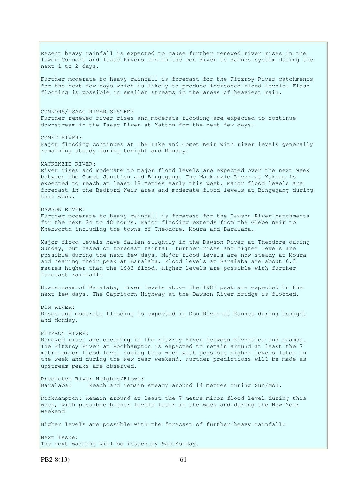Recent heavy rainfall is expected to cause further renewed river rises in the lower Connors and Isaac Rivers and in the Don River to Rannes system during the next 1 to 2 days. Further moderate to heavy rainfall is forecast for the Fitzroy River catchments for the next few days which is likely to produce increased flood levels. Flash flooding is possible in smaller streams in the areas of heaviest rain. CONNORS/ISAAC RIVER SYSTEM: Further renewed river rises and moderate flooding are expected to continue downstream in the Isaac River at Yatton for the next few days. COMET RIVER: Major flooding continues at The Lake and Comet Weir with river levels generally remaining steady during tonight and Monday. MACKENZIE RIVER: River rises and moderate to major flood levels are expected over the next week between the Comet Junction and Bingegang. The Mackenzie River at Yakcam is expected to reach at least 18 metres early this week. Major flood levels are forecast in the Bedford Weir area and moderate flood levels at Bingegang during this week. DAWSON RIVER: Further moderate to heavy rainfall is forecast for the Dawson River catchments for the next 24 to 48 hours. Major flooding extends from the Glebe Weir to Knebworth including the towns of Theodore, Moura and Baralaba. Major flood levels have fallen slightly in the Dawson River at Theodore during Sunday, but based on forecast rainfall further rises and higher levels are possible during the next few days. Major flood levels are now steady at Moura and nearing their peak at Baralaba. Flood levels at Baralaba are about 0.3 metres higher than the 1983 flood. Higher levels are possible with further forecast rainfall. Downstream of Baralaba, river levels above the 1983 peak are expected in the next few days. The Capricorn Highway at the Dawson River bridge is flooded. DON RIVER: Rises and moderate flooding is expected in Don River at Rannes during tonight and Monday. FITZROY RIVER: Renewed rises are occuring in the Fitzroy River between Riverslea and Yaamba. The Fitzroy River at Rockhampton is expected to remain around at least the 7 metre minor flood level during this week with possible higher levels later in the week and during the New Year weekend. Further predictions will be made as upstream peaks are observed. Predicted River Heights/Flows: Baralaba: Reach and remain steady around 14 metres during Sun/Mon. Rockhampton: Remain around at least the 7 metre minor flood level during this week, with possible higher levels later in the week and during the New Year weekend Higher levels are possible with the forecast of further heavy rainfall. Next Issue: The next warning will be issued by 9am Monday.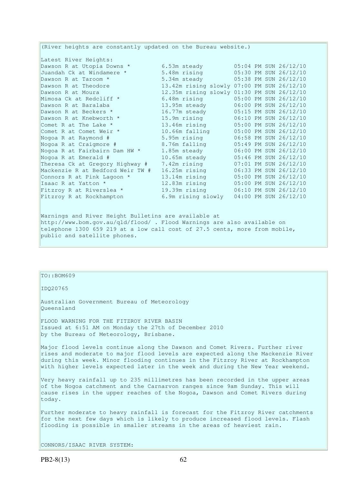| (River heights are constantly updated on the Bureau website.) |                                            |  |                       |
|---------------------------------------------------------------|--------------------------------------------|--|-----------------------|
| Latest River Heights:                                         |                                            |  |                       |
| Dawson R at Utopia Downs *                                    | 6.53m steady                               |  | 05:04 PM SUN 26/12/10 |
| Juandah Ck at Windamere *                                     | 5.48m rising                               |  | 05:30 PM SUN 26/12/10 |
| Dawson R at Taroom *                                          | 5.34m steady                               |  | 05:38 PM SUN 26/12/10 |
| Dawson R at Theodore                                          | 13.42m rising slowly 07:00 PM SUN 26/12/10 |  |                       |
| Dawson R at Moura                                             | 12.35m rising slowly 01:30 PM SUN 26/12/10 |  |                       |
| Mimosa Ck at Redcliff *                                       | 6.48m rising                               |  | 05:00 PM SUN 26/12/10 |
| Dawson R at Baralaba                                          | 13.95m steady                              |  | 06:00 PM SUN 26/12/10 |
| Dawson R at Beckers *                                         | 16.77m steady                              |  | 05:15 PM SUN 26/12/10 |
| Dawson R at Knebworth *                                       | 15.9m rising                               |  | 06:10 PM SUN 26/12/10 |
| Comet R at The Lake *                                         | 13.46m rising                              |  | 05:00 PM SUN 26/12/10 |
| Comet R at Comet Weir *                                       | 10.66m falling                             |  | 05:00 PM SUN 26/12/10 |
| Nogoa R at Raymond #                                          | 5.95m rising                               |  | 06:58 PM SUN 26/12/10 |
| Nogoa R at Craigmore #                                        | 8.76m falling                              |  | 05:49 PM SUN 26/12/10 |
| Nogoa R at Fairbairn Dam HW *                                 | 1.85m steady                               |  | 06:00 PM SUN 26/12/10 |
| Nogoa R at Emerald #                                          | 10.65m steady                              |  | 05:46 PM SUN 26/12/10 |
| Theresa Ck at Gregory Highway #                               | 7.42m rising                               |  | 07:01 PM SUN 26/12/10 |
| Mackenzie R at Bedford Weir TW #                              | $16.25m$ rising                            |  | 06:33 PM SUN 26/12/10 |
| Connors R at Pink Lagoon *                                    | 13.14m rising                              |  | 05:00 PM SUN 26/12/10 |
| Isaac R at Yatton *                                           | 12.83m rising                              |  | 05:00 PM SUN 26/12/10 |
| Fitzroy R at Riverslea *                                      | 19.39m rising                              |  | 06:10 PM SUN 26/12/10 |
| Fitzroy R at Rockhampton                                      | 6.9m rising slowly                         |  | 04:00 PM SUN 26/12/10 |
|                                                               |                                            |  |                       |
|                                                               |                                            |  |                       |

Warnings and River Height Bulletins are available at http://www.bom.gov.au/qld/flood/ . Flood Warnings are also available on telephone 1300 659 219 at a low call cost of 27.5 cents, more from mobile, public and satellite phones.

# $TO::BOM609$

IDQ20765

Australian Government Bureau of Meteorology Queensland

FLOOD WARNING FOR THE FITZROY RIVER BASIN Issued at 6:51 AM on Monday the 27th of December 2010 by the Bureau of Meteorology, Brisbane.

Major flood levels continue along the Dawson and Comet Rivers. Further river rises and moderate to major flood levels are expected along the Mackenzie River during this week. Minor flooding continues in the Fitzroy River at Rockhampton with higher levels expected later in the week and during the New Year weekend.

Very heavy rainfall up to 235 millimetres has been recorded in the upper areas of the Nogoa catchment and the Carnarvon ranges since 9am Sunday. This will cause rises in the upper reaches of the Nogoa, Dawson and Comet Rivers during today.

Further moderate to heavy rainfall is forecast for the Fitzroy River catchments for the next few days which is likely to produce increased flood levels. Flash flooding is possible in smaller streams in the areas of heaviest rain.

CONNORS/ISAAC RIVER SYSTEM: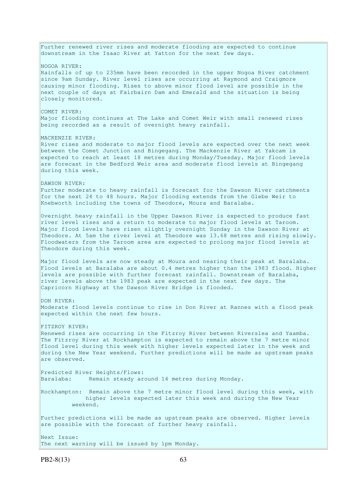Further renewed river rises and moderate flooding are expected to continue downstream in the Isaac River at Yatton for the next few days. NOGOA RIVER: Rainfalls of up to 235mm have been recorded in the upper Nogoa River catchment since 9am Sunday. River level rises are occurring at Raymond and Craigmore causing minor flooding. Rises to above minor flood level are possible in the next couple of days at Fairbairn Dam and Emerald and the situation is being closely monitored. COMET RIVER: Major flooding continues at The Lake and Comet Weir with small renewed rises being recorded as a result of overnight heavy rainfall. MACKENZIE RIVER: River rises and moderate to major flood levels are expected over the next week between the Comet Junction and Bingegang. The Mackenzie River at Yakcam is expected to reach at least 18 metres during Monday/Tuesday. Major flood levels are forecast in the Bedford Weir area and moderate flood levels at Bingegang during this week. DAWSON RIVER: Further moderate to heavy rainfall is forecast for the Dawson River catchments for the next 24 to 48 hours. Major flooding extends from the Glebe Weir to Knebworth including the towns of Theodore, Moura and Baralaba. Overnight heavy rainfall in the Upper Dawson River is expected to produce fast river level rises and a return to moderate to major flood levels at Taroom. Major flood levels have risen slightly overnight Sunday in the Dawson River at Theodore. At 5am the river level at Theodore was 13.68 metres and rising slowly. Floodwaters from the Taroom area are expected to prolong major flood levels at Theodore during this week. Major flood levels are now steady at Moura and nearing their peak at Baralaba. Flood levels at Baralaba are about 0.4 metres higher than the 1983 flood. Higher levels are possible with further forecast rainfall. Downstream of Baralaba, river levels above the 1983 peak are expected in the next few days. The Capricorn Highway at the Dawson River Bridge is flooded. DON RIVER: Moderate flood levels continue to rise in Don River at Rannes with a flood peak expected within the next few hours. FITZROY RIVER: Renewed rises are occurring in the Fitzroy River between Riverslea and Yaamba. The Fitzroy River at Rockhampton is expected to remain above the 7 metre minor flood level during this week with higher levels expected later in the week and during the New Year weekend. Further predictions will be made as upstream peaks are observed. Predicted River Heights/Flows: Baralaba: Remain steady around 14 metres during Monday. Rockhampton: Remain above the 7 metre minor flood level during this week, with higher levels expected later this week and during the New Year weekend. Further predictions will be made as upstream peaks are observed. Higher levels are possible with the forecast of further heavy rainfall. Next Issue: The next warning will be issued by 1pm Monday.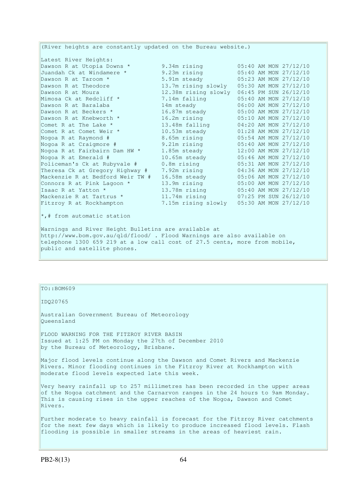(River heights are constantly updated on the Bureau website.) Latest River Heights: Dawson R at Utopia Downs \* 9.34m rising 05:40 AM MON 27/12/10 Juandah Ck at Windamere \* 9.23m rising 05:40 AM MON 27/12/10 Dawson R at Taroom \* 5.91m steady 05:23 AM MON 27/12/10 Dawson R at Theodore 13.7m rising slowly 05:30 AM MON 27/12/10 Dawson R at Moura 12.38m rising slowly 06:45 PM SUN 26/12/10 Mimosa Ck at Redcliff \* 7.14m falling 05:40 AM MON 27/12/10 Dawson R at Baralaba 14m steady 06:00 AM MON 27/12/10 Dawson R at Beckers  $\star$  16.87m steady 05:00 AM MON 27/12/10 Dawson R at Knebworth \* 16.2m rising 05:10 AM MON 27/12/10 Comet R at The Lake  $\star$  13.48m falling 04:20 AM MON 27/12/10 Comet R at Comet Weir \* 10.53m steady 01:28 AM MON 27/12/10 Nogoa R at Raymond # 8.65m rising 05:54 AM MON 27/12/10 Nogoa R at Craigmore # 9.21m rising 05:40 AM MON 27/12/10 Nogoa R at Fairbairn Dam HW \* 1.85m steady 12:00 AM MON 27/12/10 Nogoa R at Emerald # 10.65m steady 05:46 AM MON 27/12/10 Policeman's Ck at Rubyvale # 0.8m rising 05:31 AM MON 27/12/10 Theresa Ck at Gregory Highway # 7.92m rising 04:36 AM MON 27/12/10 Mackenzie R at Bedford Weir TW # 16.58m steady 05:06 AM MON 27/12/10 Connors R at Pink Lagoon  $*$  13.9m rising  $05:00$  AM MON 27/12/10 Isaac R at Yatton \* 13.78m rising 05:40 AM MON 27/12/10 Mackenzie R at Tartrus \* 11.74m rising 07:25 PM SUN 26/12/10 Fitzroy R at Rockhampton 7.15m rising slowly 05:30 AM MON 27/12/10 \*,# from automatic station Warnings and River Height Bulletins are available at http://www.bom.gov.au/qld/flood/ . Flood Warnings are also available on telephone 1300 659 219 at a low call cost of 27.5 cents, more from mobile, public and satellite phones.

TO::BOM609

IDQ20765

Australian Government Bureau of Meteorology Queensland

FLOOD WARNING FOR THE FITZROY RIVER BASIN Issued at 1:25 PM on Monday the 27th of December 2010 by the Bureau of Meteorology, Brisbane.

Major flood levels continue along the Dawson and Comet Rivers and Mackenzie Rivers. Minor flooding continues in the Fitzroy River at Rockhampton with moderate flood levels expected late this week.

Very heavy rainfall up to 257 millimetres has been recorded in the upper areas of the Nogoa catchment and the Carnarvon ranges in the 24 hours to 9am Monday. This is causing rises in the upper reaches of the Nogoa, Dawson and Comet Rivers.

Further moderate to heavy rainfall is forecast for the Fitzroy River catchments for the next few days which is likely to produce increased flood levels. Flash flooding is possible in smaller streams in the areas of heaviest rain.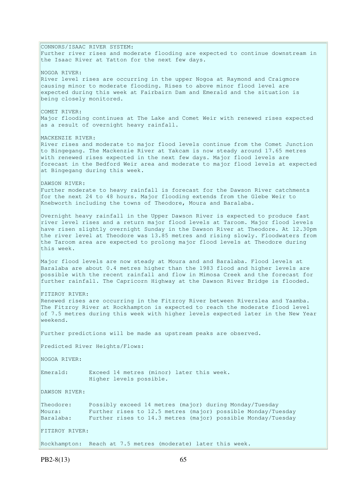CONNORS/ISAAC RIVER SYSTEM: Further river rises and moderate flooding are expected to continue downstream in the Isaac River at Yatton for the next few days. NOGOA RIVER: River level rises are occurring in the upper Nogoa at Raymond and Craigmore causing minor to moderate flooding. Rises to above minor flood level are expected during this week at Fairbairn Dam and Emerald and the situation is being closely monitored. COMET RIVER: Major flooding continues at The Lake and Comet Weir with renewed rises expected as a result of overnight heavy rainfall. MACKENZIE RIVER: River rises and moderate to major flood levels continue from the Comet Junction to Bingegang. The Mackenzie River at Yakcam is now steady around 17.65 metres with renewed rises expected in the next few days. Major flood levels are forecast in the Bedford Weir area and moderate to major flood levels at expected at Bingegang during this week. DAWSON RIVER: Further moderate to heavy rainfall is forecast for the Dawson River catchments for the next 24 to 48 hours. Major flooding extends from the Glebe Weir to Knebworth including the towns of Theodore, Moura and Baralaba. Overnight heavy rainfall in the Upper Dawson River is expected to produce fast river level rises and a return major flood levels at Taroom. Major flood levels have risen slightly overnight Sunday in the Dawson River at Theodore. At 12.30pm the river level at Theodore was 13.85 metres and rising slowly. Floodwaters from the Taroom area are expected to prolong major flood levels at Theodore during this week. Major flood levels are now steady at Moura and and Baralaba. Flood levels at Baralaba are about 0.4 metres higher than the 1983 flood and higher levels are possible with the recent rainfall and flow in Mimosa Creek and the forecast for further rainfall. The Capricorn Highway at the Dawson River Bridge is flooded. FITZROY RIVER: Renewed rises are occurring in the Fitzroy River between Riverslea and Yaamba. The Fitzroy River at Rockhampton is expected to reach the moderate flood level of 7.5 metres during this week with higher levels expected later in the New Year weekend. Further predictions will be made as upstream peaks are observed. Predicted River Heights/Flows: NOGOA RIVER: Emerald: Exceed 14 metres (minor) later this week. Higher levels possible. DAWSON RIVER: Theodore: Possibly exceed 14 metres (major) during Monday/Tuesday Moura: Further rises to 12.5 metres (major) possible Monday/Tuesday Baralaba: Further rises to 14.3 metres (major) possible Monday/Tuesday FITZROY RIVER: Rockhampton: Reach at 7.5 metres (moderate) later this week.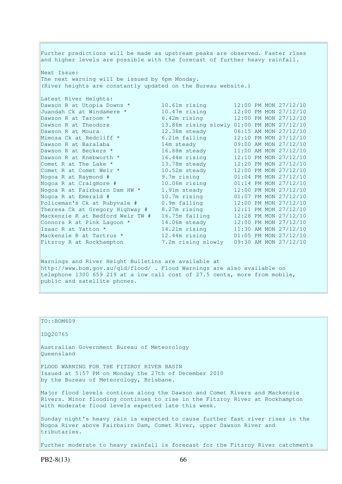Further predictions will be made as upstream peaks are observed. Faster rises and higher levels are possible with the forecast of further heavy rainfall. Next Issue: The next warning will be issued by 6pm Monday. (River heights are constantly updated on the Bureau website.) Latest River Heights: Dawson R at Utopia Downs \* 10.61m rising 12:00 PM MON 27/12/10 Juandah Ck at Windamere \* 10.47m rising 12:00 PM MON 27/12/10 Dawson R at Taroom \* 6.42m rising 12:00 PM MON 27/12/10 Dawson R at Theodore 13.86m rising slowly 01:00 PM MON 27/12/10 Dawson R at Moura 12.38m steady 06:15 AM MON 27/12/10 Mimosa Ck at Redcliff \* 6.21m falling 12:10 PM MON 27/12/10 Dawson R at Baralaba 14m steady 09:00 AM MON 27/12/10 Dawson R at Beckers \* 16.88m steady 11:00 AM MON 27/12/10 Dawson R at Knebworth \* 16.44m rising 12:10 PM MON 27/12/10 Comet R at The Lake  $*$  13.78m steady 12:20 PM MON 27/12/10 Comet R at Comet Weir \* 10.52m steady 12:00 PM MON 27/12/10 Nogoa R at Raymond # 9.7m rising 01:04 PM MON 27/12/10 Nogoa R at Craigmore # 10.06m rising 01:14 PM MON 27/12/10 Nogoa R at Fairbairn Dam HW \* 1.91m steady 12:00 PM MON 27/12/10 Nogoa R at Emerald # 10.7m rising 01:07 PM MON 27/12/10 Policeman's Ck at Rubyvale # 0.9m falling 12:00 PM MON 27/12/10 Theresa Ck at Gregory Highway # 8.27m rising 12:11 PM MON 27/12/10 Mackenzie R at Bedford Weir TW # 16.75m falling 12:28 PM MON 27/12/10 Connors R at Pink Lagoon  $*$  14.06m steady 12:00 PM MON 27/12/10 Isaac R at Yatton \* 14.21m rising 11:30 AM MON 27/12/10 Mackenzie R at Tartrus \* 12.44m rising 01:05 PM MON 27/12/10 Fitzroy R at Rockhampton 7.2m rising slowly 09:30 AM MON 27/12/10

Warnings and River Height Bulletins are available at http://www.bom.gov.au/qld/flood/ . Flood Warnings are also available on telephone 1300 659 219 at a low call cost of 27.5 cents, more from mobile, public and satellite phones.

TO::BOM609 IDQ20765 Australian Government Bureau of Meteorology Queensland FLOOD WARNING FOR THE FITZROY RIVER BASIN Issued at 5:57 PM on Monday the 27th of December 2010 by the Bureau of Meteorology, Brisbane. Major flood levels continue along the Dawson and Comet Rivers and Mackenzie Rivers. Minor flooding continues to rise in the Fitzroy River at Rockhampton with moderate flood levels expected late this week. Sunday night's heavy rain is expected to cause further fast river rises in the Nogoa River above Fairbairn Dam, Comet River, upper Dawson River and tributaries. Further moderate to heavy rainfall is forecast for the Fitzroy River catchments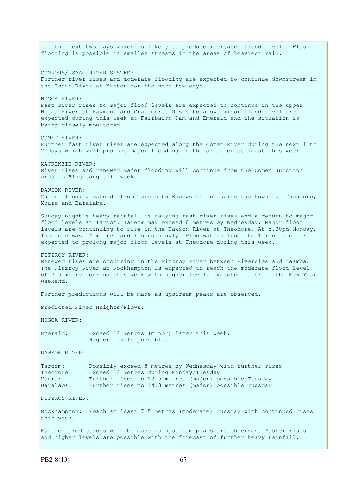for the next two days which is likely to produce increased flood levels. Flash flooding is possible in smaller streams in the areas of heaviest rain. CONNORS/ISAAC RIVER SYSTEM: Further river rises and moderate flooding are expected to continue downstream in the Isaac River at Yatton for the next few days. NOGOA RIVER: Fast river rises to major flood levels are expected to continue in the upper Nogoa River at Raymond and Craigmore. Rises to above minor flood level are expected during this week at Fairbairn Dam and Emerald and the situation is being closely monitored. COMET RIVER: Further fast river rises are expected along the Comet River during the next 1 to 2 days which will prolong major flooding in the area for at least this week. MACKENZIE RIVER: River rises and renewed major flooding will continue from the Comet Junction area to Bingegang this week. DAWSON RIVER: Major flooding extends from Taroom to Knebworth including the towns of Theodore, Moura and Baralaba. Sunday night's heavy rainfall is causing fast river rises and a return to major flood levels at Taroom. Taroom may exceed 8 metres by Wednesday. Major flood levels are continuing to rise in the Dawson River at Theodore. At 5.30pm Monday, Theodore was 14 metres and rising slowly. Floodwaters from the Taroom area are expected to prolong major flood levels at Theodore during this week. FITZROY RIVER: Renewed rises are occurring in the Fitzroy River between Riverslea and Yaamba. The Fitzroy River at Rockhampton is expected to reach the moderate flood level of 7.5 metres during this week with higher levels expected later in the New Year weekend. Further predictions will be made as upstream peaks are observed. Predicted River Heights/Flows: NOGOA RIVER: Emerald: Exceed 14 metres (minor) later this week. Higher levels possible. DAWSON RIVER: Taroom: Possibly exceed 8 metres by Wednesday with further rises Theodore: Exceed 14 metres during Monday/Tuesday Moura: Further rises to 12.5 metres (major) possible Tuesday Baralaba: Further rises to 14.3 metres (major) possible Tuesday FITZROY RIVER: Rockhampton: Reach at least 7.5 metres (moderate) Tuesday with continued rises this week. Further predictions will be made as upstream peaks are observed. Faster rises and higher levels are possible with the forecast of further heavy rainfall.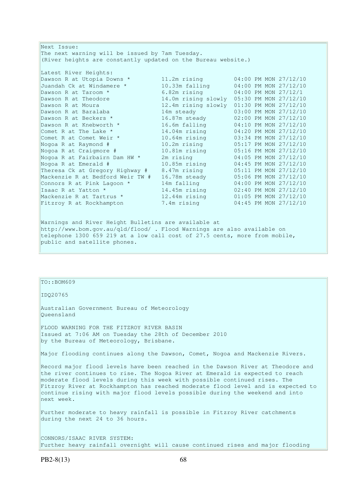Next Issue: The next warning will be issued by 7am Tuesday. (River heights are constantly updated on the Bureau website.) Latest River Heights: Dawson R at Utopia Downs \* 11.2m rising 04:00 PM MON 27/12/10 Juandah Ck at Windamere \* 10.33m falling 04:00 PM MON 27/12/10 Dawson R at Taroom \* 6.82m rising 04:00 PM MON 27/12/1 Dawson R at Theodore 14.0m rising slowly 05:30 PM MON 27/12/10 Dawson R at Moura 12.4m rising slowly 01:30 PM MON 27/12/10 Dawson R at Baralaba 14m steady 03:00 PM MON 27/12/10 Dawson R at Beckers \* 16.87m steady 02:00 PM MON 27/12/10 Dawson R at Knebworth \* 16.6m falling 04:10 PM MON 27/12/10 Comet R at The Lake  $*$  14.04m rising 04:20 PM MON 27/12/10 Comet R at Comet Weir \* 10.64m rising 03:34 PM MON 27/12/10 Nogoa R at Raymond # 10.2m rising 05:17 PM MON 27/12/10 Nogoa R at Craigmore # 10.81m rising 05:16 PM MON 27/12/10 Nogoa R at Fairbairn Dam HW \* 2m rising 04:05 PM MON 27/12/10 Nogoa R at Emerald # 10.85m rising 04:45 PM MON 27/12/10 Theresa Ck at Gregory Highway # 8.47m rising 05:11 PM MON 27/12/10 Mackenzie R at Bedford Weir TW # 16.78m steady 05:06 PM MON 27/12/10 Connors R at Pink Lagoon \* 14m falling 04:00 PM MON 27/12/10 Isaac R at Yatton \* 14.45m rising 02:40 PM MON 27/12/10 Mackenzie R at Tartrus \* 12.44m rising 01:05 PM MON 27/12/10 Fitzroy R at Rockhampton 7.4m rising 04:45 PM MON 27/12/10 Warnings and River Height Bulletins are available at http://www.bom.gov.au/qld/flood/ . Flood Warnings are also available on

telephone 1300 659 219 at a low call cost of 27.5 cents, more from mobile, public and satellite phones.

### $TO::BOM609$

IDQ20765

Australian Government Bureau of Meteorology Queensland

FLOOD WARNING FOR THE FITZROY RIVER BASIN Issued at 7:06 AM on Tuesday the 28th of December 2010 by the Bureau of Meteorology, Brisbane.

Major flooding continues along the Dawson, Comet, Nogoa and Mackenzie Rivers.

Record major flood levels have been reached in the Dawson River at Theodore and the river continues to rise. The Nogoa River at Emerald is expected to reach moderate flood levels during this week with possible continued rises. The Fitzroy River at Rockhampton has reached moderate flood level and is expected to continue rising with major flood levels possible during the weekend and into next week.

Further moderate to heavy rainfall is possible in Fitzroy River catchments during the next 24 to 36 hours.

CONNORS/ISAAC RIVER SYSTEM: Further heavy rainfall overnight will cause continued rises and major flooding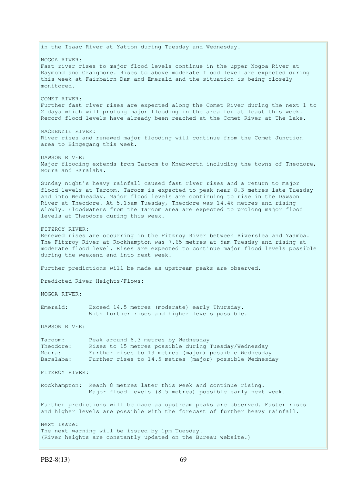in the Isaac River at Yatton during Tuesday and Wednesday. NOGOA RIVER: Fast river rises to major flood levels continue in the upper Nogoa River at Raymond and Craigmore. Rises to above moderate flood level are expected during this week at Fairbairn Dam and Emerald and the situation is being closely monitored. COMET RIVER: Further fast river rises are expected along the Comet River during the next 1 to 2 days which will prolong major flooding in the area for at least this week. Record flood levels have already been reached at the Comet River at The Lake. MACKENZIE RIVER: River rises and renewed major flooding will continue from the Comet Junction area to Bingegang this week. DAWSON RIVER: Major flooding extends from Taroom to Knebworth including the towns of Theodore, Moura and Baralaba. Sunday night's heavy rainfall caused fast river rises and a return to major flood levels at Taroom. Taroom is expected to peak near 8.3 metres late Tuesday and into Wednesday. Major flood levels are continuing to rise in the Dawson River at Theodore. At 5.15am Tuesday, Theodore was 14.46 metres and rising slowly. Floodwaters from the Taroom area are expected to prolong major flood levels at Theodore during this week. FITZROY RIVER: Renewed rises are occurring in the Fitzroy River between Riverslea and Yaamba. The Fitzroy River at Rockhampton was 7.65 metres at 5am Tuesday and rising at moderate flood level. Rises are expected to continue major flood levels possible during the weekend and into next week. Further predictions will be made as upstream peaks are observed. Predicted River Heights/Flows: NOGOA RIVER: Emerald: Exceed 14.5 metres (moderate) early Thursday. With further rises and higher levels possible. DAWSON RIVER: Taroom: Peak around 8.3 metres by Wednesday Theodore: Rises to 15 metres possible during Tuesday/Wednesday Moura: Further rises to 13 metres (major) possible Wednesday Baralaba: Further rises to 14.5 metres (major) possible Wednesday FITZROY RIVER: Rockhampton: Reach 8 metres later this week and continue rising. Major flood levels (8.5 metres) possible early next week. Further predictions will be made as upstream peaks are observed. Faster rises and higher levels are possible with the forecast of further heavy rainfall. Next Issue: The next warning will be issued by 1pm Tuesday. (River heights are constantly updated on the Bureau website.)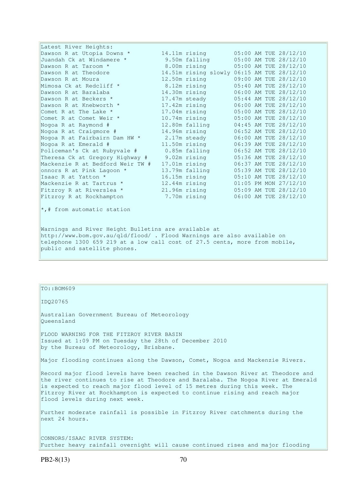| Latest River Heights:                                |                                            |  |                       |
|------------------------------------------------------|--------------------------------------------|--|-----------------------|
| Dawson R at Utopia Downs *                           | 14.11m rising                              |  | 05:00 AM TUE 28/12/10 |
| Juandah Ck at Windamere *                            | 9.50m falling                              |  | 05:00 AM TUE 28/12/10 |
| Dawson R at Taroom *                                 | 8.00m rising                               |  | 05:00 AM TUE 28/12/10 |
| Dawson R at Theodore                                 | 14.51m rising slowly 06:15 AM TUE 28/12/10 |  |                       |
| Dawson R at Moura                                    | 12.50m rising                              |  | 09:00 AM TUE 28/12/10 |
| Mimosa Ck at Redcliff *                              | 8.12m rising                               |  | 05:40 AM TUE 28/12/10 |
| Dawson R at Baralaba                                 | 14.30m rising                              |  | 06:00 AM TUE 28/12/10 |
| Dawson R at Beckers *                                | 17.47m steady                              |  | 05:44 AM TUE 28/12/10 |
| Dawson R at Knebworth *                              | 17.42m rising                              |  | 06:00 AM TUE 28/12/10 |
| Comet R at The Lake *                                | 17.04m rising                              |  | 05:00 AM TUE 28/12/10 |
| Comet R at Comet Weir *                              | 10.74m rising                              |  | 05:00 AM TUE 28/12/10 |
| Nogoa R at Raymond #                                 | 12.80m falling                             |  | 04:45 AM TUE 28/12/10 |
| Nogoa R at Craigmore #                               | 14.96m rising                              |  | 06:52 AM TUE 28/12/10 |
| Nogoa R at Fairbairn Dam HW *                        | 2.17m steady                               |  | 06:00 AM TUE 28/12/10 |
| Nogoa R at Emerald #                                 | 11.50m rising                              |  | 06:39 AM TUE 28/12/10 |
| Policeman's Ck at Rubyvale #                         | 0.85m falling                              |  | 06:52 AM TUE 28/12/10 |
| Theresa Ck at Gregory Highway #                      | 9.02m rising                               |  | 05:36 AM TUE 28/12/10 |
| Mackenzie R at Bedford Weir TW #                     | 17.01m rising                              |  | 06:37 AM TUE 28/12/10 |
| onnors R at Pink Lagoon *                            | 13.79m falling                             |  | 05:39 AM TUE 28/12/10 |
| Isaac R at Yatton *                                  | 16.15m rising                              |  | 05:10 AM TUE 28/12/10 |
| Mackenzie R at Tartrus *                             | 12.44m rising                              |  | 01:05 PM MON 27/12/10 |
| Fitzroy R at Riverslea *                             | $21.96m$ rising                            |  | 05:09 AM TUE 28/12/10 |
| Fitzroy R at Rockhampton                             | 7.70m rising                               |  | 06:00 AM TUE 28/12/10 |
| *,# from automatic station                           |                                            |  |                       |
| Warnings and River Height Bulletins are available at |                                            |  |                       |

http://www.bom.gov.au/qld/flood/ . Flood Warnings are also available on telephone 1300 659 219 at a low call cost of 27.5 cents, more from mobile, public and satellite phones.

TO::BOM609

IDQ20765

Australian Government Bureau of Meteorology Queensland

FLOOD WARNING FOR THE FITZROY RIVER BASIN Issued at 1:09 PM on Tuesday the 28th of December 2010 by the Bureau of Meteorology, Brisbane.

Major flooding continues along the Dawson, Comet, Nogoa and Mackenzie Rivers.

Record major flood levels have been reached in the Dawson River at Theodore and the river continues to rise at Theodore and Baralaba. The Nogoa River at Emerald is expected to reach major flood level of 15 metres during this week. The Fitzroy River at Rockhampton is expected to continue rising and reach major flood levels during next week.

Further moderate rainfall is possible in Fitzroy River catchments during the next 24 hours.

CONNORS/ISAAC RIVER SYSTEM: Further heavy rainfall overnight will cause continued rises and major flooding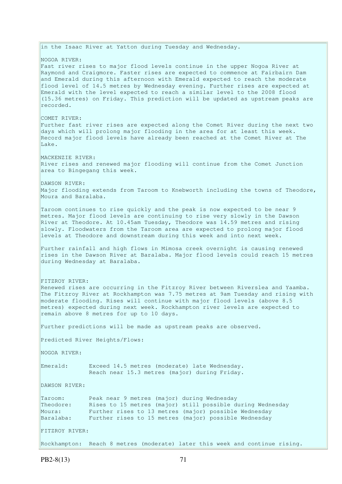in the Isaac River at Yatton during Tuesday and Wednesday. NOGOA RIVER: Fast river rises to major flood levels continue in the upper Nogoa River at Raymond and Craigmore. Faster rises are expected to commence at Fairbairn Dam and Emerald during this afternoon with Emerald expected to reach the moderate flood level of 14.5 metres by Wednesday evening. Further rises are expected at Emerald with the level expected to reach a similar level to the 2008 flood (15.36 metres) on Friday. This prediction will be updated as upstream peaks are recorded. COMET RIVER: Further fast river rises are expected along the Comet River during the next two days which will prolong major flooding in the area for at least this week. Record major flood levels have already been reached at the Comet River at The Lake. MACKENZIE RIVER: River rises and renewed major flooding will continue from the Comet Junction area to Bingegang this week. DAWSON RIVER: Major flooding extends from Taroom to Knebworth including the towns of Theodore, Moura and Baralaba. Taroom continues to rise quickly and the peak is now expected to be near 9 metres. Major flood levels are continuing to rise very slowly in the Dawson River at Theodore. At 10.45am Tuesday, Theodore was 14.59 metres and rising slowly. Floodwaters from the Taroom area are expected to prolong major flood levels at Theodore and downstream during this week and into next week. Further rainfall and high flows in Mimosa creek overnight is causing renewed rises in the Dawson River at Baralaba. Major flood levels could reach 15 metres during Wednesday at Baralaba. FITZROY RIVER: Renewed rises are occurring in the Fitzroy River between Riverslea and Yaamba. The Fitzroy River at Rockhampton was 7.75 metres at 9am Tuesday and rising with moderate flooding. Rises will continue with major flood levels (above 8.5 metres) expected during next week. Rockhampton river levels are expected to remain above 8 metres for up to 10 days. Further predictions will be made as upstream peaks are observed. Predicted River Heights/Flows: NOGOA RIVER: Emerald: Exceed 14.5 metres (moderate) late Wednesday. Reach near 15.3 metres (major) during Friday. DAWSON RIVER: Taroom: Peak near 9 metres (major) during Wednesday Theodore: Rises to 15 metres (major) still possible during Wednesday Moura: Further rises to 13 metres (major) possible Wednesday Baralaba: Further rises to 15 metres (major) possible Wednesday FITZROY RIVER: Rockhampton: Reach 8 metres (moderate) later this week and continue rising.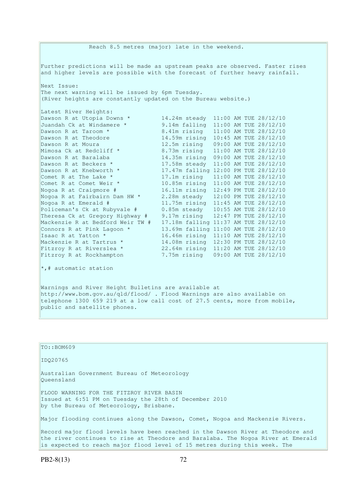Reach 8.5 metres (major) late in the weekend. Further predictions will be made as upstream peaks are observed. Faster rises and higher levels are possible with the forecast of further heavy rainfall. Next Issue: The next warning will be issued by 6pm Tuesday. (River heights are constantly updated on the Bureau website.) Latest River Heights: Dawson R at Utopia Downs \* 14.24m steady 11:00 AM TUE 28/12/10 Juandah Ck at Windamere \* 9.14m falling 11:00 AM TUE 28/12/10 Dawson R at Taroom \* 8.41m rising 11:00 AM TUE 28/12/10 Dawson R at Theodore 14.59m rising 10:45 AM TUE 28/12/10 Dawson R at Moura 12.5m rising 09:00 AM TUE 28/12/10 Mimosa Ck at Redcliff \* 8.73m rising 11:00 AM TUE 28/12/10 Dawson R at Baralaba 14.35m rising 09:00 AM TUE 28/12/10 Dawson R at Beckers \* 17.58m steady 11:00 AM TUE 28/12/10 Dawson R at Knebworth \* 17.47m falling 12:00 PM TUE 28/12/10 Comet R at The Lake \* 17.1m rising 11:00 AM TUE 28/12/10 Comet R at Comet Weir \* 10.85m rising 11:00 AM TUE 28/12/10 Nogoa R at Craigmore # 16.11m rising 12:49 PM TUE 28/12/10 Nogoa R at Fairbairn Dam HW \* 2.28m steady 12:00 PM TUE 28/12/10 Nogoa R at Emerald # 11.75m rising 11:45 AM TUE 28/12/10 Policeman's Ck at Rubyvale # 0.85m steady 10:55 AM TUE 28/12/10 Theresa Ck at Gregory Highway # 9.17m rising 12:47 PM TUE 28/12/10 Mackenzie R at Bedford Weir TW # 17.18m falling 11:37 AM TUE 28/12/10 Connors R at Pink Lagoon  $*$  13.69m falling 11:00 AM TUE 28/12/10 Isaac R at Yatton \* 16.46m rising 11:10 AM TUE 28/12/10 Mackenzie R at Tartrus \* 14.08m rising 12:30 PM TUE 28/12/10 Fitzroy R at Riverslea \* 22.64m rising 11:20 AM TUE 28/12/10 Fitzroy R at Rockhampton 7.75m rising 09:00 AM TUE 28/12/10  $\star$ , # automatic station

Warnings and River Height Bulletins are available at http://www.bom.gov.au/qld/flood/ . Flood Warnings are also available on telephone 1300 659 219 at a low call cost of 27.5 cents, more from mobile, public and satellite phones.

| TO::BOM609                                                                                                                                                          |
|---------------------------------------------------------------------------------------------------------------------------------------------------------------------|
| ID020765                                                                                                                                                            |
| Australian Government Bureau of Meteorology<br>Oueensland                                                                                                           |
| FLOOD WARNING FOR THE FITZROY RIVER BASIN<br>Issued at 6:51 PM on Tuesday the 28th of December 2010<br>by the Bureau of Meteorology, Brisbane.                      |
| Major flooding continues along the Dawson, Comet, Nogoa and Mackenzie Rivers.                                                                                       |
| Record major flood levels have been reached in the Dawson River at Theodore and<br>the river continues to rise at Theodore and Baralaba. The Nogoa River at Emerald |

is expected to reach major flood level of 15 metres during this week. The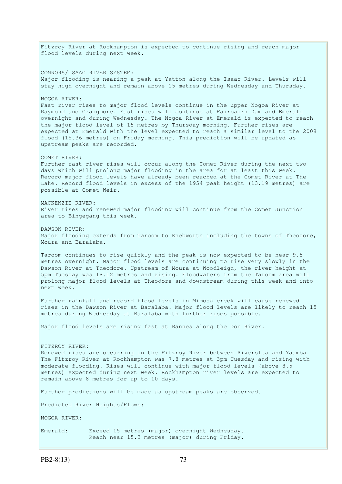Fitzroy River at Rockhampton is expected to continue rising and reach major flood levels during next week. CONNORS/ISAAC RIVER SYSTEM: Major flooding is nearing a peak at Yatton along the Isaac River. Levels will stay high overnight and remain above 15 metres during Wednesday and Thursday. NOGOA RIVER: Fast river rises to major flood levels continue in the upper Nogoa River at Raymond and Craigmore. Fast rises will continue at Fairbairn Dam and Emerald overnight and during Wednesday. The Nogoa River at Emerald is expected to reach the major flood level of 15 metres by Thursday morning. Further rises are expected at Emerald with the level expected to reach a similar level to the 2008 flood (15.36 metres) on Friday morning. This prediction will be updated as upstream peaks are recorded. COMET RIVER: Further fast river rises will occur along the Comet River during the next two days which will prolong major flooding in the area for at least this week. Record major flood levels have already been reached at the Comet River at The Lake. Record flood levels in excess of the 1954 peak height (13.19 metres) are possible at Comet Weir. MACKENZIE RIVER: River rises and renewed major flooding will continue from the Comet Junction area to Bingegang this week. DAWSON RIVER: Major flooding extends from Taroom to Knebworth including the towns of Theodore, Moura and Baralaba. Taroom continues to rise quickly and the peak is now expected to be near 9.5 metres overnight. Major flood levels are continuing to rise very slowly in the Dawson River at Theodore. Upstream of Moura at Woodleigh, the river height at 5pm Tuesday was 18.12 metres and rising. Floodwaters from the Taroom area will prolong major flood levels at Theodore and downstream during this week and into next week. Further rainfall and record flood levels in Mimosa creek will cause renewed rises in the Dawson River at Baralaba. Major flood levels are likely to reach 15 metres during Wednesday at Baralaba with further rises possible. Major flood levels are rising fast at Rannes along the Don River. FITZROY RIVER: Renewed rises are occurring in the Fitzroy River between Riverslea and Yaamba. The Fitzroy River at Rockhampton was 7.8 metres at 3pm Tuesday and rising with moderate flooding. Rises will continue with major flood levels (above 8.5 metres) expected during next week. Rockhampton river levels are expected to remain above 8 metres for up to 10 days. Further predictions will be made as upstream peaks are observed. Predicted River Heights/Flows: NOGOA RIVER: Emerald: Exceed 15 metres (major) overnight Wednesday. Reach near 15.3 metres (major) during Friday.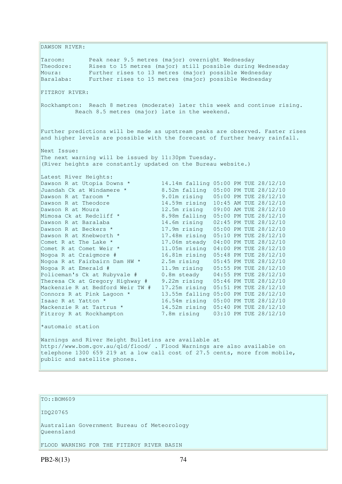DAWSON RIVER: Taroom: Peak near 9.5 metres (major) overnight Wednesday Theodore: Rises to 15 metres (major) still possible during Wednesday Moura: Further rises to 13 metres (major) possible Wednesday Baralaba: Further rises to 15 metres (major) possible Wednesday FITZROY RIVER: Rockhampton: Reach 8 metres (moderate) later this week and continue rising. Reach 8.5 metres (major) late in the weekend. Further predictions will be made as upstream peaks are observed. Faster rises and higher levels are possible with the forecast of further heavy rainfall. Next Issue: The next warning will be issued by 11:30pm Tuesday. (River heights are constantly updated on the Bureau website.) Latest River Heights: Dawson R at Utopia Downs \* 14.14m falling 05:00 PM TUE 28/12/10 Juandah Ck at Windamere \* 8.52m falling 05:00 PM TUE 28/12/10 Dawson R at Taroom \* 9.01m rising 05:00 PM TUE 28/12/10 Dawson R at Theodore 14.59m rising 10:45 AM TUE 28/12/10 Dawson R at Moura 12.5m rising 09:00 AM TUE 28/12/10 Mimosa Ck at Redcliff \* 8.98m falling 05:00 PM TUE 28/12/10 Dawson R at Baralaba 14.6m rising 02:45 PM TUE 28/12/10 Dawson R at Beckers \* 17.9m rising 05:00 PM TUE 28/12/10 Dawson R at Knebworth \* 17.48m rising 05:10 PM TUE 28/12/10 Comet R at The Lake  $*$  17.06m steady 04:00 PM TUE 28/12/10 Comet R at Comet Weir \* 11.05m rising 04:00 PM TUE 28/12/10 Nogoa R at Craigmore # 16.81m rising 05:48 PM TUE 28/12/10 Nogoa R at Fairbairn Dam HW \* 2.5m rising 05:45 PM TUE 28/12/10 Nogoa R at Emerald # 11.9m rising 05:55 PM TUE 28/12/10 Policeman's Ck at Rubyvale # 0.8m steady 04:55 PM TUE 28/12/10 Theresa Ck at Gregory Highway # 9.22m rising 05:46 PM TUE 28/12/10 Mackenzie R at Bedford Weir TW # 17.25m rising 05:51 PM TUE 28/12/10 Connors R at Pink Lagoon  $*$  13.55m falling 05:00 PM TUE 28/12/10 Isaac R at Yatton \* 16.54m rising 05:00 PM TUE 28/12/10 Mackenzie R at Tartrus \* 14.52m rising 05:40 PM TUE 28/12/10 Fitzroy R at Rockhampton 7.8m rising 03:10 PM TUE 28/12/10 \*automaic station Warnings and River Height Bulletins are available at http://www.bom.gov.au/qld/flood/ . Flood Warnings are also available on telephone 1300 659 219 at a low call cost of 27.5 cents, more from mobile, public and satellite phones.

TO::BOM609

IDQ20765

Australian Government Bureau of Meteorology Queensland

FLOOD WARNING FOR THE FITZROY RIVER BASIN

PB2-8(13) 74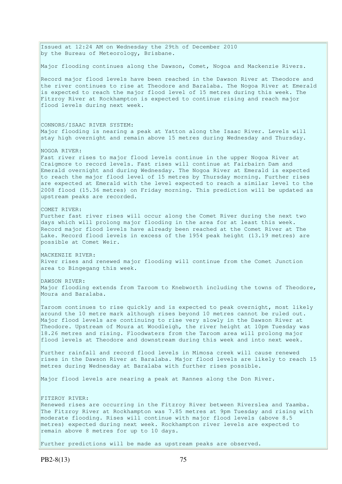Issued at 12:24 AM on Wednesday the 29th of December 2010 by the Bureau of Meteorology, Brisbane. Major flooding continues along the Dawson, Comet, Nogoa and Mackenzie Rivers. Record major flood levels have been reached in the Dawson River at Theodore and the river continues to rise at Theodore and Baralaba. The Nogoa River at Emerald is expected to reach the major flood level of 15 metres during this week. The Fitzroy River at Rockhampton is expected to continue rising and reach major flood levels during next week. CONNORS/ISAAC RIVER SYSTEM: Major flooding is nearing a peak at Yatton along the Isaac River. Levels will stay high overnight and remain above 15 metres during Wednesday and Thursday. NOGOA RIVER: Fast river rises to major flood levels continue in the upper Nogoa River at Craigmore to record levels. Fast rises will continue at Fairbairn Dam and Emerald overnight and during Wednesday. The Nogoa River at Emerald is expected to reach the major flood level of 15 metres by Thursday morning. Further rises are expected at Emerald with the level expected to reach a similar level to the 2008 flood (15.36 metres) on Friday morning. This prediction will be updated as upstream peaks are recorded. COMET RIVER: Further fast river rises will occur along the Comet River during the next two days which will prolong major flooding in the area for at least this week. Record major flood levels have already been reached at the Comet River at The Lake. Record flood levels in excess of the 1954 peak height (13.19 metres) are possible at Comet Weir. MACKENZIE RIVER: River rises and renewed major flooding will continue from the Comet Junction area to Bingegang this week. DAWSON RIVER: Major flooding extends from Taroom to Knebworth including the towns of Theodore, Moura and Baralaba. Taroom continues to rise quickly and is expected to peak overnight, most likely around the 10 metre mark although rises beyond 10 metres cannot be ruled out. Major flood levels are continuing to rise very slowly in the Dawson River at Theodore. Upstream of Moura at Woodleigh, the river height at 10pm Tuesday was 18.26 metres and rising. Floodwaters from the Taroom area will prolong major flood levels at Theodore and downstream during this week and into next week. Further rainfall and record flood levels in Mimosa creek will cause renewed rises in the Dawson River at Baralaba. Major flood levels are likely to reach 15 metres during Wednesday at Baralaba with further rises possible. Major flood levels are nearing a peak at Rannes along the Don River. FITZROY RIVER: Renewed rises are occurring in the Fitzroy River between Riverslea and Yaamba. The Fitzroy River at Rockhampton was 7.85 metres at 9pm Tuesday and rising with moderate flooding. Rises will continue with major flood levels (above 8.5 metres) expected during next week. Rockhampton river levels are expected to remain above 8 metres for up to 10 days. Further predictions will be made as upstream peaks are observed.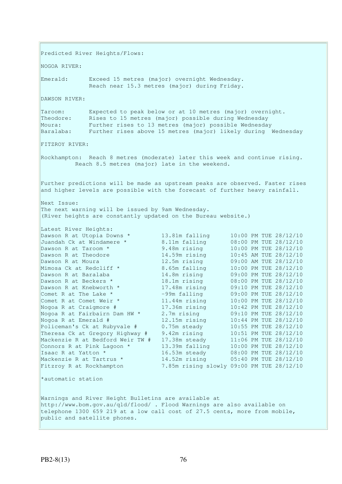Predicted River Heights/Flows: NOGOA RIVER: Emerald: Exceed 15 metres (major) overnight Wednesday. Reach near 15.3 metres (major) during Friday. DAWSON RIVER: Taroom: Expected to peak below or at 10 metres (major) overnight. Theodore: Rises to 15 metres (major) possible during Wednesday Moura: Further rises to 13 metres (major) possible Wednesday Baralaba: Further rises above 15 metres (major) likely during Wednesday FITZROY RIVER: Rockhampton: Reach 8 metres (moderate) later this week and continue rising. Reach 8.5 metres (major) late in the weekend. Further predictions will be made as upstream peaks are observed. Faster rises and higher levels are possible with the forecast of further heavy rainfall. Next Issue: The next warning will be issued by 9am Wednesday. (River heights are constantly updated on the Bureau website.) Latest River Heights: Dawson R at Utopia Downs \* 13.81m falling 10:00 PM TUE 28/12/10 Juandah Ck at Windamere \* 8.11m falling 08:00 PM TUE 28/12/10 Dawson R at Taroom \* 9.48m rising 10:00 PM TUE 28/12/10 Dawson R at Theodore 14.59m rising 10:45 AM TUE 28/12/10 Dawson R at Moura 12.5m rising 09:00 AM TUE 28/12/10 Mimosa Ck at Redcliff \* 8.65m falling 10:00 PM TUE 28/12/10 Dawson R at Baralaba 14.8m rising 09:00 PM TUE 28/12/10 Dawson R at Beckers \* 18.1m rising 08:00 PM TUE 28/12/10 Dawson R at Knebworth \* 17.48m rising 09:10 PM TUE 28/12/10 Comet R at The Lake  $*$  -99m falling 09:00 PM TUE 28/12/10 Comet R at Comet Weir \* 11.44m rising 10:00 PM TUE 28/12/10 Nogoa R at Craigmore # 17.36m rising 10:42 PM TUE 28/12/10 Nogoa R at Fairbairn Dam HW \* 2.7m rising 09:10 PM TUE 28/12/10 Nogoa R at Emerald # 12.15m rising 10:44 PM TUE 28/12/10 Policeman's Ck at Rubyvale # 0.75m steady 10:55 PM TUE 28/12/10 Theresa Ck at Gregory Highway # 9.42m rising 10:51 PM TUE 28/12/10 Mackenzie R at Bedford Weir TW # 17.38m steady 11:06 PM TUE 28/12/10 Connors R at Pink Lagoon  $*$  13.39m falling 10:00 PM TUE 28/12/10 Isaac R at Yatton \* 16.53m steady 08:00 PM TUE 28/12/10 Mackenzie R at Tartrus \* 14.52m rising 05:40 PM TUE 28/12/10 Fitzroy R at Rockhampton 7.85m rising slowly 09:00 PM TUE 28/12/10 \*automatic station Warnings and River Height Bulletins are available at http://www.bom.gov.au/qld/flood/ . Flood Warnings are also available on telephone 1300 659 219 at a low call cost of 27.5 cents, more from mobile, public and satellite phones.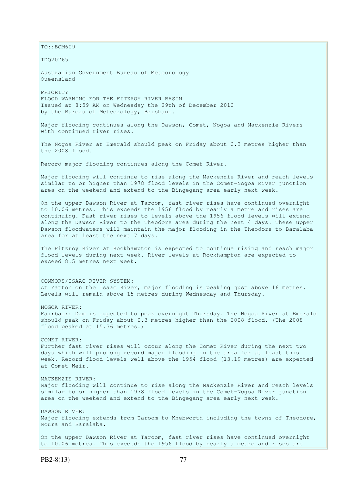$TO:$ : BOM609 IDQ20765 Australian Government Bureau of Meteorology Queensland PRIORITY FLOOD WARNING FOR THE FITZROY RIVER BASIN Issued at 8:59 AM on Wednesday the 29th of December 2010 by the Bureau of Meteorology, Brisbane. Major flooding continues along the Dawson, Comet, Nogoa and Mackenzie Rivers with continued river rises. The Nogoa River at Emerald should peak on Friday about 0.3 metres higher than the 2008 flood. Record major flooding continues along the Comet River. Major flooding will continue to rise along the Mackenzie River and reach levels similar to or higher than 1978 flood levels in the Comet-Nogoa River junction area on the weekend and extend to the Bingegang area early next week. On the upper Dawson River at Taroom, fast river rises have continued overnight to 10.06 metres. This exceeds the 1956 flood by nearly a metre and rises are continuing. Fast river rises to levels above the 1956 flood levels will extend along the Dawson River to the Theodore area during the next 4 days. These upper Dawson floodwaters will maintain the major flooding in the Theodore to Baralaba area for at least the next 7 days. The Fitzroy River at Rockhampton is expected to continue rising and reach major flood levels during next week. River levels at Rockhampton are expected to exceed 8.5 metres next week. CONNORS/ISAAC RIVER SYSTEM: At Yatton on the Isaac River, major flooding is peaking just above 16 metres. Levels will remain above 15 metres during Wednesday and Thursday. NOGOA RIVER: Fairbairn Dam is expected to peak overnight Thursday. The Nogoa River at Emerald should peak on Friday about 0.3 metres higher than the 2008 flood. (The 2008 flood peaked at 15.36 metres.) COMET RIVER: Further fast river rises will occur along the Comet River during the next two days which will prolong record major flooding in the area for at least this week. Record flood levels well above the 1954 flood (13.19 metres) are expected at Comet Weir. MACKENZIE RIVER: Major flooding will continue to rise along the Mackenzie River and reach levels similar to or higher than 1978 flood levels in the Comet-Nogoa River junction area on the weekend and extend to the Bingegang area early next week. DAWSON RIVER: Major flooding extends from Taroom to Knebworth including the towns of Theodore, Moura and Baralaba. On the upper Dawson River at Taroom, fast river rises have continued overnight to 10.06 metres. This exceeds the 1956 flood by nearly a metre and rises are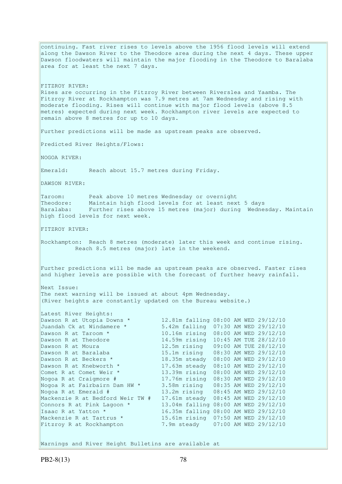continuing. Fast river rises to levels above the 1956 flood levels will extend along the Dawson River to the Theodore area during the next 4 days. These upper Dawson floodwaters will maintain the major flooding in the Theodore to Baralaba area for at least the next 7 days. FITZROY RIVER: Rises are occurring in the Fitzroy River between Riverslea and Yaamba. The Fitzroy River at Rockhampton was 7.9 metres at 7am Wednesday and rising with moderate flooding. Rises will continue with major flood levels (above 8.5 metres) expected during next week. Rockhampton river levels are expected to remain above 8 metres for up to 10 days. Further predictions will be made as upstream peaks are observed. Predicted River Heights/Flows: NOGOA RIVER: Emerald: Reach about 15.7 metres during Friday. DAWSON RIVER: Taroom: Peak above 10 metres Wednesday or overnight Theodore: Maintain high flood levels for at least next 5 days Baralaba: Further rises above 15 metres (major) during Wednesday. Maintain high flood levels for next week. FITZROY RIVER: Rockhampton: Reach 8 metres (moderate) later this week and continue rising. Reach 8.5 metres (major) late in the weekend. Further predictions will be made as upstream peaks are observed. Faster rises and higher levels are possible with the forecast of further heavy rainfall. Next Issue: The next warning will be issued at about 4pm Wednesday. (River heights are constantly updated on the Bureau website.) Latest River Heights: Dawson R at Utopia Downs \* 12.81m falling 08:00 AM WED 29/12/10 Juandah Ck at Windamere \* 5.42m falling 07:30 AM WED 29/12/10 Dawson R at Taroom \* 10.16m rising 08:00 AM WED 29/12/10 Dawson R at Theodore 14.59m rising 10:45 AM TUE 28/12/10 Dawson R at Moura 12.5m rising 09:00 AM TUE 28/12/10<br>
Dawson R at Baralaba 15.1m rising 08:30 AM WED 29/12/10<br>
Dawson R at Beckers \* 18.35m steady 08:00 AM WED 29/12/10 Dawson R at Baralaba 15.1m rising 08:30 AM WED 29/12/10 Dawson R at Beckers \* 18.35m steady 08:00 AM WED 29/12/10 Dawson R at Knebworth \* 17.63m steady 08:10 AM WED 29/12/10 Comet R at Comet Weir \* 13.39m rising 08:00 AM WED 29/12/10 Nogoa R at Craigmore # 17.76m rising 08:30 AM WED 29/12/10 Nogoa R at Fairbairn Dam HW \* 3.58m rising 08:35 AM WED 29/12/10 Nogoa R at Emerald # 13.2m rising 08:45 AM WED 29/12/10 Mackenzie R at Bedford Weir TW # 17.61m steady 08:45 AM WED 29/12/10 Connors R at Pink Lagoon  $*$  13.04m falling 08:00 AM WED 29/12/10 Isaac R at Yatton \* 16.35m falling 08:00 AM WED 29/12/10 Mackenzie R at Tartrus \* 15.61m rising 07:50 AM WED 29/12/10 Fitzroy R at Rockhampton 7.9m steady 07:00 AM WED 29/12/10

Warnings and River Height Bulletins are available at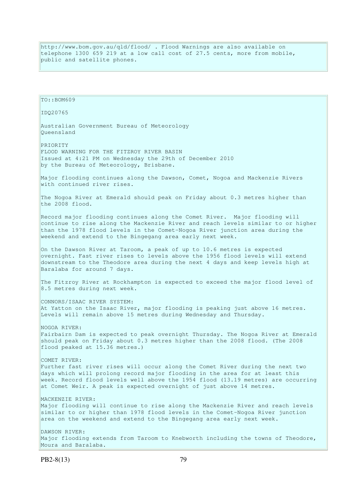http://www.bom.gov.au/qld/flood/ . Flood Warnings are also available on telephone 1300 659 219 at a low call cost of 27.5 cents, more from mobile, public and satellite phones.

TO::BOM609 IDQ20765 Australian Government Bureau of Meteorology Queensland PRIORITY FLOOD WARNING FOR THE FITZROY RIVER BASIN Issued at 4:21 PM on Wednesday the 29th of December 2010 by the Bureau of Meteorology, Brisbane. Major flooding continues along the Dawson, Comet, Nogoa and Mackenzie Rivers with continued river rises. The Nogoa River at Emerald should peak on Friday about 0.3 metres higher than the 2008 flood. Record major flooding continues along the Comet River. Major flooding will continue to rise along the Mackenzie River and reach levels similar to or higher than the 1978 flood levels in the Comet-Nogoa River junction area during the weekend and extend to the Bingegang area early next week. On the Dawson River at Taroom, a peak of up to 10.6 metres is expected overnight. Fast river rises to levels above the 1956 flood levels will extend downstream to the Theodore area during the next 4 days and keep levels high at Baralaba for around 7 days. The Fitzroy River at Rockhampton is expected to exceed the major flood level of 8.5 metres during next week. CONNORS/ISAAC RIVER SYSTEM: At Yatton on the Isaac River, major flooding is peaking just above 16 metres. Levels will remain above 15 metres during Wednesday and Thursday. NOGOA RIVER: Fairbairn Dam is expected to peak overnight Thursday. The Nogoa River at Emerald should peak on Friday about 0.3 metres higher than the 2008 flood. (The 2008 flood peaked at 15.36 metres.) COMET RIVER: Further fast river rises will occur along the Comet River during the next two days which will prolong record major flooding in the area for at least this week. Record flood levels well above the 1954 flood (13.19 metres) are occurring at Comet Weir. A peak is expected overnight of just above 14 metres. MACKENZIE RIVER: Major flooding will continue to rise along the Mackenzie River and reach levels similar to or higher than 1978 flood levels in the Comet-Nogoa River junction area on the weekend and extend to the Bingegang area early next week. DAWSON RIVER: Major flooding extends from Taroom to Knebworth including the towns of Theodore, Moura and Baralaba.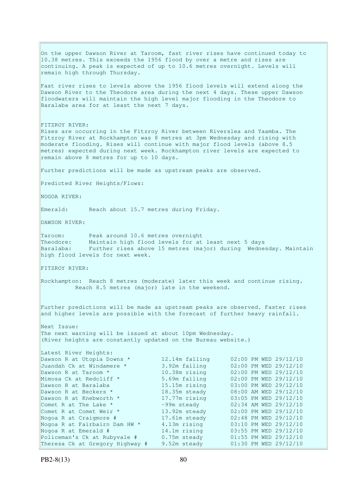On the upper Dawson River at Taroom, fast river rises have continued today to 10.38 metres. This exceeds the 1956 flood by over a metre and rises are continuing. A peak is expected of up to 10.6 metres overnight. Levels will remain high through Thursday. Fast river rises to levels above the 1956 flood levels will extend along the Dawson River to the Theodore area during the next 4 days. These upper Dawson floodwaters will maintain the high level major flooding in the Theodore to Baralaba area for at least the next 7 days. FITZROY RIVER: Rises are occurring in the Fitzroy River between Riverslea and Yaamba. The Fitzroy River at Rockhampton was 8 metres at 3pm Wednesday and rising with moderate flooding. Rises will continue with major flood levels (above 8.5 metres) expected during next week. Rockhampton river levels are expected to remain above 8 metres for up to 10 days. Further predictions will be made as upstream peaks are observed. Predicted River Heights/Flows: NOGOA RIVER: Emerald: Reach about 15.7 metres during Friday. DAWSON RIVER: Taroom: Peak around 10.6 metres overnight Theodore: Maintain high flood levels for at least next 5 days Baralaba: Further rises above 15 metres (major) during Wednesday. Maintain high flood levels for next week. FITZROY RIVER: Rockhampton: Reach 8 metres (moderate) later this week and continue rising. Reach 8.5 metres (major) late in the weekend. Further predictions will be made as upstream peaks are observed. Faster rises and higher levels are possible with the forecast of further heavy rainfall. Next Issue: The next warning will be issued at about 10pm Wednesday. (River heights are constantly updated on the Bureau website.) Latest River Heights: Dawson R at Utopia Downs \* 12.14m falling 02:00 PM WED 29/12/10 Juandah Ck at Windamere \* 3.92m falling 02:00 PM WED 29/12/10 Dawson R at Taroom \* 10.38m rising 02:00 PM WED 29/12/10 Mimosa Ck at Redcliff \* 5.69m falling 02:00 PM WED 29/12/10 Dawson R at Baralaba 15.15m rising 03:00 PM WED 29/12/10 Dawson R at Beckers \* 18.35m steady 08:00 AM WED 29/12/10 Dawson R at Knebworth \* 17.77m rising 03:05 PM WED 29/12/10 Comet R at The Lake  $*$  -99m steady 02:34 AM WED 29/12/10 Comet R at Comet Weir \* 13.92m steady 02:00 PM WED 29/12/10 Nogoa R at Craigmore # 17.61m steady 02:48 PM WED 29/12/10 Nogoa R at Fairbairn Dam HW \* 4.13m rising 03:10 PM WED 29/12/10 Nogoa R at Emerald # 14.1m rising 03:55 PM WED 29/12/10 Policeman's Ck at Rubyvale # 0.75m steady 01:55 PM WED 29/12/10 Theresa Ck at Gregory Highway # 9.52m steady 01:30 PM WED 29/12/10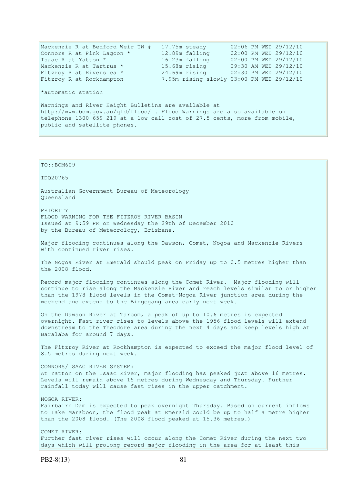Mackenzie R at Bedford Weir TW # 17.75m steady 02:06 PM WED 29/12/10 Connors R at Pink Lagoon \* 12.89m falling 02:00 PM WED 29/12/10 Isaac R at Yatton \* 16.23m falling 02:00 PM WED 29/12/10 Mackenzie R at Tartrus \* 15.68m rising 09:30 AM WED 29/12/10 Fitzroy R at Riverslea \* 24.69m rising 02:30 PM WED 29/12/10 Fitzroy R at Rockhampton 7.95m rising slowly 03:00 PM WED 29/12/10 \*automatic station Warnings and River Height Bulletins are available at http://www.bom.gov.au/qld/flood/ . Flood Warnings are also available on telephone 1300 659 219 at a low call cost of 27.5 cents, more from mobile, public and satellite phones. TO::BOM609 IDQ20765 Australian Government Bureau of Meteorology Queensland PRIORITY FLOOD WARNING FOR THE FITZROY RIVER BASIN Issued at 9:59 PM on Wednesday the 29th of December 2010 by the Bureau of Meteorology, Brisbane. Major flooding continues along the Dawson, Comet, Nogoa and Mackenzie Rivers with continued river rises. The Nogoa River at Emerald should peak on Friday up to 0.5 metres higher than the 2008 flood. Record major flooding continues along the Comet River. Major flooding will continue to rise along the Mackenzie River and reach levels similar to or higher than the 1978 flood levels in the Comet-Nogoa River junction area during the weekend and extend to the Bingegang area early next week. On the Dawson River at Taroom, a peak of up to 10.6 metres is expected overnight. Fast river rises to levels above the 1956 flood levels will extend downstream to the Theodore area during the next 4 days and keep levels high at Baralaba for around 7 days. The Fitzroy River at Rockhampton is expected to exceed the major flood level of 8.5 metres during next week. CONNORS/ISAAC RIVER SYSTEM: At Yatton on the Isaac River, major flooding has peaked just above 16 metres. Levels will remain above 15 metres during Wednesday and Thursday. Further rainfall today will cause fast rises in the upper catchment. NOGOA RIVER: Fairbairn Dam is expected to peak overnight Thursday. Based on current inflows

to Lake Maraboon, the flood peak at Emerald could be up to half a metre higher than the 2008 flood. (The 2008 flood peaked at 15.36 metres.)

COMET RIVER: Further fast river rises will occur along the Comet River during the next two days which will prolong record major flooding in the area for at least this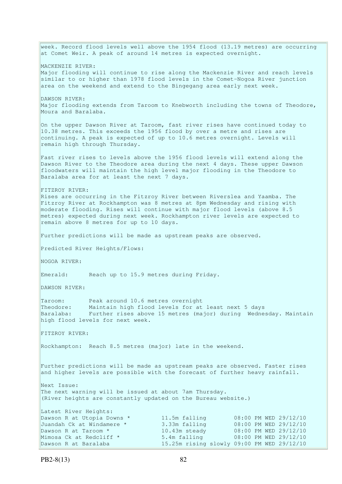week. Record flood levels well above the 1954 flood (13.19 metres) are occurring at Comet Weir. A peak of around 14 metres is expected overnight. MACKENZIE RIVER: Major flooding will continue to rise along the Mackenzie River and reach levels similar to or higher than 1978 flood levels in the Comet-Nogoa River junction area on the weekend and extend to the Bingegang area early next week. DAWSON RIVER: Major flooding extends from Taroom to Knebworth including the towns of Theodore, Moura and Baralaba. On the upper Dawson River at Taroom, fast river rises have continued today to 10.38 metres. This exceeds the 1956 flood by over a metre and rises are continuing. A peak is expected of up to 10.6 metres overnight. Levels will remain high through Thursday. Fast river rises to levels above the 1956 flood levels will extend along the Dawson River to the Theodore area during the next 4 days. These upper Dawson floodwaters will maintain the high level major flooding in the Theodore to Baralaba area for at least the next 7 days. FITZROY RIVER: Rises are occurring in the Fitzroy River between Riverslea and Yaamba. The Fitzroy River at Rockhampton was 8 metres at 8pm Wednesday and rising with moderate flooding. Rises will continue with major flood levels (above 8.5 metres) expected during next week. Rockhampton river levels are expected to remain above 8 metres for up to 10 days. Further predictions will be made as upstream peaks are observed. Predicted River Heights/Flows: NOGOA RIVER: Emerald: Reach up to 15.9 metres during Friday. DAWSON RIVER: Taroom: Peak around 10.6 metres overnight Theodore: Maintain high flood levels for at least next 5 days Baralaba: Further rises above 15 metres (major) during Wednesday. Maintain high flood levels for next week. FITZROY RIVER: Rockhampton: Reach 8.5 metres (major) late in the weekend. Further predictions will be made as upstream peaks are observed. Faster rises and higher levels are possible with the forecast of further heavy rainfall. Next Issue: The next warning will be issued at about 7am Thursday. (River heights are constantly updated on the Bureau website.) Latest River Heights: Dawson R at Utopia Downs \* 11.5m falling 08:00 PM WED 29/12/10 Juandah Ck at Windamere \* 3.33m falling 08:00 PM WED 29/12/10<br>
Dawson R at Taroom \* 10.43m steady 08:00 PM WED 29/12/10<br>
Mimosa Ck at Redcliff \* 5.4m falling 08:00 PM WED 29/12/10 Dawson R at Taroom \* 10.43m steady 08:00 PM WED 29/12/10 Mimosa Ck at Redcliff \* 5.4m falling 08:00 PM WED 29/12/10 Dawson R at Baralaba 15.25m rising slowly 09:00 PM WED 29/12/10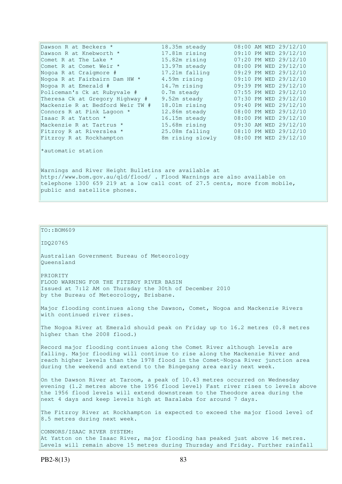| Dawson R at Beckers *                                                                                                                                                                                                                         | 18.35m steady    |  |  | 08:00 AM WED 29/12/10 |
|-----------------------------------------------------------------------------------------------------------------------------------------------------------------------------------------------------------------------------------------------|------------------|--|--|-----------------------|
| Dawson R at Knebworth *                                                                                                                                                                                                                       | 17.81m rising    |  |  | 09:10 PM WED 29/12/10 |
| Comet R at The Lake *                                                                                                                                                                                                                         | 15.82m rising    |  |  | 07:20 PM WED 29/12/10 |
| Comet R at Comet Weir *                                                                                                                                                                                                                       | 13.97m steady    |  |  | 08:00 PM WED 29/12/10 |
| Nogoa R at Craigmore #                                                                                                                                                                                                                        | 17.21m falling   |  |  | 09:29 PM WED 29/12/10 |
| Nogoa R at Fairbairn Dam HW *                                                                                                                                                                                                                 | 4.59m rising     |  |  | 09:10 PM WED 29/12/10 |
| Nogoa R at Emerald #                                                                                                                                                                                                                          | 14.7m rising     |  |  | 09:39 PM WED 29/12/10 |
| Policeman's Ck at Rubyvale #                                                                                                                                                                                                                  | 0.7m steady      |  |  | 07:55 PM WED 29/12/10 |
| Theresa Ck at Gregory Highway #                                                                                                                                                                                                               | 9.52m steady     |  |  | 07:30 PM WED 29/12/10 |
| Mackenzie R at Bedford Weir TW #                                                                                                                                                                                                              | 18.01m rising    |  |  | 09:40 PM WED 29/12/10 |
| Connors R at Pink Lagoon *                                                                                                                                                                                                                    | 12.86m steady    |  |  | 08:00 PM WED 29/12/10 |
| Isaac R at Yatton *                                                                                                                                                                                                                           | 16.15m steady    |  |  | 08:00 PM WED 29/12/10 |
| Mackenzie R at Tartrus *                                                                                                                                                                                                                      | 15.68m rising    |  |  | 09:30 AM WED 29/12/10 |
| Fitzroy R at Riverslea *                                                                                                                                                                                                                      | 25.08m falling   |  |  | 08:10 PM WED 29/12/10 |
| Fitzroy R at Rockhampton                                                                                                                                                                                                                      | 8m rising slowly |  |  | 08:00 PM WED 29/12/10 |
| *automatic station                                                                                                                                                                                                                            |                  |  |  |                       |
| Warnings and River Height Bulletins are available at<br>http://www.bom.gov.au/qld/flood/ . Flood Warnings are also available on<br>telephone 1300 659 219 at a low call cost of 27.5 cents, more from mobile,<br>public and satellite phones. |                  |  |  |                       |

TO::BOM609

IDQ20765

Australian Government Bureau of Meteorology Queensland

PRIORITY FLOOD WARNING FOR THE FITZROY RIVER BASIN Issued at 7:12 AM on Thursday the 30th of December 2010 by the Bureau of Meteorology, Brisbane.

Major flooding continues along the Dawson, Comet, Nogoa and Mackenzie Rivers with continued river rises.

The Nogoa River at Emerald should peak on Friday up to 16.2 metres (0.8 metres higher than the 2008 flood.)

Record major flooding continues along the Comet River although levels are falling. Major flooding will continue to rise along the Mackenzie River and reach higher levels than the 1978 flood in the Comet-Nogoa River junction area during the weekend and extend to the Bingegang area early next week.

On the Dawson River at Taroom, a peak of 10.43 metres occurred on Wednesday evening (1.2 metres above the 1956 flood level) Fast river rises to levels above the 1956 flood levels will extend downstream to the Theodore area during the next 4 days and keep levels high at Baralaba for around 7 days.

The Fitzroy River at Rockhampton is expected to exceed the major flood level of 8.5 metres during next week.

CONNORS/ISAAC RIVER SYSTEM: At Yatton on the Isaac River, major flooding has peaked just above 16 metres. Levels will remain above 15 metres during Thursday and Friday. Further rainfall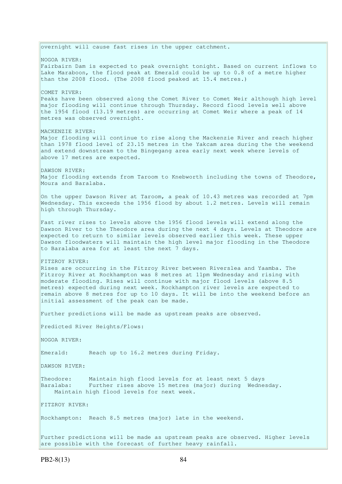overnight will cause fast rises in the upper catchment. NOGOA RIVER: Fairbairn Dam is expected to peak overnight tonight. Based on current inflows to Lake Maraboon, the flood peak at Emerald could be up to 0.8 of a metre higher than the 2008 flood. (The 2008 flood peaked at 15.4 metres.) COMET RIVER: Peaks have been observed along the Comet River to Comet Weir although high level major flooding will continue through Thursday. Record flood levels well above the 1954 flood (13.19 metres) are occurring at Comet Weir where a peak of 14 metres was observed overnight. MACKENZIE RIVER: Major flooding will continue to rise along the Mackenzie River and reach higher than 1978 flood level of 23.15 metres in the Yakcam area during the the weekend and extend downstream to the Bingegang area early next week where levels of above 17 metres are expected. DAWSON RIVER: Major flooding extends from Taroom to Knebworth including the towns of Theodore, Moura and Baralaba. On the upper Dawson River at Taroom, a peak of 10.43 metres was recorded at 7pm Wednesday. This exceeds the 1956 flood by about 1.2 metres. Levels will remain high through Thursday. Fast river rises to levels above the 1956 flood levels will extend along the Dawson River to the Theodore area during the next 4 days. Levels at Theodore are expected to return to similar levels observed earlier this week. These upper Dawson floodwaters will maintain the high level major flooding in the Theodore to Baralaba area for at least the next 7 days. FITZROY RIVER: Rises are occurring in the Fitzroy River between Riverslea and Yaamba. The Fitzroy River at Rockhampton was 8 metres at 11pm Wednesday and rising with moderate flooding. Rises will continue with major flood levels (above 8.5 metres) expected during next week. Rockhampton river levels are expected to remain above 8 metres for up to 10 days. It will be into the weekend before an initial assessment of the peak can be made. Further predictions will be made as upstream peaks are observed. Predicted River Heights/Flows: NOGOA RIVER: Emerald: Reach up to 16.2 metres during Friday. DAWSON RIVER: Theodore: Maintain high flood levels for at least next 5 days Baralaba: Further rises above 15 metres (major) during Wednesday. Maintain high flood levels for next week. FITZROY RIVER: Rockhampton: Reach 8.5 metres (major) late in the weekend. Further predictions will be made as upstream peaks are observed. Higher levels are possible with the forecast of further heavy rainfall.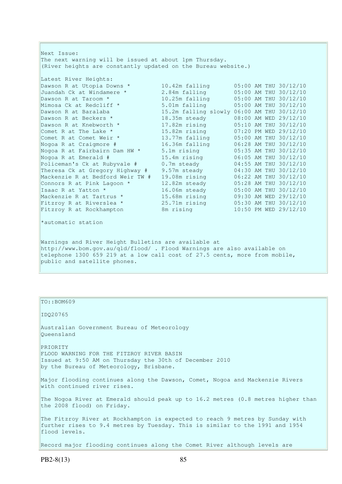Next Issue: The next warning will be issued at about 1pm Thursday. (River heights are constantly updated on the Bureau website.) Latest River Heights: Dawson R at Utopia Downs \* 10.42m falling 05:00 AM THU 30/12/10 Juandah Ck at Windamere \* 2.84m falling 05:00 AM THU 30/12/10 Dawson R at Taroom \* 10.25m falling 05:00 AM THU 30/12/10 Mimosa Ck at Redcliff \* 5.01m falling 05:00 AM THU 30/12/10 Dawson R at Baralaba 15.2m falling slowly 06:00 AM THU 30/12/10 Dawson R at Beckers \* 18.35m steady 08:00 AM WED 29/12/10 Dawson R at Knebworth \* 17.82m rising 05:10 AM THU 30/12/10 Comet R at The Lake \* 15.82m rising 07:20 PM WED 29/12/10 Comet R at Comet Weir \* 13.77m falling 05:00 AM THU 30/12/10 Nogoa R at Craigmore # 16.36m falling 06:28 AM THU 30/12/10 Nogoa R at Fairbairn Dam HW \* 5.1m rising 05:35 AM THU 30/12/10 Nogoa R at Emerald # 15.4m rising 06:05 AM THU 30/12/10 Policeman's Ck at Rubyvale # 0.7m steady 04:55 AM THU 30/12/10 Theresa Ck at Gregory Highway # 9.57m steady 04:30 AM THU 30/12/10 Mackenzie R at Bedford Weir TW # 19.08m rising 06:22 AM THU 30/12/10 Connors R at Pink Lagoon  $*$  12.82m steady  $05:28$  AM THU 30/12/10 Isaac R at Yatton \* 16.06m steady 05:00 AM THU 30/12/10 Mackenzie R at Tartrus \* 15.68m rising 09:30 AM WED 29/12/10 Fitzroy R at Riverslea \* 25.71m rising 05:30 AM THU 30/12/10 Fitzroy R at Rockhampton 8m rising 10:50 PM WED 29/12/10 \*automatic station Warnings and River Height Bulletins are available at http://www.bom.gov.au/qld/flood/ . Flood Warnings are also available on telephone 1300 659 219 at a low call cost of 27.5 cents, more from mobile,

public and satellite phones.

| TO::BOM609                                                                                                                                                                     |
|--------------------------------------------------------------------------------------------------------------------------------------------------------------------------------|
| ID020765                                                                                                                                                                       |
| Australian Government Bureau of Meteorology<br>Oueensland                                                                                                                      |
| PRIORITY<br>FLOOD WARNING FOR THE FITZROY RIVER BASIN<br>Issued at 9:50 AM on Thursday the 30th of December 2010<br>by the Bureau of Meteorology, Brisbane.                    |
| Major flooding continues along the Dawson, Comet, Nogoa and Mackenzie Rivers<br>with continued river rises.                                                                    |
| The Nogoa River at Emerald should peak up to 16.2 metres (0.8 metres higher than<br>the 2008 flood) on Friday.                                                                 |
| The Fitzroy River at Rockhampton is expected to reach 9 metres by Sunday with<br>further rises to 9.4 metres by Tuesday. This is similar to the 1991 and 1954<br>flood levels. |
|                                                                                                                                                                                |

Record major flooding continues along the Comet River although levels are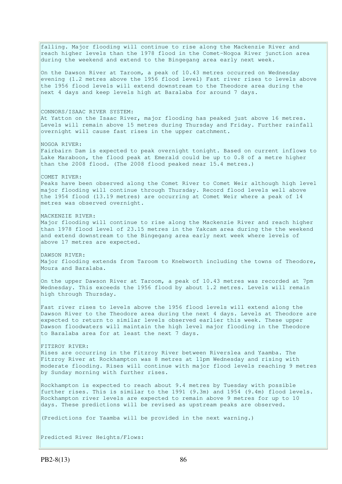falling. Major flooding will continue to rise along the Mackenzie River and reach higher levels than the 1978 flood in the Comet-Nogoa River junction area during the weekend and extend to the Bingegang area early next week. On the Dawson River at Taroom, a peak of 10.43 metres occurred on Wednesday evening (1.2 metres above the 1956 flood level) Fast river rises to levels above the 1956 flood levels will extend downstream to the Theodore area during the next 4 days and keep levels high at Baralaba for around 7 days. CONNORS/ISAAC RIVER SYSTEM: At Yatton on the Isaac River, major flooding has peaked just above 16 metres. Levels will remain above 15 metres during Thursday and Friday. Further rainfall overnight will cause fast rises in the upper catchment. NOGOA RIVER: Fairbairn Dam is expected to peak overnight tonight. Based on current inflows to Lake Maraboon, the flood peak at Emerald could be up to 0.8 of a metre higher than the 2008 flood. (The 2008 flood peaked near 15.4 metres.) COMET RIVER: Peaks have been observed along the Comet River to Comet Weir although high level major flooding will continue through Thursday. Record flood levels well above the 1954 flood (13.19 metres) are occurring at Comet Weir where a peak of 14 metres was observed overnight. MACKENZIE RIVER: Major flooding will continue to rise along the Mackenzie River and reach higher than 1978 flood level of 23.15 metres in the Yakcam area during the the weekend and extend downstream to the Bingegang area early next week where levels of above 17 metres are expected. DAWSON RIVER: Major flooding extends from Taroom to Knebworth including the towns of Theodore, Moura and Baralaba. On the upper Dawson River at Taroom, a peak of 10.43 metres was recorded at 7pm Wednesday. This exceeds the 1956 flood by about 1.2 metres. Levels will remain high through Thursday. Fast river rises to levels above the 1956 flood levels will extend along the Dawson River to the Theodore area during the next 4 days. Levels at Theodore are expected to return to similar levels observed earlier this week. These upper Dawson floodwaters will maintain the high level major flooding in the Theodore to Baralaba area for at least the next 7 days. FITZROY RIVER: Rises are occurring in the Fitzroy River between Riverslea and Yaamba. The Fitzroy River at Rockhampton was 8 metres at 11pm Wednesday and rising with moderate flooding. Rises will continue with major flood levels reaching 9 metres by Sunday morning with further rises. Rockhampton is expected to reach about 9.4 metres by Tuesday with possible further rises. This is similar to the 1991 (9.3m) and 1954 (9.4m) flood levels. Rockhampton river levels are expected to remain above 9 metres for up to 10 days. These predictions will be revised as upstream peaks are observed. (Predictions for Yaamba will be provided in the next warning.) Predicted River Heights/Flows: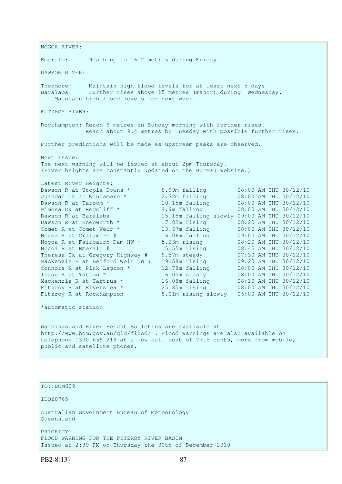NOGOA RIVER: Emerald: Reach up to 16.2 metres during Friday. DAWSON RIVER: Theodore: Maintain high flood levels for at least next 5 days Baralaba: Further rises above 15 metres (major) during Wednesday. Maintain high flood levels for next week. FITZROY RIVER: Rockhampton: Reach 9 metres on Sunday morning with further rises. Reach about 9.4 metres by Tuesday with possible further rises. Further predictions will be made as upstream peaks are observed. Next Issue: The next warning will be issued at about 2pm Thursday. (River heights are constantly updated on the Bureau website.) Latest River Heights: Dawson R at Utopia Downs \* 9.99m falling 08:00 AM THU 30/12/10 Juandah Ck at Windamere \* 2.72m falling 08:00 AM THU 30/12/10 Dawson R at Taroom \* 10.15m falling 08:00 AM THU 30/12/10 Mimosa Ck at Redcliff \* 4.9m falling 08:00 AM THU 30/12/10 Dawson R at Baralaba 15.15m falling slowly 09:00 AM THU 30/12/10 Dawson R at Knebworth \* 17.82m rising 08:20 AM THU 30/12/10 Comet R at Comet Weir \* 13.67m falling 08:00 AM THU 30/12/10 Nogoa R at Craigmore # 16.06m falling 09:05 AM THU 30/12/10 Nogoa R at Fairbairn Dam HW \* 5.23m rising 08:20 AM THU 30/12/10 Nogoa R at Emerald # 15.55m rising 08:45 AM THU 30/12/10 Theresa Ck at Gregory Highway # 9.57m steady 07:30 AM THU 30/12/10 Mackenzie R at Bedford Weir TW # 19.58m rising 09:20 AM THU 30/12/10 Connors R at Pink Lagoon  $*$  12.78m falling  $08:00$  AM THU 30/12/10 Isaac R at Yatton \* 16.05m steady 08:00 AM THU 30/12/10 Mackenzie R at Tartrus \* 16.08m falling 08:10 AM THU 30/12/10 Fitzroy R at Riverslea \* 25.85m rising 08:00 AM THU 30/12/10 Fitzroy R at Rockhampton 8.01m rising slowly 06:00 AM THU 30/12/10 \*automatic station Warnings and River Height Bulletins are available at http://www.bom.gov.au/qld/flood/ . Flood Warnings are also available on telephone 1300 659 219 at a low call cost of 27.5 cents, more from mobile, public and satellite phones.

TO::BOM609

IDQ20765

Australian Government Bureau of Meteorology Queensland

PRIORITY FLOOD WARNING FOR THE FITZROY RIVER BASIN Issued at 2:39 PM on Thursday the 30th of December 2010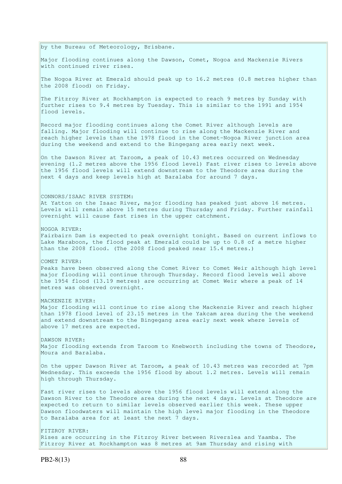by the Bureau of Meteorology, Brisbane.

Major flooding continues along the Dawson, Comet, Nogoa and Mackenzie Rivers with continued river rises.

The Nogoa River at Emerald should peak up to 16.2 metres (0.8 metres higher than the 2008 flood) on Friday.

The Fitzroy River at Rockhampton is expected to reach 9 metres by Sunday with further rises to 9.4 metres by Tuesday. This is similar to the 1991 and 1954 flood levels.

Record major flooding continues along the Comet River although levels are falling. Major flooding will continue to rise along the Mackenzie River and reach higher levels than the 1978 flood in the Comet-Nogoa River junction area during the weekend and extend to the Bingegang area early next week.

On the Dawson River at Taroom, a peak of 10.43 metres occurred on Wednesday evening (1.2 metres above the 1956 flood level) Fast river rises to levels above the 1956 flood levels will extend downstream to the Theodore area during the next 4 days and keep levels high at Baralaba for around 7 days.

## CONNORS/ISAAC RIVER SYSTEM:

At Yatton on the Isaac River, major flooding has peaked just above 16 metres. Levels will remain above 15 metres during Thursday and Friday. Further rainfall overnight will cause fast rises in the upper catchment.

## NOGOA RIVER:

Fairbairn Dam is expected to peak overnight tonight. Based on current inflows to Lake Maraboon, the flood peak at Emerald could be up to 0.8 of a metre higher than the 2008 flood. (The 2008 flood peaked near 15.4 metres.)

## COMET RIVER:

Peaks have been observed along the Comet River to Comet Weir although high level major flooding will continue through Thursday. Record flood levels well above the 1954 flood (13.19 metres) are occurring at Comet Weir where a peak of 14 metres was observed overnight.

# MACKENZIE RIVER:

Major flooding will continue to rise along the Mackenzie River and reach higher than 1978 flood level of 23.15 metres in the Yakcam area during the the weekend and extend downstream to the Bingegang area early next week where levels of above 17 metres are expected.

DAWSON RIVER: Major flooding extends from Taroom to Knebworth including the towns of Theodore, Moura and Baralaba.

On the upper Dawson River at Taroom, a peak of 10.43 metres was recorded at 7pm Wednesday. This exceeds the 1956 flood by about 1.2 metres. Levels will remain high through Thursday.

Fast river rises to levels above the 1956 flood levels will extend along the Dawson River to the Theodore area during the next 4 days. Levels at Theodore are expected to return to similar levels observed earlier this week. These upper Dawson floodwaters will maintain the high level major flooding in the Theodore to Baralaba area for at least the next 7 days.

FITZROY RIVER: Rises are occurring in the Fitzroy River between Riverslea and Yaamba. The Fitzroy River at Rockhampton was 8 metres at 9am Thursday and rising with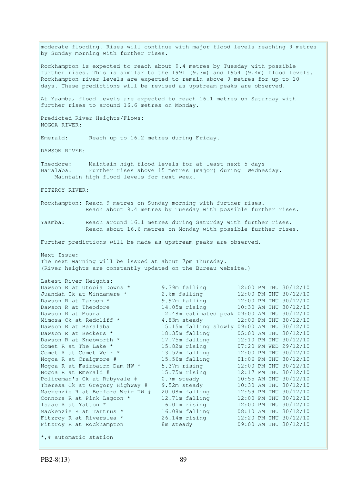moderate flooding. Rises will continue with major flood levels reaching 9 metres by Sunday morning with further rises. Rockhampton is expected to reach about 9.4 metres by Tuesday with possible further rises. This is similar to the 1991 (9.3m) and 1954 (9.4m) flood levels. Rockhampton river levels are expected to remain above 9 metres for up to 10 days. These predictions will be revised as upstream peaks are observed. At Yaamba, flood levels are expected to reach 16.1 metres on Saturday with further rises to around 16.6 metres on Monday. Predicted River Heights/Flows: NOGOA RIVER: Emerald: Reach up to 16.2 metres during Friday. DAWSON RIVER: Theodore: Maintain high flood levels for at least next 5 days Baralaba: Further rises above 15 metres (major) during Wednesday. Maintain high flood levels for next week. FITZROY RIVER: Rockhampton: Reach 9 metres on Sunday morning with further rises. Reach about 9.4 metres by Tuesday with possible further rises. Yaamba: Reach around 16.1 metres during Saturday with further rises. Reach about 16.6 metres on Monday with possible further rises. Further predictions will be made as upstream peaks are observed. Next Issue: The next warning will be issued at about 7pm Thursday. (River heights are constantly updated on the Bureau website.) Latest River Heights: Dawson R at Utopia Downs \* 9.39m falling 12:00 PM THU 30/12/10 Juandah Ck at Windamere \* 2.6m falling 12:00 PM THU 30/12/10 Dawson R at Taroom \* 9.97m falling 12:00 PM THU 30/12/10 Dawson R at Theodore 14.05m rising 10:30 AM THU 30/12/10 Dawson R at Moura 12.48m estimated peak 09:00 AM THU 30/12/10 Mimosa Ck at Redcliff  $\star$  4.83m steady 12:00 PM THU 30/12/10 Dawson R at Baralaba 15.15m falling slowly 09:00 AM THU 30/12/10 Dawson R at Beckers \* 18.35m falling 05:00 AM THU 30/12/10<br>Dawson R at Knebworth \* 17.75m falling 12:10 PM THU 30/12/10 Dawson R at Knebworth \* 17.75m falling 12:10 PM THU 30/12/10<br>
Comet R at The Lake \* 15.82m rising 07:20 PM WED 29/12/10 Comet R at The Lake  $*$  15.82m rising 07:20 PM WED 29/12/10 Comet R at Comet Weir \* 13.52m falling 12:00 PM THU 30/12/10 Nogoa R at Craigmore # 15.56m falling 01:06 PM THU 30/12/10 Nogoa R at Fairbairn Dam HW  $\star$  5.37m rising 12:00 PM THU 30/12/10 Nogoa R at Emerald # 15.75m rising 12:17 PM THU 30/12/10 Policeman's Ck at Rubyvale # 0.7m steady 10:55 AM THU 30/12/10 Theresa Ck at Gregory Highway # 9.52m steady 10:30 AM THU 30/12/10 Theresa Ck at Gregory Highway #9.52m steady 10:30 AM THU 30/12/10<br>Mackenzie R at Bedford Weir TW #20.08m falling 12:59 PM THU 30/12/10 Connors R at Pink Lagoon  $*$  12.71m falling 12:00 PM THU 30/12/10 Isaac R at Yatton \* 16.01m rising 12:00 PM THU 30/12/10 Mackenzie R at Tartrus \* 16.08m falling 08:10 AM THU 30/12/10 Fitzroy R at Riverslea \* 26.14m rising 12:20 PM THU 30/12/10 Fitzroy R at Rockhampton 8m steady 09:00 AM THU 30/12/10  $\star$ ,# automatic station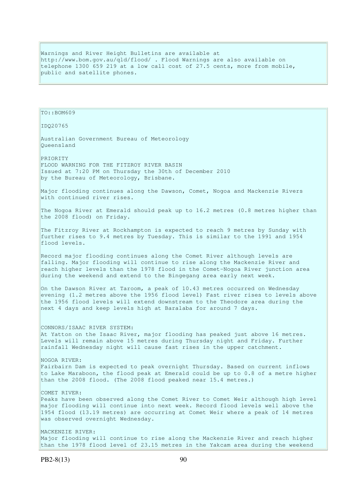Warnings and River Height Bulletins are available at http://www.bom.gov.au/qld/flood/ . Flood Warnings are also available on telephone 1300 659 219 at a low call cost of 27.5 cents, more from mobile, public and satellite phones.

IDQ20765 Australian Government Bureau of Meteorology Queensland PRIORITY FLOOD WARNING FOR THE FITZROY RIVER BASIN Issued at 7:20 PM on Thursday the 30th of December 2010 by the Bureau of Meteorology, Brisbane. Major flooding continues along the Dawson, Comet, Nogoa and Mackenzie Rivers with continued river rises. The Nogoa River at Emerald should peak up to 16.2 metres (0.8 metres higher than the 2008 flood) on Friday. The Fitzroy River at Rockhampton is expected to reach 9 metres by Sunday with further rises to 9.4 metres by Tuesday. This is similar to the 1991 and 1954 flood levels. Record major flooding continues along the Comet River although levels are falling. Major flooding will continue to rise along the Mackenzie River and reach higher levels than the 1978 flood in the Comet-Nogoa River junction area during the weekend and extend to the Bingegang area early next week. On the Dawson River at Taroom, a peak of 10.43 metres occurred on Wednesday evening (1.2 metres above the 1956 flood level) Fast river rises to levels above the 1956 flood levels will extend downstream to the Theodore area during the next 4 days and keep levels high at Baralaba for around 7 days. CONNORS/ISAAC RIVER SYSTEM: At Yatton on the Isaac River, major flooding has peaked just above 16 metres. Levels will remain above 15 metres during Thursday night and Friday. Further rainfall Wednesday night will cause fast rises in the upper catchment. NOGOA RIVER: Fairbairn Dam is expected to peak overnight Thursday. Based on current inflows to Lake Maraboon, the flood peak at Emerald could be up to 0.8 of a metre higher than the 2008 flood. (The 2008 flood peaked near 15.4 metres.) COMET RIVER: Peaks have been observed along the Comet River to Comet Weir although high level major flooding will continue into next week. Record flood levels well above the 1954 flood (13.19 metres) are occurring at Comet Weir where a peak of 14 metres was observed overnight Wednesday. MACKENZIE RIVER: Major flooding will continue to rise along the Mackenzie River and reach higher than the 1978 flood level of 23.15 metres in the Yakcam area during the weekend

TO::BOM609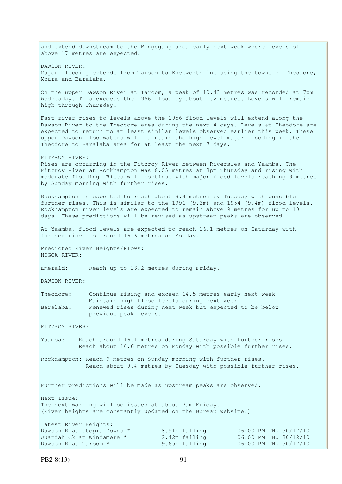and extend downstream to the Bingegang area early next week where levels of above 17 metres are expected. DAWSON RIVER: Major flooding extends from Taroom to Knebworth including the towns of Theodore, Moura and Baralaba. On the upper Dawson River at Taroom, a peak of 10.43 metres was recorded at 7pm Wednesday. This exceeds the 1956 flood by about 1.2 metres. Levels will remain high through Thursday. Fast river rises to levels above the 1956 flood levels will extend along the Dawson River to the Theodore area during the next 4 days. Levels at Theodore are expected to return to at least similar levels observed earlier this week. These upper Dawson floodwaters will maintain the high level major flooding in the Theodore to Baralaba area for at least the next 7 days. FITZROY RIVER: Rises are occurring in the Fitzroy River between Riverslea and Yaamba. The Fitzroy River at Rockhampton was 8.05 metres at 3pm Thursday and rising with moderate flooding. Rises will continue with major flood levels reaching 9 metres by Sunday morning with further rises. Rockhampton is expected to reach about 9.4 metres by Tuesday with possible further rises. This is similar to the 1991 (9.3m) and 1954 (9.4m) flood levels. Rockhampton river levels are expected to remain above 9 metres for up to 10 days. These predictions will be revised as upstream peaks are observed. At Yaamba, flood levels are expected to reach 16.1 metres on Saturday with further rises to around 16.6 metres on Monday. Predicted River Heights/Flows: NOGOA RIVER: Emerald: Reach up to 16.2 metres during Friday. DAWSON RIVER: Theodore: Continue rising and exceed 14.5 metres early next week Maintain high flood levels during next week Baralaba: Renewed rises during next week but expected to be below previous peak levels. FITZROY RIVER: Yaamba: Reach around 16.1 metres during Saturday with further rises. Reach about 16.6 metres on Monday with possible further rises. Rockhampton: Reach 9 metres on Sunday morning with further rises. Reach about 9.4 metres by Tuesday with possible further rises. Further predictions will be made as upstream peaks are observed. Next Issue: The next warning will be issued at about 7am Friday. (River heights are constantly updated on the Bureau website.) Latest River Heights: Dawson R at Utopia Downs \* 8.51m falling 06:00 PM THU 30/12/10 Juandah Ck at Windamere \* 2.42m falling 06:00 PM THU 30/12/10 Dawson R at Taroom \* 9.65m falling 06:00 PM THU 30/12/10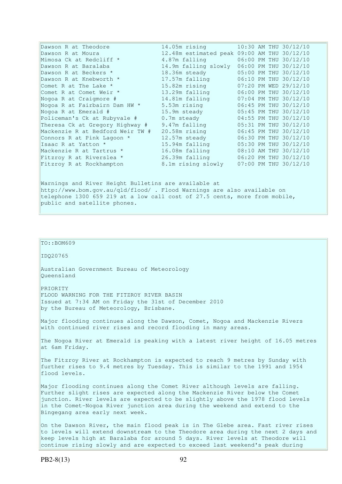| Dawson R at Theodore                                                                  | 14.05m rising                               |  | 10:30 AM THU 30/12/10 |
|---------------------------------------------------------------------------------------|---------------------------------------------|--|-----------------------|
| Dawson R at Moura                                                                     | 12.48m estimated peak 09:00 AM THU 30/12/10 |  |                       |
| Mimosa Ck at Redcliff *                                                               | 4.87m falling                               |  | 06:00 PM THU 30/12/10 |
| Dawson R at Baralaba                                                                  | 14.9m falling slowly                        |  | 06:00 PM THU 30/12/10 |
| Dawson R at Beckers *                                                                 | 18.36m steady                               |  | 05:00 PM THU 30/12/10 |
| Dawson R at Knebworth *                                                               | 17.57m falling                              |  | 06:10 PM THU 30/12/10 |
| Comet R at The Lake *                                                                 | 15.82m rising                               |  | 07:20 PM WED 29/12/10 |
| Comet R at Comet Weir *                                                               | 13.29m falling                              |  | 06:00 PM THU 30/12/10 |
| Nogoa R at Craigmore #                                                                | 14.81m falling                              |  | 07:04 PM THU 30/12/10 |
| Nogoa R at Fairbairn Dam HW *                                                         | 5.53m rising                                |  | 06:45 PM THU 30/12/10 |
| Nogoa R at Emerald #                                                                  | 15.9m steady                                |  | 05:45 PM THU 30/12/10 |
| Policeman's Ck at Rubyvale #                                                          | 0.7m steady                                 |  | 04:55 PM THU 30/12/10 |
| Theresa Ck at Gregory Highway #                                                       | 9.47m falling                               |  | 05:31 PM THU 30/12/10 |
| Mackenzie R at Bedford Weir TW #                                                      | $20.58m$ rising                             |  | 06:45 PM THU 30/12/10 |
| Connors R at Pink Lagoon *                                                            | 12.57m steady                               |  | 06:30 PM THU 30/12/10 |
| Isaac R at Yatton *                                                                   | 15.94m falling                              |  | 05:30 PM THU 30/12/10 |
| Mackenzie R at Tartrus *                                                              | 16.08m falling                              |  | 08:10 AM THU 30/12/10 |
| Fitzroy R at Riverslea *                                                              | 26.39m falling                              |  | 06:20 PM THU 30/12/10 |
| Fitzroy R at Rockhampton                                                              | 8.1m rising slowly                          |  | 07:00 PM THU 30/12/10 |
|                                                                                       |                                             |  |                       |
| للمراج والمؤمر والمتحدث والمتسابقات والمستقري والمستنبذ والمستحدث والمستحدث والمستحدث |                                             |  |                       |

Warnings and River Height Bulletins are available at http://www.bom.gov.au/qld/flood/ . Flood Warnings are also available on telephone 1300 659 219 at a low call cost of 27.5 cents, more from mobile, public and satellite phones.

# $TO:$ : BOM609

IDQ20765

Australian Government Bureau of Meteorology Queensland

PRIORITY FLOOD WARNING FOR THE FITZROY RIVER BASIN Issued at 7:34 AM on Friday the 31st of December 2010 by the Bureau of Meteorology, Brisbane.

Major flooding continues along the Dawson, Comet, Nogoa and Mackenzie Rivers with continued river rises and record flooding in many areas.

The Nogoa River at Emerald is peaking with a latest river height of 16.05 metres at 6am Friday.

The Fitzroy River at Rockhampton is expected to reach 9 metres by Sunday with further rises to 9.4 metres by Tuesday. This is similar to the 1991 and 1954 flood levels.

Major flooding continues along the Comet River although levels are falling. Further slight rises are expected along the Mackenzie River below the Comet junction. River levels are expected to be slightly above the 1978 flood levels in the Comet-Nogoa River junction area during the weekend and extend to the Bingegang area early next week.

On the Dawson River, the main flood peak is in The Glebe area. Fast river rises to levels will extend downstream to the Theodore area during the next 2 days and keep levels high at Baralaba for around 5 days. River levels at Theodore will continue rising slowly and are expected to exceed last weekend's peak during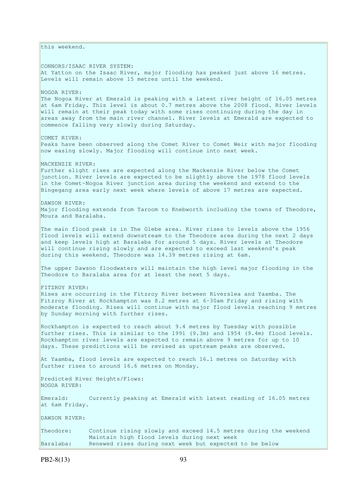this weekend. CONNORS/ISAAC RIVER SYSTEM: At Yatton on the Isaac River, major flooding has peaked just above 16 metres. Levels will remain above 15 metres until the weekend. NOGOA RIVER: The Nogoa River at Emerald is peaking with a latest river height of 16.05 metres at 6am Friday. This level is about 0.7 metres above the 2008 flood. River levels will remain at their peak today with some rises continuing during the day in areas away from the main river channel. River levels at Emerald are expected to commence falling very slowly during Saturday. COMET RIVER: Peaks have been observed along the Comet River to Comet Weir with major flooding now easing slowly. Major flooding will continue into next week. MACKENZIE RIVER: Further slight rises are expected along the Mackenzie River below the Comet junction. River levels are expected to be slightly above the 1978 flood levels in the Comet-Nogoa River junction area during the weekend and extend to the Bingegang area early next week where levels of above 17 metres are expected. DAWSON RIVER: Major flooding extends from Taroom to Knebworth including the towns of Theodore, Moura and Baralaba. The main flood peak is in The Glebe area. River rises to levels above the 1956 flood levels will extend downstream to the Theodore area during the next 2 days and keep levels high at Baralaba for around 5 days. River levels at Theodore will continue rising slowly and are expected to exceed last weekend's peak during this weekend. Theodore was 14.39 metres rising at 6am. The upper Dawson floodwaters will maintain the high level major flooding in the Theodore to Baralaba area for at least the next 5 days. FITZROY RIVER: Rises are occurring in the Fitzroy River between Riverslea and Yaamba. The Fitzroy River at Rockhampton was 8.2 metres at 6-30am Friday and rising with moderate flooding. Rises will continue with major flood levels reaching 9 metres by Sunday morning with further rises. Rockhampton is expected to reach about 9.4 metres by Tuesday with possible further rises. This is similar to the 1991 (9.3m) and 1954 (9.4m) flood levels. Rockhampton river levels are expected to remain above 9 metres for up to 10 days. These predictions will be revised as upstream peaks are observed. At Yaamba, flood levels are expected to reach 16.1 metres on Saturday with further rises to around 16.6 metres on Monday. Predicted River Heights/Flows: NOGOA RIVER: Emerald: Currently peaking at Emerald with latest reading of 16.05 metres at 6am Friday. DAWSON RIVER: Theodore: Continue rising slowly and exceed 14.5 metres during the weekend Maintain high flood levels during next week Baralaba: Renewed rises during next week but expected to be below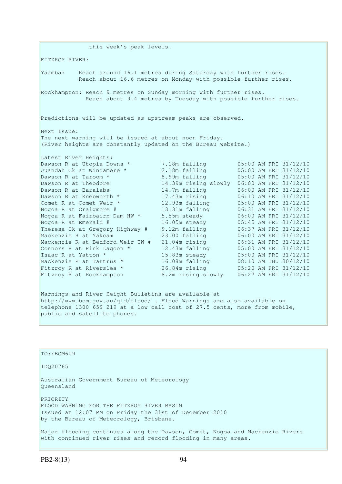this week's peak levels. FITZROY RIVER: Yaamba: Reach around 16.1 metres during Saturday with further rises. Reach about 16.6 metres on Monday with possible further rises. Rockhampton: Reach 9 metres on Sunday morning with further rises. Reach about 9.4 metres by Tuesday with possible further rises. Predictions will be updated as upstream peaks are observed. Next Issue: The next warning will be issued at about noon Friday. (River heights are constantly updated on the Bureau website.) Latest River Heights: Dawson R at Utopia Downs \* 7.18m falling 05:00 AM FRI 31/12/10<br>Juandah Ck at Windamere \* 2.18m falling 05:00 AM FRI 31/12/10 Juandah Ck at Windamere \* 2.18m falling 05:00 AM FRI 31/12/10 Dawson R at Taroom \* 8.99m falling 05:00 AM FRI 31/12/10 Dawson R at Theodore 14.39m rising slowly 06:00 AM FRI 31/12/10 Dawson R at Baralaba 14.7m falling 06:00 AM FRI 31/12/10 Dawson R at Knebworth \* 17.43m rising 06:10 AM FRI 31/12/10 Comet R at Comet Weir \* 12.93m falling 05:00 AM FRI 31/12/10 Nogoa R at Craigmore # 13.31m falling 06:31 AM FRI 31/12/10 Nogoa R at Fairbairn Dam HW \* 5.55m steady 66:00 AM FRI 31/12/10 Nogoa R at Emerald # 16.05m steady 05:45 AM FRI 31/12/10 Theresa Ck at Gregory Highway # 9.12m falling 06:37 AM FRI 31/12/10 Mackenzie R at Yakcam 23.00 falling 06:00 AM FRI 31/12/10 Mackenzie R at Bedford Weir TW # 21.04m rising 06:31 AM FRI 31/12/10 Connors R at Pink Lagoon  $*$  12.43m falling  $05:00$  AM FRI 31/12/10 Isaac R at Yatton \* 15.83m steady 05:00 AM FRI 31/12/10 Mackenzie R at Tartrus \* 16.08m falling 08:10 AM THU 30/12/10 Fitzroy R at Riverslea \* 26.84m rising 05:20 AM FRI 31/12/10 Fitzroy R at Rockhampton 8.2m rising slowly 06:27 AM FRI 31/12/10

Warnings and River Height Bulletins are available at http://www.bom.gov.au/qld/flood/ . Flood Warnings are also available on telephone 1300 659 219 at a low call cost of 27.5 cents, more from mobile, public and satellite phones.

| TO::BOM609                                                                                                                                                 |
|------------------------------------------------------------------------------------------------------------------------------------------------------------|
| ID020765                                                                                                                                                   |
| Australian Government Bureau of Meteorology<br>Oueensland                                                                                                  |
| PRIORITY<br>FLOOD WARNING FOR THE FITZROY RIVER BASIN<br>Issued at 12:07 PM on Friday the 31st of December 2010<br>by the Bureau of Meteorology, Brisbane. |
| Major flooding continues along the Dawson, Comet, Nogoa and Mackenzie Rivers<br>with continued river rises and record flooding in many areas.              |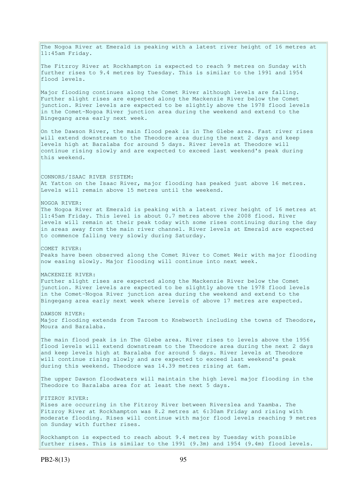The Nogoa River at Emerald is peaking with a latest river height of 16 metres at 11:45am Friday. The Fitzroy River at Rockhampton is expected to reach 9 metres on Sunday with further rises to 9.4 metres by Tuesday. This is similar to the 1991 and 1954 flood levels. Major flooding continues along the Comet River although levels are falling. Further slight rises are expected along the Mackenzie River below the Comet junction. River levels are expected to be slightly above the 1978 flood levels in the Comet-Nogoa River junction area during the weekend and extend to the Bingegang area early next week. On the Dawson River, the main flood peak is in The Glebe area. Fast river rises will extend downstream to the Theodore area during the next 2 days and keep levels high at Baralaba for around 5 days. River levels at Theodore will continue rising slowly and are expected to exceed last weekend's peak during this weekend. CONNORS/ISAAC RIVER SYSTEM: At Yatton on the Isaac River, major flooding has peaked just above 16 metres. Levels will remain above 15 metres until the weekend. NOGOA RIVER: The Nogoa River at Emerald is peaking with a latest river height of 16 metres at 11:45am Friday. This level is about 0.7 metres above the 2008 flood. River levels will remain at their peak today with some rises continuing during the day in areas away from the main river channel. River levels at Emerald are expected to commence falling very slowly during Saturday. COMET RIVER: Peaks have been observed along the Comet River to Comet Weir with major flooding now easing slowly. Major flooding will continue into next week. MACKENZIE RIVER: Further slight rises are expected along the Mackenzie River below the Comet junction. River levels are expected to be slightly above the 1978 flood levels in the Comet-Nogoa River junction area during the weekend and extend to the Bingegang area early next week where levels of above 17 metres are expected. DAWSON RIVER: Major flooding extends from Taroom to Knebworth including the towns of Theodore, Moura and Baralaba. The main flood peak is in The Glebe area. River rises to levels above the 1956 flood levels will extend downstream to the Theodore area during the next 2 days and keep levels high at Baralaba for around 5 days. River levels at Theodore will continue rising slowly and are expected to exceed last weekend's peak during this weekend. Theodore was 14.39 metres rising at 6am. The upper Dawson floodwaters will maintain the high level major flooding in the Theodore to Baralaba area for at least the next 5 days. FITZROY RIVER: Rises are occurring in the Fitzroy River between Riverslea and Yaamba. The Fitzroy River at Rockhampton was 8.2 metres at 6:30am Friday and rising with moderate flooding. Rises will continue with major flood levels reaching 9 metres on Sunday with further rises. Rockhampton is expected to reach about 9.4 metres by Tuesday with possible further rises. This is similar to the 1991 (9.3m) and 1954 (9.4m) flood levels.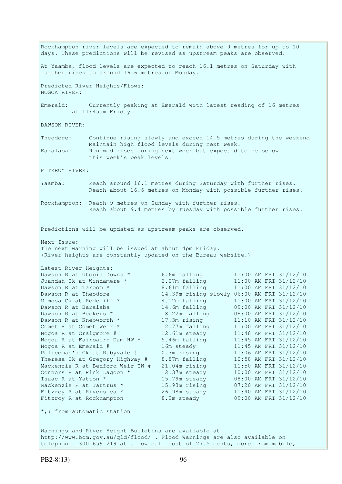Rockhampton river levels are expected to remain above 9 metres for up to 10 days. These predictions will be revised as upstream peaks are observed. At Yaamba, flood levels are expected to reach 16.1 metres on Saturday with further rises to around 16.6 metres on Monday. Predicted River Heights/Flows: NOGOA RIVER: Emerald: Currently peaking at Emerald with latest reading of 16 metres at 11:45am Friday. DAWSON RIVER: Theodore: Continue rising slowly and exceed 14.5 metres during the weekend Maintain high flood levels during next week. Baralaba: Renewed rises during next week but expected to be below this week's peak levels. FITZROY RIVER: Yaamba: Reach around 16.1 metres during Saturday with further rises. Reach about 16.6 metres on Monday with possible further rises. Rockhampton: Reach 9 metres on Sunday with further rises. Reach about 9.4 metres by Tuesday with possible further rises. Predictions will be updated as upstream peaks are observed. Next Issue: The next warning will be issued at about 4pm Friday. (River heights are constantly updated on the Bureau website.) Latest River Heights: Dawson R at Utopia Downs \* 6.6m falling 11:00 AM FRI 31/12/10 Juandah Ck at Windamere \* 2.07m falling 11:00 AM FRI 31/12/10 Dawson R at Taroom \* 8.61m falling 11:00 AM FRI 31/12/10 Dawson R at Theodore 14.39m rising slowly 06:00 AM FRI 31/12/10 Mimosa Ck at Redcliff \* 4.12m falling 11:00 AM FRI 31/12/10 Dawson R at Baralaba 14.6m falling 09:00 AM FRI 31/12/10 Dawson R at Beckers \* 18.22m falling 08:00 AM FRI 31/12/10 Dawson R at Knebworth \* 17.3m rising 11:10 AM FRI 31/12/10 Comet R at Comet Weir \* 12.77m falling 11:00 AM FRI 31/12/10 Nogoa R at Craigmore # 12.61m steady 11:48 AM FRI 31/12/10 Nogoa R at Fairbairn Dam HW \* 5.46m falling 11:45 AM FRI 31/12/10 Nogoa R at Emerald # 16m steady 11:45 AM FRI 31/12/10 Policeman's Ck at Rubyvale # 0.7m rising 11:06 AM FRI 31/12/10 Theresa Ck at Gregory Highway # 8.87m falling 10:58 AM FRI 31/12/10 Mackenzie R at Bedford Weir TW  $#$  21.04m rising 11:50 AM FRI 31/12/10 Connors R at Pink Lagoon  $*$  12.37m steady 10:00 AM FRI 31/12/10 Isaac R at Yatton \* 15.79m steady 08:00 AM FRI 31/12/10 Mackenzie R at Tartrus \* 15.93m rising 07:20 AM FRI 31/12/10 Fitzroy R at Riverslea \* 26.98m steady 11:40 AM FRI 31/12/10 Fitzroy R at Rockhampton 8.2m steady 09:00 AM FRI 31/12/10  $\star$ ,# from automatic station Warnings and River Height Bulletins are available at http://www.bom.gov.au/qld/flood/ . Flood Warnings are also available on

telephone 1300 659 219 at a low call cost of 27.5 cents, more from mobile,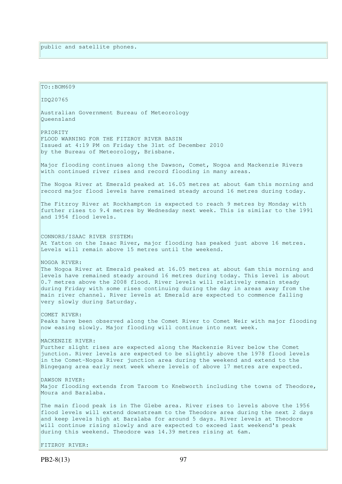TO::BOM609 IDQ20765 Australian Government Bureau of Meteorology Queensland PRIORITY FLOOD WARNING FOR THE FITZROY RIVER BASIN Issued at 4:19 PM on Friday the 31st of December 2010 by the Bureau of Meteorology, Brisbane. Major flooding continues along the Dawson, Comet, Nogoa and Mackenzie Rivers with continued river rises and record flooding in many areas. The Nogoa River at Emerald peaked at 16.05 metres at about 6am this morning and record major flood levels have remained steady around 16 metres during today. The Fitzroy River at Rockhampton is expected to reach 9 metres by Monday with further rises to 9.4 metres by Wednesday next week. This is similar to the 1991 and 1954 flood levels. CONNORS/ISAAC RIVER SYSTEM: At Yatton on the Isaac River, major flooding has peaked just above 16 metres. Levels will remain above 15 metres until the weekend. NOGOA RIVER: The Nogoa River at Emerald peaked at 16.05 metres at about 6am this morning and levels have remained steady around 16 metres during today. This level is about 0.7 metres above the 2008 flood. River levels will relatively remain steady during Friday with some rises continuing during the day in areas away from the main river channel. River levels at Emerald are expected to commence falling very slowly during Saturday. COMET RIVER: Peaks have been observed along the Comet River to Comet Weir with major flooding now easing slowly. Major flooding will continue into next week. MACKENZIE RIVER: Further slight rises are expected along the Mackenzie River below the Comet junction. River levels are expected to be slightly above the 1978 flood levels in the Comet-Nogoa River junction area during the weekend and extend to the Bingegang area early next week where levels of above 17 metres are expected. DAWSON RIVER: Major flooding extends from Taroom to Knebworth including the towns of Theodore, Moura and Baralaba. The main flood peak is in The Glebe area. River rises to levels above the 1956 flood levels will extend downstream to the Theodore area during the next 2 days and keep levels high at Baralaba for around 5 days. River levels at Theodore will continue rising slowly and are expected to exceed last weekend's peak during this weekend. Theodore was 14.39 metres rising at 6am. FITZROY RIVER: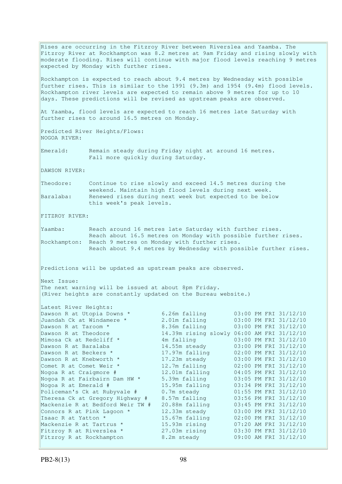Rises are occurring in the Fitzroy River between Riverslea and Yaamba. The Fitzroy River at Rockhampton was 8.2 metres at 9am Friday and rising slowly with moderate flooding. Rises will continue with major flood levels reaching 9 metres expected by Monday with further rises. Rockhampton is expected to reach about 9.4 metres by Wednesday with possible further rises. This is similar to the 1991 (9.3m) and 1954 (9.4m) flood levels. Rockhampton river levels are expected to remain above 9 metres for up to 10 days. These predictions will be revised as upstream peaks are observed. At Yaamba, flood levels are expected to reach 16 metres late Saturday with further rises to around 16.5 metres on Monday. Predicted River Heights/Flows: NOGOA RIVER: Emerald: Remain steady during Friday night at around 16 metres. Fall more quickly during Saturday. DAWSON RIVER: Theodore: Continue to rise slowly and exceed 14.5 metres during the weekend. Maintain high flood levels during next week. Baralaba: Renewed rises during next week but expected to be below this week's peak levels. FITZROY RIVER: Yaamba: Reach around 16 metres late Saturday with further rises. Reach about 16.5 metres on Monday with possible further rises. Rockhampton: Reach 9 metres on Monday with further rises. Reach about 9.4 metres by Wednesday with possible further rises. Predictions will be updated as upstream peaks are observed. Next Issue: The next warning will be issued at about 8pm Friday. (River heights are constantly updated on the Bureau website.) Latest River Heights: Dawson R at Utopia Downs \* 6.26m falling 03:00 PM FRI 31/12/10 Juandah Ck at Windamere \* 2.01m falling 03:00 PM FRI 31/12/10 Dawson R at Taroom \* 8.36m falling 03:00 PM FRI 31/12/10 Dawson R at Taroom \* 8.36m falling 03:00 PM FRI 31/12/10<br>Dawson R at Theodore 14.39m rising slowly 06:00 AM FRI 31/12/10<br>Mimosa Ck at Redcliff \* 4m falling 03:00 PM FRI 31/12/10 Mimosa Ck at Redcliff \* 4m falling 03:00 PM FRI 31/12/10 Dawson R at Baralaba 14.55m steady 03:00 PM FRI 31/12/10 Dawson R at Beckers \* 17.97m falling 02:00 PM FRI 31/12/10 Dawson R at Knebworth \* 17.23m steady 03:00 PM FRI 31/12/10 Comet R at Comet Weir  $*$  12.7m falling 02:00 PM FRI 31/12/10 Nogoa R at Craigmore # 12.01m falling 04:05 PM FRI 31/12/10 Nogoa R at Fairbairn Dam HW \* 5.39m falling 03:05 PM FRI 31/12/10 Nogoa R at Emerald # 15.95m falling 03:34 PM FRI 31/12/10 Policeman's Ck at Rubyvale # 0.7m steady 01:55 PM FRI 31/12/10 Theresa Ck at Gregory Highway # 8.57m falling 03:56 PM FRI 31/12/10 Mackenzie R at Bedford Weir TW # 20.88m falling 03:45 PM FRI 31/12/10 Connors R at Pink Lagoon  $*$  12.33m steady 03:00 PM FRI 31/12/10 Isaac R at Yatton \* 15.67m falling 02:00 PM FRI 31/12/10 Mackenzie R at Tartrus \* 15.93m rising 07:20 AM FRI 31/12/10 Fitzroy R at Riverslea \* 27.03m rising 03:30 PM FRI 31/12/10 Fitzroy R at Rockhampton 8.2m steady 09:00 AM FRI 31/12/10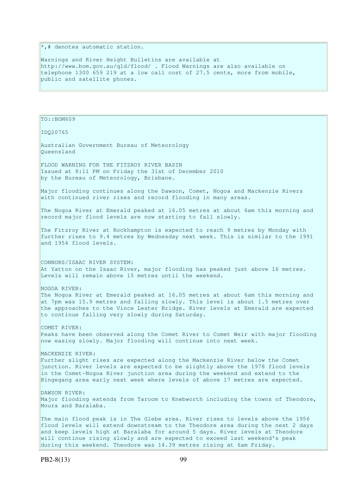$\ast$ , # denotes automatic station.

Warnings and River Height Bulletins are available at http://www.bom.gov.au/qld/flood/ . Flood Warnings are also available on telephone 1300 659 219 at a low call cost of 27.5 cents, more from mobile, public and satellite phones.

TO::BOM609 IDQ20765 Australian Government Bureau of Meteorology Queensland FLOOD WARNING FOR THE FITZROY RIVER BASIN Issued at 8:11 PM on Friday the 31st of December 2010 by the Bureau of Meteorology, Brisbane. Major flooding continues along the Dawson, Comet, Nogoa and Mackenzie Rivers with continued river rises and record flooding in many areas. The Nogoa River at Emerald peaked at 16.05 metres at about 6am this morning and record major flood levels are now starting to fall slowly. The Fitzroy River at Rockhampton is expected to reach 9 metres by Monday with further rises to 9.4 metres by Wednesday next week. This is similar to the 1991 and 1954 flood levels. CONNORS/ISAAC RIVER SYSTEM: At Yatton on the Isaac River, major flooding has peaked just above 16 metres. Levels will remain above 15 metres until the weekend. NOGOA RIVER: The Nogoa River at Emerald peaked at 16.05 metres at about 6am this morning and at 7pm was 15.9 metres and falling slowly. This level is about 1.5 metres over the approaches to the Vince Lester Bridge. River levels at Emerald are expected to continue falling very slowly during Saturday. COMET RIVER: Peaks have been observed along the Comet River to Comet Weir with major flooding now easing slowly. Major flooding will continue into next week. MACKENZIE RIVER: Further slight rises are expected along the Mackenzie River below the Comet junction. River levels are expected to be slightly above the 1978 flood levels in the Comet-Nogoa River junction area during the weekend and extend to the Bingegang area early next week where levels of above 17 metres are expected. DAWSON RIVER: Major flooding extends from Taroom to Knebworth including the towns of Theodore, Moura and Baralaba. The main flood peak is in The Glebe area. River rises to levels above the 1956 flood levels will extend downstream to the Theodore area during the next 2 days and keep levels high at Baralaba for around 5 days. River levels at Theodore will continue rising slowly and are expected to exceed last weekend's peak

during this weekend. Theodore was 14.39 metres rising at 6am Friday.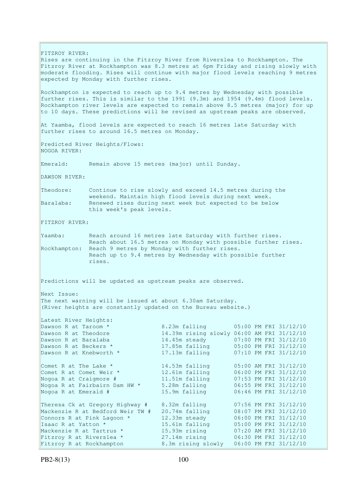FITZROY RIVER: Rises are continuing in the Fitzroy River from Riverslea to Rockhampton. The Fitzroy River at Rockhampton was 8.3 metres at 6pm Friday and rising slowly with moderate flooding. Rises will continue with major flood levels reaching 9 metres expected by Monday with further rises. Rockhampton is expected to reach up to 9.4 metres by Wednesday with possible further rises. This is similar to the 1991 (9.3m) and 1954 (9.4m) flood levels. Rockhampton river levels are expected to remain above 8.5 metres (major) for up to 10 days. These predictions will be revised as upstream peaks are observed. At Yaamba, flood levels are expected to reach 16 metres late Saturday with further rises to around 16.5 metres on Monday. Predicted River Heights/Flows: NOGOA RIVER: Emerald: Remain above 15 metres (major) until Sunday. DAWSON RIVER: Theodore: Continue to rise slowly and exceed 14.5 metres during the weekend. Maintain high flood levels during next week. Baralaba: Renewed rises during next week but expected to be below this week's peak levels. FITZROY RIVER: Yaamba: Reach around 16 metres late Saturday with further rises. Reach about 16.5 metres on Monday with possible further rises. Rockhampton: Reach 9 metres by Monday with further rises. Reach up to 9.4 metres by Wednesday with possible further rises. Predictions will be updated as upstream peaks are observed. Next Issue: The next warning will be issued at about 6.30am Saturday. (River heights are constantly updated on the Bureau website.) Latest River Heights: Dawson R at Taroom \* 8.23m falling 05:00 PM FRI 31/12/10 Dawson R at Theodore 14.39m rising slowly 06:00 AM FRI 31/12/10 Dawson R at Baralaba 14.45m steady 07:00 PM FRI 31/12/10 Dawson R at Beckers \* 17.85m falling 05:00 PM FRI 31/12/10 Dawson R at Beckers "<br>Dawson R at Knebworth \* 17.13m falling 07:10 PM FRI 31/12/10 Comet R at The Lake  $*$  14.53m falling 05:00 AM FRI 31/12/10 Comet R at Comet Weir \* 12.61m falling 06:00 PM FRI 31/12/10 Nogoa R at Craigmore # 11.51m falling 07:53 PM FRI 31/12/10 Nogoa R at Fairbairn Dam HW \* 5.28m falling 06:55 PM FRI 31/12/10 Nogoa R at Emerald # 15.9m falling 06:46 PM FRI 31/12/10 Theresa Ck at Gregory Highway # 8.32m falling 07:56 PM FRI 31/12/10 Mackenzie R at Bedford Weir TW # 20.74m falling 08:07 PM FRI 31/12/10 Connors R at Pink Lagoon  $*$  12.33m steady 06:00 PM FRI 31/12/10 Isaac R at Yatton \* 15.61m falling 05:00 PM FRI 31/12/10 Mackenzie R at Tartrus \* 15.93m rising 07:20 AM FRI 31/12/10 Fitzroy R at Riverslea \* 27.14m rising 06:30 PM FRI 31/12/10 Fitzroy R at Rockhampton 8.3m rising slowly 06:00 PM FRI 31/12/10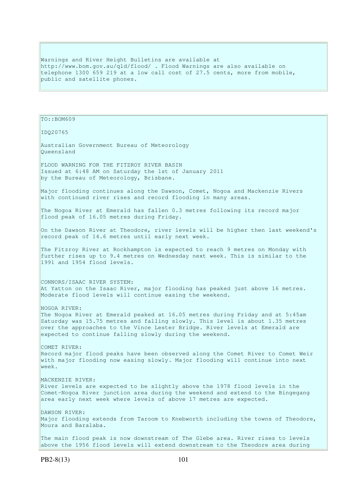Warnings and River Height Bulletins are available at http://www.bom.gov.au/qld/flood/ . Flood Warnings are also available on telephone 1300 659 219 at a low call cost of 27.5 cents, more from mobile, public and satellite phones.

```
TO::BOM609 
IDQ20765 
Australian Government Bureau of Meteorology 
Queensland 
FLOOD WARNING FOR THE FITZROY RIVER BASIN 
Issued at 6:48 AM on Saturday the 1st of January 2011 
by the Bureau of Meteorology, Brisbane.
Major flooding continues along the Dawson, Comet, Nogoa and Mackenzie Rivers
with continued river rises and record flooding in many areas.
The Nogoa River at Emerald has fallen 0.3 metres following its record major
flood peak of 16.05 metres during Friday. 
On the Dawson River at Theodore, river levels will be higher then last weekend's 
record peak of 14.6 metres until early next week. 
The Fitzroy River at Rockhampton is expected to reach 9 metres on Monday with
further rises up to 9.4 metres on Wednesday next week. This is similar to the 
1991 and 1954 flood levels. 
CONNORS/ISAAC RIVER SYSTEM: 
At Yatton on the Isaac River, major flooding has peaked just above 16 metres. 
Moderate flood levels will continue easing the weekend. 
NOGOA RIVER: 
The Nogoa River at Emerald peaked at 16.05 metres during Friday and at 5:45am 
Saturday was 15.75 metres and falling slowly. This level is about 1.35 metres
over the approaches to the Vince Lester Bridge. River levels at Emerald are
expected to continue falling slowly during the weekend.
COMET RIVER: 
Record major flood peaks have been observed along the Comet River to Comet Weir 
with major flooding now easing slowly. Major flooding will continue into next
week. 
MACKENZIE RIVER: 
River levels are expected to be slightly above the 1978 flood levels in the 
Comet-Nogoa River junction area during the weekend and extend to the Bingegang 
area early next week where levels of above 17 metres are expected. 
DAWSON RIVER: 
Major flooding extends from Taroom to Knebworth including the towns of Theodore, 
Moura and Baralaba.
The main flood peak is now downstream of The Glebe area. River rises to levels
above the 1956 flood levels will extend downstream to the Theodore area during
```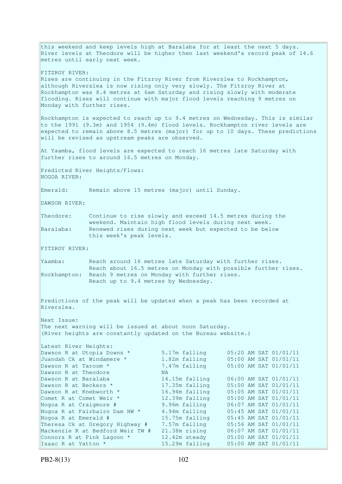this weekend and keep levels high at Baralaba for at least the next 5 days. River levels at Theodore will be higher then last weekend's record peak of 14.6 metres until early next week. FITZROY RIVER: Rises are continuing in the Fitzroy River from Riverslea to Rockhampton, although Riverslea is now rising only very slowly. The Fitzroy River at Rockhampton was 8.4 metres at 6am Saturday and rising slowly with moderate flooding. Rises will continue with major flood levels reaching 9 metres on Monday with further rises. Rockhampton is expected to reach up to 9.4 metres on Wednesday. This is similar to the 1991 (9.3m) and 1954 (9.4m) flood levels. Rockhampton river levels are expected to remain above 8.5 metres (major) for up to 10 days. These predictions will be revised as upstream peaks are observed. At Yaamba, flood levels are expected to reach 16 metres late Saturday with further rises to around 16.5 metres on Monday. Predicted River Heights/Flows: NOGOA RIVER: Emerald: Remain above 15 metres (major) until Sunday. DAWSON RIVER: Theodore: Continue to rise slowly and exceed 14.5 metres during the weekend. Maintain high flood levels during next week. Baralaba: Renewed rises during next week but expected to be below this week's peak levels. FITZROY RIVER: Yaamba: Reach around 16 metres late Saturday with further rises. Reach about 16.5 metres on Monday with possible further rises. Rockhampton: Reach 9 metres on Monday with further rises. Reach up to 9.4 metres by Wednesday. Predictions of the peak will be updated when a peak has been recorded at Riverslea. Next Issue: The next warning will be issued at about noon Saturday. (River heights are constantly updated on the Bureau website.) Latest River Heights: Dawson R at Utopia Downs \* 5.17m falling 05:20 AM SAT 01/01/11 Juandah Ck at Windamere \* 1.82m falling 05:00 AM SAT 01/01/11 Dawson R at Taroom \* 7.47m falling 05:00 AM SAT 01/01/11 Dawson R at Theodore NA Dawson R at Baralaba 14.15m falling 06:00 AM SAT 01/01/11 Dawson R at Beckers \* 17.35m falling 05:00 AM SAT 01/01/11 Dawson R at Knebworth \* 16.94m falling 05:05 AM SAT 01/01/11 Comet R at Comet Weir \* 12.39m falling 05:00 AM SAT 01/01/11 Nogoa R at Craigmore # 9.96m falling 06:07 AM SAT 01/01/11 Nogoa R at Fairbairn Dam HW \* 4.94m falling 05:45 AM SAT 01/01/11 Nogoa R at Emerald # 15.75m falling 05:45 AM SAT 01/01/11 Theresa Ck at Gregory Highway # 7.57m falling 05:56 AM SAT 01/01/11 Mackenzie R at Bedford Weir TW # 21.38m rising 06:07 AM SAT 01/01/11 Connors R at Pink Lagoon  $*$  12.42m steady 05:00 AM SAT 01/01/11 Isaac R at Yatton \* 15.29m falling 05:00 AM SAT 01/01/11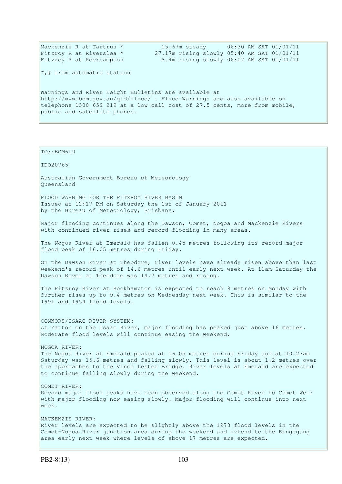| Mackenzie R at Tartrus *                                                   |  | 15.67m steady 06:30 AM SAT 01/01/11        |  |  |  |
|----------------------------------------------------------------------------|--|--------------------------------------------|--|--|--|
| Fitzroy R at Riverslea *                                                   |  | 27.17m rising slowly 05:40 AM SAT 01/01/11 |  |  |  |
| Fitzroy R at Rockhampton                                                   |  | 8.4m rising slowly 06:07 AM SAT 01/01/11   |  |  |  |
| $\star$ ,# from automatic station                                          |  |                                            |  |  |  |
| Warnings and River Height Bulletins are available at                       |  |                                            |  |  |  |
| http://www.bom.gov.au/gld/flood/ . Flood Warnings are also available on    |  |                                            |  |  |  |
| telephone 1300 659 219 at a low call cost of 27.5 cents, more from mobile, |  |                                            |  |  |  |
| public and satellite phones.                                               |  |                                            |  |  |  |
|                                                                            |  |                                            |  |  |  |

#### TO::BOM609

IDQ20765

Australian Government Bureau of Meteorology Queensland

FLOOD WARNING FOR THE FITZROY RIVER BASIN Issued at 12:17 PM on Saturday the 1st of January 2011 by the Bureau of Meteorology, Brisbane.

Major flooding continues along the Dawson, Comet, Nogoa and Mackenzie Rivers with continued river rises and record flooding in many areas.

The Nogoa River at Emerald has fallen 0.45 metres following its record major flood peak of 16.05 metres during Friday.

On the Dawson River at Theodore, river levels have already risen above than last weekend's record peak of 14.6 metres until early next week. At 11am Saturday the Dawson River at Theodore was 14.7 metres and rising.

The Fitzroy River at Rockhampton is expected to reach 9 metres on Monday with further rises up to 9.4 metres on Wednesday next week. This is similar to the 1991 and 1954 flood levels.

CONNORS/ISAAC RIVER SYSTEM: At Yatton on the Isaac River, major flooding has peaked just above 16 metres. Moderate flood levels will continue easing the weekend.

### NOGOA RIVER:

The Nogoa River at Emerald peaked at 16.05 metres during Friday and at 10.23am Saturday was 15.6 metres and falling slowly. This level is about 1.2 metres over the approaches to the Vince Lester Bridge. River levels at Emerald are expected to continue falling slowly during the weekend.

# COMET RIVER:

Record major flood peaks have been observed along the Comet River to Comet Weir with major flooding now easing slowly. Major flooding will continue into next week.

MACKENZIE RIVER: River levels are expected to be slightly above the 1978 flood levels in the Comet-Nogoa River junction area during the weekend and extend to the Bingegang area early next week where levels of above 17 metres are expected.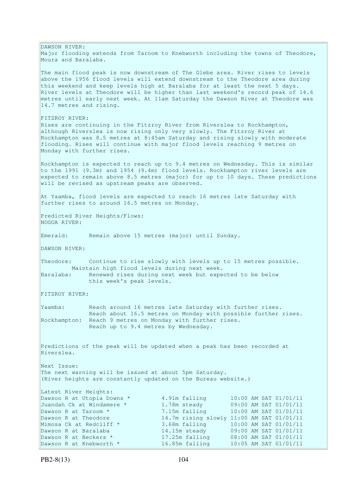DAWSON RIVER: Major flooding extends from Taroom to Knebworth including the towns of Theodore, Moura and Baralaba. The main flood peak is now downstream of The Glebe area. River rises to levels above the 1956 flood levels will extend downstream to the Theodore area during this weekend and keep levels high at Baralaba for at least the next 5 days. River levels at Theodore will be higher than last weekend's record peak of 14.6 metres until early next week. At 11am Saturday the Dawson River at Theodore was 14.7 metres and rising. FITZROY RIVER: Rises are continuing in the Fitzroy River from Riverslea to Rockhampton, although Riverslea is now rising only very slowly. The Fitzroy River at Rockhampton was 8.5 metres at 8:45am Saturday and rising slowly with moderate flooding. Rises will continue with major flood levels reaching 9 metres on Monday with further rises. Rockhampton is expected to reach up to 9.4 metres on Wednesday. This is similar to the 1991 (9.3m) and 1954 (9.4m) flood levels. Rockhampton river levels are expected to remain above 8.5 metres (major) for up to 10 days. These predictions will be revised as upstream peaks are observed. At Yaamba, flood levels are expected to reach 16 metres late Saturday with further rises to around 16.5 metres on Monday. Predicted River Heights/Flows: NOGOA RIVER: Emerald: Remain above 15 metres (major) until Sunday. DAWSON RIVER: Theodore: Continue to rise slowly with levels up to 15 metres possible. Maintain high flood levels during next week. Baralaba: Renewed rises during next week but expected to be below this week's peak levels. FITZROY RIVER: Yaamba: Reach around 16 metres late Saturday with further rises. Reach about 16.5 metres on Monday with possible further rises. Rockhampton: Reach 9 metres on Monday with further rises. Reach up to 9.4 metres by Wednesday. Predictions of the peak will be updated when a peak has been recorded at Riverslea. Next Issue: The next warning will be issued at about 5pm Saturday. (River heights are constantly updated on the Bureau website.) Latest River Heights: Dawson R at Utopia Downs \* 4.91m falling 10:00 AM SAT 01/01/11<br>Juandah Ck at Windamere \* 1.78m steady 09:00 AM SAT 01/01/11 Juandah Ck at Windamere \* 1.78m steady 09:00 AM SAT 01/01/11 Dawson R at Taroom \* 7.15m falling 10:00 AM SAT 01/01/11 Dawson R at Theodore 14.7m rising slowly 11:00 AM SAT 01/01/11 Mimosa Ck at Redcliff \* 3.68m falling 10:00 AM SAT 01/01/11 Dawson R at Baralaba 14.15m steady 09:00 AM SAT 01/01/11 Dawson R at Beckers \* 17.25m falling 08:00 AM SAT 01/01/11 Dawson R at Knebworth \* 16.85m falling 10:05 AM SAT 01/01/11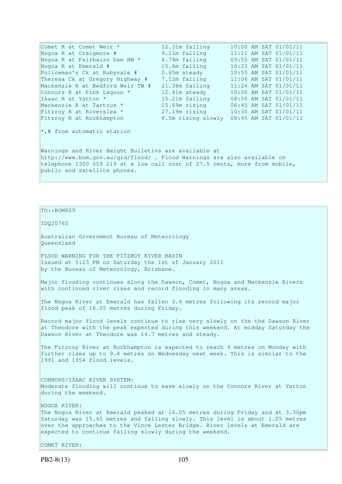Comet R at Comet Weir \* 12.31m falling 10:00 AM SAT 01/01/11 Nogoa R at Craigmore # 9.11m falling 11:11 AM SAT 01/01/11 Nogoa R at Fairbairn Dam HW \* 4.78m falling 09:55 AM SAT 01/01/11 Nogoa R at Emerald # 15.6m falling 10:23 AM SAT 01/01/11 Policeman's Ck at Rubyvale # 0.65m steady 10:55 AM SAT 01/01/11 Theresa Ck at Gregory Highway # 7.12m falling 11:06 AM SAT 01/01/11 Mackenzie R at Bedford Weir TW # 21.38m falling 11:24 AM SAT 01/01/11 Connors R at Pink Lagoon  $*$  12.41m steady 10:00 AM SAT 01/01/11 Isaac R at Yatton \* 15.21m falling 08:00 AM SAT 01/01/11 Mackenzie R at Tartrus \* 15.69m rising 06:45 AM SAT 01/01/11 Mackenzie R at Tartrus \* 15.69m rising 06:45 AM SAT 01/01/11<br>Fitzroy R at Riverslea \* 27.19m rising 10:30 AM SAT 01/01/11<br>Fitzroy R at Rockhampton 8.5m rising slowly 08:45 AM SAT 01/01/11 8.5m rising slowly 08:45 AM SAT 01/01/11 \*,# from automatic station Warnings and River Height Bulletins are available at http://www.bom.gov.au/qld/flood/ . Flood Warnings are also available on telephone 1300 659 219 at a low call cost of 27.5 cents, more from mobile, public and satellite phones.

TO::BOM609

IDQ20765

Australian Government Bureau of Meteorology Queensland

FLOOD WARNING FOR THE FITZROY RIVER BASIN Issued at 5:23 PM on Saturday the 1st of January 2011 by the Bureau of Meteorology, Brisbane.

Major flooding continues along the Dawson, Comet, Nogoa and Mackenzie Rivers with continued river rises and record flooding in many areas.

The Nogoa River at Emerald has fallen 0.6 metres following its record major flood peak of 16.05 metres during Friday.

Record major flood levels continue to rise very slowly on the the Dawson River at Theodore with the peak expected during this weekend. At midday Saturday the Dawson River at Theodore was 14.7 metres and steady.

The Fitzroy River at Rockhampton is expected to reach 9 metres on Monday with further rises up to 9.4 metres on Wednesday next week. This is similar to the 1991 and 1954 flood levels.

CONNORS/ISAAC RIVER SYSTEM: Moderate flooding will continue to ease slowly on the Connors River at Yatton during the weekend.

NOGOA RIVER: The Nogoa River at Emerald peaked at 16.05 metres during Friday and at 3.30pm Saturday was 15.45 metres and falling slowly. This level is about 1.05 metres over the approaches to the Vince Lester Bridge. River levels at Emerald are expected to continue falling slowly during the weekend.

COMET RIVER: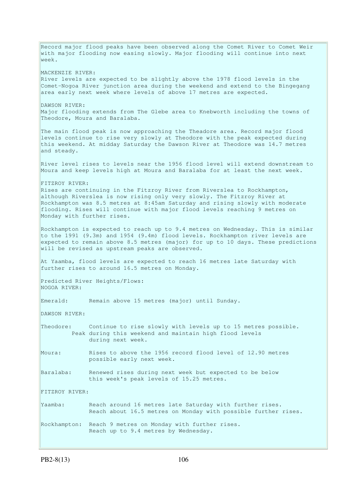Record major flood peaks have been observed along the Comet River to Comet Weir with major flooding now easing slowly. Major flooding will continue into next week. MACKENZIE RIVER: River levels are expected to be slightly above the 1978 flood levels in the Comet-Nogoa River junction area during the weekend and extend to the Bingegang area early next week where levels of above 17 metres are expected. DAWSON RIVER: Major flooding extends from The Glebe area to Knebworth including the towns of Theodore, Moura and Baralaba. The main flood peak is now approaching the Theadore area. Record major flood levels continue to rise very slowly at Theodore with the peak expected during this weekend. At midday Saturday the Dawson River at Theodore was 14.7 metres and steady. River level rises to levels near the 1956 flood level will extend downstream to Moura and keep levels high at Moura and Baralaba for at least the next week. FITZROY RIVER: Rises are continuing in the Fitzroy River from Riverslea to Rockhampton, although Riverslea is now rising only very slowly. The Fitzroy River at Rockhampton was 8.5 metres at 8:45am Saturday and rising slowly with moderate flooding. Rises will continue with major flood levels reaching 9 metres on Monday with further rises. Rockhampton is expected to reach up to 9.4 metres on Wednesday. This is similar to the 1991 (9.3m) and 1954 (9.4m) flood levels. Rockhampton river levels are expected to remain above 8.5 metres (major) for up to 10 days. These predictions will be revised as upstream peaks are observed. At Yaamba, flood levels are expected to reach 16 metres late Saturday with further rises to around 16.5 metres on Monday. Predicted River Heights/Flows: NOGOA RIVER: Emerald: Remain above 15 metres (major) until Sunday. DAWSON RIVER: Theodore: Continue to rise slowly with levels up to 15 metres possible. Peak during this weekend and maintain high flood levels during next week. Moura: Rises to above the 1956 record flood level of 12.90 metres possible early next week. Baralaba: Renewed rises during next week but expected to be below this week's peak levels of 15.25 metres. FITZROY RIVER: Yaamba: Reach around 16 metres late Saturday with further rises. Reach about 16.5 metres on Monday with possible further rises. Rockhampton: Reach 9 metres on Monday with further rises. Reach up to 9.4 metres by Wednesday.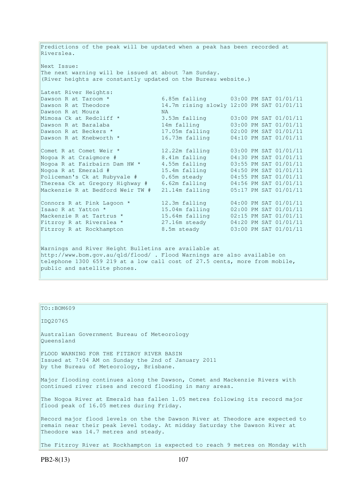Predictions of the peak will be updated when a peak has been recorded at Riverslea. Next Issue: The next warning will be issued at about 7am Sunday. (River heights are constantly updated on the Bureau website.) Latest River Heights:<br>Dawson R at Taroom \* Dawson R at Taroom \* 6.85m falling 03:00 PM SAT 01/01/11<br>Dawson R at Theodore 14.7m rising slowly 12:00 PM SAT 01/01/11 14.7m rising slowly 12:00 PM SAT 01/01/11 Dawson R at Moura MA<br>
Mimosa Ck at Redcliff \* 3.5<br>
Dawson R at Baralaba 14n<br>
Dawson R at Beckers \* 17. Mimosa Ck at Redcliff \* 3.53m falling 03:00 PM SAT 01/01/11 Dawson R at Baralaba 14m falling 03:00 PM SAT 01/01/11 Dawson R at Beckers \* 17.05m falling 02:00 PM SAT 01/01/11 Dawson R at Knebworth \* 16.73m falling 04:10 PM SAT 01/01/11 Comet R at Comet Weir \* 12.22m falling 03:00 PM SAT 01/01/11 Nogoa R at Craigmore # 8.41m falling 04:30 PM SAT 01/01/11 Nogoa R at Fairbairn Dam HW \* 4.55m falling 03:55 PM SAT 01/01/11 Nogoa R at Emerald # 15.4m falling 04:50 PM SAT 01/01/11 Policeman's Ck at Rubyvale # 0.65m steady 04:55 PM SAT 01/01/11 Theresa Ck at Gregory Highway # 6.62m falling 04:56 PM SAT 01/01/11 Mackenzie R at Bedford Weir TW # 21.14m falling 05:17 PM SAT 01/01/11 Connors R at Pink Lagoon  $*$  12.3m falling  $04:00$  PM SAT 01/01/11 Isaac R at Yatton \* 15.04m falling 02:00 PM SAT 01/01/11 Mackenzie R at Tartrus \* 15.64m falling 02:15 PM SAT 01/01/11 Fitzroy R at Riverslea \*  $27.16$ m steady  $04:20$  PM SAT  $01/01/11$ Fitzroy R at Rockhampton 8.5m steady 03:00 PM SAT 01/01/11 Warnings and River Height Bulletins are available at http://www.bom.gov.au/qld/flood/ . Flood Warnings are also available on telephone 1300 659 219 at a low call cost of 27.5 cents, more from mobile, public and satellite phones.

TO::BOM609 IDQ20765 Australian Government Bureau of Meteorology Queensland FLOOD WARNING FOR THE FITZROY RIVER BASIN Issued at 7:04 AM on Sunday the 2nd of January 2011 by the Bureau of Meteorology, Brisbane. Major flooding continues along the Dawson, Comet and Mackenzie Rivers with continued river rises and record flooding in many areas. The Nogoa River at Emerald has fallen 1.05 metres following its record major flood peak of 16.05 metres during Friday. Record major flood levels on the the Dawson River at Theodore are expected to remain near their peak level today. At midday Saturday the Dawson River at Theodore was 14.7 metres and steady. The Fitzroy River at Rockhampton is expected to reach 9 metres on Monday with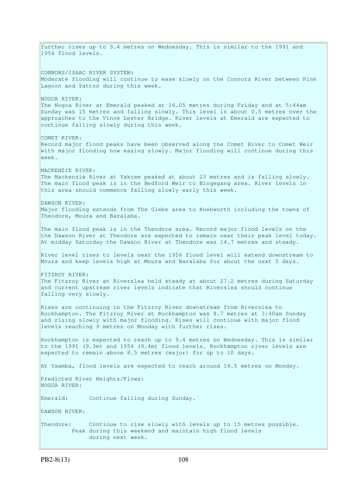further rises up to 9.4 metres on Wednesday. This is similar to the 1991 and 1954 flood levels. CONNORS/ISAAC RIVER SYSTEM: Moderate flooding will continue to ease slowly on the Connors River between Pink Lagoon and Yatton during this week. NOGOA RIVER: The Nogoa River at Emerald peaked at 16.05 metres during Friday and at 5:44am Sunday was 15 metres and falling slowly. This level is about 0.5 metres over the approaches to the Vince Lester Bridge. River levels at Emerald are expected to continue falling slowly during this week. COMET RIVER: Record major flood peaks have been observed along the Comet River to Comet Weir with major flooding now easing slowly. Major flooding will continue during this week. MACKENZIE RIVER: The Mackenzie River at Yakcam peaked at about 23 metres and is falling slowly. The main flood peak is in the Bedford Weir to Bingegang area. River levels in this area should commence falling slowly early this week. DAWSON RIVER: Major flooding extends from The Glebe area to Knebworth including the towns of Theodore, Moura and Baralaba. The main flood peak is in the Theodore area. Record major flood levels on the the Dawson River at Theodore are expected to remain near their peak level today. At midday Saturday the Dawson River at Theodore was 14.7 metres and steady. River level rises to levels near the 1956 flood level will extend downstream to Moura and keep levels high at Moura and Baralaba for about the next 5 days. FITZROY RIVER: The Fitzroy River at Riverslea held steady at about 27.2 metres during Saturday and current upstream river levels indicate that Riverslea should continue falling very slowly. Rises are continuing in the Fitzroy River downstream from Riverslea to Rockhampton. The Fitzroy River at Rockhampton was 8.7 metres at 3:40am Sunday and rising slowly with major flooding. Rises will continue with major flood levels reaching 9 metres on Monday with further rises. Rockhampton is expected to reach up to 9.4 metres on Wednesday. This is similar to the 1991 (9.3m) and 1954 (9.4m) flood levels. Rockhampton river levels are expected to remain above 8.5 metres (major) for up to 10 days. At Yaamba, flood levels are expected to reach around 16.5 metres on Monday. Predicted River Heights/Flows: NOGOA RIVER: Emerald: Continue falling during Sunday. DAWSON RIVER: Theodore: Continue to rise slowly with levels up to 15 metres possible. Peak during this weekend and maintain high flood levels during next week.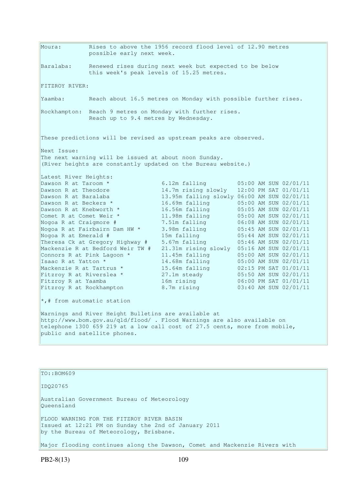Moura: Rises to above the 1956 record flood level of 12.90 metres possible early next week. Baralaba: Renewed rises during next week but expected to be below this week's peak levels of 15.25 metres. FITZROY RIVER: Yaamba: Reach about 16.5 metres on Monday with possible further rises. Rockhampton: Reach 9 metres on Monday with further rises. Reach up to 9.4 metres by Wednesday. These predictions will be revised as upstream peaks are observed. Next Issue: The next warning will be issued at about noon Sunday. (River heights are constantly updated on the Bureau website.) Latest River Heights: Dawson R at Taroom \* 6.12m falling 05:00 AM SUN 02/01/11<br>Dawson R at Theodore 14.7m rising slowly 12:00 PM SAT 01/01/11 Dawson R at Theodore 14.7m rising slowly 12:00 PM SAT 01/01/11 Dawson R at Baralaba 13.95m falling slowly 06:00 AM SUN 02/01/11 Dawson R at Beckers \* 16.69m falling 05:00 AM SUN 02/01/11 Dawson R at Knebworth \* 16.56m falling 05:05 AM SUN 02/01/11 Comet R at Comet Weir \* 11.98m falling 05:00 AM SUN 02/01/11 Nogoa R at Craigmore # 7.51m falling 06:08 AM SUN 02/01/11 Nogoa R at Fairbairn Dam HW \* 3.98m falling 05:45 AM SUN 02/01/11 Nogoa R at Emerald # 15m falling 05:44 AM SUN 02/01/11 Theresa Ck at Gregory Highway # 5.67m falling 05:46 AM SUN 02/01/11 Mackenzie R at Bedford Weir TW # 21.31m rising slowly 05:16 AM SUN 02/01/11 Connors R at Pink Lagoon  $*$  11.45m falling  $05:00$  AM SUN 02/01/11 Isaac R at Yatton \* 14.68m falling 05:00 AM SUN 02/01/11 Mackenzie R at Tartrus \* 15.64m falling 02:15 PM SAT 01/01/11 Fitzroy R at Riverslea \* 27.1m steady 05:50 AM SUN 02/01/11 Fitzroy R at Yaamba 16m rising 06:00 PM SAT 01/01/11 Fitzroy R at Rockhampton 8.7m rising 03:40 AM SUN 02/01/11  $\star$ ,# from automatic station Warnings and River Height Bulletins are available at http://www.bom.gov.au/qld/flood/ . Flood Warnings are also available on telephone 1300 659 219 at a low call cost of 27.5 cents, more from mobile, public and satellite phones.

TO::BOM609

IDQ20765

Australian Government Bureau of Meteorology Queensland

FLOOD WARNING FOR THE FITZROY RIVER BASIN Issued at 12:21 PM on Sunday the 2nd of January 2011 by the Bureau of Meteorology, Brisbane.

Major flooding continues along the Dawson, Comet and Mackenzie Rivers with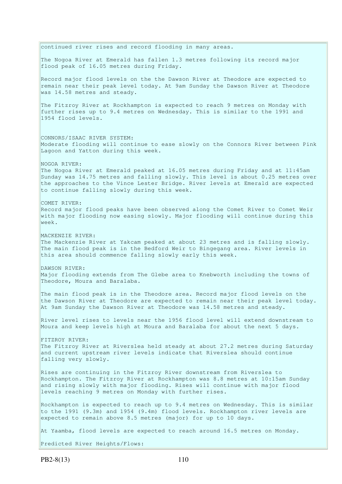continued river rises and record flooding in many areas. The Nogoa River at Emerald has fallen 1.3 metres following its record major flood peak of 16.05 metres during Friday. Record major flood levels on the the Dawson River at Theodore are expected to remain near their peak level today. At 9am Sunday the Dawson River at Theodore was 14.58 metres and steady. The Fitzroy River at Rockhampton is expected to reach 9 metres on Monday with further rises up to 9.4 metres on Wednesday. This is similar to the 1991 and 1954 flood levels. CONNORS/ISAAC RIVER SYSTEM: Moderate flooding will continue to ease slowly on the Connors River between Pink Lagoon and Yatton during this week. NOGOA RIVER: The Nogoa River at Emerald peaked at 16.05 metres during Friday and at 11:45am Sunday was 14.75 metres and falling slowly. This level is about 0.25 metres over the approaches to the Vince Lester Bridge. River levels at Emerald are expected to continue falling slowly during this week. COMET RIVER: Record major flood peaks have been observed along the Comet River to Comet Weir with major flooding now easing slowly. Major flooding will continue during this week. MACKENZIE RIVER: The Mackenzie River at Yakcam peaked at about 23 metres and is falling slowly. The main flood peak is in the Bedford Weir to Bingegang area. River levels in this area should commence falling slowly early this week. DAWSON RIVER: Major flooding extends from The Glebe area to Knebworth including the towns of Theodore, Moura and Baralaba. The main flood peak is in the Theodore area. Record major flood levels on the the Dawson River at Theodore are expected to remain near their peak level today. At 9am Sunday the Dawson River at Theodore was 14.58 metres and steady. River level rises to levels near the 1956 flood level will extend downstream to Moura and keep levels high at Moura and Baralaba for about the next 5 days. FITZROY RIVER: The Fitzroy River at Riverslea held steady at about 27.2 metres during Saturday and current upstream river levels indicate that Riverslea should continue falling very slowly. Rises are continuing in the Fitzroy River downstream from Riverslea to Rockhampton. The Fitzroy River at Rockhampton was 8.8 metres at 10:15am Sunday and rising slowly with major flooding. Rises will continue with major flood levels reaching 9 metres on Monday with further rises. Rockhampton is expected to reach up to 9.4 metres on Wednesday. This is similar to the 1991 (9.3m) and 1954 (9.4m) flood levels. Rockhampton river levels are expected to remain above 8.5 metres (major) for up to 10 days. At Yaamba, flood levels are expected to reach around 16.5 metres on Monday.

Predicted River Heights/Flows: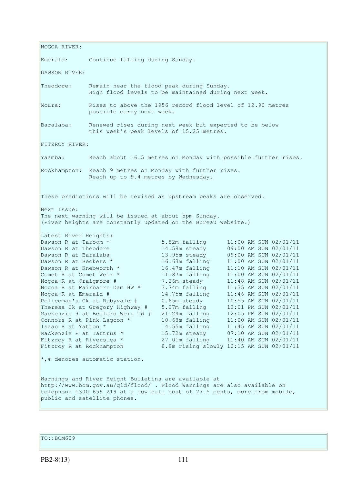NOGOA RIVER: Emerald: Continue falling during Sunday. DAWSON RIVER: Theodore: Remain near the flood peak during Sunday. High flood levels to be maintained during next week. Moura: Rises to above the 1956 record flood level of 12.90 metres possible early next week. Baralaba: Renewed rises during next week but expected to be below this week's peak levels of 15.25 metres. FITZROY RIVER: Yaamba: Reach about 16.5 metres on Monday with possible further rises. Rockhampton: Reach 9 metres on Monday with further rises. Reach up to 9.4 metres by Wednesday. These predictions will be revised as upstream peaks are observed. Next Issue: The next warning will be issued at about 5pm Sunday. (River heights are constantly updated on the Bureau website.) Latest River Heights: Dawson R at Taroom \* 5.82m falling 11:00 AM SUN 02/01/11 Dawson R at Theodore 14.58m steady 09:00 AM SUN 02/01/11 Dawson R at Baralaba 13.95m steady 09:00 AM SUN 02/01/11 Dawson R at Beckers \* 16.63m falling 11:00 AM SUN 02/01/11 Dawson R at Knebworth \* 16.47m falling 11:10 AM SUN 02/01/11 Comet R at Comet Weir \* 11.87m falling 11:00 AM SUN 02/01/11 Nogoa R at Craigmore # 7.26m steady 11:48 AM SUN 02/01/11 Nogoa R at Fairbairn Dam HW \* 3.74m falling 11:35 AM SUN 02/01/11 Nogoa R at Emerald # 14.75m falling 11:46 AM SUN 02/01/11 Policeman's Ck at Rubyvale # 0.65m steady 10:55 AM SUN 02/01/11 Theresa Ck at Gregory Highway # 5.27m falling 12:01 PM SUN 02/01/11 Mackenzie R at Bedford Weir TW # 21.24m falling 12:05 PM SUN 02/01/11 Connors R at Pink Lagoon \* 10.68m falling 11:00 AM SUN 02/01/11 Isaac R at Yatton \* 14.55m falling 11:45 AM SUN 02/01/11 Mackenzie R at Tartrus \* 15.72m steady 07:10 AM SUN 02/01/11 Fitzroy R at Riverslea \* 27.01m falling 11:40 AM SUN 02/01/11 Mackenzie R at Tartrus \* 15.72m steady 07:10 AM SUN 02/01/11<br>Fitzroy R at Riverslea \* 27.01m falling 11:40 AM SUN 02/01/11<br>Fitzroy R at Rockhampton 8.8m rising slowly 10:15 AM SUN 02/01/11 \*,# denotes automatic station. Warnings and River Height Bulletins are available at http://www.bom.gov.au/qld/flood/ . Flood Warnings are also available on telephone 1300 659 219 at a low call cost of 27.5 cents, more from mobile, public and satellite phones.

TO::BOM609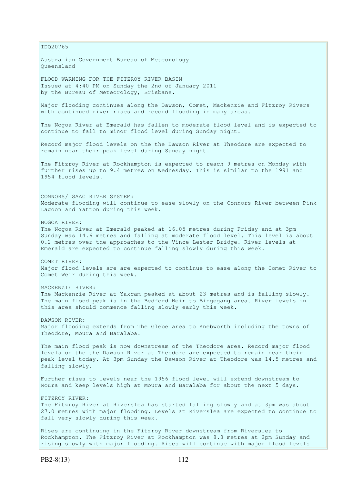IDQ20765 Australian Government Bureau of Meteorology Queensland FLOOD WARNING FOR THE FITZROY RIVER BASIN Issued at 4:40 PM on Sunday the 2nd of January 2011 by the Bureau of Meteorology, Brisbane. Major flooding continues along the Dawson, Comet, Mackenzie and Fitzroy Rivers with continued river rises and record flooding in many areas. The Nogoa River at Emerald has fallen to moderate flood level and is expected to continue to fall to minor flood level during Sunday night. Record major flood levels on the the Dawson River at Theodore are expected to remain near their peak level during Sunday night. The Fitzroy River at Rockhampton is expected to reach 9 metres on Monday with further rises up to 9.4 metres on Wednesday. This is similar to the 1991 and 1954 flood levels. CONNORS/ISAAC RIVER SYSTEM: Moderate flooding will continue to ease slowly on the Connors River between Pink Lagoon and Yatton during this week. NOGOA RIVER: The Nogoa River at Emerald peaked at 16.05 metres during Friday and at 3pm Sunday was 14.6 metres and falling at moderate flood level. This level is about 0.2 metres over the approaches to the Vince Lester Bridge. River levels at Emerald are expected to continue falling slowly during this week. COMET RIVER: Major flood levels are are expected to continue to ease along the Comet River to Comet Weir during this week. MACKENZIE RIVER: The Mackenzie River at Yakcam peaked at about 23 metres and is falling slowly. The main flood peak is in the Bedford Weir to Bingegang area. River levels in this area should commence falling slowly early this week. DAWSON RIVER: Major flooding extends from The Glebe area to Knebworth including the towns of Theodore, Moura and Baralaba. The main flood peak is now downstream of the Theodore area. Record major flood levels on the the Dawson River at Theodore are expected to remain near their peak level today. At 3pm Sunday the Dawson River at Theodore was 14.5 metres and falling slowly. Further rises to levels near the 1956 flood level will extend downstream to Moura and keep levels high at Moura and Baralaba for about the next 5 days. FITZROY RIVER: The Fitzroy River at Riverslea has started falling slowly and at 3pm was about 27.0 metres with major flooding. Levels at Riverslea are expected to continue to fall very slowly during this week. Rises are continuing in the Fitzroy River downstream from Riverslea to Rockhampton. The Fitzroy River at Rockhampton was 8.8 metres at 2pm Sunday and rising slowly with major flooding. Rises will continue with major flood levels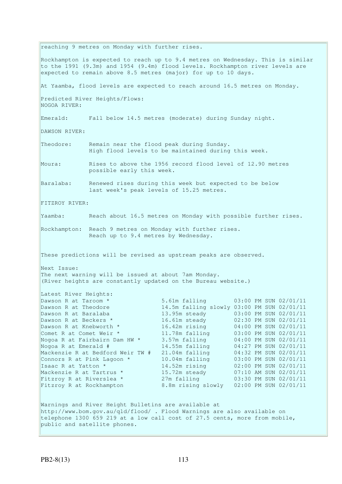reaching 9 metres on Monday with further rises. Rockhampton is expected to reach up to 9.4 metres on Wednesday. This is similar to the 1991 (9.3m) and 1954 (9.4m) flood levels. Rockhampton river levels are expected to remain above 8.5 metres (major) for up to 10 days. At Yaamba, flood levels are expected to reach around 16.5 metres on Monday. Predicted River Heights/Flows: NOGOA RIVER: Emerald: Fall below 14.5 metres (moderate) during Sunday night. DAWSON RIVER: Theodore: Remain near the flood peak during Sunday. High flood levels to be maintained during this week. Moura: Rises to above the 1956 record flood level of 12.90 metres possible early this week. Baralaba: Renewed rises during this week but expected to be below last week's peak levels of 15.25 metres. FITZROY RIVER: Yaamba: Reach about 16.5 metres on Monday with possible further rises. Rockhampton: Reach 9 metres on Monday with further rises. Reach up to 9.4 metres by Wednesday. These predictions will be revised as upstream peaks are observed. Next Issue: The next warning will be issued at about 7am Monday. (River heights are constantly updated on the Bureau website.) Latest River Heights: Dawson R at Taroom \* 5.61m falling 03:00 PM SUN 02/01/11 Dawson R at Theodore 14.5m falling slowly 03:00 PM SUN 02/01/11 Dawson R at Baralaba 13.95m steady 03:00 PM SUN 02/01/11 Dawson R at Beckers \* 16.61m steady 02:30 PM SUN 02/01/11<br>Dawson R at Knebworth \* 16.42m rising 04:00 PM SUN 02/01/11 Dawson R at Knebworth \* 16.42m rising 04:00 PM SUN 02/01/11 Comet R at Comet Weir \* 11.78m falling 03:00 PM SUN 02/01/11 Nogoa R at Fairbairn Dam HW \* 3.57m falling 04:00 PM SUN 02/01/11 Nogoa R at Emerald # 14.55m falling 04:27 PM SUN 02/01/11 Mackenzie R at Bedford Weir TW # 21.04m falling 04:32 PM SUN 02/01/11 Connors R at Pink Lagoon \* 10.04m falling 03:00 PM SUN 02/01/11 Isaac R at Yatton \* 14.52m rising 02:00 PM SUN 02/01/11 Mackenzie R at Tartrus \* 15.72m steady 07:10 AM SUN 02/01/11 Fitzroy R at Riverslea \* 27m falling 03:30 PM SUN 02/01/11 Fitzroy R at Riverslea \* 27m falling 03:30 PM SUN 02/01/11<br>Fitzroy R at Rockhampton 8.8m rising slowly 02:00 PM SUN 02/01/11 Warnings and River Height Bulletins are available at http://www.bom.gov.au/qld/flood/ . Flood Warnings are also available on telephone 1300 659 219 at a low call cost of 27.5 cents, more from mobile, public and satellite phones.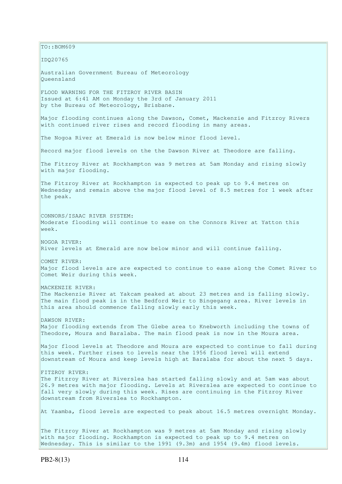$TO:$ : BOM609 IDQ20765 Australian Government Bureau of Meteorology Queensland FLOOD WARNING FOR THE FITZROY RIVER BASIN Issued at 6:41 AM on Monday the 3rd of January 2011 by the Bureau of Meteorology, Brisbane. Major flooding continues along the Dawson, Comet, Mackenzie and Fitzroy Rivers with continued river rises and record flooding in many areas. The Nogoa River at Emerald is now below minor flood level. Record major flood levels on the the Dawson River at Theodore are falling. The Fitzroy River at Rockhampton was 9 metres at 5am Monday and rising slowly with major flooding. The Fitzroy River at Rockhampton is expected to peak up to 9.4 metres on Wednesday and remain above the major flood level of 8.5 metres for 1 week after the peak. CONNORS/ISAAC RIVER SYSTEM: Moderate flooding will continue to ease on the Connors River at Yatton this week. NOGOA RIVER: River levels at Emerald are now below minor and will continue falling. COMET RIVER: Major flood levels are are expected to continue to ease along the Comet River to Comet Weir during this week. MACKENZIE RIVER: The Mackenzie River at Yakcam peaked at about 23 metres and is falling slowly. The main flood peak is in the Bedford Weir to Bingegang area. River levels in this area should commence falling slowly early this week. DAWSON RIVER: Major flooding extends from The Glebe area to Knebworth including the towns of Theodore, Moura and Baralaba. The main flood peak is now in the Moura area. Major flood levels at Theodore and Moura are expected to continue to fall during this week. Further rises to levels near the 1956 flood level will extend downstream of Moura and keep levels high at Baralaba for about the next 5 days. FITZROY RIVER: The Fitzroy River at Riverslea has started falling slowly and at 5am was about 26.9 metres with major flooding. Levels at Riverslea are expected to continue to fall very slowly during this week. Rises are continuing in the Fitzroy River downstream from Riverslea to Rockhampton. At Yaamba, flood levels are expected to peak about 16.5 metres overnight Monday. The Fitzroy River at Rockhampton was 9 metres at 5am Monday and rising slowly with major flooding. Rockhampton is expected to peak up to 9.4 metres on

Wednesday. This is similar to the 1991 (9.3m) and 1954 (9.4m) flood levels.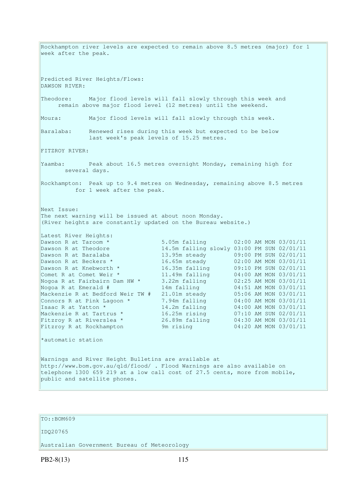Rockhampton river levels are expected to remain above 8.5 metres (major) for 1 week after the peak. Predicted River Heights/Flows: DAWSON RIVER: Theodore: Major flood levels will fall slowly through this week and remain above major flood level (12 metres) until the weekend. Moura: Major flood levels will fall slowly through this week. Baralaba: Renewed rises during this week but expected to be below last week's peak levels of 15.25 metres. FITZROY RIVER: Yaamba: Peak about 16.5 metres overnight Monday, remaining high for several days. Rockhampton: Peak up to 9.4 metres on Wednesday, remaining above 8.5 metres for 1 week after the peak. Next Issue: The next warning will be issued at about noon Monday. (River heights are constantly updated on the Bureau website.) Latest River Heights: Dawson R at Taroom \* 5.05m falling 02:00 AM MON 03/01/11 Dawson R at Theodore 14.5m falling slowly 03:00 PM SUN 02/01/11<br>Dawson R at Baralaba 13.95m steady 09:00 PM SUN 02/01/11 13.95m steady 09:00 PM SUN 02/01/11 Dawson R at Beckers \* 16.65m steady 02:00 AM MON 03/01/11 Dawson R at Knebworth \* 16.35m falling 09:10 PM SUN 02/01/11 Comet R at Comet Weir \* 11.49m falling 04:00 AM MON 03/01/11 Nogoa R at Fairbairn Dam HW \* 3.22m falling 02:25 AM MON 03/01/11 Nogoa R at Emerald # 14m falling 04:51 AM MON 03/01/11 Mackenzie R at Bedford Weir TW # 21.01m steady 05:06 AM MON 03/01/11 Connors R at Pink Lagoon  $*$  7.94m falling  $04:00$  AM MON 03/01/11 Isaac R at Yatton \* 14.2m falling 04:00 AM MON 03/01/11 Mackenzie R at Tartrus \* 16.25m rising 07:10 AM SUN 02/01/11 Fitzroy R at Riverslea \* 26.89m falling 04:30 AM MON 03/01/11 Fitzroy R at Rockhampton 9m rising 04:20 AM MON 03/01/11 \*automatic station Warnings and River Height Bulletins are available at http://www.bom.gov.au/qld/flood/ . Flood Warnings are also available on telephone 1300 659 219 at a low call cost of 27.5 cents, more from mobile, public and satellite phones.

### TO::BOM609

#### IDQ20765

Australian Government Bureau of Meteorology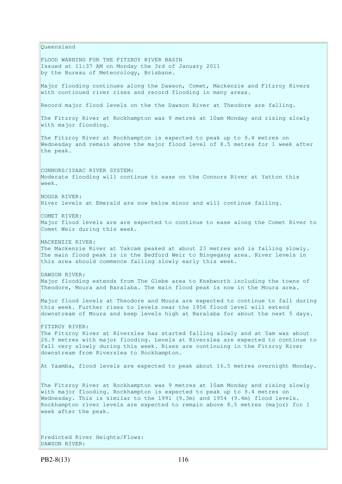Queensland FLOOD WARNING FOR THE FITZROY RIVER BASIN Issued at 11:37 AM on Monday the 3rd of January 2011 by the Bureau of Meteorology, Brisbane. Major flooding continues along the Dawson, Comet, Mackenzie and Fitzroy Rivers with continued river rises and record flooding in many areas. Record major flood levels on the the Dawson River at Theodore are falling. The Fitzroy River at Rockhampton was 9 metres at 10am Monday and rising slowly with major flooding. The Fitzroy River at Rockhampton is expected to peak up to 9.4 metres on Wednesday and remain above the major flood level of 8.5 metres for 1 week after the peak. CONNORS/ISAAC RIVER SYSTEM: Moderate flooding will continue to ease on the Connors River at Yatton this week. NOGOA RIVER: River levels at Emerald are now below minor and will continue falling. COMET RIVER: Major flood levels are are expected to continue to ease along the Comet River to Comet Weir during this week. MACKENZIE RIVER: The Mackenzie River at Yakcam peaked at about 23 metres and is falling slowly. The main flood peak is in the Bedford Weir to Bingegang area. River levels in this area should commence falling slowly early this week. DAWSON RIVER: Major flooding extends from The Glebe area to Knebworth including the towns of Theodore, Moura and Baralaba. The main flood peak is now in the Moura area. Major flood levels at Theodore and Moura are expected to continue to fall during this week. Further rises to levels near the 1956 flood level will extend downstream of Moura and keep levels high at Baralaba for about the next 5 days. FITZROY RIVER: The Fitzroy River at Riverslea has started falling slowly and at 5am was about 26.9 metres with major flooding. Levels at Riverslea are expected to continue to fall very slowly during this week. Rises are continuing in the Fitzroy River downstream from Riverslea to Rockhampton. At Yaamba, flood levels are expected to peak about 16.5 metres overnight Monday. The Fitzroy River at Rockhampton was 9 metres at 10am Monday and rising slowly with major flooding. Rockhampton is expected to peak up to 9.4 metres on Wednesday. This is similar to the 1991 (9.3m) and 1954 (9.4m) flood levels. Rockhampton river levels are expected to remain above 8.5 metres (major) for 1 week after the peak.

Predicted River Heights/Flows: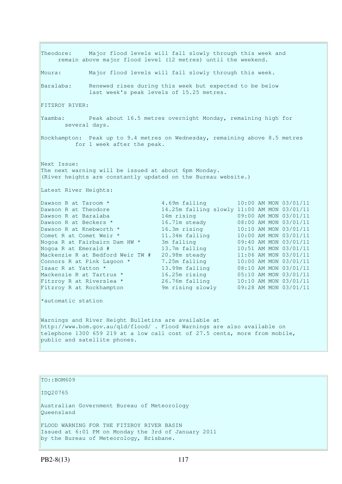Theodore: Major flood levels will fall slowly through this week and remain above major flood level (12 metres) until the weekend. Moura: Major flood levels will fall slowly through this week. Baralaba: Renewed rises during this week but expected to be below last week's peak levels of 15.25 metres. FITZROY RIVER: Yaamba: Peak about 16.5 metres overnight Monday, remaining high for several days. Rockhampton: Peak up to 9.4 metres on Wednesday, remaining above 8.5 metres for 1 week after the peak. Next Issue: The next warning will be issued at about 6pm Monday. (River heights are constantly updated on the Bureau website.) Latest River Heights: Dawson R at Taroom \* 4.69m falling 10:00 AM MON 03/01/11<br>
Dawson R at Theodore 14.25m falling slowly 11:00 AM MON 03/01/11 Dawson R at Theodore 14.25m falling slowly 11:00 AM MON 03/01/11 Dawson R at Baralaba 14m rising 09:00 AM MON 03/01/11 Dawson R at Beckers  $\star$  16.71m steady 08:00 AM MON 03/01/11 Dawson R at Knebworth \* 16.3m rising 10:10 AM MON 03/01/11 Comet R at Comet Weir \* 11.34m falling 10:00 AM MON 03/01/11 Nogoa R at Fairbairn Dam HW \* 3m falling 09:40 AM MON 03/01/11 Nogoa R at Emerald # 13.7m falling 10:51 AM MON 03/01/11 Mackenzie R at Bedford Weir TW # 20.98m steady 11:06 AM MON 03/01/11 Connors R at Pink Lagoon  $*$  7.25m falling  $10:00$  AM MON 03/01/11 Isaac R at Yatton \* 13.99m falling 08:10 AM MON 03/01/11 Mackenzie R at Tartrus \* 16.25m rising 05:10 AM MON 03/01/11 Fitzroy R at Riverslea \* 26.76m falling 10:10 AM MON 03/01/11 Fitzroy R at Rockhampton 9m rising slowly 09:28 AM MON 03/01/11 \*automatic station Warnings and River Height Bulletins are available at http://www.bom.gov.au/qld/flood/ . Flood Warnings are also available on telephone 1300 659 219 at a low call cost of 27.5 cents, more from mobile, public and satellite phones.

TO::BOM609 IDQ20765 Australian Government Bureau of Meteorology Queensland FLOOD WARNING FOR THE FITZROY RIVER BASIN Issued at 6:01 PM on Monday the 3rd of January 2011 by the Bureau of Meteorology, Brisbane.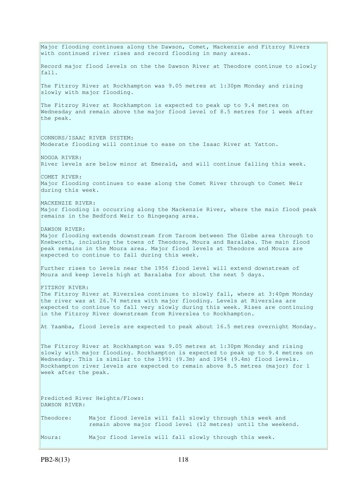Major flooding continues along the Dawson, Comet, Mackenzie and Fitzroy Rivers with continued river rises and record flooding in many areas. Record major flood levels on the the Dawson River at Theodore continue to slowly fall. The Fitzroy River at Rockhampton was 9.05 metres at 1:30pm Monday and rising slowly with major flooding. The Fitzroy River at Rockhampton is expected to peak up to 9.4 metres on Wednesday and remain above the major flood level of 8.5 metres for 1 week after the peak. CONNORS/ISAAC RIVER SYSTEM: Moderate flooding will continue to ease on the Isaac River at Yatton. NOGOA RIVER: River levels are below minor at Emerald, and will continue falling this week. COMET RIVER: Major flooding continues to ease along the Comet River through to Comet Weir during this week. MACKENZIE RIVER: Major flooding is occurring along the Mackenzie River, where the main flood peak remains in the Bedford Weir to Bingegang area. DAWSON RIVER: Major flooding extends downstream from Taroom between The Glebe area through to Knebworth, including the towns of Theodore, Moura and Baralaba. The main flood peak remains in the Moura area. Major flood levels at Theodore and Moura are expected to continue to fall during this week. Further rises to levels near the 1956 flood level will extend downstream of Moura and keep levels high at Baralaba for about the next 5 days. FITZROY RIVER: The Fitzroy River at Riverslea continues to slowly fall, where at 3:40pm Monday the river was at 26.74 metres with major flooding. Levels at Riverslea are expected to continue to fall very slowly during this week. Rises are continuing in the Fitzroy River downstream from Riverslea to Rockhampton. At Yaamba, flood levels are expected to peak about 16.5 metres overnight Monday. The Fitzroy River at Rockhampton was 9.05 metres at 1:30pm Monday and rising slowly with major flooding. Rockhampton is expected to peak up to 9.4 metres on Wednesday. This is similar to the 1991 (9.3m) and 1954 (9.4m) flood levels. Rockhampton river levels are expected to remain above 8.5 metres (major) for 1 week after the peak. Predicted River Heights/Flows: DAWSON RIVER: Theodore: Major flood levels will fall slowly through this week and remain above major flood level (12 metres) until the weekend. Moura: Major flood levels will fall slowly through this week.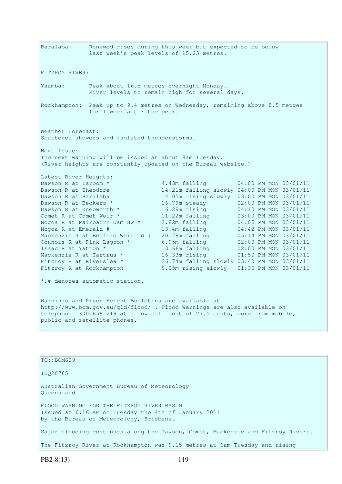Baralaba: Renewed rises during this week but expected to be below last week's peak levels of 15.25 metres. FITZROY RIVER: Yaamba: Peak about 16.5 metres overnight Monday. River levels to remain high for several days. Rockhampton: Peak up to 9.4 metres on Wednesday, remaining above 8.5 metres for 1 week after the peak. Weather Forecast: Scattered showers and isolated thunderstorms. Next Issue: The next warning will be issued at about 8am Tuesday. (River heights are constantly updated on the Bureau website.) Latest River Heights: Dawson R at Taroom \* 4.43m falling 04:00 PM MON 03/01/11 Dawson R at Theodore 14.21m falling slowly 04:00 PM MON 03/01/11 Dawson R at Baralaba 14.05m rising slowly 03:00 PM MON 03/01/11 Dawson R at Beckers  $\star$  16.79m steady 02:00 PM MON 03/01/11 Dawson R at Knebworth \* 16.29m rising 04:10 PM MON 03/01/11 Comet R at Comet Weir \* 11.22m falling 03:00 PM MON 03/01/11 Nogoa R at Fairbairn Dam HW \* 2.82m falling 04:05 PM MON 03/01/11 Nogoa R at Emerald # 13.4m falling 04:42 PM MON 03/01/11 Mackenzie R at Bedford Weir TW # 20.78m falling 05:14 PM MON 03/01/11 Connors R at Pink Lagoon  $*$  6.95m falling  $02:00$  PM MON 03/01/11 Isaac R at Yatton \* 13.66m falling 02:00 PM MON 03/01/11 Mackenzie R at Tartrus \* 16.33m rising 01:50 PM MON 03/01/11 Fitzroy R at Riverslea \* 26.74m falling slowly 03:40 PM MON 03/01/11 Fitzroy R at Rockhampton 9.05m rising slowly 01:30 PM MON 03/01/11 \*,# denotes automatic station. Warnings and River Height Bulletins are available at http://www.bom.gov.au/qld/flood/ . Flood Warnings are also available on telephone 1300 659 219 at a low call cost of 27.5 cents, more from mobile, public and satellite phones. TO::BOM609

IDQ20765 Australian Government Bureau of Meteorology Queensland FLOOD WARNING FOR THE FITZROY RIVER BASIN Issued at 6:16 AM on Tuesday the 4th of January 2011 by the Bureau of Meteorology, Brisbane. Major flooding continues along the Dawson, Comet, Mackenzie and Fitzroy Rivers. The Fitzroy River at Rockhampton was 9.15 metres at 6am Tuesday and rising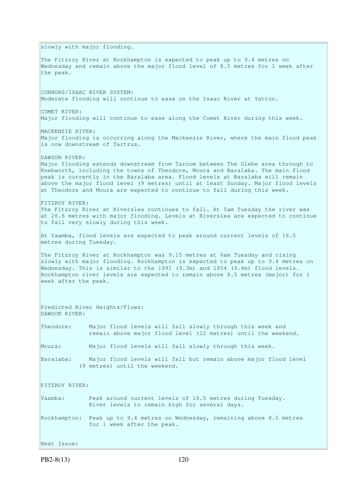slowly with major flooding. The Fitzroy River at Rockhampton is expected to peak up to 9.4 metres on Wednesday and remain above the major flood level of 8.5 metres for 1 week after the peak. CONNORS/ISAAC RIVER SYSTEM: Moderate flooding will continue to ease on the Isaac River at Yatton. COMET RIVER: Major flooding will continue to ease along the Comet River during this week. MACKENZIE RIVER: Major flooding is occurring along the Mackenzie River, where the main flood peak is now downstream of Tartrus. DAWSON RIVER: Major flooding extends downstream from Taroom between The Glebe area through to Knebworth, including the towns of Theodore, Moura and Baralaba. The main flood peak is currently in the Baralaba area. Flood levels at Baralaba will remain above the major flood level (9 metres) until at least Sunday. Major flood levels at Theodore and Moura are expected to continue to fall during this week. FITZROY RIVER: The Fitzroy River at Riverslea continues to fall. At 5am Tuesday the river was at 26.6 metres with major flooding. Levels at Riverslea are expected to continue to fall very slowly during this week. At Yaamba, flood levels are expected to peak around current levels of 16.5 metres during Tuesday. The Fitzroy River at Rockhampton was 9.15 metres at 6am Tuesday and rising slowly with major flooding. Rockhampton is expected to peak up to 9.4 metres on Wednesday. This is similar to the 1991 (9.3m) and 1954 (9.4m) flood levels. Rockhampton river levels are expected to remain above 8.5 metres (major) for 1 week after the peak. Predicted River Heights/Flows: DAWSON RIVER: Theodore: Major flood levels will fall slowly through this week and remain above major flood level (12 metres) until the weekend. Moura: Major flood levels will fall slowly through this week. Baralaba: Major flood levels will fall but remain above major flood level (9 metres) until the weekend. FITZROY RIVER: Yaamba: Peak around current levels of 16.5 metres during Tuesday. River levels to remain high for several days. Rockhampton: Peak up to 9.4 metres on Wednesday, remaining above 8.5 metres for 1 week after the peak. Next Issue: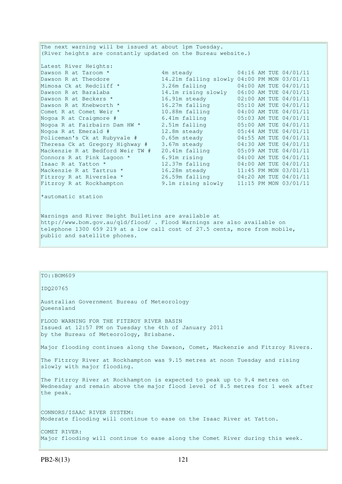The next warning will be issued at about 1pm Tuesday. (River heights are constantly updated on the Bureau website.)

| Latest River Heights:            |                                                                                                                |  |                       |
|----------------------------------|----------------------------------------------------------------------------------------------------------------|--|-----------------------|
| Dawson R at Taroom *             | 4m steady and the state of the state of the state of the state of the state of the state of the state of the s |  | 04:16 AM TUE 04/01/11 |
| Dawson R at Theodore             | 14.21m falling slowly 04:00 PM MON 03/01/11                                                                    |  |                       |
| Mimosa Ck at Redcliff *          | 3.26m falling                                                                                                  |  | 04:00 AM TUE 04/01/11 |
| Dawson R at Baralaba             | 14.1m rising slowly                                                                                            |  | 06:00 AM TUE 04/01/11 |
| Dawson R at Beckers *            | 16.91m steady                                                                                                  |  | 02:00 AM TUE 04/01/11 |
| Dawson R at Knebworth *          | 16.27m falling                                                                                                 |  | 05:10 AM TUE 04/01/11 |
| Comet R at Comet Weir *          | 10.88m falling                                                                                                 |  | 04:00 AM TUE 04/01/11 |
| Nogoa R at Craigmore #           | 6.41m falling                                                                                                  |  | 05:03 AM TUE 04/01/11 |
| Nogoa R at Fairbairn Dam HW *    | 2.51m falling                                                                                                  |  | 05:00 AM TUE 04/01/11 |
| Nogoa R at Emerald #             | 12.8m steady                                                                                                   |  | 05:44 AM TUE 04/01/11 |
| Policeman's Ck at Rubyvale #     | $0.65m$ steady                                                                                                 |  | 04:55 AM TUE 04/01/11 |
| Theresa Ck at Gregory Highway #  | 3.67m steady                                                                                                   |  | 04:30 AM TUE 04/01/11 |
| Mackenzie R at Bedford Weir TW # | 20.41m falling                                                                                                 |  | 05:09 AM TUE 04/01/11 |
| Connors R at Pink Lagoon *       | 6.91m rising                                                                                                   |  | 04:00 AM TUE 04/01/11 |
| Isaac R at Yatton *              | 12.37m falling                                                                                                 |  | 04:00 AM TUE 04/01/11 |
| Mackenzie R at Tartrus *         | 16.28m steady                                                                                                  |  | 11:45 PM MON 03/01/11 |
| Fitzroy R at Riverslea *         | 26.59m falling                                                                                                 |  | 04:20 AM TUE 04/01/11 |
| Fitzroy R at Rockhampton         | 9.1m rising slowly                                                                                             |  | 11:15 PM MON 03/01/11 |

\*automatic station

Warnings and River Height Bulletins are available at http://www.bom.gov.au/qld/flood/ . Flood Warnings are also available on telephone 1300 659 219 at a low call cost of 27.5 cents, more from mobile, public and satellite phones.

### TO::BOM609

IDQ20765

Australian Government Bureau of Meteorology Queensland

FLOOD WARNING FOR THE FITZROY RIVER BASIN Issued at 12:57 PM on Tuesday the 4th of January 2011 by the Bureau of Meteorology, Brisbane.

Major flooding continues along the Dawson, Comet, Mackenzie and Fitzroy Rivers.

The Fitzroy River at Rockhampton was 9.15 metres at noon Tuesday and rising slowly with major flooding.

The Fitzroy River at Rockhampton is expected to peak up to 9.4 metres on Wednesday and remain above the major flood level of 8.5 metres for 1 week after the peak.

CONNORS/ISAAC RIVER SYSTEM: Moderate flooding will continue to ease on the Isaac River at Yatton.

COMET RIVER: Major flooding will continue to ease along the Comet River during this week.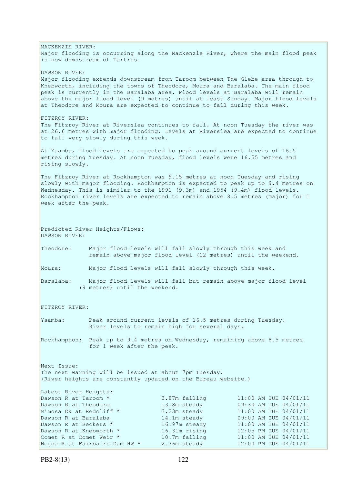MACKENZIE RIVER: Major flooding is occurring along the Mackenzie River, where the main flood peak is now downstream of Tartrus. DAWSON RIVER: Major flooding extends downstream from Taroom between The Glebe area through to Knebworth, including the towns of Theodore, Moura and Baralaba. The main flood peak is currently in the Baralaba area. Flood levels at Baralaba will remain above the major flood level (9 metres) until at least Sunday. Major flood levels at Theodore and Moura are expected to continue to fall during this week. FITZROY RIVER: The Fitzroy River at Riverslea continues to fall. At noon Tuesday the river was at 26.6 metres with major flooding. Levels at Riverslea are expected to continue to fall very slowly during this week. At Yaamba, flood levels are expected to peak around current levels of 16.5 metres during Tuesday. At noon Tuesday, flood levels were 16.55 metres and rising slowly. The Fitzroy River at Rockhampton was 9.15 metres at noon Tuesday and rising slowly with major flooding. Rockhampton is expected to peak up to 9.4 metres on Wednesday. This is similar to the 1991 (9.3m) and 1954 (9.4m) flood levels. Rockhampton river levels are expected to remain above 8.5 metres (major) for 1 week after the peak. Predicted River Heights/Flows: DAWSON RIVER: Theodore: Major flood levels will fall slowly through this week and remain above major flood level (12 metres) until the weekend. Moura: Major flood levels will fall slowly through this week. Baralaba: Major flood levels will fall but remain above major flood level (9 metres) until the weekend. FITZROY RIVER: Yaamba: Peak around current levels of 16.5 metres during Tuesday. River levels to remain high for several days. Rockhampton: Peak up to 9.4 metres on Wednesday, remaining above 8.5 metres for 1 week after the peak. Next Issue: The next warning will be issued at about 7pm Tuesday. (River heights are constantly updated on the Bureau website.) Latest River Heights: Dawson R at Taroom \* 3.87m falling 11:00 AM TUE 04/01/11 Dawson R at Theodore 13.8m steady 09:30 AM TUE 04/01/11<br>Mimosa Ck at Redcliff \* 3.23m steady 11:00 AM TUE 04/01/11 3.23m steady 11:00 AM TUE 04/01/11 Dawson R at Baralaba 14.1m steady 09:00 AM TUE 04/01/11 Dawson R at Beckers \* 16.97m steady 11:00 AM TUE 04/01/11 Dawson R at Knebworth \* 16.31m rising 12:05 PM TUE 04/01/11 Comet R at Comet Weir  $*$  10.7m falling 11:00 AM TUE 04/01/11 Nogoa R at Fairbairn Dam HW \* 2.36m steady 12:00 PM TUE 04/01/11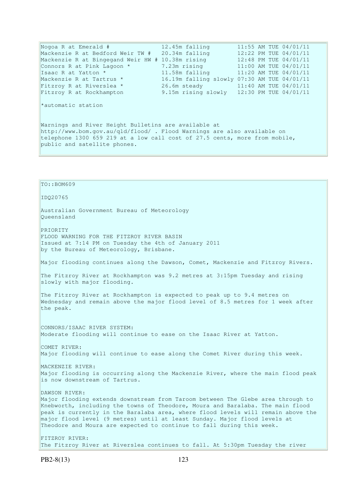| Nogoa R at Emerald #                                                                                                                                                                                                                          | 12.45m falling                              | 11:55 AM TUE 04/01/11 |  |  |
|-----------------------------------------------------------------------------------------------------------------------------------------------------------------------------------------------------------------------------------------------|---------------------------------------------|-----------------------|--|--|
| Mackenzie R at Bedford Weir TW # 20.34m falling                                                                                                                                                                                               |                                             | 12:22 PM TUE 04/01/11 |  |  |
| Mackenzie R at Bingegand Weir HW # 10.38m rising $12:48$ PM TUE 04/01/11                                                                                                                                                                      |                                             |                       |  |  |
| Connors R at Pink Lagoon *                                                                                                                                                                                                                    | 7.23m rising                                | 11:00 AM TUE 04/01/11 |  |  |
| Isaac R at Yatton *                                                                                                                                                                                                                           | 11.58m falling                              | 11:20 AM TUE 04/01/11 |  |  |
| Mackenzie R at Tartrus *                                                                                                                                                                                                                      | 16.19m falling slowly 07:30 AM TUE 04/01/11 |                       |  |  |
| Fitzroy R at Riverslea *                                                                                                                                                                                                                      | 26.6m steady 11:40 AM TUE 04/01/11          |                       |  |  |
| Fitzroy R at Rockhampton                                                                                                                                                                                                                      | 9.15m rising slowly 12:30 PM TUE 04/01/11   |                       |  |  |
| *automatic station                                                                                                                                                                                                                            |                                             |                       |  |  |
| Warnings and River Height Bulletins are available at<br>http://www.bom.gov.au/gld/flood/ . Flood Warnings are also available on<br>telephone 1300 659 219 at a low call cost of 27.5 cents, more from mobile,<br>public and satellite phones. |                                             |                       |  |  |

TO::BOM609 IDQ20765 Australian Government Bureau of Meteorology Queensland PRIORITY FLOOD WARNING FOR THE FITZROY RIVER BASIN Issued at 7:14 PM on Tuesday the 4th of January 2011 by the Bureau of Meteorology, Brisbane. Major flooding continues along the Dawson, Comet, Mackenzie and Fitzroy Rivers. The Fitzroy River at Rockhampton was 9.2 metres at 3:15pm Tuesday and rising slowly with major flooding. The Fitzroy River at Rockhampton is expected to peak up to 9.4 metres on Wednesday and remain above the major flood level of 8.5 metres for 1 week after the peak. CONNORS/ISAAC RIVER SYSTEM: Moderate flooding will continue to ease on the Isaac River at Yatton. COMET RIVER: Major flooding will continue to ease along the Comet River during this week. MACKENZIE RIVER: Major flooding is occurring along the Mackenzie River, where the main flood peak is now downstream of Tartrus. DAWSON RIVER: Major flooding extends downstream from Taroom between The Glebe area through to Knebworth, including the towns of Theodore, Moura and Baralaba. The main flood peak is currently in the Baralaba area, where flood levels will remain above the major flood level (9 metres) until at least Sunday. Major flood levels at Theodore and Moura are expected to continue to fall during this week. FITZROY RIVER: The Fitzroy River at Riverslea continues to fall. At 5:30pm Tuesday the river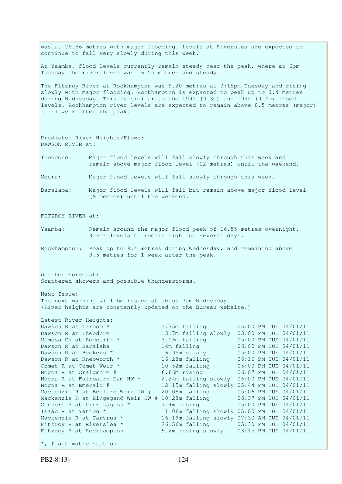was at 26.56 metres with major flooding. Levels at Riverslea are expected to continue to fall very slowly during this week. At Yaamba, flood levels currently remain steady near the peak, where at 6pm Tuesday the river level was 16.55 metres and steady. The Fitzroy River at Rockhampton was 9.20 metres at 3:15pm Tuesday and rising slowly with major flooding. Rockhampton is expected to peak up to 9.4 metres during Wednesday. This is similar to the 1991 (9.3m) and 1954 (9.4m) flood levels. Rockhampton river levels are expected to remain above 8.5 metres (major) for 1 week after the peak. Predicted River Heights/Flows: DAWSON RIVER at: Theodore: Major flood levels will fall slowly through this week and remain above major flood level (12 metres) until the weekend. Moura: Major flood levels will fall slowly through this week. Baralaba: Major flood levels will fall but remain above major flood level (9 metres) until the weekend. FITZROY RIVER at: Yaamba: Remain around the major flood peak of 16.55 metres overnight. River levels to remain high for several days. Rockhampton: Peak up to 9.4 metres during Wednesday, and remaining above 8.5 metres for 1 week after the peak. Weather Forecast: Scattered showers and possible thunderstorms. Next Issue: The next warning will be issued at about 7am Wednesday. (River heights are constantly updated on the Bureau website.) Latest River Heights: Dawson R at Taroom \* 3.75m falling 05:00 PM TUE 04/01/11 Dawson R at Theodore 13.7m falling slowly 03:00 PM TUE 04/01/11<br>Mimosa Ck at Redcliff \* 3.06m falling 05:00 PM TUE 04/01/11 3.06m falling  $0.5:00 \text{ PM}$  TUE  $0.4/01/11$ Dawson R at Baralaba 14m falling 06:00 PM TUE 04/01/11 Dawson R at Beckers \* 16.95m steady 05:00 PM TUE 04/01/11 Dawson R at Knebworth \* 16.28m falling 06:10 PM TUE 04/01/11 Comet R at Comet Weir  $*$  10.52m falling 05:00 PM TUE 04/01/11 Nogoa R at Craigmore # 6.66m rising 06:07 PM TUE 04/01/11 Nogoa R at Fairbairn Dam HW \* 2.24m falling slowly 06:00 PM TUE 04/01/11 Nogoa R at Emerald # 12.15m falling slowly 05:44 PM TUE 04/01/11 Mackenzie R at Bedford Weir TW # 20.08m falling 05:06 PM TUE 04/01/11<br>Mackenzie R at Bingegand Weir HW # 10.28m falling 06:37 PM TUE 04/01/11 Mackenzie R at Bingegand Weir HW  $#$  10.28m falling Connors R at Pink Lagoon  $*$  7.4m rising 05:00 PM TUE 04/01/11 Isaac R at Yatton \* 11.06m falling slowly 05:00 PM TUE 04/01/11 Mackenzie R at Tartrus \* 16.19m falling slowly 07:30 AM TUE 04/01/11<br>Fitzroy R at Riverslea \* 26.56m falling 05:30 PM TUE 04/01/11<br>Fitzroy R at Rockhampton 9.2m rising slowly 03:15 PM TUE 04/01/11 Fitzroy R at Riverslea \* 26.56m falling 05:30 PM TUE 04/01/11 Fitzroy R at Rockhampton 9.2m rising slowly 03:15 PM TUE 04/01/11  $\star$ , # automatic station.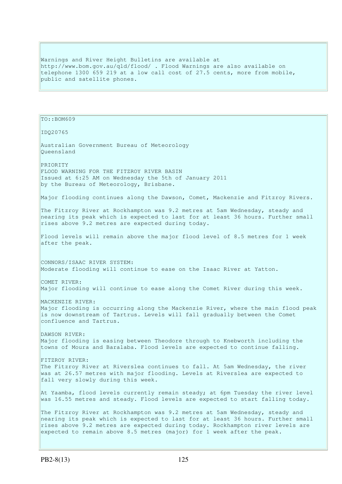Warnings and River Height Bulletins are available at http://www.bom.gov.au/qld/flood/ . Flood Warnings are also available on telephone 1300 659 219 at a low call cost of 27.5 cents, more from mobile, public and satellite phones.

```
TO::BOM609 
IDQ20765 
Australian Government Bureau of Meteorology 
Queensland 
PRIORITY 
FLOOD WARNING FOR THE FITZROY RIVER BASIN 
Issued at 6:25 AM on Wednesday the 5th of January 2011 
by the Bureau of Meteorology, Brisbane.
Major flooding continues along the Dawson, Comet, Mackenzie and Fitzroy Rivers. 
The Fitzroy River at Rockhampton was 9.2 metres at 5am Wednesday, steady and 
nearing its peak which is expected to last for at least 36 hours. Further small 
rises above 9.2 metres are expected during today. 
Flood levels will remain above the major flood level of 8.5 metres for 1 week 
after the peak. 
CONNORS/ISAAC RIVER SYSTEM: 
Moderate flooding will continue to ease on the Isaac River at Yatton. 
COMET RIVER: 
Major flooding will continue to ease along the Comet River during this week. 
MACKENZIE RIVER: 
Major flooding is occurring along the Mackenzie River, where the main flood peak 
is now downstream of Tartrus. Levels will fall gradually between the Comet 
confluence and Tartrus. 
DAWSON RIVER: 
Major flooding is easing between Theodore through to Knebworth including the 
towns of Moura and Baralaba. Flood levels are expected to continue falling. 
FITZROY RIVER: 
The Fitzroy River at Riverslea continues to fall. At 5am Wednesday, the river 
was at 26.57 metres with major flooding. Levels at Riverslea are expected to
fall very slowly during this week. 
At Yaamba, flood levels currently remain steady; at 6pm Tuesday the river level
was 16.55 metres and steady. Flood levels are expected to start falling today.
The Fitzroy River at Rockhampton was 9.2 metres at 5am Wednesday, steady and 
nearing its peak which is expected to last for at least 36 hours. Further small 
rises above 9.2 metres are expected during today. Rockhampton river levels are 
expected to remain above 8.5 metres (major) for 1 week after the peak.
```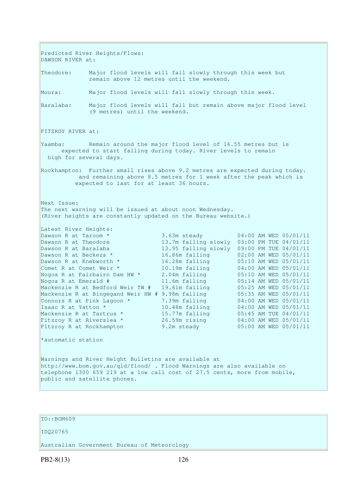Predicted River Heights/Flows: DAWSON RIVER at: Theodore: Major flood levels will fall slowly through this week but remain above 12 metres until the weekend. Moura: Major flood levels will fall slowly through this week. Baralaba: Major flood levels will fall but remain above major flood level (9 metres) until the weekend. FITZROY RIVER at: Yaamba: Remain around the major flood level of 16.55 metres but is expected to start falling during today. River levels to remain high for several days. Rockhampton: Further small rises above 9.2 metres are expected during today. and remaining above 8.5 metres for 1 week after the peak which is expected to last for at least 36 hours. Next Issue: The next warning will be issued at about noon Wednesday. (River heights are constantly updated on the Bureau website.) Latest River Heights: Dawson R at Taroom \* 3.63m steady 04:00 AM WED 05/01/11 Dawson R at Theodore 13.7m falling slowly 03:00 PM TUE 04/01/11<br>Dawson R at Baralaba 13.95 falling slowly 09:00 PM TUE 04/01/11 Dawson R at Baralaba 13.95 falling slowly 09:00 PM TUE 04/01/11 Dawson R at Beckers \* 16.86m falling 02:00 AM WED 05/01/11 Dawson R at Knebworth \* 16.28m falling 05:10 AM WED 05/01/11 Comet R at Comet Weir \* 10.19m falling 04:00 AM WED 05/01/11 Nogoa R at Fairbairn Dam HW \* 2.04m falling 05:10 AM WED 05/01/11 Nogoa R at Emerald # 11.6m falling 05:14 AM WED 05/01/11 Mackenzie R at Bedford Weir TW # 19.61m falling 05:25 AM WED 05/01/11 Mackenzie R at Bingegand Weir HW # 9.98m falling 05:35 AM WED 05/01/11 Connors R at Pink Lagoon  $*$  7.39m falling  $04:00$  AM WED  $05/01/11$ Isaac R at Yatton \* 10.48m falling 04:00 AM WED 05/01/11 Mackenzie R at Tartrus \* 15.77m falling 05:45 AM TUE 04/01/11 Fitzroy R at Riverslea \* 26.59m rising 04:00 AM WED 05/01/11 Fitzroy R at Rockhampton 9.2m steady 05:00 AM WED 05/01/11 \*automatic station Warnings and River Height Bulletins are available at http://www.bom.gov.au/qld/flood/ . Flood Warnings are also available on telephone 1300 659 219 at a low call cost of 27.5 cents, more from mobile, public and satellite phones.

## TO::BOM609

#### IDQ20765

Australian Government Bureau of Meteorology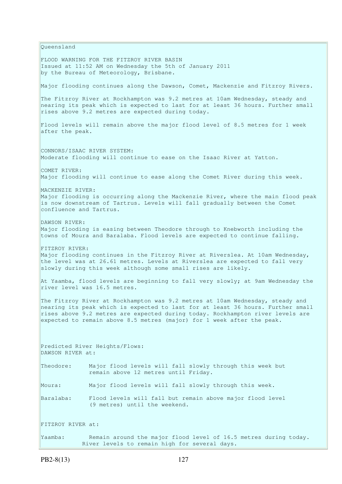Queensland FLOOD WARNING FOR THE FITZROY RIVER BASIN Issued at 11:52 AM on Wednesday the 5th of January 2011 by the Bureau of Meteorology, Brisbane. Major flooding continues along the Dawson, Comet, Mackenzie and Fitzroy Rivers. The Fitzroy River at Rockhampton was 9.2 metres at 10am Wednesday, steady and nearing its peak which is expected to last for at least 36 hours. Further small rises above 9.2 metres are expected during today. Flood levels will remain above the major flood level of 8.5 metres for 1 week after the peak. CONNORS/ISAAC RIVER SYSTEM: Moderate flooding will continue to ease on the Isaac River at Yatton. COMET RIVER: Major flooding will continue to ease along the Comet River during this week. MACKENZIE RIVER: Major flooding is occurring along the Mackenzie River, where the main flood peak is now downstream of Tartrus. Levels will fall gradually between the Comet confluence and Tartrus. DAWSON RIVER: Major flooding is easing between Theodore through to Knebworth including the towns of Moura and Baralaba. Flood levels are expected to continue falling. FITZROY RIVER: Major flooding continues in the Fitzroy River at Riverslea. At 10am Wednesday, the level was at 26.61 metres. Levels at Riverslea are expected to fall very slowly during this week although some small rises are likely. At Yaamba, flood levels are beginning to fall very slowly; at 9am Wednesday the river level was 16.5 metres. The Fitzroy River at Rockhampton was 9.2 metres at 10am Wednesday, steady and nearing its peak which is expected to last for at least 36 hours. Further small rises above 9.2 metres are expected during today. Rockhampton river levels are expected to remain above 8.5 metres (major) for 1 week after the peak. Predicted River Heights/Flows: DAWSON RIVER at: Theodore: Major flood levels will fall slowly through this week but remain above 12 metres until Friday. Moura: Major flood levels will fall slowly through this week. Baralaba: Flood levels will fall but remain above major flood level (9 metres) until the weekend. FITZROY RIVER at: Yaamba: Remain around the major flood level of 16.5 metres during today.

River levels to remain high for several days.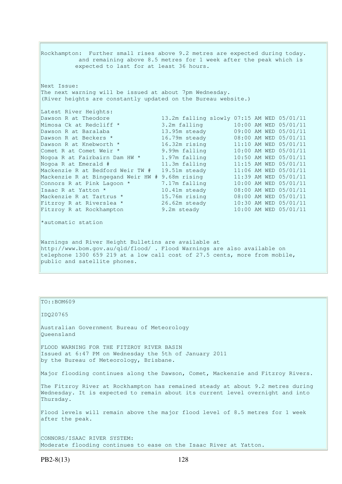Rockhampton: Further small rises above 9.2 metres are expected during today. and remaining above 8.5 metres for 1 week after the peak which is expected to last for at least 36 hours. Next Issue: The next warning will be issued at about 7pm Wednesday. (River heights are constantly updated on the Bureau website.) Latest River Heights: Dawson R at Theodore 13.2m falling slowly 07:15 AM WED 05/01/11 Mimosa Ck at Redcliff \* 3.2m falling 10:00 AM WED 05/01/11 Dawson R at Baralaba 13.95m steady 09:00 AM WED 05/01/11 Dawson R at Beckers \* 16.79m steady 08:00 AM WED 05/01/11 Dawson R at Knebworth \* 16.32m rising 11:10 AM WED 05/01/11 Comet R at Comet Weir \* 9.99m falling 10:00 AM WED 05/01/11 Nogoa R at Fairbairn Dam HW \* 1.97m falling 10:50 AM WED 05/01/11 Nogoa R at Emerald # 11.3m falling 11:15 AM WED 05/01/11 Mackenzie R at Bedford Weir TW # 19.51m steady 11:06 AM WED 05/01/11 Mackenzie R at Bingegand Weir HW # 9.68m rising 11:39 AM WED 05/01/11 Connors R at Pink Lagoon  $*$  7.17m falling 10:00 AM WED 05/01/11 Isaac R at Yatton \* 10.41m steady 08:00 AM WED 05/01/11 Mackenzie R at Tartrus \* 15.76m rising 08:00 AM WED 05/01/11 Fitzroy R at Riverslea \* 26.62m steady 10:30 AM WED 05/01/11 Fitzroy R at Rockhampton 9.2m steady 10:00 AM WED 05/01/11 \*automatic station Warnings and River Height Bulletins are available at http://www.bom.gov.au/qld/flood/ . Flood Warnings are also available on telephone 1300 659 219 at a low call cost of 27.5 cents, more from mobile, public and satellite phones.

TO::BOM609 IDQ20765 Australian Government Bureau of Meteorology Queensland FLOOD WARNING FOR THE FITZROY RIVER BASIN Issued at 6:47 PM on Wednesday the 5th of January 2011 by the Bureau of Meteorology, Brisbane. Major flooding continues along the Dawson, Comet, Mackenzie and Fitzroy Rivers. The Fitzroy River at Rockhampton has remained steady at about 9.2 metres during Wednesday. It is expected to remain about its current level overnight and into Thursday. Flood levels will remain above the major flood level of 8.5 metres for 1 week after the peak. CONNORS/ISAAC RIVER SYSTEM: Moderate flooding continues to ease on the Isaac River at Yatton.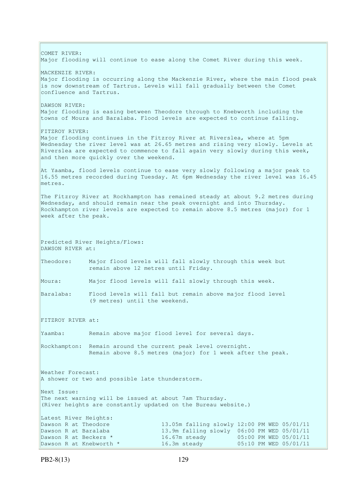COMET RIVER: Major flooding will continue to ease along the Comet River during this week. MACKENZIE RIVER: Major flooding is occurring along the Mackenzie River, where the main flood peak is now downstream of Tartrus. Levels will fall gradually between the Comet confluence and Tartrus. DAWSON RIVER: Major flooding is easing between Theodore through to Knebworth including the towns of Moura and Baralaba. Flood levels are expected to continue falling. FITZROY RIVER: Major flooding continues in the Fitzroy River at Riverslea, where at 5pm Wednesday the river level was at 26.65 metres and rising very slowly. Levels at Riverslea are expected to commence to fall again very slowly during this week, and then more quickly over the weekend. At Yaamba, flood levels continue to ease very slowly following a major peak to 16.55 metres recorded during Tuesday. At 6pm Wednesday the river level was 16.45 metres. The Fitzroy River at Rockhampton has remained steady at about 9.2 metres during Wednesday, and should remain near the peak overnight and into Thursday. Rockhampton river levels are expected to remain above 8.5 metres (major) for 1 week after the peak. Predicted River Heights/Flows: DAWSON RIVER at: Theodore: Major flood levels will fall slowly through this week but remain above 12 metres until Friday. Moura: Major flood levels will fall slowly through this week. Baralaba: Flood levels will fall but remain above major flood level (9 metres) until the weekend. FITZROY RIVER at: Yaamba: Remain above major flood level for several days. Rockhampton: Remain around the current peak level overnight. Remain above 8.5 metres (major) for 1 week after the peak. Weather Forecast: A shower or two and possible late thunderstorm. Next Issue: The next warning will be issued at about 7am Thursday. (River heights are constantly updated on the Bureau website.) Latest River Heights: Dawson R at Theodore 13.05m falling slowly 12:00 PM WED 05/01/11 Dawson R at Baralaba 13.9m falling slowly 06:00 PM WED 05/01/11 Dawson R at Beckers  $\star$  16.67m steady 05:00 PM WED 05/01/11 Dawson R at Knebworth \* 16.3m steady 05:10 PM WED 05/01/11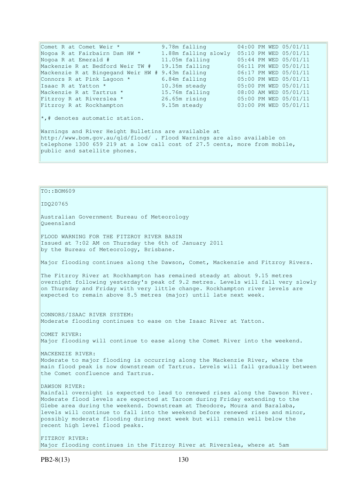| Comet R at Comet Weir *                                                    | 9.78m falling                              | 04:00 PM WED 05/01/11 |  |  |
|----------------------------------------------------------------------------|--------------------------------------------|-----------------------|--|--|
| Nogoa R at Fairbairn Dam HW *                                              | 1.88m falling slowly 05:10 PM WED 05/01/11 |                       |  |  |
| Nogoa R at Emerald #                                                       | 11.05m falling                             | 05:44 PM WED 05/01/11 |  |  |
| Mackenzie R at Bedford Weir TW #                                           | 19.15m falling                             | 06:11 PM WED 05/01/11 |  |  |
| Mackenzie R at Bingegand Weir HW # 9.43m falling                           |                                            | 06:17 PM WED 05/01/11 |  |  |
| Connors R at Pink Lagoon *                                                 | 6.84m falling                              | 05:00 PM WED 05/01/11 |  |  |
| Isaac R at Yatton *                                                        | 10.36m steady                              | 05:00 PM WED 05/01/11 |  |  |
| Mackenzie R at Tartrus *                                                   | 15.76m falling                             | 08:00 AM WED 05/01/11 |  |  |
| Fitzroy R at Riverslea *                                                   | 26.65m rising                              | 05:00 PM WED 05/01/11 |  |  |
| Fitzroy R at Rockhampton                                                   | 9.15m steady                               | 03:00 PM WED 05/01/11 |  |  |
| $\star$ ,# denotes automatic station.                                      |                                            |                       |  |  |
| Warnings and River Height Bulletins are available at                       |                                            |                       |  |  |
| http://www.bom.gov.au/gld/flood/ . Flood Warnings are also available on    |                                            |                       |  |  |
| telephone 1300 659 219 at a low call cost of 27.5 cents, more from mobile, |                                            |                       |  |  |

TO::BOM609 IDQ20765 Australian Government Bureau of Meteorology Queensland FLOOD WARNING FOR THE FITZROY RIVER BASIN Issued at 7:02 AM on Thursday the 6th of January 2011 by the Bureau of Meteorology, Brisbane. Major flooding continues along the Dawson, Comet, Mackenzie and Fitzroy Rivers. The Fitzroy River at Rockhampton has remained steady at about 9.15 metres overnight following yesterday's peak of 9.2 metres. Levels will fall very slowly on Thursday and Friday with very little change. Rockhampton river levels are expected to remain above 8.5 metres (major) until late next week. CONNORS/ISAAC RIVER SYSTEM: Moderate flooding continues to ease on the Isaac River at Yatton. COMET RIVER: Major flooding will continue to ease along the Comet River into the weekend. MACKENZIE RIVER: Moderate to major flooding is occurring along the Mackenzie River, where the main flood peak is now downstream of Tartrus. Levels will fall gradually between the Comet confluence and Tartrus. DAWSON RIVER:

Rainfall overnight is expected to lead to renewed rises along the Dawson River. Moderate flood levels are expected at Taroom during Friday extending to the Glebe area during the weekend. Downstream at Theodore, Moura and Baralaba, levels will continue to fall into the weekend before renewed rises and minor, possibly moderate flooding during next week but will remain well below the recent high level flood peaks.

FITZROY RIVER: Major flooding continues in the Fitzroy River at Riverslea, where at 5am

public and satellite phones.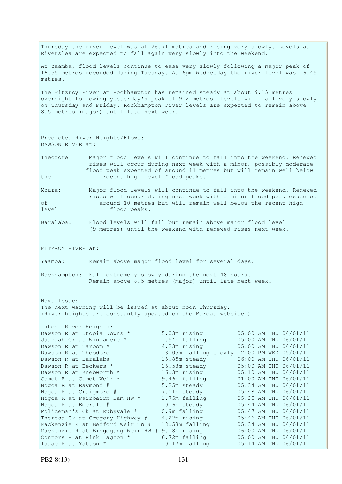Thursday the river level was at 26.71 metres and rising very slowly. Levels at Riverslea are expected to fall again very slowly into the weekend. At Yaamba, flood levels continue to ease very slowly following a major peak of 16.55 metres recorded during Tuesday. At 6pm Wednesday the river level was 16.45 metres. The Fitzroy River at Rockhampton has remained steady at about 9.15 metres overnight following yesterday's peak of 9.2 metres. Levels will fall very slowly  $\vert$  on Thursday and Friday. Rockhampton river levels are expected to remain above 8.5 metres (major) until late next week. Predicted River Heights/Flows: DAWSON RIVER at: Theodore Major flood levels will continue to fall into the weekend. Renewed rises will occur during next week with a minor, possibly moderate flood peak expected of around 11 metres but will remain well below the recent high level flood peaks. Moura: Major flood levels will continue to fall into the weekend. Renewed rises will occur during next week with a minor flood peak expected of around 10 metres but will remain well below the recent high level flood peaks. Baralaba: Flood levels will fall but remain above major flood level (9 metres) until the weekend with renewed rises next week. FITZROY RIVER at: Yaamba: Remain above major flood level for several days. Rockhampton: Fall extremely slowly during the next 48 hours. Remain above 8.5 metres (major) until late next week. Next Issue: The next warning will be issued at about noon Thursday. (River heights are constantly updated on the Bureau website.) Latest River Heights: Dawson R at Utopia Downs \* 5.03m rising 05:00 AM THU 06/01/11 Juandah Ck at Windamere \* 1.54m falling 05:00 AM THU 06/01/11 Dawson R at Taroom \* 3.23m rising 05:00 AM THU 06/01/11 Dawson R at Theodore 13.05m falling slowly 12:00 PM WED 05/01/11<br>
Dawson R at Baralaba 13.85m steady 06:00 AM THU 06/01/11<br>
Dawson R at Beckers \* 16.58m steady 05:00 AM THU 06/01/11 Dawson R at Baralaba 13.85m steady 06:00 AM THU 06/01/11 Dawson R at Beckers  $\star$  16.58m steady 05:00 AM THU 06/01/11 Dawson R at Knebworth \* 16.3m rising 05:10 AM THU 06/01/11<br>
Comet R at Comet Weir \* 9.46m falling 01:00 AM THU 06/01/11 Comet R at Comet Weir \* 9.46m falling 01:00 AM THU 06/01/11 Nogoa R at Raymond # 5.25m steady 05:34 AM THU 06/01/11 Nogoa R at Craigmore # 7.01m steady 05:48 AM THU 06/01/11 Nogoa R at Fairbairn Dam HW \* 1.75m falling 05:25 AM THU 06/01/11 Nogoa R at Emerald # 10.6m steady 05:44 AM THU 06/01/11 Policeman's Ck at Rubyvale # 0.9m falling 05:47 AM THU 06/01/11 Theresa Ck at Gregory Highway # 4.22m rising 05:46 AM THU 06/01/11 Mackenzie R at Bedford Weir TW # 18.58m falling 05:34 AM THU 06/01/11 Mackenzie R at Bingegang Weir HW # 9.18m rising 06:00 AM THU 06/01/11 Connors R at Pink Lagoon  $*$  6.72m falling 05:00 AM THU 06/01/11 Isaac R at Yatton \* 10.17m falling 05:14 AM THU 06/01/11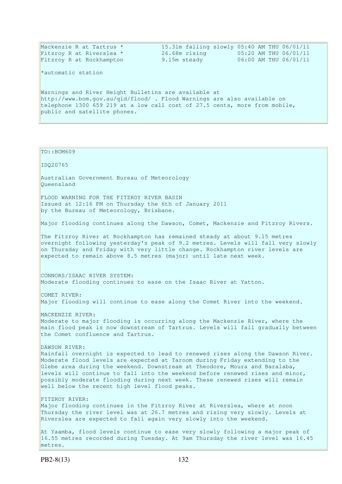| Mackenzie R at Tartrus *<br>Fitzroy R at Riverslea *                       | 26.68m rising | 15.31m falling slowly 05:40 AM THU 06/01/11<br>05:20 AM THU 06/01/11 |  |  |
|----------------------------------------------------------------------------|---------------|----------------------------------------------------------------------|--|--|
| Fitzroy R at Rockhampton                                                   | 9.15m steady  | 06:00 AM THU 06/01/11                                                |  |  |
| *automatic station                                                         |               |                                                                      |  |  |
| Warnings and River Height Bulletins are available at                       |               |                                                                      |  |  |
| http://www.bom.gov.au/gld/flood/ . Flood Warnings are also available on    |               |                                                                      |  |  |
| telephone 1300 659 219 at a low call cost of 27.5 cents, more from mobile, |               |                                                                      |  |  |
| public and satellite phones.                                               |               |                                                                      |  |  |
|                                                                            |               |                                                                      |  |  |
|                                                                            |               |                                                                      |  |  |

# TO::BOM609 IDQ20765 Australian Government Bureau of Meteorology Queensland FLOOD WARNING FOR THE FITZROY RIVER BASIN Issued at 12:16 PM on Thursday the 6th of January 2011 by the Bureau of Meteorology, Brisbane. Major flooding continues along the Dawson, Comet, Mackenzie and Fitzroy Rivers. The Fitzroy River at Rockhampton has remained steady at about 9.15 metres overnight following yesterday's peak of 9.2 metres. Levels will fall very slowly on Thursday and Friday with very little change. Rockhampton river levels are expected to remain above 8.5 metres (major) until late next week. CONNORS/ISAAC RIVER SYSTEM: Moderate flooding continues to ease on the Isaac River at Yatton. COMET RIVER: Major flooding will continue to ease along the Comet River into the weekend. MACKENZIE RIVER: Moderate to major flooding is occurring along the Mackenzie River, where the main flood peak is now downstream of Tartrus. Levels will fall gradually between the Comet confluence and Tartrus. DAWSON RIVER: Rainfall overnight is expected to lead to renewed rises along the Dawson River. Moderate flood levels are expected at Taroom during Friday extending to the Glebe area during the weekend. Downstream at Theodore, Moura and Baralaba, levels will continue to fall into the weekend before renewed rises and minor, possibly moderate flooding during next week. These renewed rises will remain well below the recent high level flood peaks. FITZROY RIVER: Major flooding continues in the Fitzroy River at Riverslea, where at noon Thursday the river level was at 26.7 metres and rising very slowly. Levels at Riverslea are expected to fall again very slowly into the weekend. At Yaamba, flood levels continue to ease very slowly following a major peak of 16.55 metres recorded during Tuesday. At 9am Thursday the river level was 16.45

metres.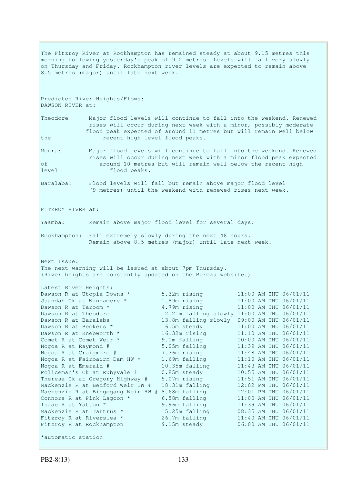The Fitzroy River at Rockhampton has remained steady at about 9.15 metres this morning following yesterday's peak of 9.2 metres. Levels will fall very slowly on Thursday and Friday. Rockhampton river levels are expected to remain above 8.5 metres (major) until late next week. Predicted River Heights/Flows: DAWSON RIVER at: Theodore Major flood levels will continue to fall into the weekend. Renewed rises will occur during next week with a minor, possibly moderate flood peak expected of around 11 metres but will remain well below the recent high level flood peaks. Moura: Major flood levels will continue to fall into the weekend. Renewed rises will occur during next week with a minor flood peak expected of around 10 metres but will remain well below the recent high level flood peaks. Baralaba: Flood levels will fall but remain above major flood level (9 metres) until the weekend with renewed rises next week. FITZROY RIVER at: Yaamba: Remain above major flood level for several days. Rockhampton: Fall extremely slowly during the next 48 hours. Remain above 8.5 metres (major) until late next week. Next Issue: The next warning will be issued at about 7pm Thursday. (River heights are constantly updated on the Bureau website.) Latest River Heights: Dawson R at Utopia Downs \*  $5.32$ m rising 11:00 AM THU 06/01/11 Juandah Ck at Windamere \* 1.89m rising 11:00 AM THU 06/01/11 Dawson R at Taroom \* 1.79m rising 11:00 AM THU 06/01/11 Dawson R at Theodore 12.21m falling slowly 11:00 AM THU 06/01/11 Dawson R at Baralaba 13.8m falling slowly 09:00 AM THU 06/01/11 Dawson R at Beckers  $\star$  16.5m steady 11:00 AM THU 06/01/11 Dawson R at Knebworth \* 16.32m rising 11:10 AM THU 06/01/11 Comet R at Comet Weir  $*$  9.1m falling 10:00 AM THU 06/01/11 Nogoa R at Raymond # 5.05m falling 11:39 AM THU 06/01/11 Nogoa R at Craigmore # 7.36m rising 11:48 AM THU 06/01/11 Nogoa R at Fairbairn Dam HW \* 1.69m falling 11:10 AM THU 06/01/11 Nogoa R at Emerald # 10.35m falling 11:43 AM THU 06/01/11 Policeman's Ck at Rubyvale # 0.85m steady 10:55 AM THU 06/01/11 Theresa Ck at Gregory Highway # 5.07m rising 11:51 AM THU 06/01/11 Mackenzie R at Bedford Weir TW # 18.31m falling 12:02 PM THU 06/01/11 Mackenzie R at Bingegang Weir HW # 8.68m falling 12:01 PM THU 06/01/11 Connors R at Pink Lagoon  $*$  6.58m falling 11:00 AM THU 06/01/11 Isaac R at Yatton \* 9.96m falling 11:39 AM THU 06/01/11 Mackenzie R at Tartrus \* 15.25m falling 11:39 AM THU 06/01/11<br>
Mackenzie R at Tartrus \* 15.25m falling 08:35 AM THU 06/01/11<br>
Fitzroy R at Rockhampton 9.15m steady 06:00 AM THU 06/01/11 Fitzroy R at Riverslea \* 26.7m falling 11:40 AM THU 06/01/11 Fitzroy R at Rockhampton 9.15m steady 06:00 AM THU 06/01/11

```
*automatic station
```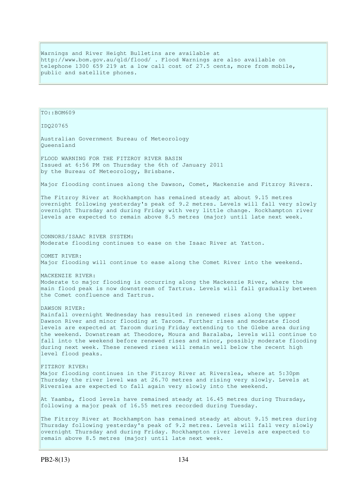Warnings and River Height Bulletins are available at http://www.bom.gov.au/qld/flood/ . Flood Warnings are also available on telephone 1300 659 219 at a low call cost of 27.5 cents, more from mobile, public and satellite phones.

TO::BOM609 IDQ20765 Australian Government Bureau of Meteorology Queensland FLOOD WARNING FOR THE FITZROY RIVER BASIN Issued at 6:56 PM on Thursday the 6th of January 2011 by the Bureau of Meteorology, Brisbane. Major flooding continues along the Dawson, Comet, Mackenzie and Fitzroy Rivers. The Fitzroy River at Rockhampton has remained steady at about 9.15 metres overnight following yesterday's peak of 9.2 metres. Levels will fall very slowly overnight Thursday and during Friday with very little change. Rockhampton river levels are expected to remain above 8.5 metres (major) until late next week. CONNORS/ISAAC RIVER SYSTEM: Moderate flooding continues to ease on the Isaac River at Yatton. COMET RIVER: Major flooding will continue to ease along the Comet River into the weekend. MACKENZIE RIVER: Moderate to major flooding is occurring along the Mackenzie River, where the main flood peak is now downstream of Tartrus. Levels will fall gradually between the Comet confluence and Tartrus. DAWSON RIVER: Rainfall overnight Wednesday has resulted in renewed rises along the upper Dawson River and minor flooding at Taroom. Further rises and moderate flood levels are expected at Taroom during Friday extending to the Glebe area during the weekend. Downstream at Theodore, Moura and Baralaba, levels will continue to fall into the weekend before renewed rises and minor, possibly moderate flooding during next week. These renewed rises will remain well below the recent high level flood peaks. FITZROY RIVER: Major flooding continues in the Fitzroy River at Riverslea, where at 5:30pm Thursday the river level was at 26.70 metres and rising very slowly. Levels at Riverslea are expected to fall again very slowly into the weekend. At Yaamba, flood levels have remained steady at 16.45 metres during Thursday, following a major peak of 16.55 metres recorded during Tuesday. The Fitzroy River at Rockhampton has remained steady at about 9.15 metres during Thursday following yesterday's peak of 9.2 metres. Levels will fall very slowly overnight Thursday and during Friday. Rockhampton river levels are expected to remain above 8.5 metres (major) until late next week.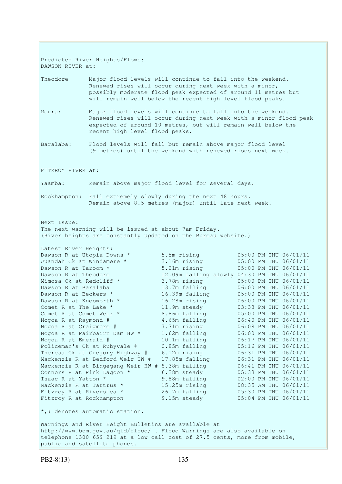Predicted River Heights/Flows: DAWSON RIVER at: Theodore Major flood levels will continue to fall into the weekend. Renewed rises will occur during next week with a minor, possibly moderate flood peak expected of around 11 metres but will remain well below the recent high level flood peaks. Moura: Major flood levels will continue to fall into the weekend. Renewed rises will occur during next week with a minor flood peak expected of around 10 metres, but will remain well below the recent high level flood peaks. Baralaba: Flood levels will fall but remain above major flood level (9 metres) until the weekend with renewed rises next week. FITZROY RIVER at: Yaamba: Remain above major flood level for several days. Rockhampton: Fall extremely slowly during the next 48 hours. Remain above 8.5 metres (major) until late next week. Next Issue: The next warning will be issued at about 7am Friday. (River heights are constantly updated on the Bureau website.) Latest River Heights: Dawson R at Utopia Downs \*  $5.5$ m rising  $05:00$  PM THU 06/01/11 Juandah Ck at Windamere \* 3.16m rising 05:00 PM THU 06/01/11 Dawson R at Taroom \* 5.21m rising 05:00 PM THU 06/01/11 Dawson R at Theodore 12.09m falling slowly 04:30 PM THU 06/01/11<br>Mimosa Ck at Redcliff \* 3.78m rising 05:00 PM THU 06/01/11 Mimosa Ck at Redcliff \* 3.78m rising 05:00 PM THU 06/01/11 Dawson R at Baralaba 13.7m falling 06:00 PM THU 06/01/11 Dawson R at Beckers \* 16.39m falling 05:00 PM THU 06/01/11 Dawson R at Knebworth \* 16.28m rising 06:00 PM THU 06/01/11 Comet R at The Lake  $\star$  11.9m steady 03:33 PM THU 06/01/11 Comet R at Comet Weir  $*$  8.86m falling 05:00 PM THU 06/01/11 Nogoa R at Raymond # 4.65m falling 06:40 PM THU 06/01/11 Nogoa R at Craigmore # 7.71m rising 06:08 PM THU 06/01/11 Nogoa R at Fairbairn Dam HW \* 1.62m falling 06:00 PM THU 06/01/11 Nogoa R at Emerald # 10.1m falling 06:17 PM THU 06/01/11 Policeman's Ck at Rubyvale # 0.85m falling 05:16 PM THU 06/01/11 Theresa Ck at Gregory Highway # 6.12m rising 06:31 PM THU 06/01/11 Mackenzie R at Bedford Weir TW # 17.85m falling 06:31 PM THU 06/01/11 Mackenzie R at Bingegang Weir HW # 8.38m falling 06:41 PM THU 06/01/11 Connors R at Pink Lagoon  $*$  6.38m steady 6.5:33 PM THU 06/01/11 Connors R at Pink Lagoon \* 6.38m steady 05:33 PM THU 06/01/11<br>
Isaac R at Yatton \* 9.88m falling 02:00 PM THU 06/01/11<br>
Mackenzie R at Tartrus \* 15.25m rising 08:35 AM THU 06/01/11 Mackenzie R at Tartrus \* 15.25m rising Fitzroy R at Riverslea \* 26.7m falling 05:30 PM THU 06/01/11 Fitzroy R at Rockhampton 9.15m steady 05:04 PM THU 06/01/11  $\star$ ,# denotes automatic station. Warnings and River Height Bulletins are available at http://www.bom.gov.au/qld/flood/ . Flood Warnings are also available on telephone 1300 659 219 at a low call cost of 27.5 cents, more from mobile, public and satellite phones.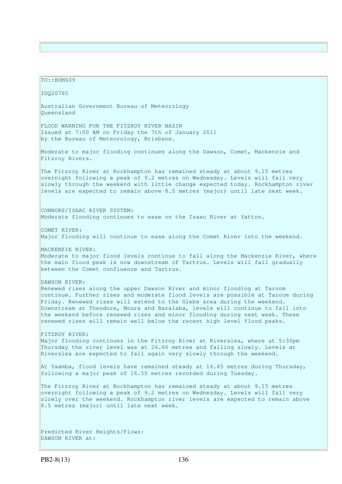TO::BOM609 IDQ20765 Australian Government Bureau of Meteorology Queensland FLOOD WARNING FOR THE FITZROY RIVER BASIN Issued at 7:00 AM on Friday the 7th of January 2011 by the Bureau of Meteorology, Brisbane. Moderate to major flooding continues along the Dawson, Comet, Mackenzie and Fitzroy Rivers. The Fitzroy River at Rockhampton has remained steady at about 9.15 metres overnight following a peak of 9.2 metres on Wednesday. Levels will fall very slowly through the weekend with little change expected today. Rockhampton river levels are expected to remain above 8.5 metres (major) until late next week. CONNORS/ISAAC RIVER SYSTEM: Moderate flooding continues to ease on the Isaac River at Yatton. COMET RIVER: Major flooding will continue to ease along the Comet River into the weekend. MACKENZIE RIVER: Moderate to major flood levels continue to fall along the Mackenzie River, where the main flood peak is now downstream of Tartrus. Levels will fall gradually between the Comet confluence and Tartrus. DAWSON RIVER: Renewed rises along the upper Dawson River and minor flooding at Taroom continue. Further rises and moderate flood levels are possible at Taroom during Friday. Renewed rises will extend to the Glebe area during the weekend. Downstream at Theodore, Moura and Baralaba, levels will continue to fall into the weekend before renewed rises and minor flooding during next week. These renewed rises will remain well below the recent high level flood peaks. FITZROY RIVER: Major flooding continues in the Fitzroy River at Riverslea, where at 5:30pm Thursday the river level was at 26.66 metres and falling slowly. Levels at Riverslea are expected to fall again very slowly through the weekend. At Yaamba, flood levels have remained steady at 16.45 metres during Thursday, following a major peak of 16.55 metres recorded during Tuesday. The Fitzroy River at Rockhampton has remained steady at about 9.15 metres overnight following a peak of 9.2 metres on Wednesday. Levels will fall very slowly over the weekend. Rockhampton river levels are expected to remain above 8.5 metres (major) until late next week. Predicted River Heights/Flows: DAWSON RIVER at: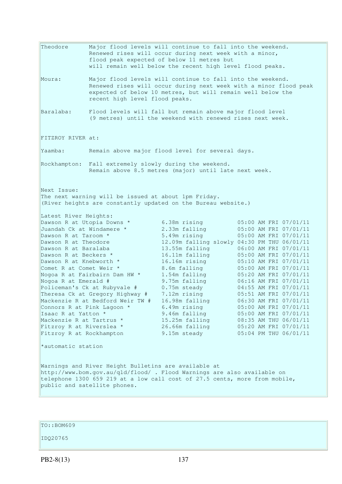Theodore Major flood levels will continue to fall into the weekend. Renewed rises will occur during next week with a minor, flood peak expected of below 11 metres but will remain well below the recent high level flood peaks. Moura: Major flood levels will continue to fall into the weekend. Renewed rises will occur during next week with a minor flood peak expected of below 10 metres, but will remain well below the recent high level flood peaks. Baralaba: Flood levels will fall but remain above major flood level (9 metres) until the weekend with renewed rises next week. FITZROY RIVER at: Yaamba: Remain above major flood level for several days. Rockhampton: Fall extremely slowly during the weekend. Remain above 8.5 metres (major) until late next week. Next Issue: The next warning will be issued at about 1pm Friday. (River heights are constantly updated on the Bureau website.) Latest River Heights: Dawson R at Utopia Downs \*  $6.38$ m rising  $05:00$  AM FRI 07/01/11 Juandah Ck at Windamere \* 2.33m falling 05:00 AM FRI 07/01/11 Dawson R at Taroom \* 5.49m rising 05:00 AM FRI 07/01/11 Dawson R at Theodore 12.09m falling slowly 04:30 PM THU 06/01/11<br>
Dawson R at Baralaba 13.55m falling 06:00 AM FRI 07/01/11<br>
Dawson R at Beckers \* 16.11m falling 05:00 AM FRI 07/01/11 Dawson R at Baralaba 13.55m falling 06:00 AM FRI 07/01/11 Dawson R at Beckers \* 16.11m falling 05:00 AM FRI 07/01/11 Dawson R at Knebworth \* 16.16m rising 05:10 AM FRI 07/01/11 Comet R at Comet Weir  $*$  8.6m falling 05:00 AM FRI 07/01/11 Nogoa R at Fairbairn Dam HW \* 1.54m falling 05:20 AM FRI 07/01/11 Nogoa R at Emerald # 9.75m falling 06:16 AM FRI 07/01/11 Policeman's Ck at Rubyvale # 0.75m steady 04:55 AM FRI 07/01/11 Theresa Ck at Gregory Highway # 7.12m rising 05:51 AM FRI 07/01/11 Mackenzie R at Bedford Weir TW # 16.98m falling 06:30 AM FRI 07/01/11 Connors R at Pink Lagoon  $*$  6.49m rising  $05:00$  AM FRI 07/01/11 Isaac R at Yatton \* 9.46m falling 05:00 AM FRI 07/01/11 Mackenzie R at Tartrus \* 15.25m falling 08:35 AM THU 06/01/11 Fitzroy R at Riverslea \* 26.66m falling 05:20 AM FRI 07/01/11 Fitzroy R at Rockhampton 9.15m steady 05:04 PM THU 06/01/11 \*automatic station Warnings and River Height Bulletins are available at http://www.bom.gov.au/qld/flood/ . Flood Warnings are also available on telephone 1300 659 219 at a low call cost of 27.5 cents, more from mobile, public and satellite phones.

TO::BOM609

IDQ20765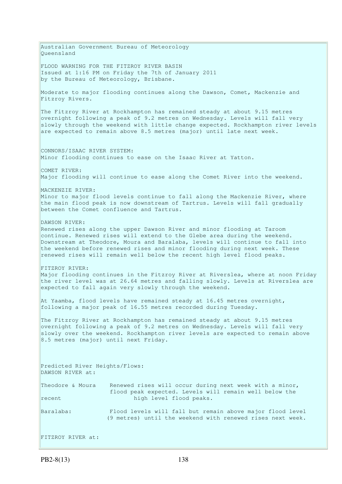Australian Government Bureau of Meteorology Queensland FLOOD WARNING FOR THE FITZROY RIVER BASIN Issued at 1:16 PM on Friday the 7th of January 2011 by the Bureau of Meteorology, Brisbane. Moderate to major flooding continues along the Dawson, Comet, Mackenzie and Fitzroy Rivers. The Fitzroy River at Rockhampton has remained steady at about 9.15 metres overnight following a peak of 9.2 metres on Wednesday. Levels will fall very slowly through the weekend with little change expected. Rockhampton river levels are expected to remain above 8.5 metres (major) until late next week. CONNORS/ISAAC RIVER SYSTEM: Minor flooding continues to ease on the Isaac River at Yatton. COMET RIVER: Major flooding will continue to ease along the Comet River into the weekend. MACKENZIE RIVER: Minor to major flood levels continue to fall along the Mackenzie River, where the main flood peak is now downstream of Tartrus. Levels will fall gradually between the Comet confluence and Tartrus. DAWSON RIVER: Renewed rises along the upper Dawson River and minor flooding at Taroom continue. Renewed rises will extend to the Glebe area during the weekend. Downstream at Theodore, Moura and Baralaba, levels will continue to fall into the weekend before renewed rises and minor flooding during next week. These renewed rises will remain well below the recent high level flood peaks. FITZROY RIVER: Major flooding continues in the Fitzroy River at Riverslea, where at noon Friday the river level was at 26.64 metres and falling slowly. Levels at Riverslea are expected to fall again very slowly through the weekend. At Yaamba, flood levels have remained steady at 16.45 metres overnight, following a major peak of 16.55 metres recorded during Tuesday. The Fitzroy River at Rockhampton has remained steady at about 9.15 metres overnight following a peak of 9.2 metres on Wednesday. Levels will fall very slowly over the weekend. Rockhampton river levels are expected to remain above 8.5 metres (major) until next Friday. Predicted River Heights/Flows: DAWSON RIVER at: Theodore & Moura Renewed rises will occur during next week with a minor, flood peak expected. Levels will remain well below the recent high level flood peaks. Baralaba: Flood levels will fall but remain above major flood level (9 metres) until the weekend with renewed rises next week. FITZROY RIVER at: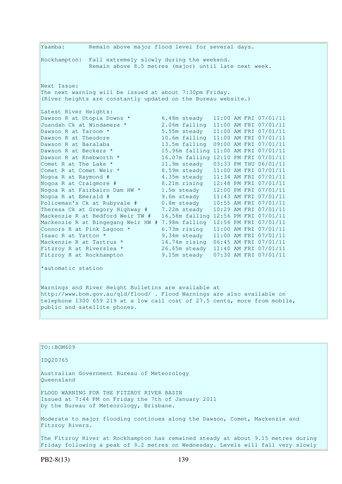Yaamba: Remain above major flood level for several days. Rockhampton: Fall extremely slowly during the weekend. Remain above 8.5 metres (major) until late next week. Next Issue: The next warning will be issued at about 7:30pm Friday. (River heights are constantly updated on the Bureau website.) Latest River Heights:<br>Dawson R at Utopia Downs \* Dawson R at Utopia Downs \* 6.48m steady 11:00 AM FRI 07/01/11 Juandah Ck at Windamere \* 2.06m falling 11:00 AM FRI 07/01/11 Dawson R at Taroom \* 5.55m steady 11:00 AM FRI 07/01/11 Dawson R at Theodore 10.6m falling 11:00 AM FRI 07/01/11 Dawson R at Baralaba 13.5m falling 09:00 AM FRI 07/01/11 Dawson R at Beckers \* 15.96m falling 11:00 AM FRI 07/01/11 Dawson R at Knebworth \* 16.07m falling 12:10 PM FRI 07/01/11 Comet R at The Lake  $\star$  11.9m steady 03:33 PM THU 06/01/11 Comet R at Comet Weir \* 8.59m steady 11:00 AM FRI 07/01/11 Nogoa R at Raymond # 4.35m steady 11:34 AM FRI 07/01/11 Nogoa R at Craigmore # 8.21m rising 12:48 PM FRI 07/01/11 Nogoa R at Fairbairn Dam HW \* 1.5m steady 12:00 PM FRI 07/01/11 Nogoa R at Emerald # 9.6m steady 11:43 AM FRI 07/01/11 Policeman's Ck at Rubyvale # 0.8m steady 10:55 AM FRI 07/01/11 Theresa Ck at Gregory Highway # 7.22m steady 10:29 AM FRI 07/01/11 Mackenzie R at Bedford Weir TW # 16.58m falling 12:56 PM FRI 07/01/11 Mackenzie R at Bingegang Weir HW # 7.98m falling 12:56 PM FRI 07/01/11 Connors R at Pink Lagoon  $*$  6.73m rising  $11:00$  AM FRI 07/01/11 Isaac R at Yatton \* 9.34m steady 11:00 AM FRI 07/01/11 Mackenzie R at Tartrus \* 14.74m rising 06:45 AM FRI 07/01/11 Fitzroy R at Riverslea \* 26.65m steady 11:40 AM FRI 07/01/11 Fitzroy R at Rockhampton 9.15m steady 07:30 AM FRI 07/01/11 \*automatic station Warnings and River Height Bulletins are available at http://www.bom.gov.au/qld/flood/ . Flood Warnings are also available on telephone 1300 659 219 at a low call cost of 27.5 cents, more from mobile, public and satellite phones.

| TO: : BOM609                                                                                                                                                         |
|----------------------------------------------------------------------------------------------------------------------------------------------------------------------|
| ID020765                                                                                                                                                             |
| Australian Government Bureau of Meteorology<br>Oueensland                                                                                                            |
| FLOOD WARNING FOR THE FITZROY RIVER BASIN<br>Issued at 7:44 PM on Friday the 7th of January 2011<br>by the Bureau of Meteorology, Brisbane.                          |
| Moderate to major flooding continues along the Dawson, Comet, Mackenzie and<br>Fitzroy Rivers.                                                                       |
| The Fitzroy River at Rockhampton has remained steady at about 9.15 metres during<br>Friday following a peak of 9.2 metres on Wednesday. Levels will fall very slowly |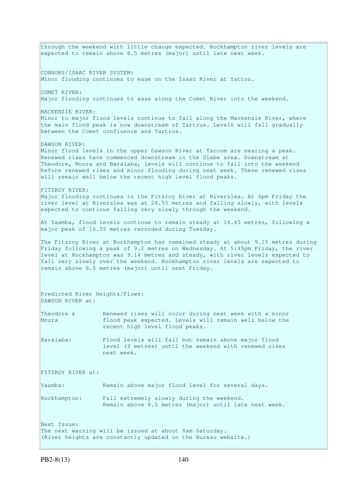through the weekend with little change expected. Rockhampton river levels are expected to remain above 8.5 metres (major) until late next week. CONNORS/ISAAC RIVER SYSTEM: Minor flooding continues to ease on the Isaac River at Yatton. COMET RIVER: Major flooding continues to ease along the Comet River into the weekend. MACKENZIE RIVER: Minor to major flood levels continue to fall along the Mackenzie River, where the main flood peak is now downstream of Tartrus. Levels will fall gradually between the Comet confluence and Tartrus. DAWSON RIVER: Minor flood levels in the upper Dawson River at Taroom are nearing a peak. Renewed rises have commenced downstream in the Glebe area. Downstream at Theodore, Moura and Baralaba, levels will continue to fall into the weekend before renewed rises and minor flooding during next week. These renewed rises will remain well below the recent high level flood peaks. FITZROY RIVER: Major flooding continues in the Fitzroy River at Riverslea. At 6pm Friday the river level at Riverslea was at 26.55 metres and falling slowly, with levels expected to continue falling very slowly through the weekend. At Yaamba, flood levels continue to remain steady at 16.45 metres, following a major peak of 16.55 metres recorded during Tuesday. The Fitzroy River at Rockhampton has remained steady at about 9.15 metres during Friday following a peak of 9.2 metres on Wednesday. At 5:45pm Friday, the river level at Rockhampton was 9.14 metres and steady, with river levels expected to fall very slowly over the weekend. Rockhampton river levels are expected to remain above 8.5 metres (major) until next Friday. Predicted River Heights/Flows: DAWSON RIVER at: Theodore & Renewed rises will occur during next week with a minor Moura flood peak expected. Levels will remain well below the recent high level flood peaks. Baralaba: Flood levels will fall but remain above major flood level (9 metres) until the weekend with renewed rises next week. FITZROY RIVER at: Yaamba: Remain above major flood level for several days. Rockhampton: Fall extremely slowly during the weekend. Remain above 8.5 metres (major) until late next week. Next Issue: The next warning will be issued at about 8am Saturday. (River heights are constantly updated on the Bureau website.)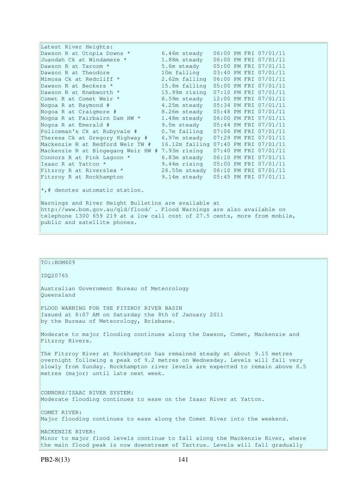Latest River Heights: Dawson R at Utopia Downs \* 6.46m steady  $06:00$  PM FRI 07/01/11<br>Juandah Ck at Windamere \* 1.88m steady 06:00 PM FRI 07/01/11 Juandah Ck at Windamere \* 1.88m steady 06:00 PM FRI 07/01/11 Dawson R at Taroom \* 5.6m steady 05:00 PM FRI 07/01/11 Dawson R at Theodore 10m falling 03:40 PM FRI 07/01/11 Mimosa Ck at Redcliff \* 2.62m falling 06:00 PM FRI 07/01/11 Dawson R at Beckers \* 15.8m falling 05:00 PM FRI 07/01/11 Dawson R at Knebworth \* 15.99m rising 07:10 PM FRI 07/01/11 Comet R at Comet Weir \* 8.59m steady 12:00 PM FRI 07/01/11 Nogoa R at Raymond # 4.25m steady 05:34 PM FRI 07/01/11 Nogoa R at Craigmore # 8.26m steady 05:48 PM FRI 07/01/11 Nogoa R at Fairbairn Dam HW \* 1.48m steady 06:00 PM FRI 07/01/11 Nogoa R at Emerald # 9.5m steady 05:44 PM FRI 07/01/11 Policeman's Ck at Rubyvale # 0.7m falling 07:06 PM FRI 07/01/11 Theresa Ck at Gregory Highway # 6.97m steady 07:29 PM FRI 07/01/11 Mackenzie R at Bedford Weir TW # 16.12m falling 07:40 PM FRI 07/01/11 Mackenzie R at Bingegang Weir HW # 7.93m rising 07:40 PM FRI 07/01/11 Connors R at Pink Lagoon  $*$  6.83m steady  $06:10$  PM FRI 07/01/11 Isaac R at Yatton \* 9.44m rising 05:00 PM FRI 07/01/11 Fitzroy R at Riverslea \* 26.55m steady 06:10 PM FRI 07/01/11 Fitzroy R at Rockhampton 9.14m steady 05:45 PM FRI 07/01/11 \*,# denotes automatic station. Warnings and River Height Bulletins are available at http://www.bom.gov.au/qld/flood/ . Flood Warnings are also available on

telephone 1300 659 219 at a low call cost of 27.5 cents, more from mobile, public and satellite phones.

| TO::BOM609                                                                                                                                                                                                                                                                         |
|------------------------------------------------------------------------------------------------------------------------------------------------------------------------------------------------------------------------------------------------------------------------------------|
| ID020765                                                                                                                                                                                                                                                                           |
| Australian Government Bureau of Meteorology<br>Oueensland                                                                                                                                                                                                                          |
| FLOOD WARNING FOR THE FITZROY RIVER BASIN<br>Issued at 8:07 AM on Saturday the 8th of January 2011<br>by the Bureau of Meteorology, Brisbane.                                                                                                                                      |
| Moderate to major flooding continues along the Dawson, Comet, Mackenzie and<br>Fitzroy Rivers.                                                                                                                                                                                     |
| The Fitzroy River at Rockhampton has remained steady at about 9.15 metres<br>overnight following a peak of 9.2 metres on Wednesday. Levels will fall very<br>slowly from Sunday. Rockhampton river levels are expected to remain above 8.5<br>metres (major) until late next week. |
| CONNORS/ISAAC RIVER SYSTEM:<br>Moderate flooding continues to ease on the Isaac River at Yatton.                                                                                                                                                                                   |
| COMET RIVER:<br>Major flooding continues to ease along the Comet River into the weekend.                                                                                                                                                                                           |
| MACKENZIE RIVER:<br>Minor to major flood levels continue to fall along the Mackenzie River, where<br>the main flood peak is now downstream of Tartrus. Levels will fall gradually                                                                                                  |
|                                                                                                                                                                                                                                                                                    |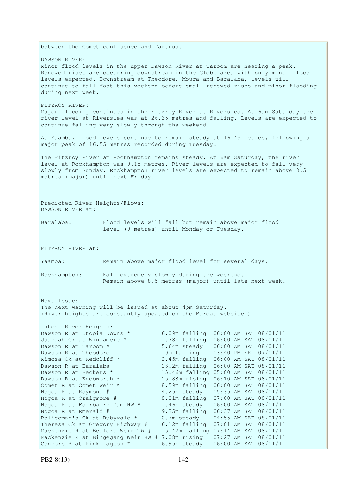between the Comet confluence and Tartrus. DAWSON RIVER: Minor flood levels in the upper Dawson River at Taroom are nearing a peak. Renewed rises are occurring downstream in the Glebe area with only minor flood levels expected. Downstream at Theodore, Moura and Baralaba, levels will continue to fall fast this weekend before small renewed rises and minor flooding during next week. FITZROY RIVER: Major flooding continues in the Fitzroy River at Riverslea. At 6am Saturday the river level at Riverslea was at 26.35 metres and falling. Levels are expected to continue falling very slowly through the weekend. At Yaamba, flood levels continue to remain steady at 16.45 metres, following a major peak of 16.55 metres recorded during Tuesday. The Fitzroy River at Rockhampton remains steady. At 6am Saturday, the river level at Rockhampton was 9.15 metres. River levels are expected to fall very slowly from Sunday. Rockhampton river levels are expected to remain above  $8.5$ metres (major) until next Friday. Predicted River Heights/Flows: DAWSON RIVER at: Baralaba: Flood levels will fall but remain above major flood level (9 metres) until Monday or Tuesday. FITZROY RIVER at: Yaamba: Remain above major flood level for several days. Rockhampton: Fall extremely slowly during the weekend. Remain above 8.5 metres (major) until late next week. Next Issue: The next warning will be issued at about 4pm Saturday. (River heights are constantly updated on the Bureau website.) Latest River Heights: Dawson R at Utopia Downs \* 6.09m falling 06:00 AM SAT 08/01/11 Juandah Ck at Windamere \* 1.78m falling 06:00 AM SAT 08/01/11 Dawson R at Taroom \* 5.64m steady 06:00 AM SAT 08/01/11 Dawson R at Theodore 10m falling 03:40 PM FRI 07/01/11 Mimosa Ck at Redcliff \* 2.45m falling 06:00 AM SAT 08/01/11 Dawson R at Baralaba 13.2m falling 06:00 AM SAT 08/01/11 Dawson R at Beckers \* 15.46m falling 05:00 AM SAT 08/01/11 Dawson R at Knebworth \* 15.88m rising 06:10 AM SAT 08/01/11 Comet R at Comet Weir \* 8.59m falling 06:00 AM SAT 08/01/11 Nogoa R at Raymond # 4.25m steady 05:35 AM SAT 08/01/11 Nogoa R at Craigmore # 8.01m falling 07:00 AM SAT 08/01/11 Nogoa R at Fairbairn Dam HW \* 1.46m steady 06:00 AM SAT 08/01/11 Nogoa R at Emerald # 9.35m falling 06:37 AM SAT 08/01/11 Policeman's Ck at Rubyvale # 0.7m steady 04:55 AM SAT 08/01/11 Theresa Ck at Gregory Highway # 6.12m falling 07:01 AM SAT 08/01/11 Mackenzie R at Bedford Weir TW # 15.42m falling 07:14 AM SAT 08/01/11 Mackenzie R at Bingegang Weir HW # 7.08m rising 07:27 AM SAT 08/01/11 Connors R at Pink Lagoon \* 6.95m steady 06:00 AM SAT 08/01/11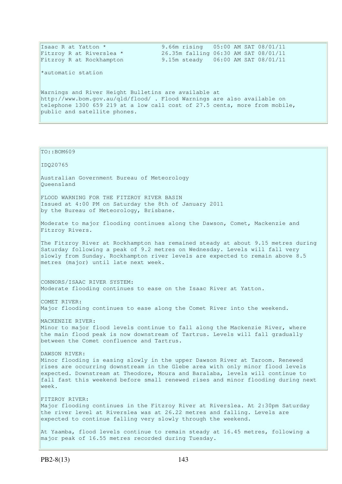| Isaac R at Yatton *                                                            | 9.66m rising 05:00 AM SAT 08/01/11   |  |  |  |
|--------------------------------------------------------------------------------|--------------------------------------|--|--|--|
| Fitzroy R at Riverslea *                                                       | 26.35m falling 06:30 AM SAT 08/01/11 |  |  |  |
| Fitzroy R at Rockhampton                                                       | 9.15m steady 06:00 AM SAT 08/01/11   |  |  |  |
| *automatic station                                                             |                                      |  |  |  |
| Warnings and River Height Bulletins are available at                           |                                      |  |  |  |
| $\vert$ http://www.bom.qov.au/q1d/f1ood/. Flood Warnings are also available on |                                      |  |  |  |
| telephone 1300 659 219 at a low call cost of 27.5 cents, more from mobile,     |                                      |  |  |  |
| public and satellite phones.                                                   |                                      |  |  |  |
|                                                                                |                                      |  |  |  |

# TO::BOM609 IDQ20765 Australian Government Bureau of Meteorology Queensland FLOOD WARNING FOR THE FITZROY RIVER BASIN Issued at 4:00 PM on Saturday the 8th of January 2011 by the Bureau of Meteorology, Brisbane. Moderate to major flooding continues along the Dawson, Comet, Mackenzie and Fitzroy Rivers. The Fitzroy River at Rockhampton has remained steady at about 9.15 metres during Saturday following a peak of 9.2 metres on Wednesday. Levels will fall very slowly from Sunday. Rockhampton river levels are expected to remain above 8.5 metres (major) until late next week. CONNORS/ISAAC RIVER SYSTEM: Moderate flooding continues to ease on the Isaac River at Yatton. COMET RIVER: Major flooding continues to ease along the Comet River into the weekend. MACKENZIE RIVER: Minor to major flood levels continue to fall along the Mackenzie River, where the main flood peak is now downstream of Tartrus. Levels will fall gradually between the Comet confluence and Tartrus. DAWSON RIVER: Minor flooding is easing slowly in the upper Dawson River at Taroom. Renewed rises are occurring downstream in the Glebe area with only minor flood levels expected. Downstream at Theodore, Moura and Baralaba, levels will continue to fall fast this weekend before small renewed rises and minor flooding during next week. FITZROY RIVER: Major flooding continues in the Fitzroy River at Riverslea. At 2:30pm Saturday the river level at Riverslea was at 26.22 metres and falling. Levels are expected to continue falling very slowly through the weekend. At Yaamba, flood levels continue to remain steady at 16.45 metres, following a major peak of 16.55 metres recorded during Tuesday.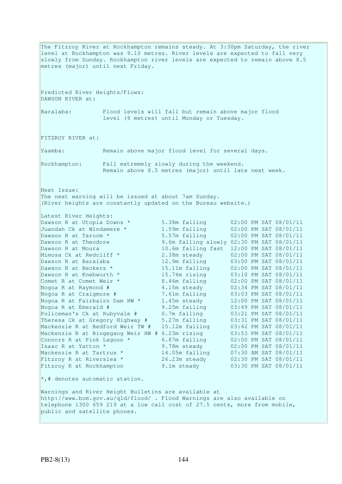The Fitzroy River at Rockhampton remains steady. At 3:30pm Saturday, the river level at Rockhampton was 9.10 metres. River levels are expected to fall very slowly from Sunday. Rockhampton river levels are expected to remain above 8.5 metres (major) until next Friday. Predicted River Heights/Flows: DAWSON RIVER at: Baralaba: Flood levels will fall but remain above major flood level (9 metres) until Monday or Tuesday. FITZROY RIVER at: Yaamba: Remain above major flood level for several days. Rockhampton: Fall extremely slowly during the weekend. Remain above 8.5 metres (major) until late next week. Next Issue: The next warning will be issued at about 7am Sunday. (River heights are constantly updated on the Bureau website.) Latest River Heights: Dawson R at Utopia Downs \* 5.38m falling 02:00 PM SAT 08/01/11 Juandah Ck at Windamere  $*$  1.59m falling  $02:00$  PM SAT  $08/01/11$ Dawson R at Taroom  $\star$  5.57m falling 02:00 PM SAT 08/01/11 Dawson R at Theodore 9.6m falling slowly 02:30 PM SAT 08/01/11 Dawson R at Moura 10.6m falling fast 12:00 PM SAT 08/01/11 Mimosa Ck at Redcliff \* 2.38m steady 02:00 PM SAT 08/01/11 Dawson R at Baralaba 12.9m falling 03:00 PM SAT 08/01/11 Dawson R at Beckers \* 15.11m falling 02:00 PM SAT 08/01/11 Dawson R at Knebworth \* 15.74m rising 03:10 PM SAT 08/01/11 Comet R at Comet Weir  $*$  8.46m falling 02:00 PM SAT 08/01/11 Nogoa R at Raymond # 4.15m steady 02:34 PM SAT 08/01/11 Nogoa R at Craigmore # 7.61m falling 03:03 PM SAT 08/01/11 Nogoa R at Fairbairn Dam HW \* 1.45m steady 12:00 PM SAT 08/01/11 Nogoa R at Emerald # 9.25m falling 03:49 PM SAT 08/01/11 Policeman's Ck at Rubyvale # 0.7m falling 03:21 PM SAT 08/01/11 Theresa Ck at Gregory Highway # 5.27m falling 03:31 PM SAT 08/01/11 Mackenzie R at Bedford Weir TW # 15.12m falling 03:42 PM SAT 08/01/11 Mackenzie R at Bingegang Weir HW # 6.23m rising 03:53 PM SAT 08/01/11 Connors R at Pink Lagoon  $*$  6.87m falling  $02:00$  PM SAT  $08/01/11$ Isaac R at Yatton \* 9.78m steady 02:00 PM SAT 08/01/11 Mackenzie R at Tartrus \* 14.05m falling 07:30 AM SAT 08/01/11 Fitzroy R at Riverslea \* 26.23m steady 02:30 PM SAT 08/01/11 Fitzroy R at Rockhampton 9.1m steady 03:30 PM SAT 08/01/11  $\star$ ,# denotes automatic station. Warnings and River Height Bulletins are available at http://www.bom.gov.au/qld/flood/ . Flood Warnings are also available on telephone 1300 659 219 at a low call cost of 27.5 cents, more from mobile, public and satellite phones.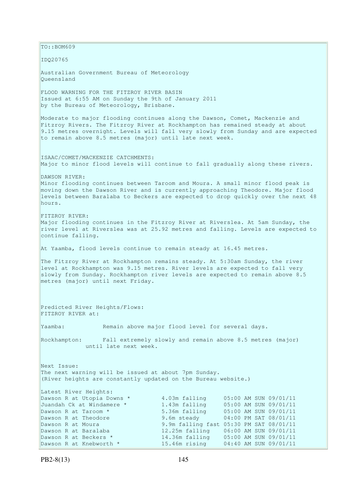$TO:$ : BOM609 IDQ20765 Australian Government Bureau of Meteorology Queensland FLOOD WARNING FOR THE FITZROY RIVER BASIN Issued at 6:55 AM on Sunday the 9th of January 2011 by the Bureau of Meteorology, Brisbane. Moderate to major flooding continues along the Dawson, Comet, Mackenzie and Fitzroy Rivers. The Fitzroy River at Rockhampton has remained steady at about 9.15 metres overnight. Levels will fall very slowly from Sunday and are expected to remain above 8.5 metres (major) until late next week. ISAAC/COMET/MACKENZIE CATCHMENTS: Major to minor flood levels will continue to fall gradually along these rivers. DAWSON RIVER: Minor flooding continues between Taroom and Moura. A small minor flood peak is moving down the Dawson River and is currently approaching Theodore. Major flood levels between Baralaba to Beckers are expected to drop quickly over the next 48 hours. FITZROY RIVER: Major flooding continues in the Fitzroy River at Riverslea. At 5am Sunday, the river level at Riverslea was at 25.92 metres and falling. Levels are expected to continue falling. At Yaamba, flood levels continue to remain steady at 16.45 metres. The Fitzroy River at Rockhampton remains steady. At 5:30am Sunday, the river level at Rockhampton was 9.15 metres. River levels are expected to fall very slowly from Sunday. Rockhampton river levels are expected to remain above 8.5 metres (major) until next Friday. Predicted River Heights/Flows: FITZROY RIVER at: Yaamba: Remain above major flood level for several days. Rockhampton: Fall extremely slowly and remain above 8.5 metres (major) until late next week. Next Issue: The next warning will be issued at about 7pm Sunday. (River heights are constantly updated on the Bureau website.) Latest River Heights: Dawson R at Utopia Downs \* 4.03m falling 05:00 AM SUN 09/01/11 Juandah Ck at Windamere \* 1.43m falling 05:00 AM SUN 09/01/11 Dawson R at Taroom \* 5.36m falling 05:00 AM SUN 09/01/11 Dawson R at Theodore 9.6m steady 04:00 PM SAT 08/01/11 Dawson R at Moura 9.9m falling fast 05:30 PM SAT 08/01/11<br>Dawson R at Baralaba 12.25m falling 06:00 AM SUN 09/01/11 Dawson R at Baralaba 12.25m falling 06:00 AM SUN 09/01/11<br>
Dawson R at Beckers \* 14.36m falling 05:00 AM SUN 09/01/11<br>
Dawson R at Knebworth \* 15.46m rising 04:40 AM SUN 09/01/11 Dawson R at Beckers \* 14.36m falling 05:00 AM SUN 09/01/11 Dawson R at Knebworth \* 15.46m rising 04:40 AM SUN 09/01/11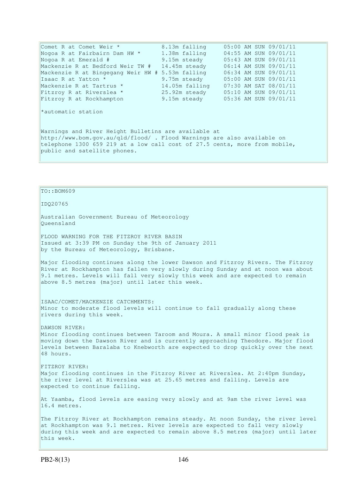Comet R at Comet Weir \* 8.13m falling 05:00 AM SUN 09/01/11 Nogoa R at Fairbairn Dam HW \* 1.38m falling 04:55 AM SUN 09/01/11 Nogoa R at Emerald # 9.15m steady 05:43 AM SUN 09/01/11 Mackenzie R at Bedford Weir TW # 14.45m steady 06:14 AM SUN 09/01/11 Mackenzie R at Bingegang Weir HW # 5.53m falling 06:34 AM SUN 09/01/11 Isaac R at Yatton \* 9.75m steady 05:00 AM SUN 09/01/11 Mackenzie R at Tartrus \* 14.05m falling 07:30 AM SAT 08/01/11 Fitzroy R at Riverslea \* 25.92m steady 05:10 AM SUN 09/01/11 Fitzroy R at Rockhampton 9.15m steady 05:36 AM SUN 09/01/11 \*automatic station Warnings and River Height Bulletins are available at http://www.bom.gov.au/qld/flood/ . Flood Warnings are also available on telephone 1300 659 219 at a low call cost of 27.5 cents, more from mobile, public and satellite phones.

## TO::BOM609

IDQ20765

Australian Government Bureau of Meteorology Queensland

FLOOD WARNING FOR THE FITZROY RIVER BASIN Issued at 3:39 PM on Sunday the 9th of January 2011 by the Bureau of Meteorology, Brisbane.

Major flooding continues along the lower Dawson and Fitzroy Rivers. The Fitzroy River at Rockhampton has fallen very slowly during Sunday and at noon was about 9.1 metres. Levels will fall very slowly this week and are expected to remain above 8.5 metres (major) until later this week.

ISAAC/COMET/MACKENZIE CATCHMENTS: Minor to moderate flood levels will continue to fall gradually along these rivers during this week.

DAWSON RIVER: Minor flooding continues between Taroom and Moura. A small minor flood peak is moving down the Dawson River and is currently approaching Theodore. Major flood levels between Baralaba to Knebworth are expected to drop quickly over the next 48 hours.

FITZROY RIVER: Major flooding continues in the Fitzroy River at Riverslea. At 2:40pm Sunday, the river level at Riverslea was at 25.65 metres and falling. Levels are expected to continue falling.

At Yaamba, flood levels are easing very slowly and at 9am the river level was 16.4 metres.

The Fitzroy River at Rockhampton remains steady. At noon Sunday, the river level at Rockhampton was 9.1 metres. River levels are expected to fall very slowly during this week and are expected to remain above 8.5 metres (major) until later this week.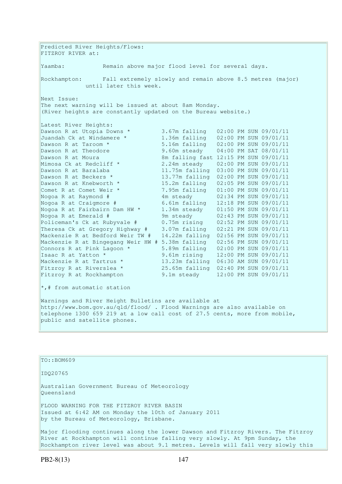Predicted River Heights/Flows: FITZROY RIVER at: Yaamba: Remain above major flood level for several days. Rockhampton: Fall extremely slowly and remain above 8.5 metres (major) until later this week. Next Issue: The next warning will be issued at about 8am Monday. (River heights are constantly updated on the Bureau website.) Latest River Heights:<br>Dawson R at Utopia Downs \* Dawson R at Utopia Downs \* 3.67m falling 02:00 PM SUN 09/01/11 Juandah Ck at Windamere \* 1.36m falling 02:00 PM SUN 09/01/11 Dawson R at Taroom \* 5.16m falling 02:00 PM SUN 09/01/11 Dawson R at Theodore 9.60m steady 04:00 PM SAT 08/01/11 Dawson R at Moura **8m falling fast 12:15 PM SUN 09/01/11** Mimosa Ck at Redcliff  $\star$  2.24m steady 02:00 PM SUN 09/01/11 Dawson R at Baralaba 11.75m falling 03:00 PM SUN 09/01/11 Dawson R at Beckers \* 13.77m falling 02:00 PM SUN 09/01/11 Dawson R at Knebworth \* 15.2m falling 02:05 PM SUN 09/01/11 Comet R at Comet Weir \* 7.95m falling 01:00 PM SUN 09/01/11 Nogoa R at Raymond # 4m steady 02:34 PM SUN 09/01/11 Nogoa R at Craigmore # 6.61m falling 12:18 PM SUN 09/01/11 Nogoa R at Fairbairn Dam HW \* 1.34m steady 01:50 PM SUN 09/01/11 Nogoa R at Emerald # 9m steady 02:43 PM SUN 09/01/11 Policeman's Ck at Rubyvale # 0.75m rising 02:52 PM SUN 09/01/11 Theresa Ck at Gregory Highway # 3.07m falling 02:21 PM SUN 09/01/11 Mackenzie R at Bedford Weir TW # 14.22m falling 02:56 PM SUN 09/01/11 Mackenzie R at Bingegang Weir HW # 5.38m falling 02:56 PM SUN 09/01/11 Connors R at Pink Lagoon \* 5.89m falling 02:00 PM SUN 09/01/11 Isaac R at Yatton \* 9.61m rising 12:00 PM SUN 09/01/11 Mackenzie R at Tartrus \* 13.23m falling 06:30 AM SUN 09/01/11 Fitzroy R at Riverslea \* 25.65m falling 02:40 PM SUN 09/01/11 Fitzroy R at Rockhampton 9.1m steady 12:00 PM SUN 09/01/11  $\star$ ,# from automatic station Warnings and River Height Bulletins are available at http://www.bom.gov.au/qld/flood/ . Flood Warnings are also available on telephone 1300 659 219 at a low call cost of 27.5 cents, more from mobile, public and satellite phones.

#### TO::BOM609

IDQ20765

Australian Government Bureau of Meteorology Queensland

FLOOD WARNING FOR THE FITZROY RIVER BASIN Issued at 6:42 AM on Monday the 10th of January 2011 by the Bureau of Meteorology, Brisbane.

Major flooding continues along the lower Dawson and Fitzroy Rivers. The Fitzroy River at Rockhampton will continue falling very slowly. At 9pm Sunday, the Rockhampton river level was about 9.1 metres. Levels will fall very slowly this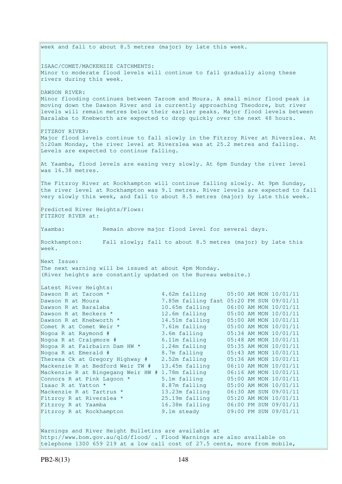week and fall to about 8.5 metres (major) by late this week. ISAAC/COMET/MACKENZIE CATCHMENTS: Minor to moderate flood levels will continue to fall gradually along these rivers during this week. DAWSON RIVER: Minor flooding continues between Taroom and Moura. A small minor flood peak is moving down the Dawson River and is currently approaching Theodore, but river levels will remain metres below their earlier peaks. Major flood levels between Baralaba to Knebworth are expected to drop quickly over the next 48 hours. FITZROY RIVER: Major flood levels continue to fall slowly in the Fitzroy River at Riverslea. At 5:20am Monday, the river level at Riverslea was at 25.2 metres and falling. Levels are expected to continue falling. At Yaamba, flood levels are easing very slowly. At 6pm Sunday the river level was 16.38 metres. The Fitzroy River at Rockhampton will continue falling slowly. At 9pm Sunday, the river level at Rockhampton was 9.1 metres. River levels are expected to fall very slowly this week, and fall to about 8.5 metres (major) by late this week. Predicted River Heights/Flows: FITZROY RIVER at: Yaamba: Remain above major flood level for several days. Rockhampton: Fall slowly; fall to about 8.5 metres (major) by late this week. Next Issue: The next warning will be issued at about 4pm Monday. (River heights are constantly updated on the Bureau website.) Latest River Heights: Dawson R at Taroom \* 4.62m falling 05:00 AM MON 10/01/11 Dawson R at Moura 7.85m falling fast 05:20 PM SUN 09/01/11 Dawson R at Baralaba 10.65m falling 06:00 AM MON 10/01/11 Dawson R at Beckers \* 12.6m falling 05:00 AM MON 10/01/11 Dawson R at Knebworth \* 14.51m falling 05:00 AM MON 10/01/11 Comet R at Comet Weir \* 7.61m falling 05:00 AM MON 10/01/11 Nogoa R at Raymond # 3.6m falling 05:34 AM MON 10/01/11 Nogoa R at Craigmore # 6.11m falling 05:48 AM MON 10/01/11 Nogoa R at Fairbairn Dam HW \* 1.24m falling 05:35 AM MON 10/01/11 Nogoa R at Emerald # 8.7m falling 05:43 AM MON 10/01/11 Theresa Ck at Gregory Highway # 2.52m falling 05:36 AM MON 10/01/11 Mackenzie R at Bedford Weir TW # 13.45m falling 06:10 AM MON 10/01/11 Mackenzie R at Bingegang Weir HW # 1.78m falling 06:16 AM MON 10/01/11 Connors R at Pink Lagoon  $*$  5.1m falling 05:00 AM MON 10/01/11 Isaac R at Yatton \* 8.87m falling 05:00 AM MON 10/01/11 Mackenzie R at Tartrus \* 13.23m falling 06:30 AM SUN 09/01/11 Fitzroy R at Riverslea \* 25.19m falling 05:20 AM MON 10/01/11 Fitzroy R at Yaamba 16.38m falling 06:00 PM SUN 09/01/11 Fitzroy R at Rockhampton 9.1m steady 09:00 PM SUN 09/01/11 Warnings and River Height Bulletins are available at http://www.bom.gov.au/qld/flood/ . Flood Warnings are also available on telephone 1300 659 219 at a low call cost of 27.5 cents, more from mobile,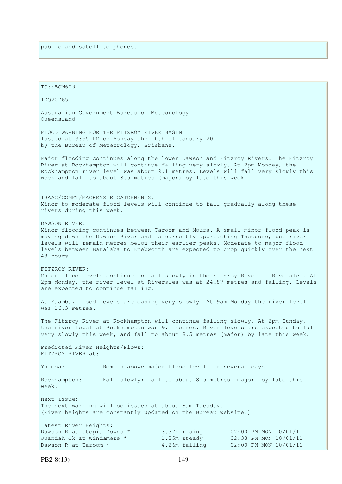| TO::BOM609                                                                                                                                                                                                                                                                                                                                                       |                               |                                                |  |  |  |  |
|------------------------------------------------------------------------------------------------------------------------------------------------------------------------------------------------------------------------------------------------------------------------------------------------------------------------------------------------------------------|-------------------------------|------------------------------------------------|--|--|--|--|
| IDQ20765                                                                                                                                                                                                                                                                                                                                                         |                               |                                                |  |  |  |  |
| Australian Government Bureau of Meteorology<br>Oueensland                                                                                                                                                                                                                                                                                                        |                               |                                                |  |  |  |  |
| FLOOD WARNING FOR THE FITZROY RIVER BASIN<br>Issued at 3:55 PM on Monday the 10th of January 2011<br>by the Bureau of Meteorology, Brisbane.                                                                                                                                                                                                                     |                               |                                                |  |  |  |  |
| Major flooding continues along the lower Dawson and Fitzroy Rivers. The Fitzroy<br>River at Rockhampton will continue falling very slowly. At 2pm Monday, the<br>Rockhampton river level was about 9.1 metres. Levels will fall very slowly this<br>week and fall to about 8.5 metres (major) by late this week.                                                 |                               |                                                |  |  |  |  |
| ISAAC/COMET/MACKENZIE CATCHMENTS:<br>Minor to moderate flood levels will continue to fall gradually along these<br>rivers during this week.                                                                                                                                                                                                                      |                               |                                                |  |  |  |  |
| DAWSON RIVER:<br>Minor flooding continues between Taroom and Moura. A small minor flood peak is<br>moving down the Dawson River and is currently approaching Theodore, but river<br>levels will remain metres below their earlier peaks. Moderate to major flood<br>levels between Baralaba to Knebworth are expected to drop quickly over the next<br>48 hours. |                               |                                                |  |  |  |  |
| FITZROY RIVER:<br>Major flood levels continue to fall slowly in the Fitzroy River at Riverslea. At<br>2pm Monday, the river level at Riverslea was at 24.87 metres and falling. Levels<br>are expected to continue falling.                                                                                                                                      |                               |                                                |  |  |  |  |
| At Yaamba, flood levels are easing very slowly. At 9am Monday the river level<br>was 16.3 metres.                                                                                                                                                                                                                                                                |                               |                                                |  |  |  |  |
| The Fitzroy River at Rockhampton will continue falling slowly. At 2pm Sunday,<br>the river level at Rockhampton was 9.1 metres. River levels are expected to fall<br>very slowly this week, and fall to about 8.5 metres (major) by late this week.                                                                                                              |                               |                                                |  |  |  |  |
| Predicted River Heights/Flows:<br>FITZROY RIVER at:                                                                                                                                                                                                                                                                                                              |                               |                                                |  |  |  |  |
| Yaamba:<br>Remain above major flood level for several days.                                                                                                                                                                                                                                                                                                      |                               |                                                |  |  |  |  |
| Fall slowly; fall to about 8.5 metres (major) by late this<br>Rockhampton:<br>week.                                                                                                                                                                                                                                                                              |                               |                                                |  |  |  |  |
| Next Issue:<br>The next warning will be issued at about 8am Tuesday.<br>(River heights are constantly updated on the Bureau website.)                                                                                                                                                                                                                            |                               |                                                |  |  |  |  |
| Latest River Heights:                                                                                                                                                                                                                                                                                                                                            |                               |                                                |  |  |  |  |
| Dawson R at Utopia Downs *<br>Juandah Ck at Windamere *                                                                                                                                                                                                                                                                                                          | 3.37m rising                  | 02:00 PM MON 10/01/11                          |  |  |  |  |
| Dawson R at Taroom *                                                                                                                                                                                                                                                                                                                                             | 1.25m steady<br>4.26m falling | 02:33 PM MON 10/01/11<br>02:00 PM MON 10/01/11 |  |  |  |  |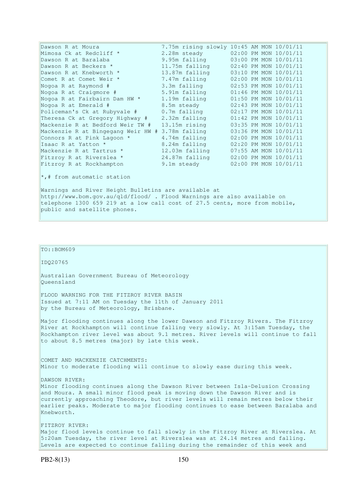| Dawson R at Moura                  | 7.75m rising slowly 10:45 AM MON 10/01/11 |  |                       |
|------------------------------------|-------------------------------------------|--|-----------------------|
| Mimosa Ck at Redcliff *            | 2.28m steady                              |  | 02:00 PM MON 10/01/11 |
| Dawson R at Baralaba               | 9.95m falling                             |  | 03:00 PM MON 10/01/11 |
| Dawson R at Beckers *              | 11.75m falling                            |  | 02:40 PM MON 10/01/11 |
| Dawson R at Knebworth *            | 13.87m falling                            |  | 03:10 PM MON 10/01/11 |
| Comet R at Comet Weir *            | 7.47m falling                             |  | 02:00 PM MON 10/01/11 |
| Nogoa R at Raymond #               | 3.3m falling                              |  | 02:53 PM MON 10/01/11 |
| Nogoa R at Craigmore #             | 5.91m falling                             |  | 01:46 PM MON 10/01/11 |
| Nogoa R at Fairbairn Dam HW *      | 1.19m falling                             |  | 01:50 PM MON 10/01/11 |
| Nogoa R at Emerald #               | 8.5m steady                               |  | 02:43 PM MON 10/01/11 |
| Policeman's Ck at Rubyvale #       | 0.7m falling                              |  | 02:17 PM MON 10/01/11 |
| Theresa Ck at Gregory Highway #    | 2.32m falling                             |  | 01:42 PM MON 10/01/11 |
| Mackenzie R at Bedford Weir TW #   | 13.15m rising                             |  | 03:35 PM MON 10/01/11 |
| Mackenzie R at Bingegang Weir HW # | 3.78m falling                             |  | 03:36 PM MON 10/01/11 |
| Connors R at Pink Lagoon *         | 4.74m falling                             |  | 02:00 PM MON 10/01/11 |
| Isaac R at Yatton *                | 8.24m falling                             |  | 02:20 PM MON 10/01/11 |
| Mackenzie R at Tartrus *           | 12.03m falling                            |  | 07:55 AM MON 10/01/11 |
| Fitzroy R at Riverslea *           | 24.87m falling                            |  | 02:00 PM MON 10/01/11 |
| Fitzroy R at Rockhampton           | 9.1m steady                               |  | 02:00 PM MON 10/01/11 |
| $\star$ ,# from automatic station  |                                           |  |                       |

Warnings and River Height Bulletins are available at http://www.bom.gov.au/qld/flood/ . Flood Warnings are also available on telephone 1300 659 219 at a low call cost of 27.5 cents, more from mobile, public and satellite phones.

### TO::BOM609

IDQ20765

Australian Government Bureau of Meteorology Queensland

FLOOD WARNING FOR THE FITZROY RIVER BASIN Issued at 7:11 AM on Tuesday the 11th of January 2011 by the Bureau of Meteorology, Brisbane.

Major flooding continues along the lower Dawson and Fitzroy Rivers. The Fitzroy River at Rockhampton will continue falling very slowly. At 3:15am Tuesday, the Rockhampton river level was about 9.1 metres. River levels will continue to fall to about 8.5 metres (major) by late this week.

COMET AND MACKENZIE CATCHMENTS: Minor to moderate flooding will continue to slowly ease during this week.

DAWSON RIVER: Minor flooding continues along the Dawson River between Isla-Delusion Crossing and Moura. A small minor flood peak is moving down the Dawson River and is currently approaching Theodore, but river levels will remain metres below their earlier peaks. Moderate to major flooding continues to ease between Baralaba and Knebworth.

FITZROY RIVER: Major flood levels continue to fall slowly in the Fitzroy River at Riverslea. At 5:20am Tuesday, the river level at Riverslea was at 24.14 metres and falling. Levels are expected to continue falling during the remainder of this week and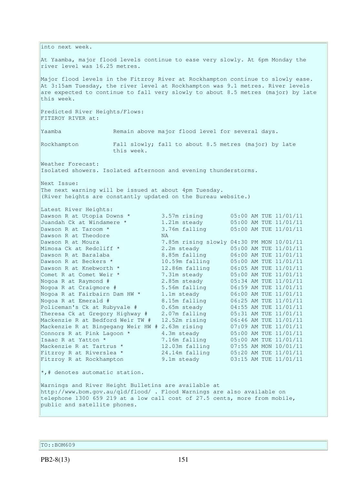linto next week. At Yaamba, major flood levels continue to ease very slowly. At 6pm Monday the river level was 16.25 metres. Major flood levels in the Fitzroy River at Rockhampton continue to slowly ease. At 3:15am Tuesday, the river level at Rockhampton was 9.1 metres. River levels are expected to continue to fall very slowly to about 8.5 metres (major) by late this week. Predicted River Heights/Flows: FITZROY RIVER at: Yaamba Remain above major flood level for several days. Rockhampton Fall slowly; fall to about 8.5 metres (major) by late this week. Weather Forecast: Isolated showers. Isolated afternoon and evening thunderstorms. Next Issue: The next warning will be issued at about 4pm Tuesday. (River heights are constantly updated on the Bureau website.) Latest River Heights: Dawson R at Utopia Downs \* 3.57m rising 05:00 AM TUE 11/01/11 Juandah Ck at Windamere \* 1.21m steady 05:00 AM TUE 11/01/11 Dawson R at Taroom  $\star$  3.76m falling  $0.5:00$  AM TUE 11/01/11 Dawson R at Theodore NA Dawson R at Moura 7.85m rising slowly 04:30 PM MON 10/01/11 Mimosa Ck at Redcliff \* 2.2m steady 05:00 AM TUE 11/01/11 Dawson R at Baralaba 8.85m falling 06:00 AM TUE 11/01/11 Dawson R at Beckers \* 10.59m falling 05:00 AM TUE 11/01/11 Dawson R at Knebworth \* 12.86m falling 06:05 AM TUE 11/01/11 Comet R at Comet Weir \* 7.31m steady 05:00 AM TUE 11/01/11 Nogoa R at Raymond # 2.85m steady 05:34 AM TUE 11/01/11 Nogoa R at Craigmore # 5.56m falling 06:59 AM TUE 11/01/11 Nogoa R at Fairbairn Dam HW \* 1.1m steady 06:00 AM TUE 11/01/11 Nogoa R at Emerald # 8.15m falling 06:25 AM TUE 11/01/11 Policeman's Ck at Rubyvale # 0.65m steady 04:55 AM TUE 11/01/11 Theresa Ck at Gregory Highway # 2.07m falling 05:31 AM TUE 11/01/11 Mackenzie R at Bedford Weir TW # 12.52m rising 06:46 AM TUE 11/01/11 Mackenzie R at Bingegang Weir HW # 2.63m rising 07:09 AM TUE 11/01/11 Connors R at Pink Lagoon  $*$  4.3m steady  $05:00$  AM TUE  $11/01/11$ Isaac R at Yatton \* 7.16m falling 05:00 AM TUE 11/01/11 Mackenzie R at Tartrus \* 12.03m falling 07:55 AM MON 10/01/11 Fitzroy R at Riverslea \* 24.14m falling 05:20 AM TUE 11/01/11 Fitzroy R at Rockhampton 9.1m steady 03:15 AM TUE 11/01/11  $\star$ ,# denotes automatic station. Warnings and River Height Bulletins are available at http://www.bom.gov.au/qld/flood/ . Flood Warnings are also available on telephone 1300 659 219 at a low call cost of 27.5 cents, more from mobile, public and satellite phones.

TO::BOM609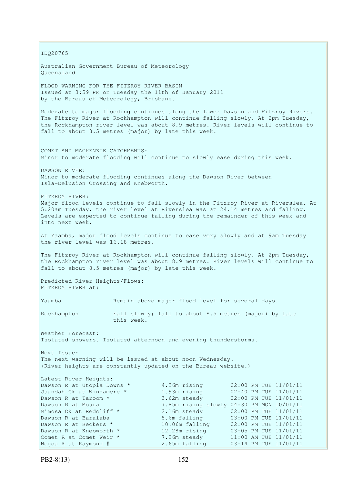IDQ20765 Australian Government Bureau of Meteorology Queensland FLOOD WARNING FOR THE FITZROY RIVER BASIN Issued at 3:59 PM on Tuesday the 11th of January 2011 by the Bureau of Meteorology, Brisbane. Moderate to major flooding continues along the lower Dawson and Fitzroy Rivers. The Fitzroy River at Rockhampton will continue falling slowly. At 2pm Tuesday, the Rockhampton river level was about 8.9 metres. River levels will continue to fall to about 8.5 metres (major) by late this week. COMET AND MACKENZIE CATCHMENTS: Minor to moderate flooding will continue to slowly ease during this week. DAWSON RIVER: Minor to moderate flooding continues along the Dawson River between Isla-Delusion Crossing and Knebworth. FITZROY RIVER: Major flood levels continue to fall slowly in the Fitzroy River at Riverslea. At 5:20am Tuesday, the river level at Riverslea was at 24.14 metres and falling. Levels are expected to continue falling during the remainder of this week and into next week. At Yaamba, major flood levels continue to ease very slowly and at 9am Tuesday the river level was 16.18 metres. The Fitzroy River at Rockhampton will continue falling slowly. At 2pm Tuesday, the Rockhampton river level was about 8.9 metres. River levels will continue to fall to about 8.5 metres (major) by late this week. Predicted River Heights/Flows: FITZROY RIVER at: Yaamba Remain above major flood level for several days. Rockhampton Fall slowly; fall to about 8.5 metres (major) by late this week. Weather Forecast: Isolated showers. Isolated afternoon and evening thunderstorms. Next Issue: The next warning will be issued at about noon Wednesday. (River heights are constantly updated on the Bureau website.) Latest River Heights: Dawson R at Utopia Downs \* 4.36m rising 02:00 PM TUE 11/01/11 Juandah Ck at Windamere \* 1.93m rising 02:40 PM TUE 11/01/11 Dawson R at Taroom  $\star$  3.62m steady 02:00 PM TUE 11/01/11 Dawson R at Moura 7.85m rising slowly 04:30 PM MON 10/01/11<br>Mimosa Ck at Redcliff \* 2.16m steady 02:00 PM TUE 11/01/11 2.16m steady 02:00 PM TUE 11/01/11 Dawson R at Baralaba 8.6m falling 03:00 PM TUE 11/01/11 Dawson R at Beckers \* 10.06m falling 02:00 PM TUE 11/01/11 Dawson R at Knebworth \* 12.28m rising 03:05 PM TUE 11/01/11 Comet R at Comet Weir \* 7.26m steady 11:00 AM TUE 11/01/11 Nogoa R at Raymond # 2.65m falling 03:14 PM TUE 11/01/11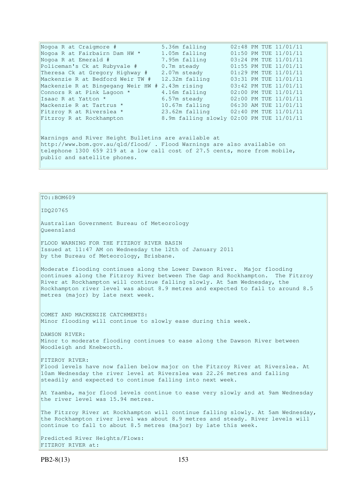| Nogoa R at Craigmore #                                                     | 5.36m falling  | 02:48 PM TUE 11/01/11                     |  |  |  |
|----------------------------------------------------------------------------|----------------|-------------------------------------------|--|--|--|
| Nogoa R at Fairbairn Dam HW *                                              | 1.05m falling  | 01:50 PM TUE 11/01/11                     |  |  |  |
| Nogoa R at Emerald #                                                       | 7.95m falling  | 03:24 PM TUE 11/01/11                     |  |  |  |
| Policeman's Ck at Rubyvale #                                               | 0.7m steady    | 01:55 PM TUE 11/01/11                     |  |  |  |
| Theresa Ck at Gregory Highway #                                            | 2.07m steady   | 01:29 PM TUE 11/01/11                     |  |  |  |
| Mackenzie R at Bedford Weir TW #                                           | 12.32m falling | 03:31 PM TUE 11/01/11                     |  |  |  |
| Mackenzie R at Bingegang Weir HW # 2.43m rising                            |                | 03:42 PM TUE 11/01/11                     |  |  |  |
| Connors R at Pink Lagoon *                                                 | 4.16m falling  | 02:00 PM TUE 11/01/11                     |  |  |  |
| Isaac R at Yatton *                                                        | 6.57m steady   | 02:00 PM TUE 11/01/11                     |  |  |  |
| Mackenzie R at Tartrus *                                                   | 10.67m falling | 06:30 AM TUE 11/01/11                     |  |  |  |
| Fitzroy R at Riverslea *                                                   |                | 23.62m falling 02:40 PM TUE 11/01/11      |  |  |  |
| Fitzroy R at Rockhampton                                                   |                | 8.9m falling slowly 02:00 PM TUE 11/01/11 |  |  |  |
|                                                                            |                |                                           |  |  |  |
| Warnings and River Height Bulletins are available at                       |                |                                           |  |  |  |
| http://www.bom.gov.au/gld/flood/ . Flood Warnings are also available on    |                |                                           |  |  |  |
| telephone 1300 659 219 at a low call cost of 27.5 cents, more from mobile, |                |                                           |  |  |  |
| public and satellite phones.                                               |                |                                           |  |  |  |

#### TO::BOM609

IDQ20765

Australian Government Bureau of Meteorology Queensland

FLOOD WARNING FOR THE FITZROY RIVER BASIN Issued at 11:47 AM on Wednesday the 12th of January 2011 by the Bureau of Meteorology, Brisbane.

Moderate flooding continues along the Lower Dawson River. Major flooding continues along the Fitzroy River between The Gap and Rockhampton. The Fitzroy River at Rockhampton will continue falling slowly. At 5am Wednesday, the Rockhampton river level was about 8.9 metres and expected to fall to around 8.5 metres (major) by late next week.

COMET AND MACKENZIE CATCHMENTS: Minor flooding will continue to slowly ease during this week.

DAWSON RIVER: Minor to moderate flooding continues to ease along the Dawson River between Woodleigh and Knebworth.

FITZROY RIVER: Flood levels have now fallen below major on the Fitzroy River at Riverslea. At 10am Wednesday the river level at Riverslea was 22.26 metres and falling steadily and expected to continue falling into next week.

At Yaamba, major flood levels continue to ease very slowly and at 9am Wednesday the river level was 15.94 metres.

The Fitzroy River at Rockhampton will continue falling slowly. At 5am Wednesday, the Rockhampton river level was about 8.9 metres and steady. River levels will continue to fall to about 8.5 metres (major) by late this week.

Predicted River Heights/Flows: FITZROY RIVER at: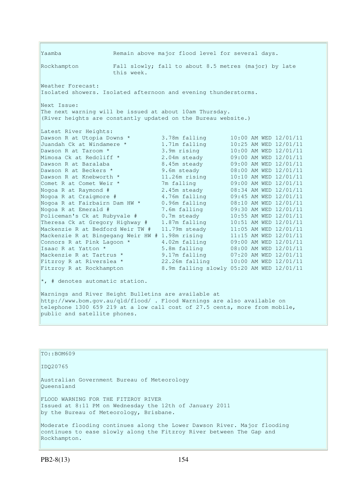Yaamba Remain above major flood level for several days. Rockhampton Fall slowly; fall to about 8.5 metres (major) by late this week. Weather Forecast: Isolated showers. Isolated afternoon and evening thunderstorms. Next Issue: The next warning will be issued at about 10am Thursday. (River heights are constantly updated on the Bureau website.) Latest River Heights: Dawson R at Utopia Downs \* 3.78m falling 10:00 AM WED 12/01/11<br>
Juandah Ck at Windamere \* 1.71m falling 10:25 AM WED 12/01/11<br>
Dawson R at Taroom \* 3.9m rising 10:00 AM WED 12/01/11 Juandah Ck at Windamere \* 1.71m falling 10:25 AM WED 12/01/11 Dawson R at Taroom \* 3.9m rising 10:00 AM WED 12/01/11 Mimosa Ck at Redcliff \* 2.04m steady 09:00 AM WED 12/01/11 Dawson R at Baralaba 8.45m steady 09:00 AM WED 12/01/11 Dawson R at Beckers \* 9.6m steady 08:00 AM WED 12/01/11 Dawson R at Knebworth \* 11.26m rising 10:10 AM WED 12/01/11 Comet R at Comet Weir \* 7m falling 09:00 AM WED 12/01/11 Nogoa R at Raymond # 2.45m steady 08:34 AM WED 12/01/11 Nogoa R at Craigmore # 4.76m falling 09:45 AM WED 12/01/11 Nogoa R at Fairbairn Dam HW \* 0.96m falling 08:10 AM WED 12/01/11 Nogoa R at Emerald # 7.6m falling 09:30 AM WED 12/01/11 Policeman's Ck at Rubyvale # 0.7m steady 10:55 AM WED 12/01/11 Theresa Ck at Gregory Highway # 1.87m falling 10:51 AM WED 12/01/11 Mackenzie R at Bedford Weir TW # 11.79m steady 11:05 AM WED 12/01/11 Mackenzie R at Bingegang Weir HW # 1.98m rising 11:15 AM WED 12/01/11 Connors R at Pink Lagoon  $*$  4.02m falling  $09:00$  AM WED  $12/01/11$ Isaac R at Yatton \* 5.8m falling 08:00 AM WED 12/01/11 Mackenzie R at Tartrus \* 9.17m falling 07:20 AM WED 12/01/11 Fitzroy R at Riverslea \* 22.26m falling 10:00 AM WED 12/01/11 Fitzroy R at Rockhampton 8.9m falling slowly 05:20 AM WED 12/01/11

 $\star$ , # denotes automatic station.

Warnings and River Height Bulletins are available at http://www.bom.gov.au/qld/flood/ . Flood Warnings are also available on telephone 1300 659 219 at a low call cost of 27.5 cents, more from mobile, public and satellite phones.

| TO::BOM609                                                                                                                                                       |
|------------------------------------------------------------------------------------------------------------------------------------------------------------------|
| ID020765                                                                                                                                                         |
| Australian Government Bureau of Meteorology<br>Oueensland                                                                                                        |
| FLOOD WARNING FOR THE FITZROY RIVER<br>Issued at 8:11 PM on Wednesday the 12th of January 2011<br>by the Bureau of Meteorology, Brisbane.                        |
| Moderate flooding continues along the Lower Dawson River. Major flooding<br>continues to ease slowly along the Fitzroy River between The Gap and<br>Rockhampton. |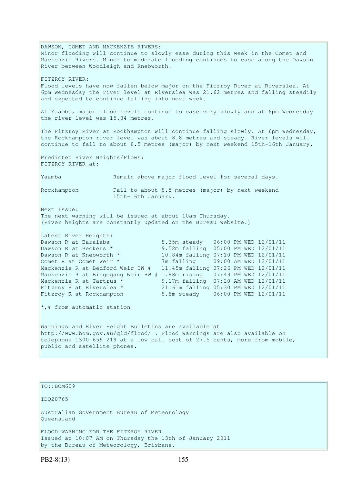DAWSON, COMET AND MACKENZIE RIVERS: Minor flooding will continue to slowly ease during this week in the Comet and Mackenzie Rivers. Minor to moderate flooding continues to ease along the Dawson River between Woodleigh and Knebworth. FITZROY RIVER: Flood levels have now fallen below major on the Fitzroy River at Riverslea. At 6pm Wednesday the river level at Riverslea was 21.62 metres and falling steadily and expected to continue falling into next week. At Yaamba, major flood levels continue to ease very slowly and at 6pm Wednesday the river level was 15.84 metres. The Fitzroy River at Rockhampton will continue falling slowly. At 6pm Wednesday, the Rockhampton river level was about 8.8 metres and steady. River levels will continue to fall to about 8.5 metres (major) by next weekend 15th-16th January. Predicted River Heights/Flows: FITZROY RIVER at: Yaamba Remain above major flood level for several days. Rockhampton Fall to about 8.5 metres (major) by next weekend 15th-16th January. Next Issue: The next warning will be issued at about 10am Thursday. (River heights are constantly updated on the Bureau website.) Latest River Heights: Dawson R at Baralaba 8.35m steady 06:00 PM WED 12/01/11 Dawson R at Beckers \* 9.52m falling 05:00 PM WED 12/01/11 Dawson R at Knebworth \* 10.84m falling 07:10 PM WED 12/01/11 Comet R at Comet Weir \* 7m falling 09:00 AM WED 12/01/11 Mackenzie R at Bedford Weir TW # 11.45m falling 07:26 PM WED 12/01/11 Mackenzie R at Bingegang Weir HW # 1.88m rising 07:49 PM WED 12/01/11 Mackenzie R at Tartrus \* 9.17m falling 07:20 AM WED 12/01/11 Fitzroy R at Riverslea \* 21.61m falling 05:30 PM WED 12/01/11 Fitzroy R at Rockhampton 8.8m steady 06:00 PM WED 12/01/11  $\star$ ,# from automatic station Warnings and River Height Bulletins are available at http://www.bom.gov.au/qld/flood/ . Flood Warnings are also available on telephone 1300 659 219 at a low call cost of 27.5 cents, more from mobile, public and satellite phones.

TO::BOM609

IDQ20765

Australian Government Bureau of Meteorology Queensland

FLOOD WARNING FOR THE FITZROY RIVER Issued at 10:07 AM on Thursday the 13th of January 2011 by the Bureau of Meteorology, Brisbane.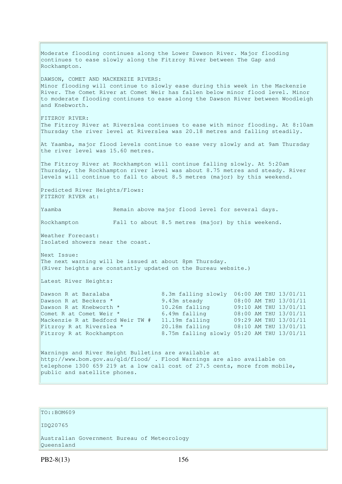Moderate flooding continues along the Lower Dawson River. Major flooding continues to ease slowly along the Fitzroy River between The Gap and Rockhampton. DAWSON, COMET AND MACKENZIE RIVERS: Minor flooding will continue to slowly ease during this week in the Mackenzie River. The Comet River at Comet Weir has fallen below minor flood level. Minor to moderate flooding continues to ease along the Dawson River between Woodleigh and Knebworth. FITZROY RIVER: The Fitzroy River at Riverslea continues to ease with minor flooding. At 8:10am Thursday the river level at Riverslea was 20.18 metres and falling steadily. At Yaamba, major flood levels continue to ease very slowly and at 9am Thursday the river level was 15.60 metres. The Fitzroy River at Rockhampton will continue falling slowly. At 5:20am Thursday, the Rockhampton river level was about 8.75 metres and steady. River levels will continue to fall to about 8.5 metres (major) by this weekend. Predicted River Heights/Flows: FITZROY RIVER at: Yaamba Remain above major flood level for several days. Rockhampton Fall to about 8.5 metres (major) by this weekend. Weather Forecast: Isolated showers near the coast. Next Issue: The next warning will be issued at about 8pm Thursday. (River heights are constantly updated on the Bureau website.) Latest River Heights: Dawson R at Baralaba 8.3m falling slowly 06:00 AM THU 13/01/11 Dawson R at Beckers \* 9.43m steady 08:00 AM THU 13/01/11 Dawson R at Knebworth \* 10.26m falling 09:10 AM THU 13/01/11 Comet R at Comet Weir \* 6.49m falling 08:00 AM THU 13/01/11 Mackenzie R at Bedford Weir TW # 11.19m falling 09:29 AM THU 13/01/11 Fitzroy R at Riverslea \* 20.18m falling 08:10 AM THU 13/01/11 Fitzroy R at Rockhampton 8.75m falling slowly 05:20 AM THU 13/01/11 Warnings and River Height Bulletins are available at http://www.bom.gov.au/qld/flood/ . Flood Warnings are also available on telephone 1300 659 219 at a low call cost of 27.5 cents, more from mobile, public and satellite phones.

#### TO::BOM609

IDQ20765

Australian Government Bureau of Meteorology Queensland

PB2-8(13) 156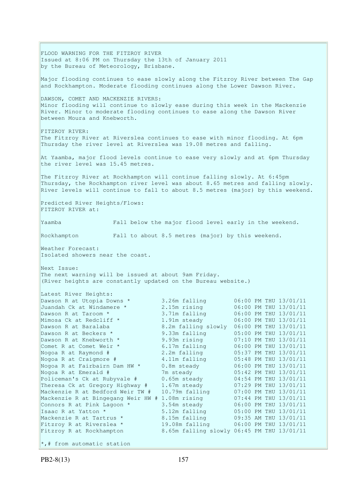FLOOD WARNING FOR THE FITZROY RIVER Issued at 8:06 PM on Thursday the 13th of January 2011 by the Bureau of Meteorology, Brisbane. Major flooding continues to ease slowly along the Fitzroy River between The Gap and Rockhampton. Moderate flooding continues along the Lower Dawson River. DAWSON, COMET AND MACKENZIE RIVERS: Minor flooding will continue to slowly ease during this week in the Mackenzie River. Minor to moderate flooding continues to ease along the Dawson River between Moura and Knebworth. FITZROY RIVER: The Fitzroy River at Riverslea continues to ease with minor flooding. At 6pm Thursday the river level at Riverslea was 19.08 metres and falling. At Yaamba, major flood levels continue to ease very slowly and at 6pm Thursday the river level was 15.45 metres. The Fitzroy River at Rockhampton will continue falling slowly. At 6:45pm Thursday, the Rockhampton river level was about 8.65 metres and falling slowly. River levels will continue to fall to about 8.5 metres (major) by this weekend. Predicted River Heights/Flows: FITZROY RIVER at: Yaamba Fall below the major flood level early in the weekend. Rockhampton Fall to about 8.5 metres (major) by this weekend. Weather Forecast: Isolated showers near the coast. Next Issue: The next warning will be issued at about 9am Friday. (River heights are constantly updated on the Bureau website.) Latest River Heights: Dawson R at Utopia Downs \* 3.26m falling 06:00 PM THU 13/01/11 Juandah Ck at Windamere \* 2.15m rising 06:00 PM THU 13/01/11 Dawson R at Taroom \* 3.71m falling 06:00 PM THU 13/01/11 Mimosa Ck at Redcliff \* 1.91m steady 06:00 PM THU 13/01/11 Dawson R at Baralaba 8.2m falling slowly 06:00 PM THU 13/01/11 Dawson R at Beckers \* 9.33m falling 05:00 PM THU 13/01/11 Dawson R at Knebworth \* 9.93m rising 07:10 PM THU 13/01/11 Comet R at Comet Weir  $*$  6.17m falling 06:00 PM THU 13/01/11 Nogoa R at Raymond # 2.2m falling 05:37 PM THU 13/01/11 Nogoa R at Craigmore # 4.11m falling 05:48 PM THU 13/01/11 Nogoa R at Fairbairn Dam HW \* 0.8m steady 06:00 PM THU 13/01/11 Nogoa R at Emerald # 7m steady 05:42 PM THU 13/01/11 Policeman's Ck at Rubyvale # 0.65m steady 04:54 PM THU 13/01/11 Theresa Ck at Gregory Highway # 1.67m steady 07:29 PM THU 13/01/11 Mackenzie R at Bedford Weir TW # 10.79m falling 07:00 PM THU 13/01/11 Mackenzie R at Bingegang Weir HW # 1.08m rising 07:44 PM THU 13/01/11 Connors R at Pink Lagoon  $*$  3.54m steady 06:00 PM THU 13/01/11 Isaac R at Yatton \* 5.12m falling 05:00 PM THU 13/01/11 Mackenzie R at Tartrus \* 8.15m falling 09:35 AM THU 13/01/11 Fitzroy R at Riverslea \* 19.08m falling 06:00 PM THU 13/01/11 Fitzroy R at Rockhampton 8.65m falling slowly 06:45 PM THU 13/01/11  $\star$ ,# from automatic station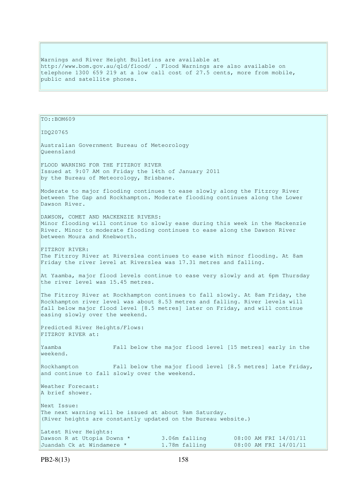Warnings and River Height Bulletins are available at http://www.bom.gov.au/qld/flood/ . Flood Warnings are also available on telephone 1300 659 219 at a low call cost of 27.5 cents, more from mobile, public and satellite phones.

```
TO::BOM609 
IDQ20765 
Australian Government Bureau of Meteorology 
Queensland 
FLOOD WARNING FOR THE FITZROY RIVER 
Issued at 9:07 AM on Friday the 14th of January 2011 
by the Bureau of Meteorology, Brisbane.
Moderate to major flooding continues to ease slowly along the Fitzroy River 
between The Gap and Rockhampton. Moderate flooding continues along the Lower 
Dawson River. 
DAWSON, COMET AND MACKENZIE RIVERS: 
Minor flooding will continue to slowly ease during this week in the Mackenzie 
River. Minor to moderate flooding continues to ease along the Dawson River 
between Moura and Knebworth. 
FITZROY RIVER:
The Fitzroy River at Riverslea continues to ease with minor flooding. At 8am 
Friday the river level at Riverslea was 17.31 metres and falling. 
At Yaamba, major flood levels continue to ease very slowly and at 6pm Thursday 
the river level was 15.45 metres. 
The Fitzroy River at Rockhampton continues to fall slowly. At 8am Friday, the
Rockhampton river level was about 8.53 metres and falling. River levels will 
fall below major flood level [8.5 metres] later on Friday, and will continue 
easing slowly over the weekend. 
Predicted River Heights/Flows: 
FITZROY RIVER at:
Yaamba Fall below the major flood level [15 metres] early in the 
weekend. 
Rockhampton Fall below the major flood level [8.5 metres] late Friday, 
and continue to fall slowly over the weekend. 
Weather Forecast:
A brief shower. 
Next Issue: 
The next warning will be issued at about 9am Saturday. 
(River heights are constantly updated on the Bureau website.) 
Latest River Heights: 
Dawson R at Utopia Downs * 3.06m falling 08:00 AM FRI 14/01/11
Juandah Ck at Windamere * 1.78m falling 08:00 AM FRI 14/01/11
```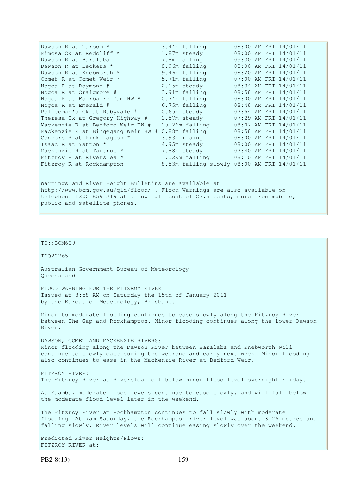| Dawson R at Taroom *                                 | 3.44m falling   | 08:00 AM FRI 14/01/11                      |  |  |  |
|------------------------------------------------------|-----------------|--------------------------------------------|--|--|--|
| Mimosa Ck at Redcliff *                              | 1.87m steady    | 08:00 AM FRI 14/01/11                      |  |  |  |
| Dawson R at Baralaba                                 | 7.8m falling    | 05:30 AM FRI 14/01/11                      |  |  |  |
| Dawson R at Beckers *                                | 8.96m falling   | 08:00 AM FRI 14/01/11                      |  |  |  |
| Dawson R at Knebworth *                              | 9.46m falling   | 08:20 AM FRI 14/01/11                      |  |  |  |
| Comet R at Comet Weir *                              | 5.71m falling   | 07:00 AM FRI 14/01/11                      |  |  |  |
| Nogoa R at Raymond #                                 | 2.15m steady    | 08:34 AM FRI 14/01/11                      |  |  |  |
| Nogoa R at Craigmore #                               | 3.91m falling   | 08:58 AM FRI 14/01/11                      |  |  |  |
| Nogoa R at Fairbairn Dam HW *                        | $0.74m$ falling | 08:00 AM FRI 14/01/11                      |  |  |  |
| Nogoa R at Emerald #                                 | 6.75m falling   | 08:48 AM FRI 14/01/11                      |  |  |  |
| Policeman's Ck at Rubyvale #                         | 0.65m steady    | 07:54 AM FRI 14/01/11                      |  |  |  |
| Theresa Ck at Gregory Highway #                      | 1.57m steady    | 07:29 AM FRI 14/01/11                      |  |  |  |
| Mackenzie R at Bedford Weir TW #                     | 10.26m falling  | 08:07 AM FRI 14/01/11                      |  |  |  |
| Mackenzie R at Bingegang Weir HW #                   | 0.88m falling   | 08:58 AM FRI 14/01/11                      |  |  |  |
| Connors R at Pink Lagoon *                           | 3.93m rising    | 08:00 AM FRI 14/01/11                      |  |  |  |
| Isaac R at Yatton *                                  | 4.95m steady    | 08:00 AM FRI 14/01/11                      |  |  |  |
| Mackenzie R at Tartrus *                             | 7.88m steady    | 07:40 AM FRI 14/01/11                      |  |  |  |
| Fitzroy R at Riverslea *                             |                 | 17.29m falling 08:10 AM FRI 14/01/11       |  |  |  |
| Fitzroy R at Rockhampton                             |                 | 8.53m falling slowly 08:00 AM FRI 14/01/11 |  |  |  |
| Warnings and River Height Bulletins are available at |                 |                                            |  |  |  |

http://www.bom.gov.au/qld/flood/ . Flood Warnings are also available on telephone 1300 659 219 at a low call cost of 27.5 cents, more from mobile, public and satellite phones.

# IDQ20765 Australian Government Bureau of Meteorology Queensland FLOOD WARNING FOR THE FITZROY RIVER Issued at 8:58 AM on Saturday the 15th of January 2011 by the Bureau of Meteorology, Brisbane. Minor to moderate flooding continues to ease slowly along the Fitzroy River between The Gap and Rockhampton. Minor flooding continues along the Lower Dawson River. DAWSON, COMET AND MACKENZIE RIVERS: Minor flooding along the Dawson River between Baralaba and Knebworth will continue to slowly ease during the weekend and early next week. Minor flooding also continues to ease in the Mackenzie River at Bedford Weir. FITZROY RIVER: The Fitzroy River at Riverslea fell below minor flood level overnight Friday. At Yaamba, moderate flood levels continue to ease slowly, and will fall below the moderate flood level later in the weekend. The Fitzroy River at Rockhampton continues to fall slowly with moderate flooding. At 7am Saturday, the Rockhampton river level was about 8.25 metres and falling slowly. River levels will continue easing slowly over the weekend. Predicted River Heights/Flows: FITZROY RIVER at:

TO::BOM609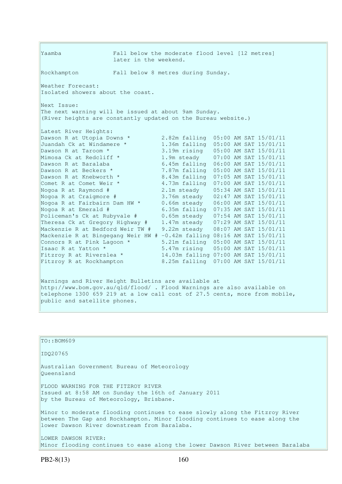Yaamba Fall below the moderate flood level [12 metres] later in the weekend. Rockhampton Fall below 8 metres during Sunday. Weather Forecast: Isolated showers about the coast. Next Issue: The next warning will be issued at about 9am Sunday. (River heights are constantly updated on the Bureau website.) Latest River Heights: Dawson R at Utopia Downs \* 2.82m falling 05:00 AM SAT 15/01/11 Juandah Ck at Windamere \* 1.36m falling 05:00 AM SAT 15/01/11 Dawson R at Taroom \* 3.19m rising 05:00 AM SAT 15/01/11 Mimosa Ck at Redcliff \* 1.9m steady 07:00 AM SAT 15/01/11 Dawson R at Baralaba 6.45m falling 06:00 AM SAT 15/01/11 Dawson R at Beckers \* 7.87m falling 05:00 AM SAT 15/01/11 Dawson R at Knebworth \* 8.43m falling 07:05 AM SAT 15/01/11 Comet R at Comet Weir \* 4.73m falling 07:00 AM SAT 15/01/11 Nogoa R at Raymond # 2.1m steady 05:34 AM SAT 15/01/11 Nogoa R at Craigmore # 3.76m steady 02:47 AM SAT 15/01/11 Nogoa R at Fairbairn Dam HW \* 0.66m steady 06:00 AM SAT 15/01/11 Nogoa R at Emerald # 6.35m falling 07:35 AM SAT 15/01/11 Policeman's Ck at Rubyvale # 0.65m steady 07:54 AM SAT 15/01/11 Theresa Ck at Gregory Highway # 1.47m steady 07:29 AM SAT 15/01/11 Mackenzie R at Bedford Weir TW # 9.22m steady 08:07 AM SAT 15/01/11 Mackenzie R at Bingegang Weir HW # -0.42m falling 08:16 AM SAT 15/01/11 Connors R at Pink Lagoon \*  $5.21$ m falling 05:00 AM SAT 15/01/11 Isaac R at Yatton \* 5.47m rising 05:00 AM SAT 15/01/11 Fitzroy R at Riverslea \* 14.03m falling 07:00 AM SAT 15/01/11 Fitzroy R at Rockhampton 8.25m falling 07:00 AM SAT 15/01/11

Warnings and River Height Bulletins are available at http://www.bom.gov.au/qld/flood/ . Flood Warnings are also available on telephone 1300 659 219 at a low call cost of 27.5 cents, more from mobile, public and satellite phones.

TO::BOM609 IDQ20765 Australian Government Bureau of Meteorology Queensland FLOOD WARNING FOR THE FITZROY RIVER Issued at 8:58 AM on Sunday the 16th of January 2011 by the Bureau of Meteorology, Brisbane. Minor to moderate flooding continues to ease slowly along the Fitzroy River between The Gap and Rockhampton. Minor flooding continues to ease along the lower Dawson River downstream from Baralaba. LOWER DAWSON RIVER: Minor flooding continues to ease along the lower Dawson River between Baralaba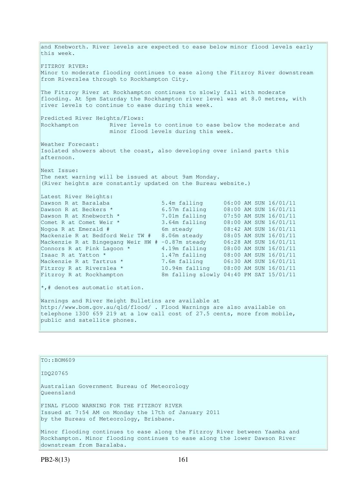and Knebworth. River levels are expected to ease below minor flood levels early this week. FITZROY RIVER: Minor to moderate flooding continues to ease along the Fitzroy River downstream from Riverslea through to Rockhampton City. The Fitzroy River at Rockhampton continues to slowly fall with moderate flooding. At 5pm Saturday the Rockhampton river level was at 8.0 metres, with river levels to continue to ease during this week. Predicted River Heights/Flows: Rockhampton River levels to continue to ease below the moderate and minor flood levels during this week. Weather Forecast: Isolated showers about the coast, also developing over inland parts this afternoon. Next Issue: The next warning will be issued at about 9am Monday. (River heights are constantly updated on the Bureau website.) Latest River Heights: Dawson R at Baralaba 5.4m falling 06:00 AM SUN 16/01/11 Dawson R at Beckers \* 6.57m falling 08:00 AM SUN 16/01/11 Dawson R at Knebworth \* 7.01m falling 07:50 AM SUN 16/01/11 Comet R at Comet Weir \* 3.64m falling 08:00 AM SUN 16/01/11 Nogoa R at Emerald # 6m steady 08:42 AM SUN 16/01/11 Mackenzie R at Bedford Weir TW # 8.06m steady 08:05 AM SUN 16/01/11 Mackenzie R at Bingegang Weir HW # -0.87m steady 06:28 AM SUN 16/01/11 Connors R at Pink Lagoon  $*$  4.19m falling 08:00 AM SUN 16/01/11 Isaac R at Yatton \* 1.47m falling 08:00 AM SUN 16/01/11 Mackenzie R at Tartrus \* 7.6m falling 06:30 AM SUN 16/01/11<br>
Fitzroy R at Riverslea \* 10.94m falling 08:00 AM SUN 16/01/11 Fitzroy R at Riverslea \* 10.94m falling 08:00 AM SUN 16/01/11 Fitzroy R at Rockhampton 8m falling slowly 04:40 PM SAT 15/01/11 \*,# denotes automatic station. Warnings and River Height Bulletins are available at http://www.bom.gov.au/qld/flood/ . Flood Warnings are also available on telephone 1300 659 219 at a low call cost of 27.5 cents, more from mobile, public and satellite phones.

TO::BOM609

IDQ20765

Australian Government Bureau of Meteorology Queensland

FINAL FLOOD WARNING FOR THE FITZROY RIVER Issued at 7:54 AM on Monday the 17th of January 2011 by the Bureau of Meteorology, Brisbane.

Minor flooding continues to ease along the Fitzroy River between Yaamba and Rockhampton. Minor flooding continues to ease along the lower Dawson River downstream from Baralaba.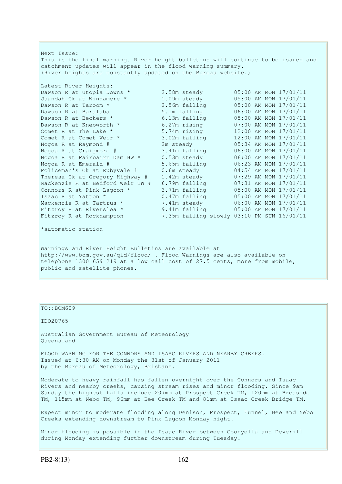Next Issue: This is the final warning. River height bulletins will continue to be issued and catchment updates will appear in the flood warning summary. (River heights are constantly updated on the Bureau website.) Latest River Heights: Dawson R at Utopia Downs \* 2.58m steady 05:00 AM MON 17/01/11 Juandah Ck at Windamere \* 1.09m steady 05:00 AM MON 17/01/11 Dawson R at Taroom \* 2.56m falling 05:00 AM MON 17/01/11 Dawson R at Baralaba 5.1m falling 06:00 AM MON 17/01/11 Dawson R at Beckers \* 6.13m falling 05:00 AM MON 17/01/11 Dawson R at Knebworth \* 6.27m rising 07:00 AM MON 17/01/11 Comet R at The Lake  $*$  5.74m rising 12:00 AM MON 17/01/11 Comet R at Comet Weir \* 3.02m falling 12:00 AM MON 17/01/11 Nogoa R at Raymond # 2m steady 05:34 AM MON 17/01/11 Nogoa R at Craigmore # 3.41m falling 06:00 AM MON 17/01/11 Nogoa R at Fairbairn Dam HW \* 0.53m steady 06:00 AM MON 17/01/11 Nogoa R at Emerald # 5.65m falling 06:23 AM MON 17/01/11 Policeman's Ck at Rubyvale # 0.6m steady 04:54 AM MON 17/01/11 Theresa Ck at Gregory Highway # 1.42m steady 07:29 AM MON 17/01/11 Mackenzie R at Bedford Weir TW # 6.79m falling 07:31 AM MON 17/01/11 Connors R at Pink Lagoon  $*$  3.71m falling  $05:00$  AM MON 17/01/11 Isaac R at Yatton \* 0.47m falling 05:00 AM MON 17/01/11 Mackenzie R at Tartrus \* 7.41m steady 06:00 AM MON 17/01/11 Fitzroy R at Riverslea \* 9.41m falling 05:00 AM MON 17/01/11 Fitzroy R at Rockhampton 7.35m falling slowly 03:10 PM SUN 16/01/11 \*automatic station Warnings and River Height Bulletins are available at http://www.bom.gov.au/qld/flood/ . Flood Warnings are also available on telephone 1300 659 219 at a low call cost of 27.5 cents, more from mobile, public and satellite phones.

TO::BOM609 IDQ20765 Australian Government Bureau of Meteorology Queensland FLOOD WARNING FOR THE CONNORS AND ISAAC RIVERS AND NEARBY CREEKS. Issued at 6:30 AM on Monday the 31st of January 2011 by the Bureau of Meteorology, Brisbane. Moderate to heavy rainfall has fallen overnight over the Connors and Isaac Rivers and nearby creeks, causing stream rises and minor flooding. Since 9am Sunday the highest falls include 207mm at Prospect Creek TM, 120mm at Breaside TM, 115mm at Nebo TM, 96mm at Bee Creek TM and 81mm at Isaac Creek Bridge TM. Expect minor to moderate flooding along Denison, Prospect, Funnel, Bee and Nebo Creeks extending downstream to Pink Lagoon Monday night. Minor flooding is possible in the Isaac River between Goonyella and Deverill during Monday extending further downstream during Tuesday.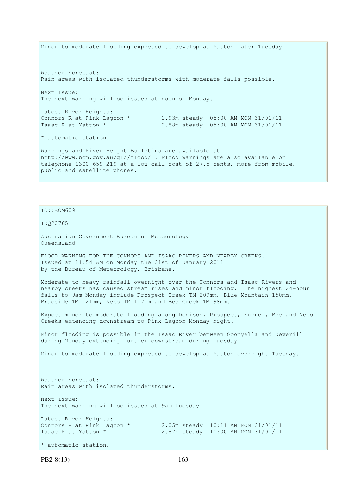Minor to moderate flooding expected to develop at Yatton later Tuesday. Weather Forecast: Rain areas with isolated thunderstorms with moderate falls possible. Next Issue: The next warning will be issued at noon on Monday. Latest River Heights: Connors R at Pink Lagoon  $*$  1.93m steady 05:00 AM MON 31/01/11 Isaac R at Yatton \* 2.88m steady 05:00 AM MON 31/01/11 \* automatic station. Warnings and River Height Bulletins are available at http://www.bom.gov.au/qld/flood/ . Flood Warnings are also available on telephone 1300 659 219 at a low call cost of 27.5 cents, more from mobile, public and satellite phones.

TO::BOM609 IDQ20765 Australian Government Bureau of Meteorology Queensland FLOOD WARNING FOR THE CONNORS AND ISAAC RIVERS AND NEARBY CREEKS. Issued at 11:54 AM on Monday the 31st of January 2011 by the Bureau of Meteorology, Brisbane. Moderate to heavy rainfall overnight over the Connors and Isaac Rivers and nearby creeks has caused stream rises and minor flooding. The highest 24-hour falls to 9am Monday include Prospect Creek TM 209mm, Blue Mountain 150mm, Braeside TM 121mm, Nebo TM 117mm and Bee Creek TM 98mm. Expect minor to moderate flooding along Denison, Prospect, Funnel, Bee and Nebo Creeks extending downstream to Pink Lagoon Monday night. Minor flooding is possible in the Isaac River between Goonyella and Deverill during Monday extending further downstream during Tuesday. Minor to moderate flooding expected to develop at Yatton overnight Tuesday. Weather Forecast: Rain areas with isolated thunderstorms. Next Issue: The next warning will be issued at 9am Tuesday. Latest River Heights: Connors R at Pink Lagoon  $*$  2.05m steady 10:11 AM MON 31/01/11 Isaac R at Yatton \* 2.87m steady 10:00 AM MON 31/01/11 \* automatic station.